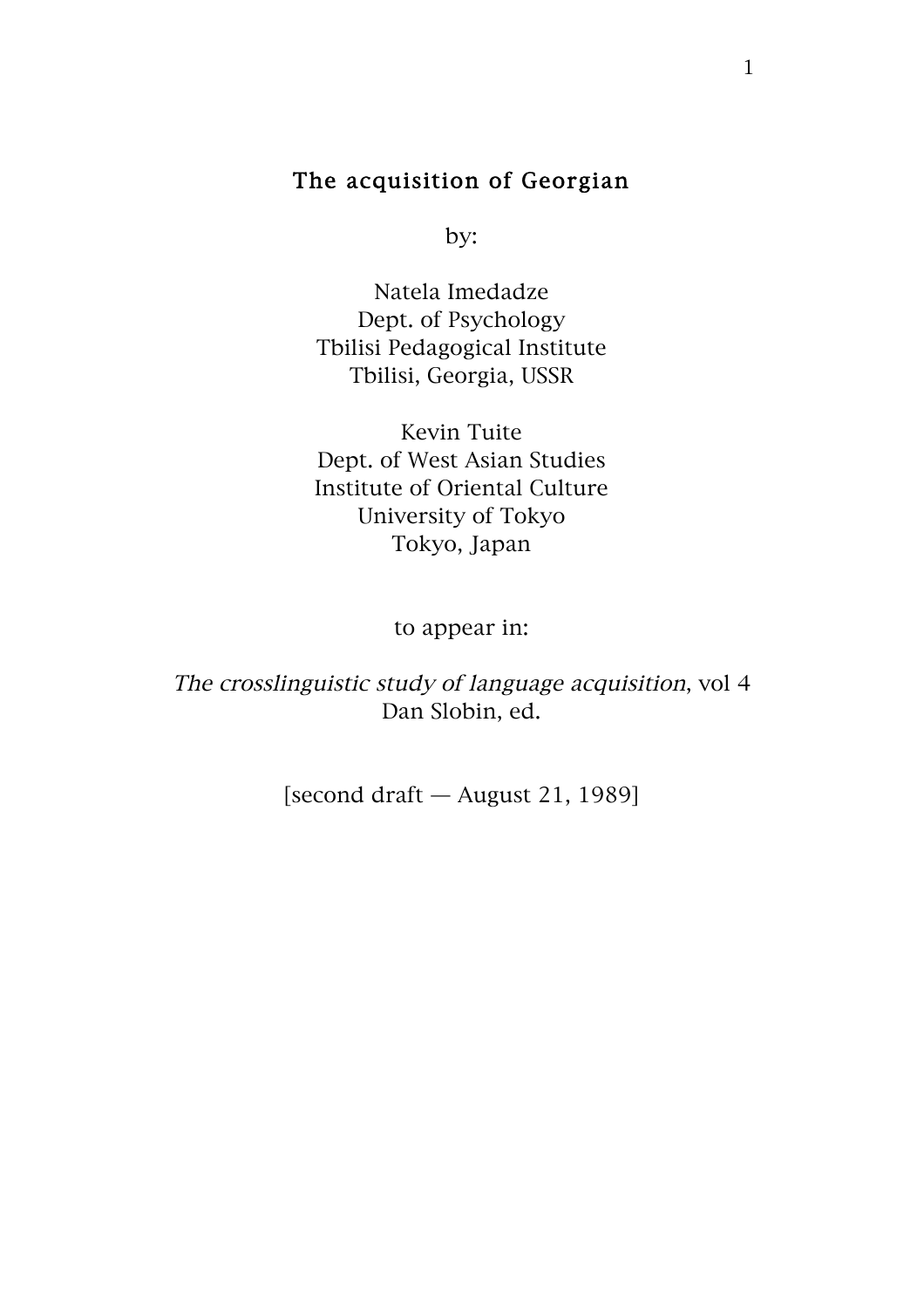## The acquisition of Georgian

by:

Natela Imedadze Dept. of Psychology Tbilisi Pedagogical Institute Tbilisi, Georgia, USSR

Kevin Tuite Dept. of West Asian Studies Institute of Oriental Culture University of Tokyo Tokyo, Japan

to appear in:

The crosslinguistic study of language acquisition, vol 4 Dan Slobin, ed.

[second draft — August 21, 1989]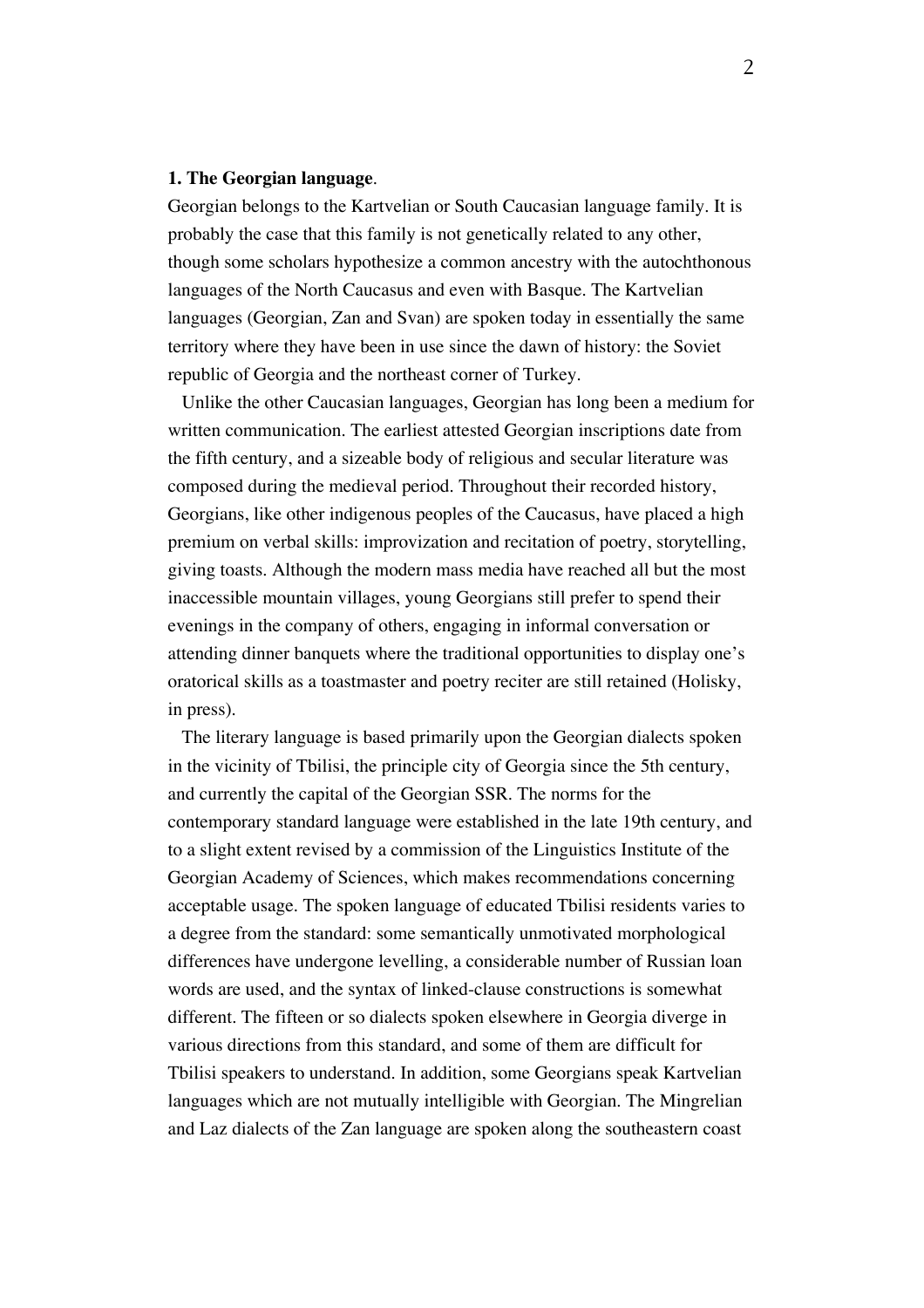#### **1. The Georgian language**.

Georgian belongs to the Kartvelian or South Caucasian language family. It is probably the case that this family is not genetically related to any other, though some scholars hypothesize a common ancestry with the autochthonous languages of the North Caucasus and even with Basque. The Kartvelian languages (Georgian, Zan and Svan) are spoken today in essentially the same territory where they have been in use since the dawn of history: the Soviet republic of Georgia and the northeast corner of Turkey.

Unlike the other Caucasian languages, Georgian has long been a medium for written communication. The earliest attested Georgian inscriptions date from the fifth century, and a sizeable body of religious and secular literature was composed during the medieval period. Throughout their recorded history, Georgians, like other indigenous peoples of the Caucasus, have placed a high premium on verbal skills: improvization and recitation of poetry, storytelling, giving toasts. Although the modern mass media have reached all but the most inaccessible mountain villages, young Georgians still prefer to spend their evenings in the company of others, engaging in informal conversation or attending dinner banquets where the traditional opportunities to display one's oratorical skills as a toastmaster and poetry reciter are still retained (Holisky, in press).

The literary language is based primarily upon the Georgian dialects spoken in the vicinity of Tbilisi, the principle city of Georgia since the 5th century, and currently the capital of the Georgian SSR. The norms for the contemporary standard language were established in the late 19th century, and to a slight extent revised by a commission of the Linguistics Institute of the Georgian Academy of Sciences, which makes recommendations concerning acceptable usage. The spoken language of educated Tbilisi residents varies to a degree from the standard: some semantically unmotivated morphological differences have undergone levelling, a considerable number of Russian loan words are used, and the syntax of linked-clause constructions is somewhat different. The fifteen or so dialects spoken elsewhere in Georgia diverge in various directions from this standard, and some of them are difficult for Tbilisi speakers to understand. In addition, some Georgians speak Kartvelian languages which are not mutually intelligible with Georgian. The Mingrelian and Laz dialects of the Zan language are spoken along the southeastern coast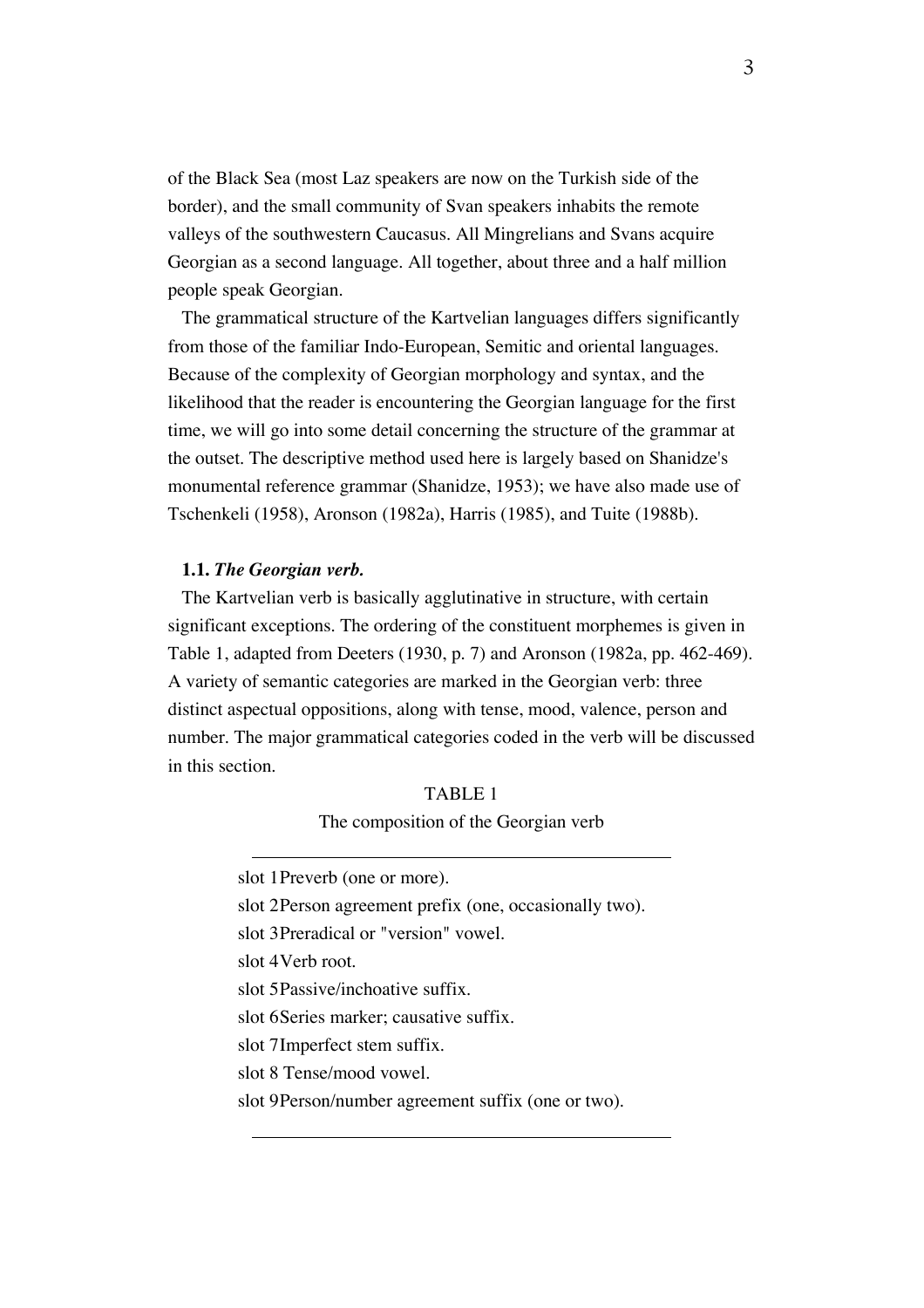of the Black Sea (most Laz speakers are now on the Turkish side of the border), and the small community of Svan speakers inhabits the remote valleys of the southwestern Caucasus. All Mingrelians and Svans acquire Georgian as a second language. All together, about three and a half million people speak Georgian.

The grammatical structure of the Kartvelian languages differs significantly from those of the familiar Indo-European, Semitic and oriental languages. Because of the complexity of Georgian morphology and syntax, and the likelihood that the reader is encountering the Georgian language for the first time, we will go into some detail concerning the structure of the grammar at the outset. The descriptive method used here is largely based on Shanidze's monumental reference grammar (Shanidze, 1953); we have also made use of Tschenkeli (1958), Aronson (1982a), Harris (1985), and Tuite (1988b).

#### **1.1.** *The Georgian verb.*

The Kartvelian verb is basically agglutinative in structure, with certain significant exceptions. The ordering of the constituent morphemes is given in Table 1, adapted from Deeters (1930, p. 7) and Aronson (1982a, pp. 462-469). A variety of semantic categories are marked in the Georgian verb: three distinct aspectual oppositions, along with tense, mood, valence, person and number. The major grammatical categories coded in the verb will be discussed in this section.

#### TABLE 1 The composition of the Georgian verb

slot 1Preverb (one or more).

slot 2Person agreement prefix (one, occasionally two).

slot 3Preradical or "version" vowel.

slot 4Verb root.

slot 5Passive/inchoative suffix.

slot 6Series marker; causative suffix.

slot 7Imperfect stem suffix.

slot 8 Tense/mood vowel.

slot 9Person/number agreement suffix (one or two).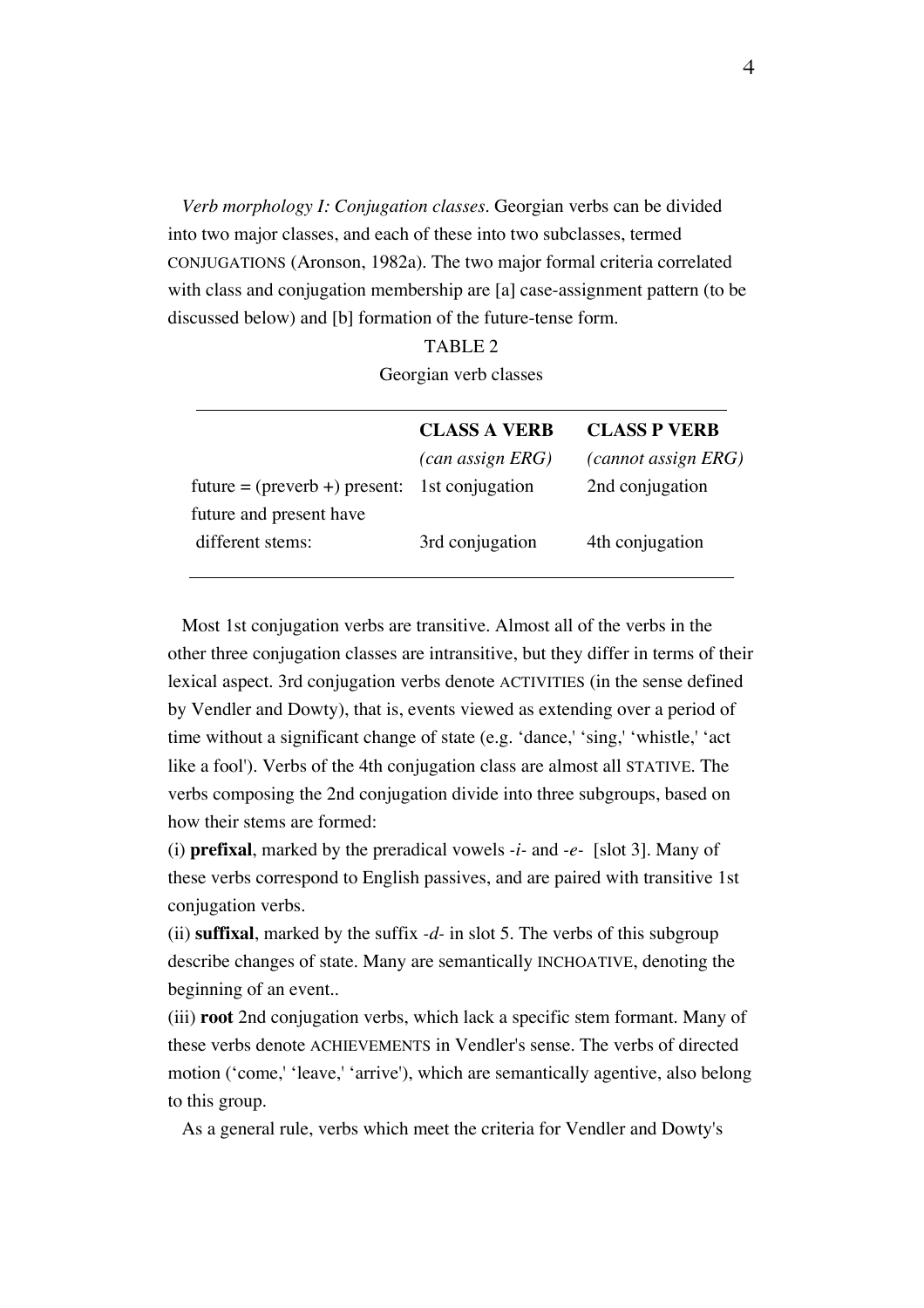*Verb morphology I: Conjugation classes.* Georgian verbs can be divided into two major classes, and each of these into two subclasses, termed CONJUGATIONS (Aronson, 1982a). The two major formal criteria correlated with class and conjugation membership are [a] case-assignment pattern (to be discussed below) and [b] formation of the future-tense form.

> TABLE 2 Georgian verb classes

|                                                                | <b>CLASS A VERB</b>         | <b>CLASS P VERB</b>        |
|----------------------------------------------------------------|-----------------------------|----------------------------|
|                                                                | $(\textit{can assign ERG})$ | <i>(cannot assign ERG)</i> |
| future = $(\text{preverb} + \text{)}$ present: 1st conjugation |                             | 2nd conjugation            |
| future and present have                                        |                             |                            |
| different stems:                                               | 3rd conjugation             | 4th conjugation            |
|                                                                |                             |                            |

Most 1st conjugation verbs are transitive. Almost all of the verbs in the other three conjugation classes are intransitive, but they differ in terms of their lexical aspect. 3rd conjugation verbs denote ACTIVITIES (in the sense defined by Vendler and Dowty), that is, events viewed as extending over a period of time without a significant change of state (e.g. 'dance,' 'sing,' 'whistle,' 'act like a fool'). Verbs of the 4th conjugation class are almost all STATIVE. The verbs composing the 2nd conjugation divide into three subgroups, based on how their stems are formed:

(i) **prefixal**, marked by the preradical vowels *-i-* and *-e-* [slot 3]. Many of these verbs correspond to English passives, and are paired with transitive 1st conjugation verbs.

(ii) **suffixal**, marked by the suffix *-d-* in slot 5. The verbs of this subgroup describe changes of state. Many are semantically INCHOATIVE, denoting the beginning of an event..

(iii) **root** 2nd conjugation verbs, which lack a specific stem formant. Many of these verbs denote ACHIEVEMENTS in Vendler's sense. The verbs of directed motion ('come,' 'leave,' 'arrive'), which are semantically agentive, also belong to this group.

As a general rule, verbs which meet the criteria for Vendler and Dowty's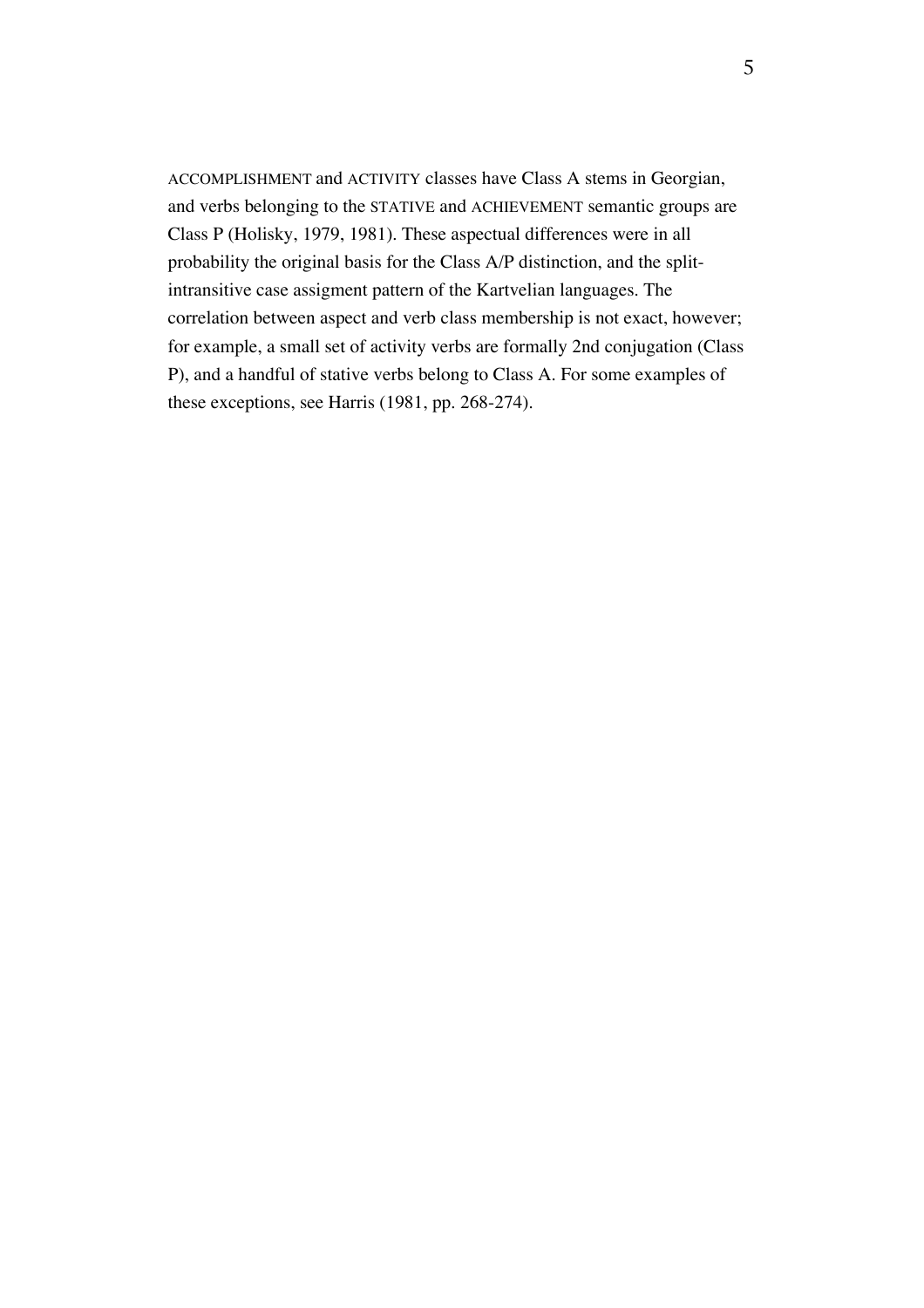ACCOMPLISHMENT and ACTIVITY classes have Class A stems in Georgian, and verbs belonging to the STATIVE and ACHIEVEMENT semantic groups are Class P (Holisky, 1979, 1981). These aspectual differences were in all probability the original basis for the Class A/P distinction, and the splitintransitive case assigment pattern of the Kartvelian languages. The correlation between aspect and verb class membership is not exact, however; for example, a small set of activity verbs are formally 2nd conjugation (Class P), and a handful of stative verbs belong to Class A. For some examples of these exceptions, see Harris (1981, pp. 268-274).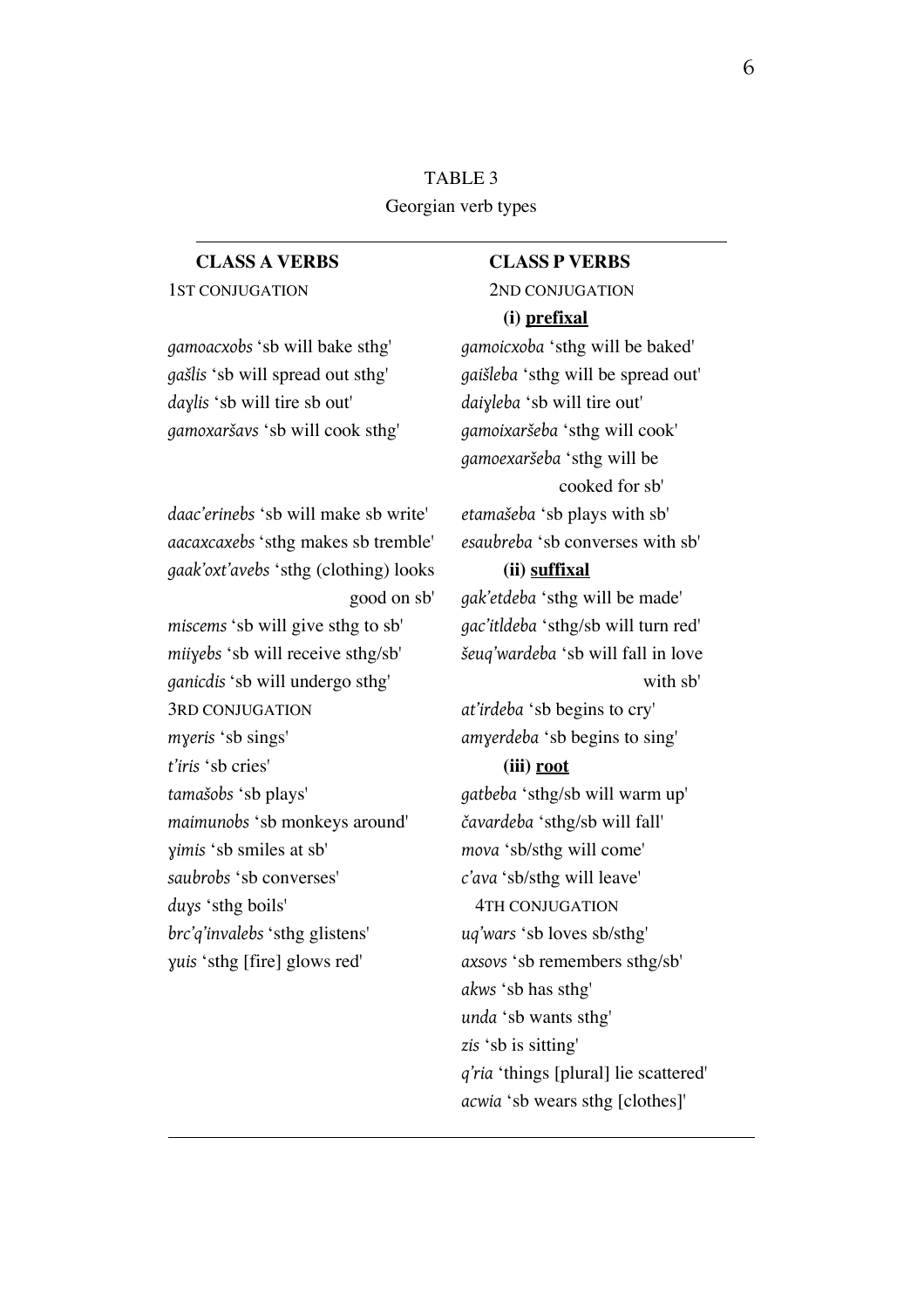TABLE 3 Georgian verb types

## 1ST CONJUGATION 2ND CONJUGATION

**CLASS A VERBS CLASS P VERBS**

### **(i) prefixal**

*gamoacxobs* 'sb will bake sthg' *gamoicxoba* 'sthg will be baked' *gašlis* 'sb will spread out sthg' *gaišleba* 'sthg will be spread out' *daɣlis* 'sb will tire sb out' *daiɣleba* 'sb will tire out' *gamoxaršavs* 'sb will cook sthg' *gamoixaršeba* 'sthg will cook' *gamoexaršeba* 'sthg will be cooked for sb'

*aacaxcaxebs* 'sthg makes sb tremble' *esaubreba* 'sb converses with sb'

good on sb' *gak'etdeba* 'sthg will be made'

*akws* 'sb has sthg' *unda* 'sb wants sthg' *zis* 'sb is sitting' *q'ria* 'things [plural] lie scattered' *acwia* 'sb wears sthg [clothes]'

# *daac'erinebs* 'sb will make sb write' *etamašeba* 'sb plays with sb'

*gaak'oxt'avebs* 'sthg (clothing) looks **(ii) suffixal**

*miscems* 'sb will give sthg to sb' *gac'itldeba* 'sthg/sb will turn red' *miiɣebs* 'sb will receive sthg/sb' *šeuq'wardeba* 'sb will fall in love *ganicdis* 'sb will undergo sthg' with sb' 3RD CONJUGATION *at'irdeba* 'sb begins to cry' *mɣeris* 'sb sings' *amɣerdeba* 'sb begins to sing' *t'iris* 'sb cries' **(iii) root** *tamašobs* 'sb plays' *gatbeba* 'sthg/sb will warm up' *maimunobs* 'sb monkeys around' *čavardeba* 'sthg/sb will fall' *ɣimis* 'sb smiles at sb' *mova* 'sb/sthg will come' *saubrobs* 'sb converses' *c'ava* 'sb/sthg will leave' duys 'sthg boils' 4TH CONJUGATION *brc'q'invalebs* 'sthg glistens' *uq'wars* 'sb loves sb/sthg' *ɣuis* 'sthg [fire] glows red' *axsovs* 'sb remembers sthg/sb'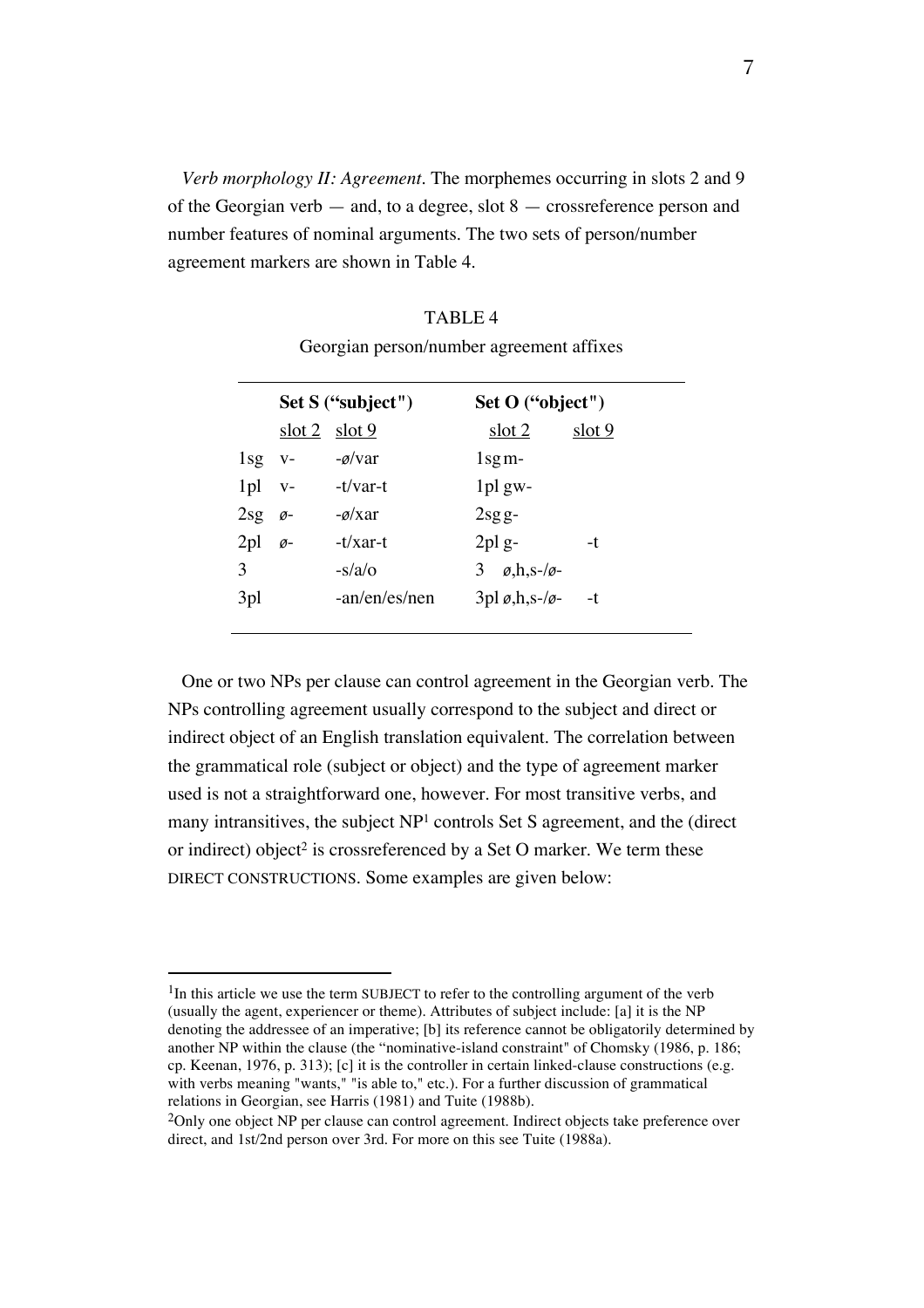*Verb morphology II: Agreement.* The morphemes occurring in slots 2 and 9 of the Georgian verb — and, to a degree, slot 8 — crossreference person and number features of nominal arguments. The two sets of person/number agreement markers are shown in Table 4.

|                       | Set S ("subject") | Set O ("object")                   |        |
|-----------------------|-------------------|------------------------------------|--------|
|                       | $slot 2$ slot 9   | slot 2                             | slot 9 |
| $1$ sg v-             | $-\alpha/\nu$ ar  | $\lg m$ -                          |        |
| $1pl$ v-              | -t/var-t          | $1$ pl gw-                         |        |
| $2sg$ $\varnothing$   | $-\alpha x$ ar    | $2sgg-$                            |        |
| $2pl$ $\varnothing$ - | $-t/x$ ar-t       | $2$ pl g-                          | -t     |
| 3                     | $-s/a$            | 3 $\varrho$ ,h,s-/ $\varrho$ -     |        |
| 3pl                   | $-an/en/es/nen$   | $3pl \varrho, h, s-\ell\varrho$ -t |        |
|                       |                   |                                    |        |

TABLE 4 Georgian person/number agreement affixes

One or two NPs per clause can control agreement in the Georgian verb. The NPs controlling agreement usually correspond to the subject and direct or indirect object of an English translation equivalent. The correlation between the grammatical role (subject or object) and the type of agreement marker used is not a straightforward one, however. For most transitive verbs, and many intransitives, the subject NP<sup>1</sup> controls Set S agreement, and the (direct or indirect) object<sup>2</sup> is crossreferenced by a Set O marker. We term these DIRECT CONSTRUCTIONS. Some examples are given below:

 $1$ In this article we use the term SUBJECT to refer to the controlling argument of the verb (usually the agent, experiencer or theme). Attributes of subject include: [a] it is the NP denoting the addressee of an imperative; [b] its reference cannot be obligatorily determined by another NP within the clause (the "nominative-island constraint" of Chomsky (1986, p. 186; cp. Keenan, 1976, p. 313); [c] it is the controller in certain linked-clause constructions (e.g. with verbs meaning "wants," "is able to," etc.). For a further discussion of grammatical relations in Georgian, see Harris (1981) and Tuite (1988b).

<sup>2</sup>Only one object NP per clause can control agreement. Indirect objects take preference over direct, and 1st/2nd person over 3rd. For more on this see Tuite (1988a).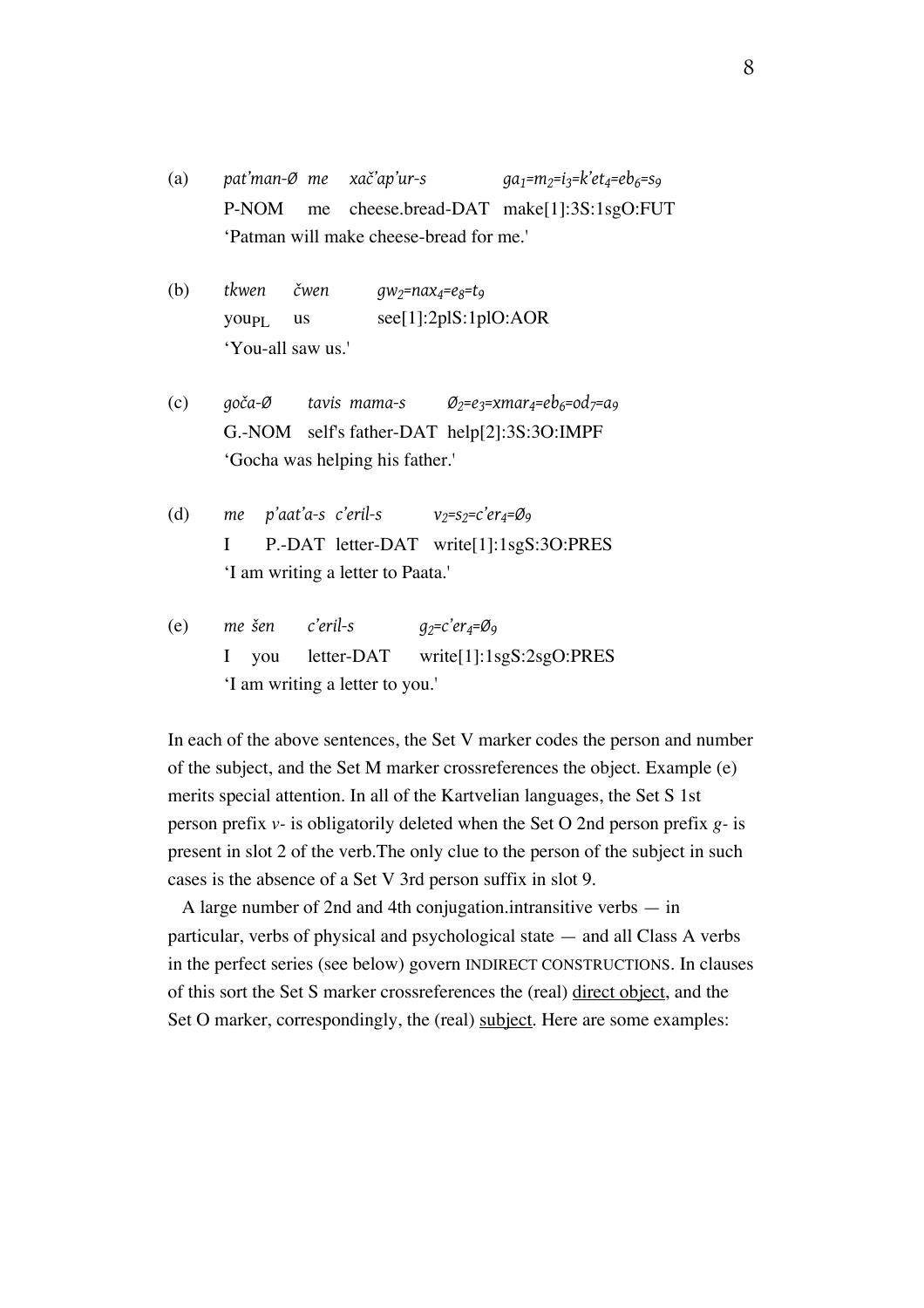(a) *pat'man-Ø me xač'ap'ur-s*  $qa_1 = m_2 = i_3 = k'et_4 = eb_6 = s_9$ P-NOM me cheese.bread-DAT make[1]:3S:1sgO:FUT 'Patman will make cheese-bread for me.'

(b) *tkwen čwen gw<sub>2</sub>=nax<sub>4</sub>=e<sub>8</sub>=t<sub>9</sub>* youp<sub>L</sub> us see[1]:2plS:1plO:AOR 'You-all saw us.'

(c) *goča-Ø tavis mama-s Ø2=e3=xmar4=eb6=od7=a9* G.-NOM self's father-DAT help[2]:3S:3O:IMPF 'Gocha was helping his father.'

(d) *me p'aat'a-s c'eril-s v*<sub>2</sub>=*s*<sub>2</sub>=*c'er*<sub>4</sub>=Ø9 I P.-DAT letter-DAT write[1]:1sgS:3O:PRES 'I am writing a letter to Paata.'

(e) *me šen c'eril-s g2=c'er4=Ø9* I you letter-DAT write[1]:1sgS:2sgO:PRES 'I am writing a letter to you.'

In each of the above sentences, the Set V marker codes the person and number of the subject, and the Set M marker crossreferences the object. Example (e) merits special attention. In all of the Kartvelian languages, the Set S 1st person prefix *v-* is obligatorily deleted when the Set O 2nd person prefix *g-* is present in slot 2 of the verb.The only clue to the person of the subject in such cases is the absence of a Set V 3rd person suffix in slot 9.

A large number of 2nd and 4th conjugation.intransitive verbs — in particular, verbs of physical and psychological state — and all Class A verbs in the perfect series (see below) govern INDIRECT CONSTRUCTIONS. In clauses of this sort the Set S marker crossreferences the (real) direct object, and the Set O marker, correspondingly, the (real) subject. Here are some examples: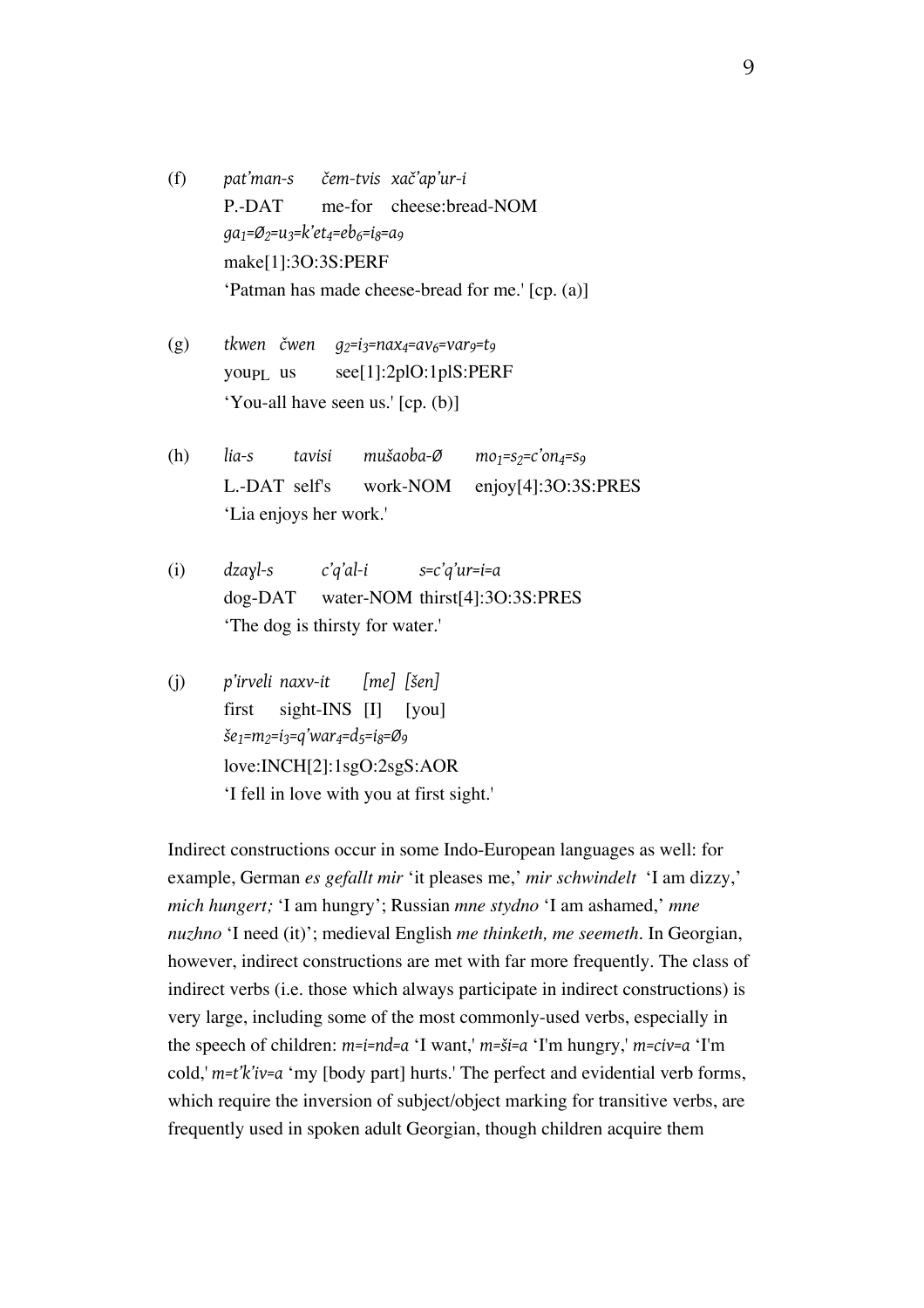(f) *pat'man-s čem-tvis xač'ap'ur-i* P.-DAT me-for cheese:bread-NOM *ga1=Ø2=u3=k'et4=eb6=i8=a9* make[1]:3O:3S:PERF 'Patman has made cheese-bread for me.' [cp. (a)]

- (g) *tkwen čwen g2=i3=nax4=av6=var9=t9* youp<sub>L</sub> us  $\text{see}$ [1]:2plO:1plS:PERF 'You-all have seen us.' [cp. (b)]
- (h) *lia-s tavisi mušaoba-Ø mo<sub>1</sub>=s2</sub>=c'on<sub>4</sub>=s9</sub>* L.-DAT self's work-NOM enjoy[4]:3O:3S:PRES 'Lia enjoys her work.'
- (i) *dzaɣl-s c'q'al-i s=c'q'ur=i=a* dog-DAT water-NOM thirst[4]:3O:3S:PRES 'The dog is thirsty for water.'
- (j) *p'irveli naxv-it [me] [šen]*  first sight-INS [I] [you] *še1=m2=i3=q'war4=d5=i8=Ø9* love:INCH[2]:1sgO:2sgS:AOR 'I fell in love with you at first sight.'

Indirect constructions occur in some Indo-European languages as well: for example, German *es gefallt mir* 'it pleases me,' *mir schwindelt* 'I am dizzy,' *mich hungert;* 'I am hungry'; Russian *mne stydno* 'I am ashamed,' *mne nuzhno* 'I need (it)'; medieval English *me thinketh, me seemeth.* In Georgian, however, indirect constructions are met with far more frequently. The class of indirect verbs (i.e. those which always participate in indirect constructions) is very large, including some of the most commonly-used verbs, especially in the speech of children: *m=i=nd=a* 'I want,' *m=ši=a* 'I'm hungry,' *m=civ=a* 'I'm cold,' *m=t'k'iv=a* 'my [body part] hurts.' The perfect and evidential verb forms, which require the inversion of subject/object marking for transitive verbs, are frequently used in spoken adult Georgian, though children acquire them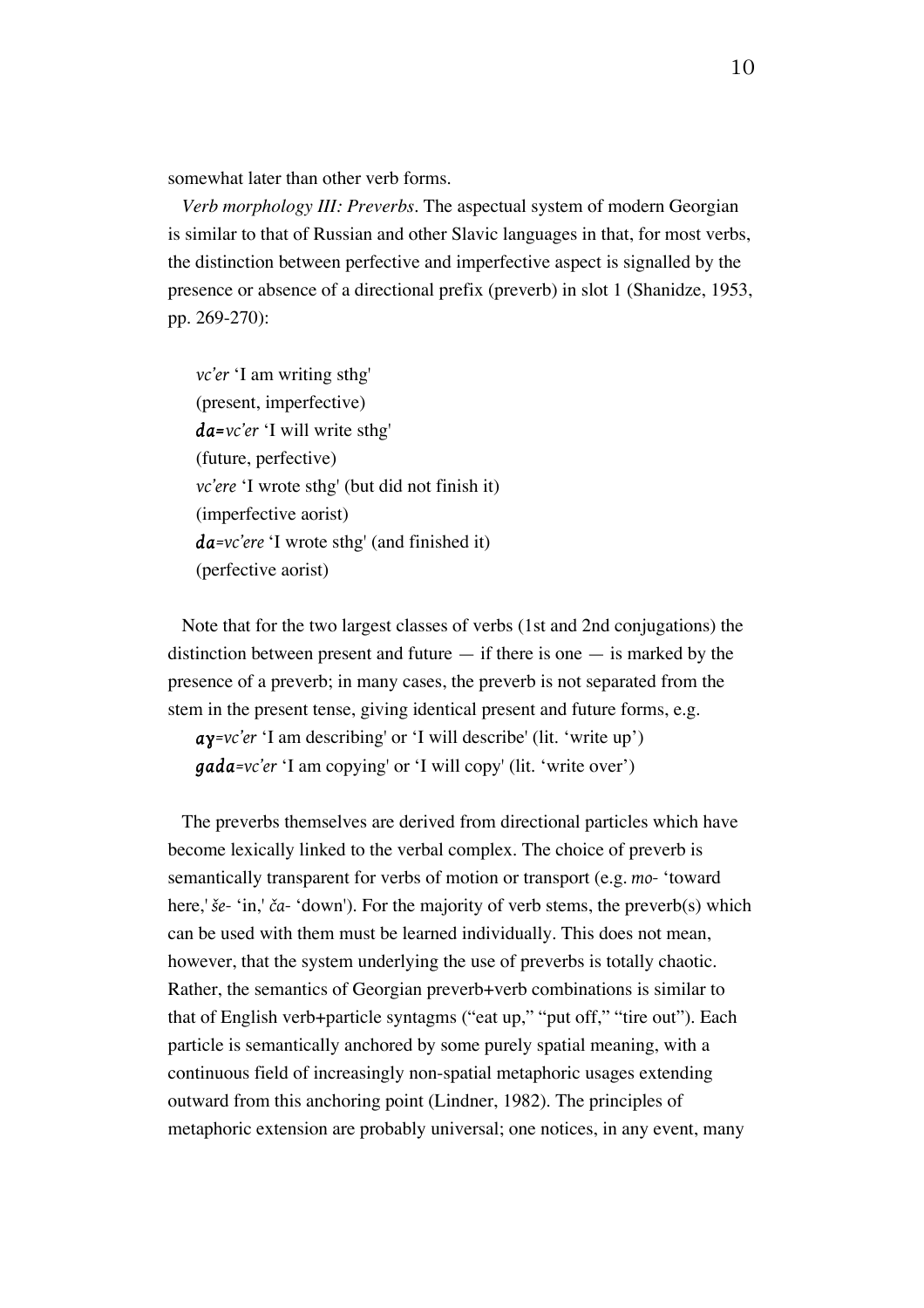somewhat later than other verb forms.

*Verb morphology III: Preverbs*. The aspectual system of modern Georgian is similar to that of Russian and other Slavic languages in that, for most verbs, the distinction between perfective and imperfective aspect is signalled by the presence or absence of a directional prefix (preverb) in slot 1 (Shanidze, 1953, pp. 269-270):

*vc'er* 'I am writing sthg' (present, imperfective) *da=vc'er* 'I will write sthg' (future, perfective) *vc'ere* 'I wrote sthg' (but did not finish it) (imperfective aorist) *da=vc'ere* 'I wrote sthg' (and finished it) (perfective aorist)

Note that for the two largest classes of verbs (1st and 2nd conjugations) the distinction between present and future  $-$  if there is one  $-$  is marked by the presence of a preverb; in many cases, the preverb is not separated from the stem in the present tense, giving identical present and future forms, e.g.

*aɣ=vc'er* 'I am describing' or 'I will describe' (lit. 'write up') *gada=vc'er* 'I am copying' or 'I will copy' (lit. 'write over')

The preverbs themselves are derived from directional particles which have become lexically linked to the verbal complex. The choice of preverb is semantically transparent for verbs of motion or transport (e.g. *mo-* 'toward here,' *še-* 'in,' *ča-* 'down'). For the majority of verb stems, the preverb(s) which can be used with them must be learned individually. This does not mean, however, that the system underlying the use of preverbs is totally chaotic. Rather, the semantics of Georgian preverb+verb combinations is similar to that of English verb+particle syntagms ("eat up," "put off," "tire out"). Each particle is semantically anchored by some purely spatial meaning, with a continuous field of increasingly non-spatial metaphoric usages extending outward from this anchoring point (Lindner, 1982). The principles of metaphoric extension are probably universal; one notices, in any event, many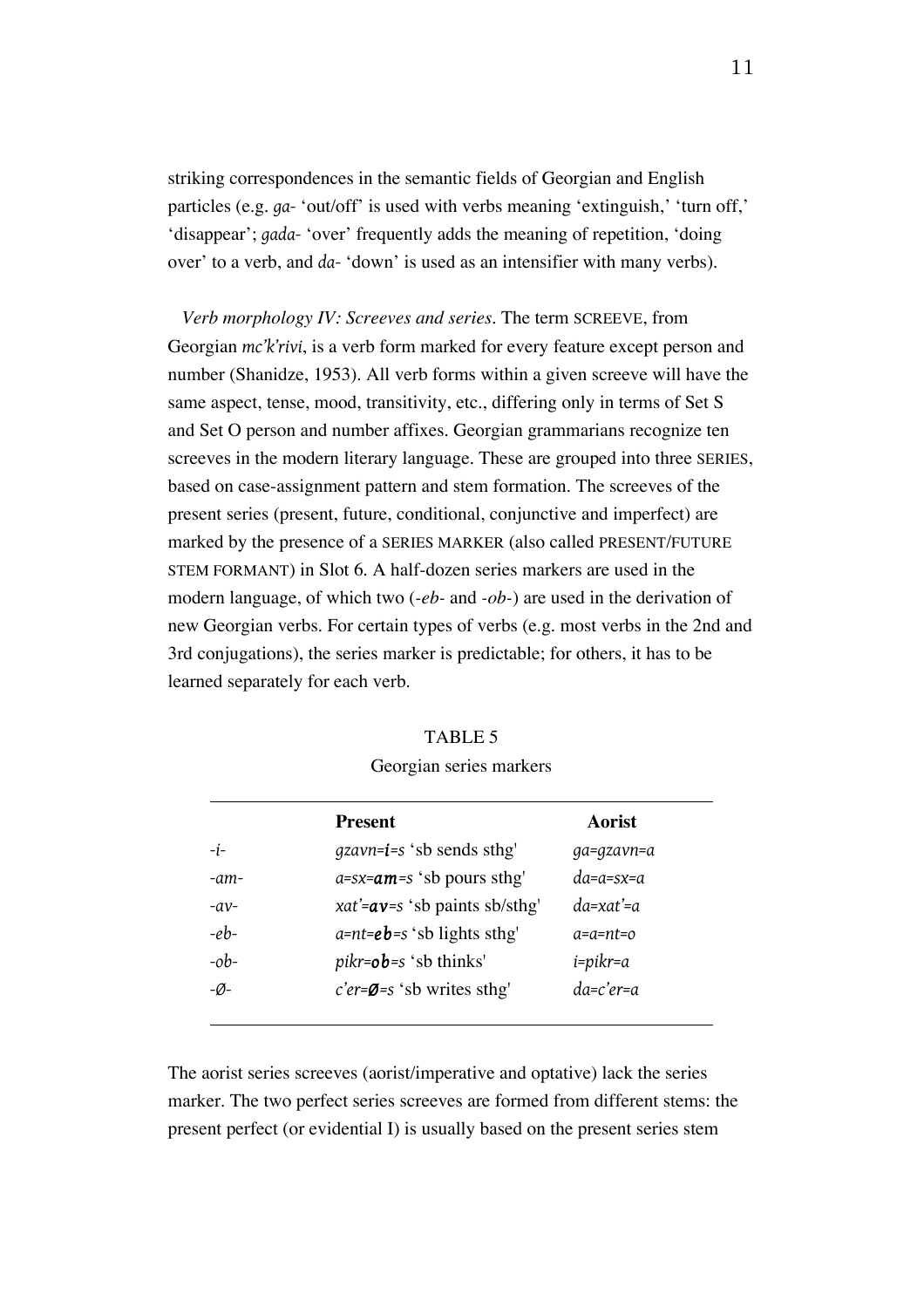striking correspondences in the semantic fields of Georgian and English particles (e.g. *ga-* 'out/off' is used with verbs meaning 'extinguish,' 'turn off,' 'disappear'; *gada-* 'over' frequently adds the meaning of repetition, 'doing over' to a verb, and *da-* 'down' is used as an intensifier with many verbs).

*Verb morphology IV: Screeves and series.* The term SCREEVE, from Georgian *mc'k'rivi*, is a verb form marked for every feature except person and number (Shanidze, 1953). All verb forms within a given screeve will have the same aspect, tense, mood, transitivity, etc., differing only in terms of Set S and Set O person and number affixes. Georgian grammarians recognize ten screeves in the modern literary language. These are grouped into three SERIES, based on case-assignment pattern and stem formation. The screeves of the present series (present, future, conditional, conjunctive and imperfect) are marked by the presence of a SERIES MARKER (also called PRESENT/FUTURE STEM FORMANT) in Slot 6. A half-dozen series markers are used in the modern language, of which two (*-eb-* and *-ob-*) are used in the derivation of new Georgian verbs. For certain types of verbs (e.g. most verbs in the 2nd and 3rd conjugations), the series marker is predictable; for others, it has to be learned separately for each verb.

|        | <b>Present</b>                           | Aorist           |
|--------|------------------------------------------|------------------|
| $-i-$  | $qzavn=i=s$ 'sb sends sthg'              | ga=gzavn=a       |
| -am-   | $a=sx=am=s$ 'sb pours sthg'              | da=a=sx=a        |
| $-av$  | xat'= $av=s$ 'sb paints sb/sthg'         | da=xat'=a        |
| $-eb$  | $a=nt=eb=s$ 'sb lights sthg'             | $a = a = nt = o$ |
| $-$ ob | $pikr = ob = s$ 'sb thinks'              | $i = p$ ikr=a    |
| -Ø-    | $c'$ er= $\emptyset$ =s 'sb writes sthg' | da=c'er=a        |
|        |                                          |                  |

| <b>TABLE 5</b> |  |
|----------------|--|
|                |  |

Georgian series markers

The aorist series screeves (aorist/imperative and optative) lack the series marker. The two perfect series screeves are formed from different stems: the present perfect (or evidential I) is usually based on the present series stem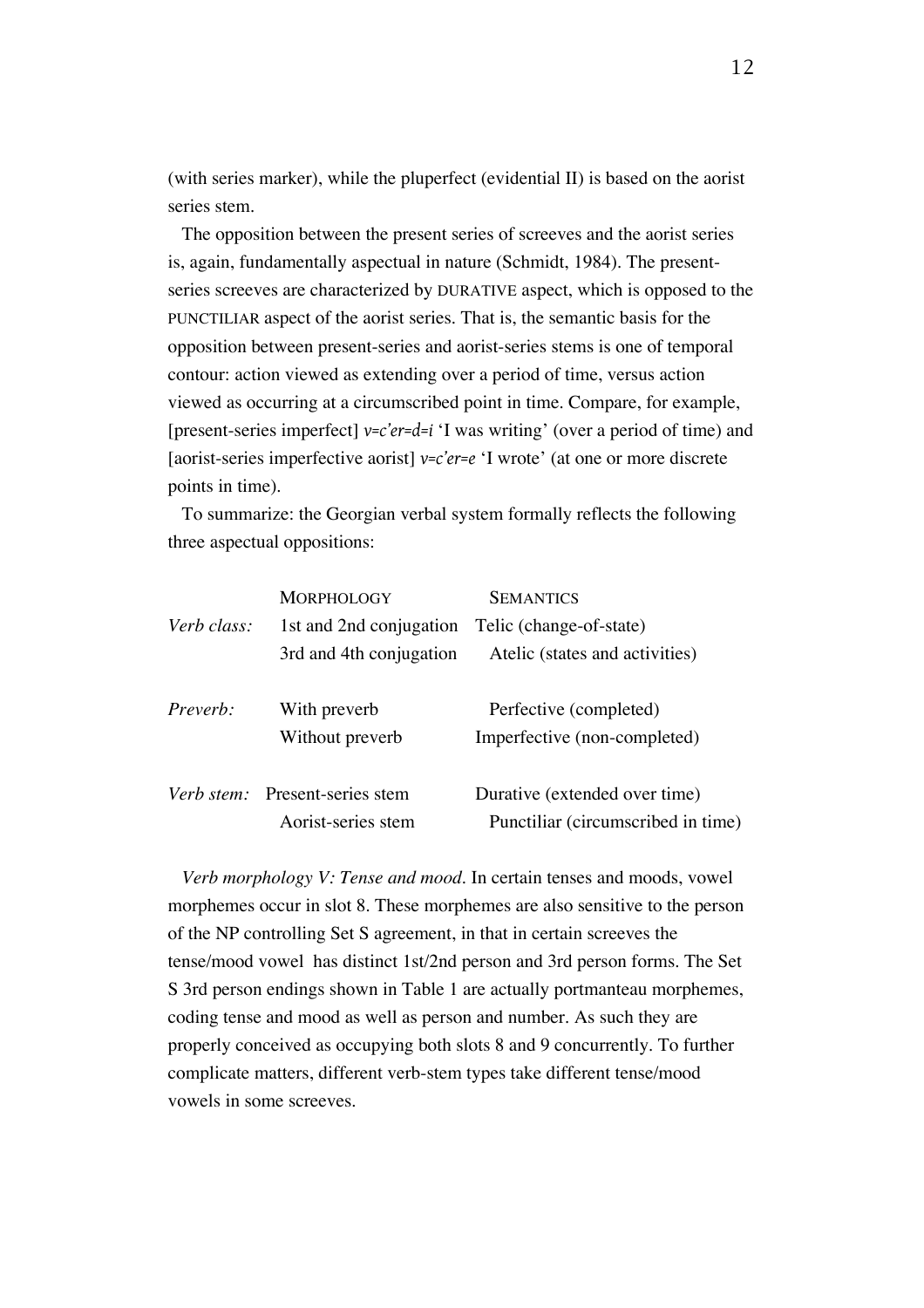(with series marker), while the pluperfect (evidential II) is based on the aorist series stem.

The opposition between the present series of screeves and the aorist series is, again, fundamentally aspectual in nature (Schmidt, 1984). The presentseries screeves are characterized by DURATIVE aspect, which is opposed to the PUNCTILIAR aspect of the aorist series. That is, the semantic basis for the opposition between present-series and aorist-series stems is one of temporal contour: action viewed as extending over a period of time, versus action viewed as occurring at a circumscribed point in time. Compare, for example, [present-series imperfect] *v=c'er=d=i* 'I was writing' (over a period of time) and [aorist-series imperfective aorist] *v=c'er=e* 'I wrote' (at one or more discrete points in time).

To summarize: the Georgian verbal system formally reflects the following three aspectual oppositions:

|             | <b>MORPHOLOGY</b>              | <b>SEMANTICS</b>                   |
|-------------|--------------------------------|------------------------------------|
| Verb class: | 1st and 2nd conjugation        | Telic (change-of-state)            |
|             | 3rd and 4th conjugation        | Atelic (states and activities)     |
| Preverb:    | With preverb                   | Perfective (completed)             |
|             | Without preverb                | Imperfective (non-completed)       |
|             | Verb stem: Present-series stem | Durative (extended over time)      |
|             | Aorist-series stem             | Punctiliar (circumscribed in time) |

*Verb morphology V: Tense and mood.* In certain tenses and moods, vowel morphemes occur in slot 8. These morphemes are also sensitive to the person of the NP controlling Set S agreement, in that in certain screeves the tense/mood vowel has distinct 1st/2nd person and 3rd person forms. The Set S 3rd person endings shown in Table 1 are actually portmanteau morphemes, coding tense and mood as well as person and number. As such they are properly conceived as occupying both slots 8 and 9 concurrently. To further complicate matters, different verb-stem types take different tense/mood vowels in some screeves.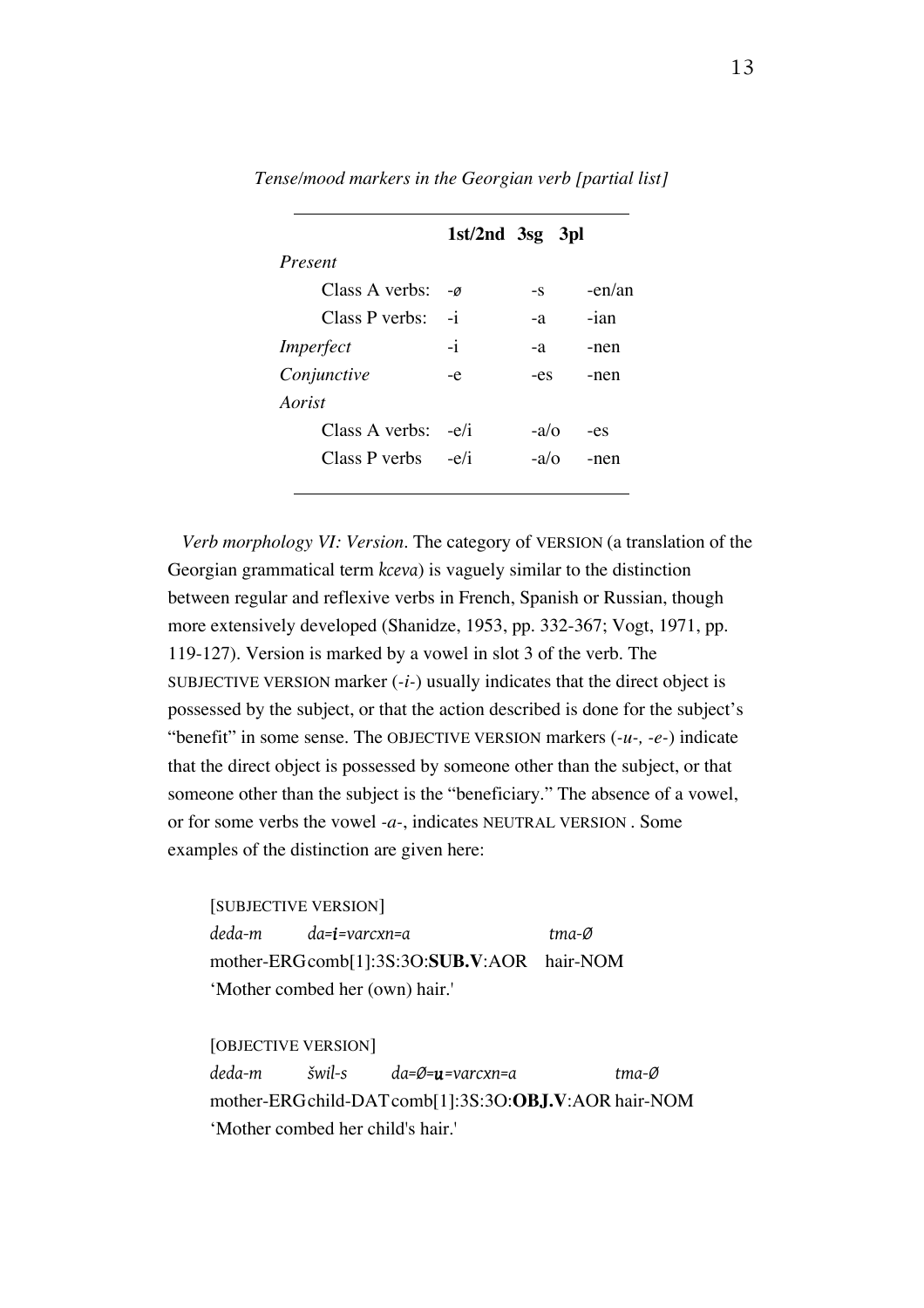|                      | $1st/2nd$ 3sg 3pl |             |        |
|----------------------|-------------------|-------------|--------|
| Present              |                   |             |        |
| Class A verbs:       | $-\varnothing$    | -S          | -en/an |
| Class P verbs:       | $-i$              | -a          | $-ian$ |
| Imperfect            | $-i$              | -a          | -nen   |
| Conjunctive          | -e                | -es         | -nen   |
| Aorist               |                   |             |        |
| Class A verbs:       | $-e/i$            | $-a/\Omega$ | -es    |
| Class P verbs $-e/i$ |                   | $-a/\alpha$ | -nen   |
|                      |                   |             |        |

*Tense/mood markers in the Georgian verb [partial list]*

*Verb morphology VI: Version.* The category of VERSION (a translation of the Georgian grammatical term *kceva*) is vaguely similar to the distinction between regular and reflexive verbs in French, Spanish or Russian, though more extensively developed (Shanidze, 1953, pp. 332-367; Vogt, 1971, pp. 119-127). Version is marked by a vowel in slot 3 of the verb. The SUBJECTIVE VERSION marker  $(-i-)$  usually indicates that the direct object is possessed by the subject, or that the action described is done for the subject's "benefit" in some sense. The OBJECTIVE VERSION markers (*-u-, -e-*) indicate that the direct object is possessed by someone other than the subject, or that someone other than the subject is the "beneficiary." The absence of a vowel, or for some verbs the vowel *-a-*, indicates NEUTRAL VERSION . Some examples of the distinction are given here:

[SUBJECTIVE VERSION] *deda-m da=i=varcxn=a tma-Ø* mother-ERGcomb[1]:3S:3O:**SUB.V**:AOR hair-NOM 'Mother combed her (own) hair.'

[OBJECTIVE VERSION] *deda-m šwil-s da=Ø=u=varcxn=a tma-Ø* mother-ERGchild-DATcomb[1]:3S:3O:**OBJ.V**:AOR hair-NOM 'Mother combed her child's hair.'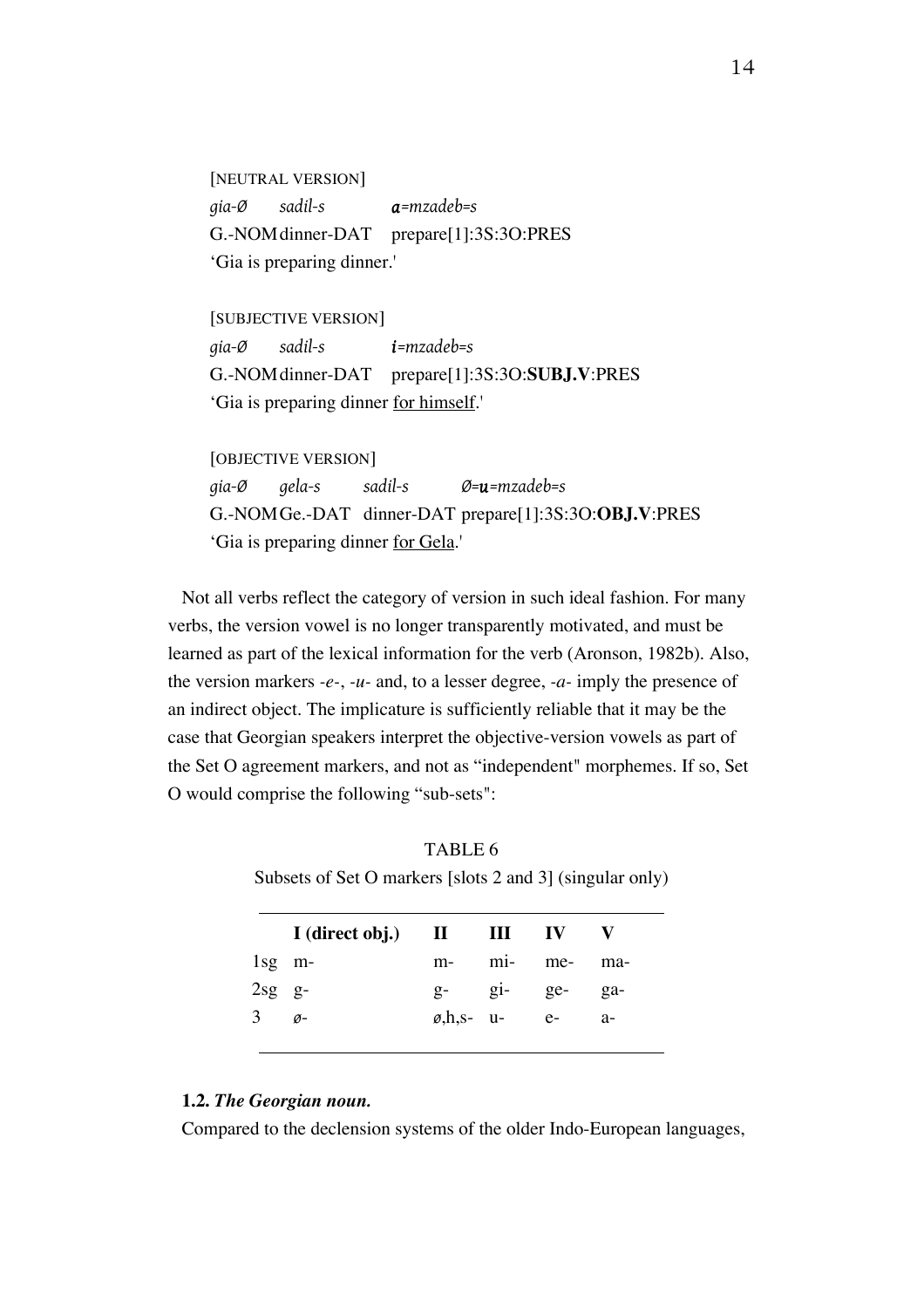[NEUTRAL VERSION] *gia-Ø sadil-s a=mzadeb=s* G.-NOMdinner-DAT prepare[1]:3S:3O:PRES 'Gia is preparing dinner.'

[SUBJECTIVE VERSION] *gia-Ø sadil-s i=mzadeb=s* G.-NOMdinner-DAT prepare[1]:3S:3O:**SUBJ.V**:PRES 'Gia is preparing dinner for himself.'

[OBJECTIVE VERSION] *gia-Ø gela-s sadil-s Ø=u=mzadeb=s* G.-NOMGe.-DAT dinner-DAT prepare[1]:3S:3O:**OBJ.V**:PRES 'Gia is preparing dinner for Gela.'

Not all verbs reflect the category of version in such ideal fashion. For many verbs, the version vowel is no longer transparently motivated, and must be learned as part of the lexical information for the verb (Aronson, 1982b). Also, the version markers *-e-*, *-u-* and, to a lesser degree, *-a-* imply the presence of an indirect object. The implicature is sufficiently reliable that it may be the case that Georgian speakers interpret the objective-version vowels as part of the Set O agreement markers, and not as "independent" morphemes. If so, Set O would comprise the following "sub-sets":

TABLE 6 Subsets of Set O markers [slots 2 and 3] (singular only)

|                  | I (direct obj.) II III IV |      |                            |                |      |
|------------------|---------------------------|------|----------------------------|----------------|------|
| $1$ sg m-        |                           | $m-$ |                            | mi- me-        | ma-  |
| $2sg$ $g-$       |                           |      |                            | $g-$ gi- $ge-$ | ga-  |
| $3\qquad \sigma$ |                           |      | $\varnothing, h, s-$ u- e- |                | $a-$ |
|                  |                           |      |                            |                |      |

#### **1.2.** *The Georgian noun.*

Compared to the declension systems of the older Indo-European languages,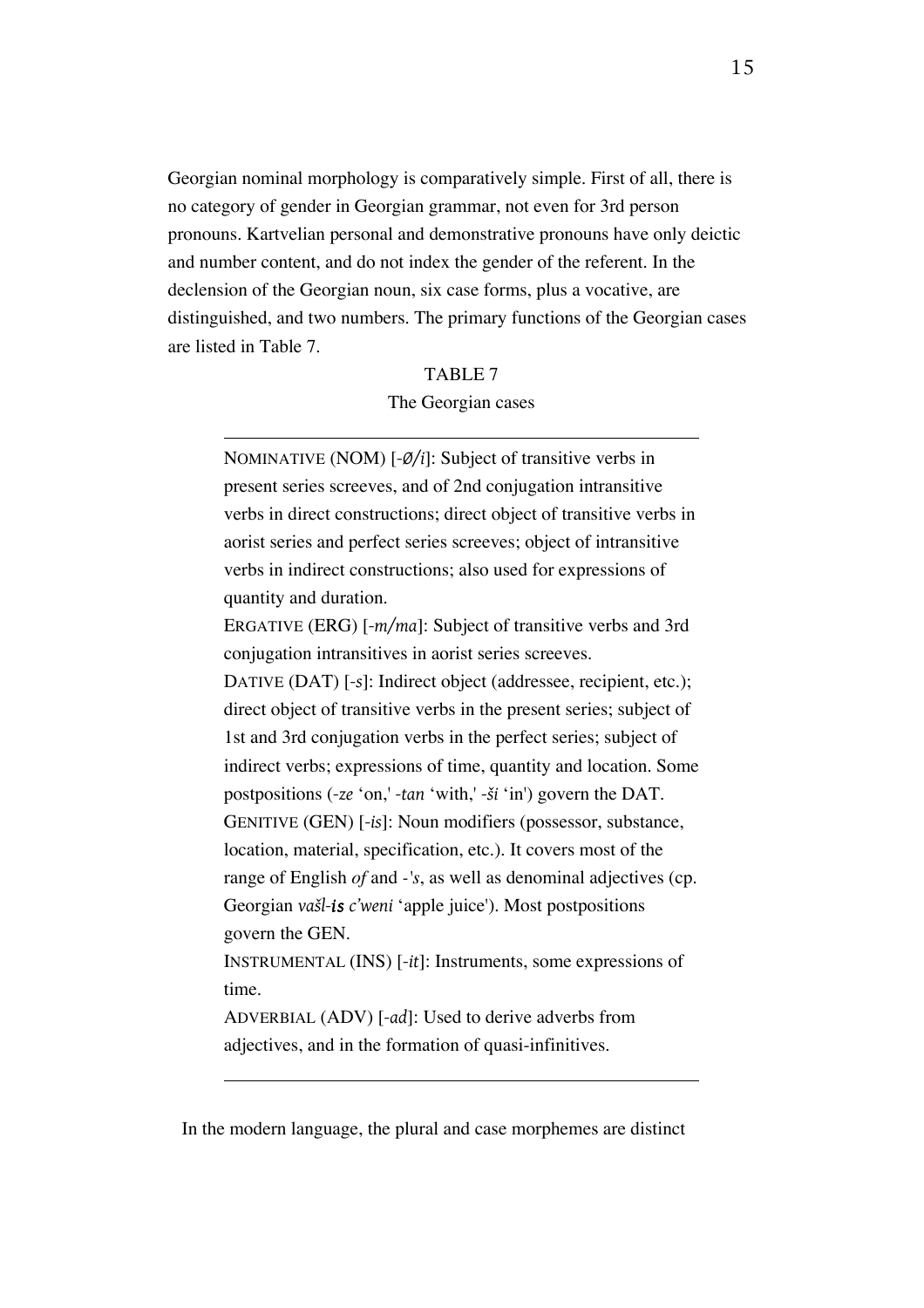Georgian nominal morphology is comparatively simple. First of all, there is no category of gender in Georgian grammar, not even for 3rd person pronouns. Kartvelian personal and demonstrative pronouns have only deictic and number content, and do not index the gender of the referent. In the declension of the Georgian noun, six case forms, plus a vocative, are distinguished, and two numbers. The primary functions of the Georgian cases are listed in Table 7.

#### TABLE 7

#### The Georgian cases

NOMINATIVE (NOM) [*-Ø/i*]: Subject of transitive verbs in present series screeves, and of 2nd conjugation intransitive verbs in direct constructions; direct object of transitive verbs in aorist series and perfect series screeves; object of intransitive verbs in indirect constructions; also used for expressions of quantity and duration. ERGATIVE (ERG) [*-m/ma*]: Subject of transitive verbs and 3rd conjugation intransitives in aorist series screeves. DATIVE (DAT) [*-s*]: Indirect object (addressee, recipient, etc.); direct object of transitive verbs in the present series; subject of 1st and 3rd conjugation verbs in the perfect series; subject of indirect verbs; expressions of time, quantity and location. Some postpositions (*-ze* 'on,' *-tan* 'with,' *-ši* 'in') govern the DAT. GENITIVE (GEN) [*-is*]: Noun modifiers (possessor, substance, location, material, specification, etc.). It covers most of the range of English *of* and *-'s*, as well as denominal adjectives (cp. Georgian *vašl-is c'weni* 'apple juice'). Most postpositions govern the GEN. INSTRUMENTAL (INS) [*-it*]: Instruments, some expressions of time.

ADVERBIAL (ADV) [*-ad*]: Used to derive adverbs from adjectives, and in the formation of quasi-infinitives.

In the modern language, the plural and case morphemes are distinct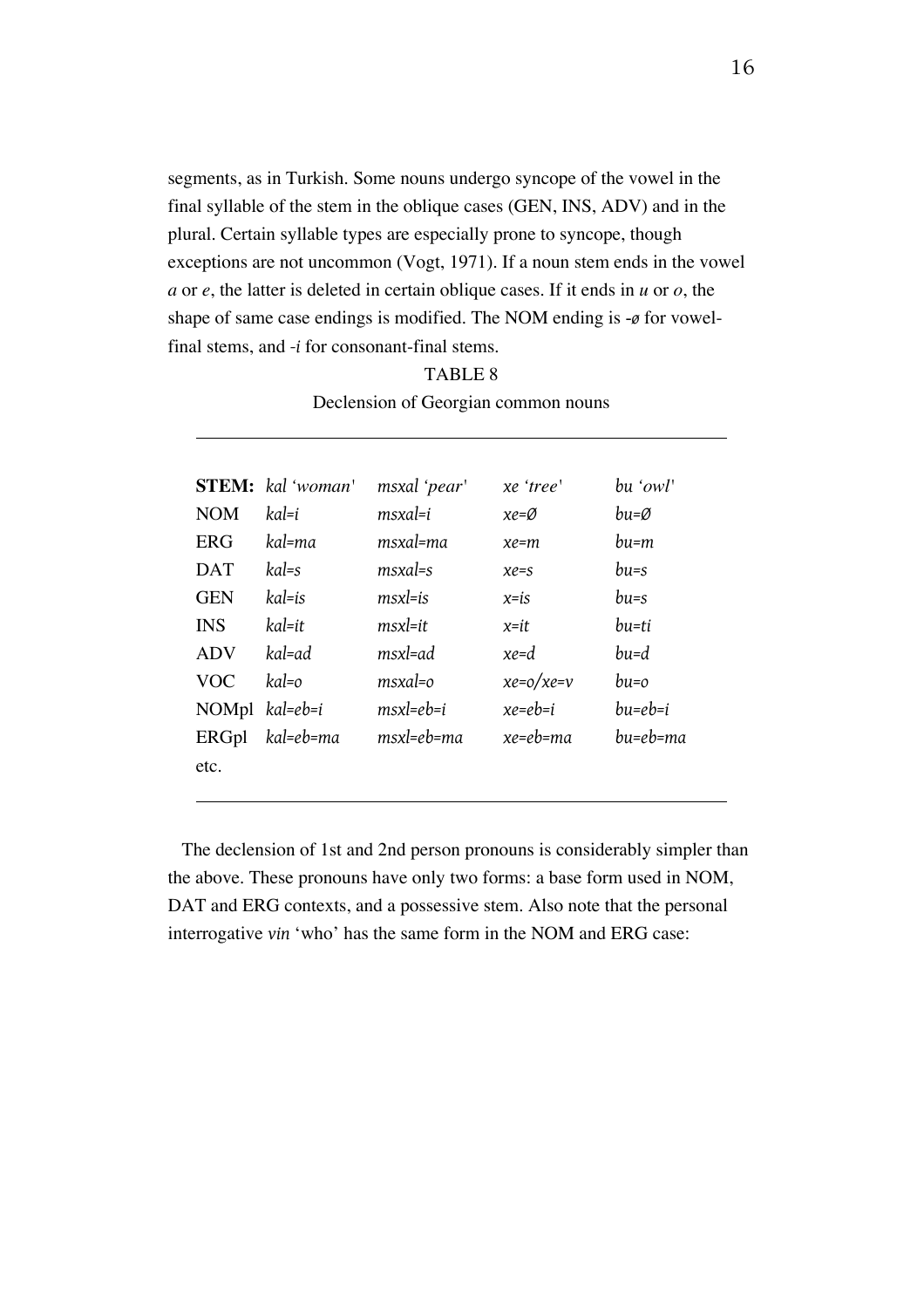segments, as in Turkish. Some nouns undergo syncope of the vowel in the final syllable of the stem in the oblique cases (GEN, INS, ADV) and in the plural. Certain syllable types are especially prone to syncope, though exceptions are not uncommon (Vogt, 1971). If a noun stem ends in the vowel *a* or *e*, the latter is deleted in certain oblique cases. If it ends in *u* or *o*, the shape of same case endings is modified. The NOM ending is -*ø* for vowelfinal stems, and *-i* for consonant-final stems.

#### TABLE 8

|              | <b>STEM:</b> kal 'woman' | msxal 'pear'      | xe 'tree'        | bu 'owl'  |
|--------------|--------------------------|-------------------|------------------|-----------|
| <b>NOM</b>   | kal=i                    | msxal=i           | $xe = \emptyset$ | bu=Ø      |
| <b>ERG</b>   | kal=ma                   | msxal=ma          | $xe = m$         | bu=m      |
| <b>DAT</b>   | kal=s                    | $msxal=s$         | $xe=s$           | $_{bus}$  |
| <b>GEN</b>   | kal=is                   | $msx = is$        | $x = is$         | $bus = s$ |
| <b>INS</b>   | kal=it                   | msxl=it           | x=it             | bu=ti     |
| <b>ADV</b>   | kal=ad                   | msxl=ad           | $xe = d$         | bu=d      |
| <b>VOC</b>   | kal=o                    | $msxal = o$       | $xe = o/xe = v$  | $bu=0$    |
| NOMpl        | kal=eb=i                 | $msx = eb = i$    | $xe=eb=i$        | bu=eb=i   |
| <b>ERGpl</b> | kal=eb=ma                | $msx$ l=e $b$ =ma | xe=eb=ma         | bu=eb=ma  |
| etc.         |                          |                   |                  |           |
|              |                          |                   |                  |           |

Declension of Georgian common nouns

The declension of 1st and 2nd person pronouns is considerably simpler than the above. These pronouns have only two forms: a base form used in NOM, DAT and ERG contexts, and a possessive stem. Also note that the personal interrogative *vin* 'who' has the same form in the NOM and ERG case: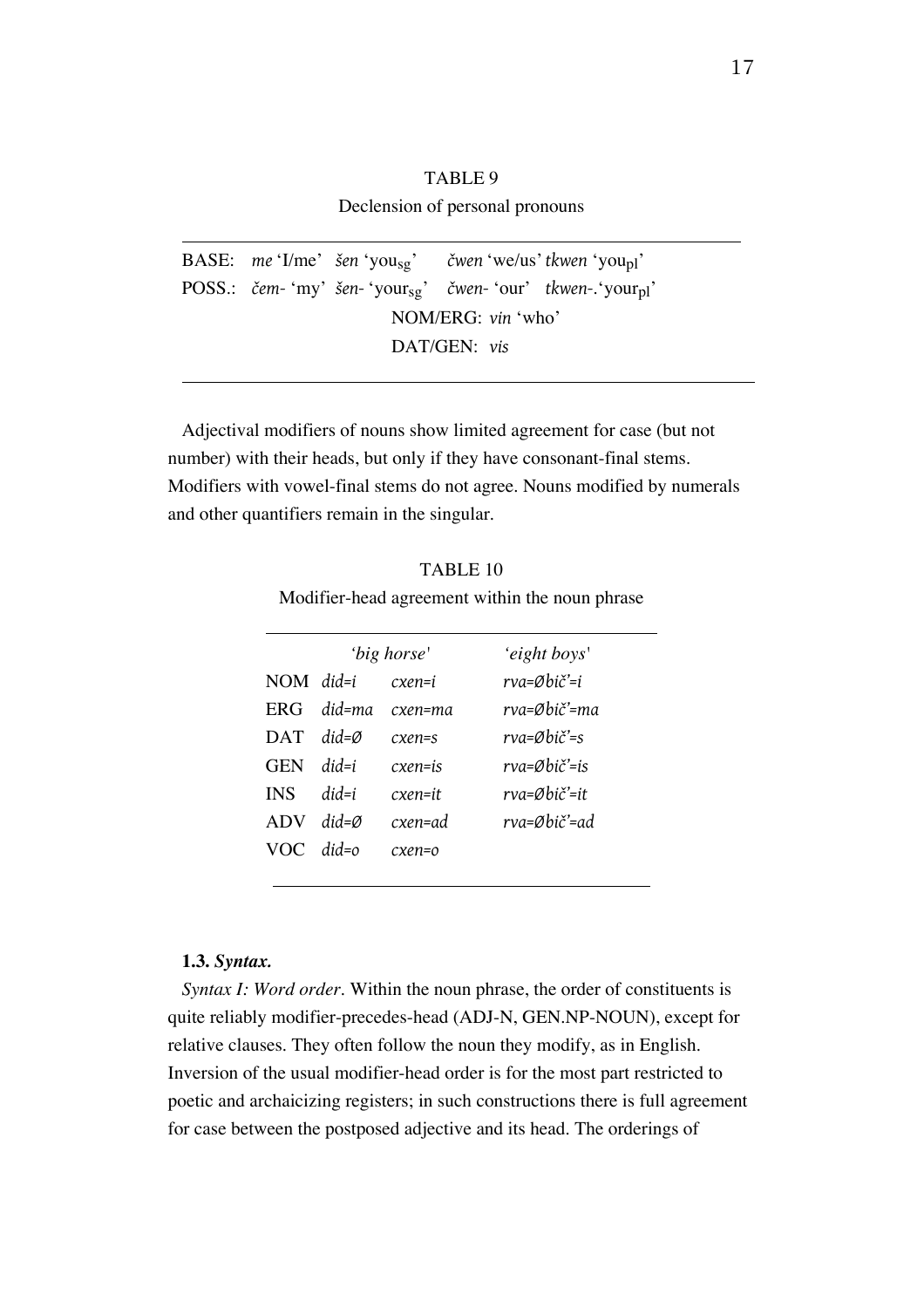### TABLE 9 Declension of personal pronouns

BASE: *me* 'I/me' *šen* 'yousg' *čwen* 'we/us'*tkwen* 'youpl' POSS.: *čem-* 'my' *šen-* 'yoursg' *čwen-* 'our' *tkwen-*.'yourpl' NOM/ERG: *vin* 'who' DAT/GEN: *vis*

Adjectival modifiers of nouns show limited agreement for case (but not number) with their heads, but only if they have consonant-final stems. Modifiers with vowel-final stems do not agree. Nouns modified by numerals and other quantifiers remain in the singular.

TABLE 10 Modifier-head agreement within the noun phrase

|             |                   | 'big horse' | 'eight boys'                        |
|-------------|-------------------|-------------|-------------------------------------|
| $NOM$ did=i |                   | cxen=i      | rva=Øbič'=i                         |
| ERG         | $did$ =ma         | cxen=ma     | rva=Øbič'=ma                        |
| <b>DAT</b>  | $did = \emptyset$ | $exen=s$    | $rva = \emptyset bi \check{c}' = s$ |
| <b>GEN</b>  | $did = i$         | cxen=is     | rva=Øbič'=is                        |
| <b>INS</b>  | $did = i$         | cxen=it     | rva=Øbič'=it                        |
| ADV         | $did = \emptyset$ | cxen=ad     | rva=Øbič'=ad                        |
| VOC.        | $did = o$         | cxen=o      |                                     |
|             |                   |             |                                     |

#### **1.3.** *Syntax.*

*Syntax I: Word order.* Within the noun phrase, the order of constituents is quite reliably modifier-precedes-head (ADJ-N, GEN.NP-NOUN), except for relative clauses. They often follow the noun they modify, as in English. Inversion of the usual modifier-head order is for the most part restricted to poetic and archaicizing registers; in such constructions there is full agreement for case between the postposed adjective and its head. The orderings of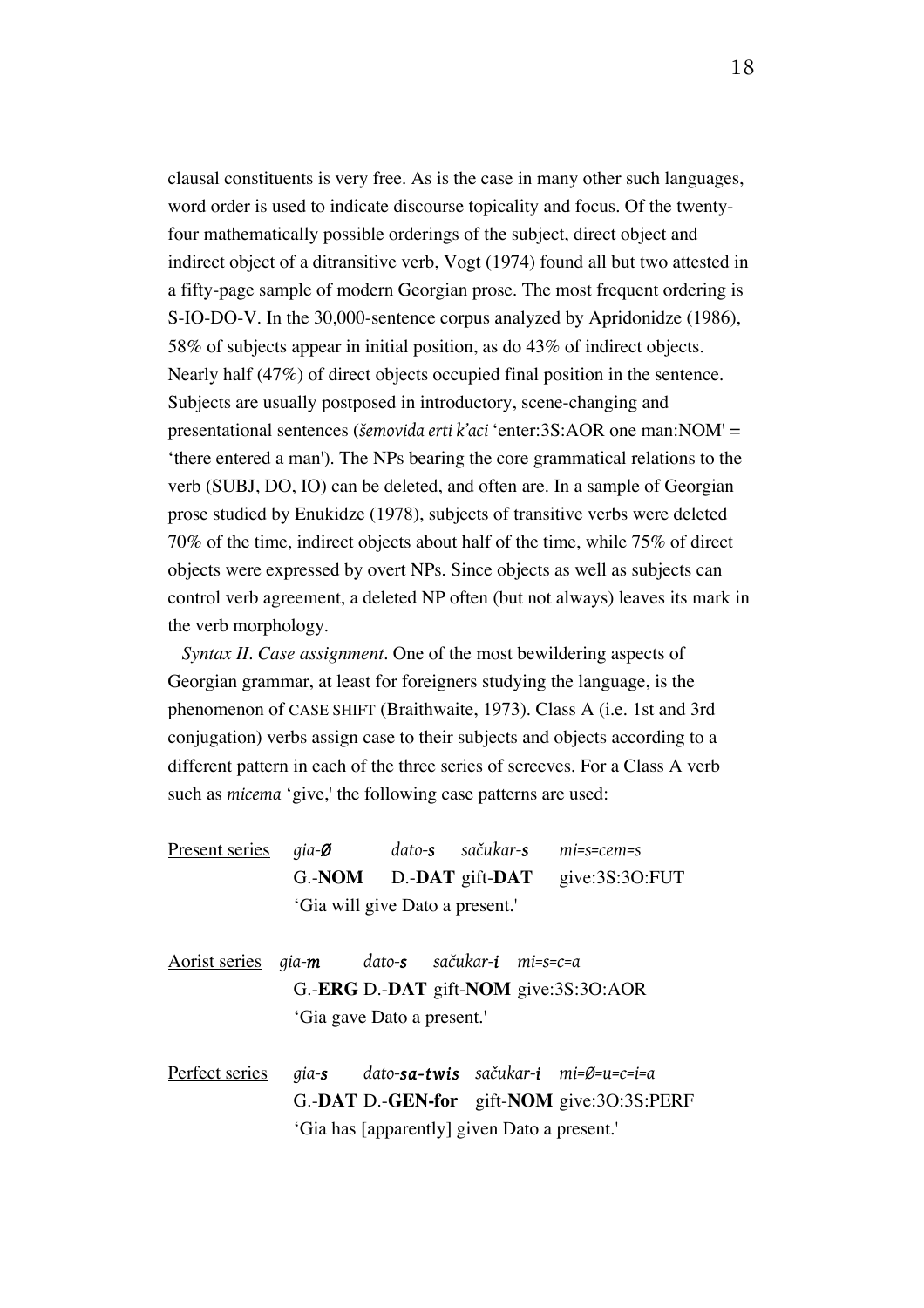clausal constituents is very free. As is the case in many other such languages, word order is used to indicate discourse topicality and focus. Of the twentyfour mathematically possible orderings of the subject, direct object and indirect object of a ditransitive verb, Vogt (1974) found all but two attested in a fifty-page sample of modern Georgian prose. The most frequent ordering is S-IO-DO-V. In the 30,000-sentence corpus analyzed by Apridonidze (1986), 58% of subjects appear in initial position, as do 43% of indirect objects. Nearly half (47%) of direct objects occupied final position in the sentence. Subjects are usually postposed in introductory, scene-changing and presentational sentences (*šemovida erti k'aci* 'enter:3S:AOR one man:NOM' = 'there entered a man'). The NPs bearing the core grammatical relations to the verb (SUBJ, DO, IO) can be deleted, and often are. In a sample of Georgian prose studied by Enukidze (1978), subjects of transitive verbs were deleted 70% of the time, indirect objects about half of the time, while 75% of direct objects were expressed by overt NPs. Since objects as well as subjects can control verb agreement, a deleted NP often (but not always) leaves its mark in the verb morphology.

*Syntax II. Case assignment.* One of the most bewildering aspects of Georgian grammar, at least for foreigners studying the language, is the phenomenon of CASE SHIFT (Braithwaite, 1973). Class A (i.e. 1st and 3rd conjugation) verbs assign case to their subjects and objects according to a different pattern in each of the three series of screeves. For a Class A verb such as *micema* 'give,' the following case patterns are used:

- Present series *gia-Ø dato-s sačukar-s mi=s=cem=s* G.-**NOM** D.-**DAT** gift-**DAT** give:3S:3O:FUT 'Gia will give Dato a present.'
- Aorist series *gia-m dato-s sačukar-i mi=s=c=a* G.-**ERG** D.-**DAT** gift-**NOM** give:3S:3O:AOR 'Gia gave Dato a present.'

Perfect series *gia-s dato-sa-twis sačukar-i mi=Ø=u=c=i=a* G.-**DAT** D.-**GEN-for** gift-**NOM** give:3O:3S:PERF 'Gia has [apparently] given Dato a present.'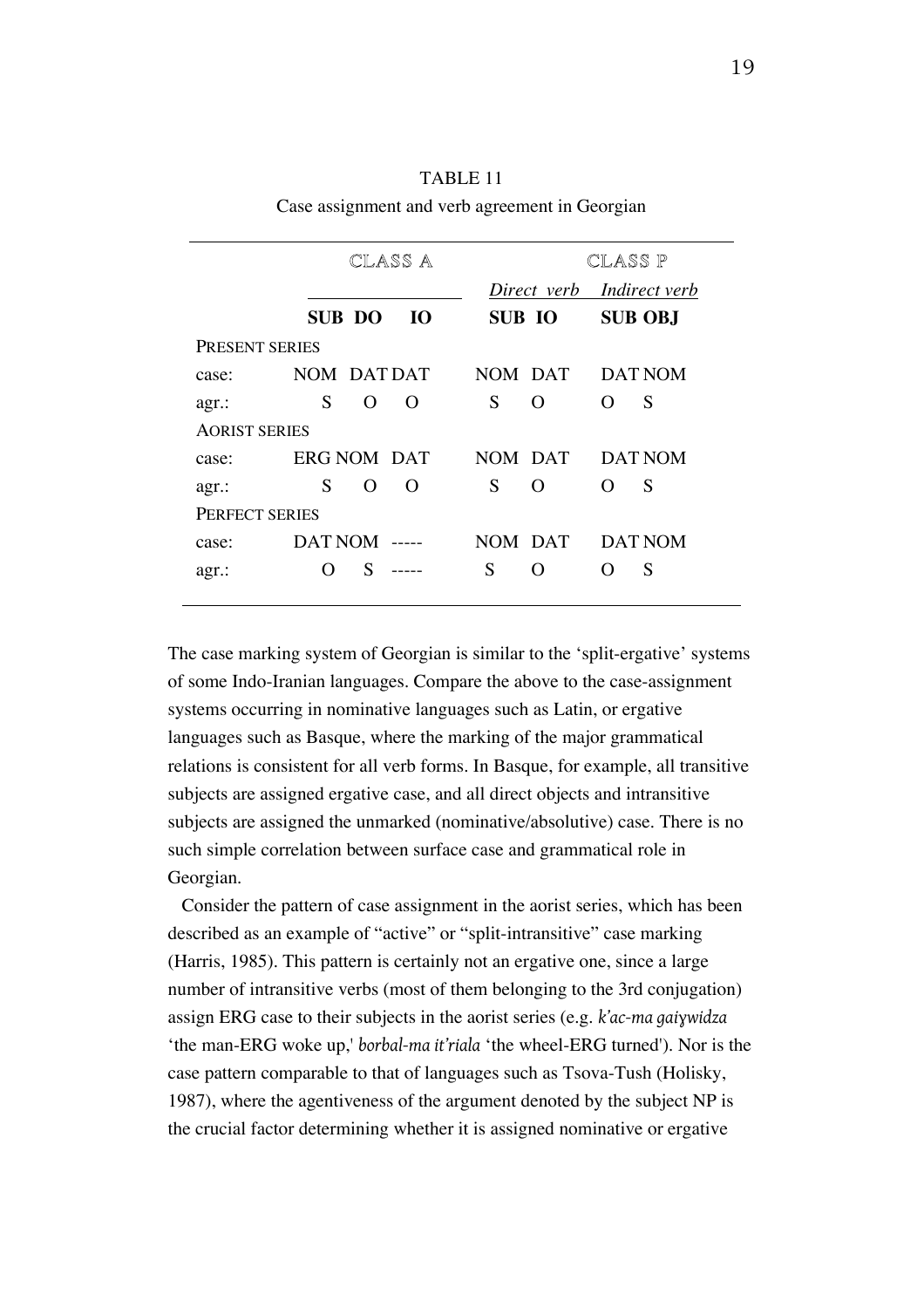| TABLE 11                                       |
|------------------------------------------------|
| Case assignment and verb agreement in Georgian |

|                      | CLASS A                   | CLASS P               |                                    |  |  |
|----------------------|---------------------------|-----------------------|------------------------------------|--|--|
|                      |                           | Direct verb           | <i><u><b>Indirect verb</b></u></i> |  |  |
|                      | <b>SUB DO</b><br>Ю        | <b>SUB IO</b>         | <b>SUB OBJ</b>                     |  |  |
| PRESENT SERIES       |                           |                       |                                    |  |  |
| case:                | NOM DAT DAT               | NOM DAT               | DAT NOM                            |  |  |
| agr.:                | S<br>$\Omega$<br>$\Omega$ | S<br>O                | S<br>$\Omega$                      |  |  |
| <b>AORIST SERIES</b> |                           |                       |                                    |  |  |
| case:                | <b>ERG NOM DAT</b>        | NOM DAT               | DAT NOM                            |  |  |
| agr.:                | S<br>$\Omega$<br>$\Omega$ | S<br>$\Omega$         | S<br>$\Omega$                      |  |  |
| PERFECT SERIES       |                           |                       |                                    |  |  |
| case:                | <b>DAT NOM</b>            | NOM DAT               | <b>DAT NOM</b>                     |  |  |
| agr.:                | S<br>$\left( \ \right)$   | S<br>$\left( \right)$ | S                                  |  |  |
|                      |                           |                       |                                    |  |  |

The case marking system of Georgian is similar to the 'split-ergative' systems of some Indo-Iranian languages. Compare the above to the case-assignment systems occurring in nominative languages such as Latin, or ergative languages such as Basque, where the marking of the major grammatical relations is consistent for all verb forms. In Basque, for example, all transitive subjects are assigned ergative case, and all direct objects and intransitive subjects are assigned the unmarked (nominative/absolutive) case. There is no such simple correlation between surface case and grammatical role in Georgian.

Consider the pattern of case assignment in the aorist series, which has been described as an example of "active" or "split-intransitive" case marking (Harris, 1985). This pattern is certainly not an ergative one, since a large number of intransitive verbs (most of them belonging to the 3rd conjugation) assign ERG case to their subjects in the aorist series (e.g. *k'ac-ma gaiɣwidza*  'the man-ERG woke up,' *borbal-ma it'riala* 'the wheel-ERG turned'). Nor is the case pattern comparable to that of languages such as Tsova-Tush (Holisky, 1987), where the agentiveness of the argument denoted by the subject NP is the crucial factor determining whether it is assigned nominative or ergative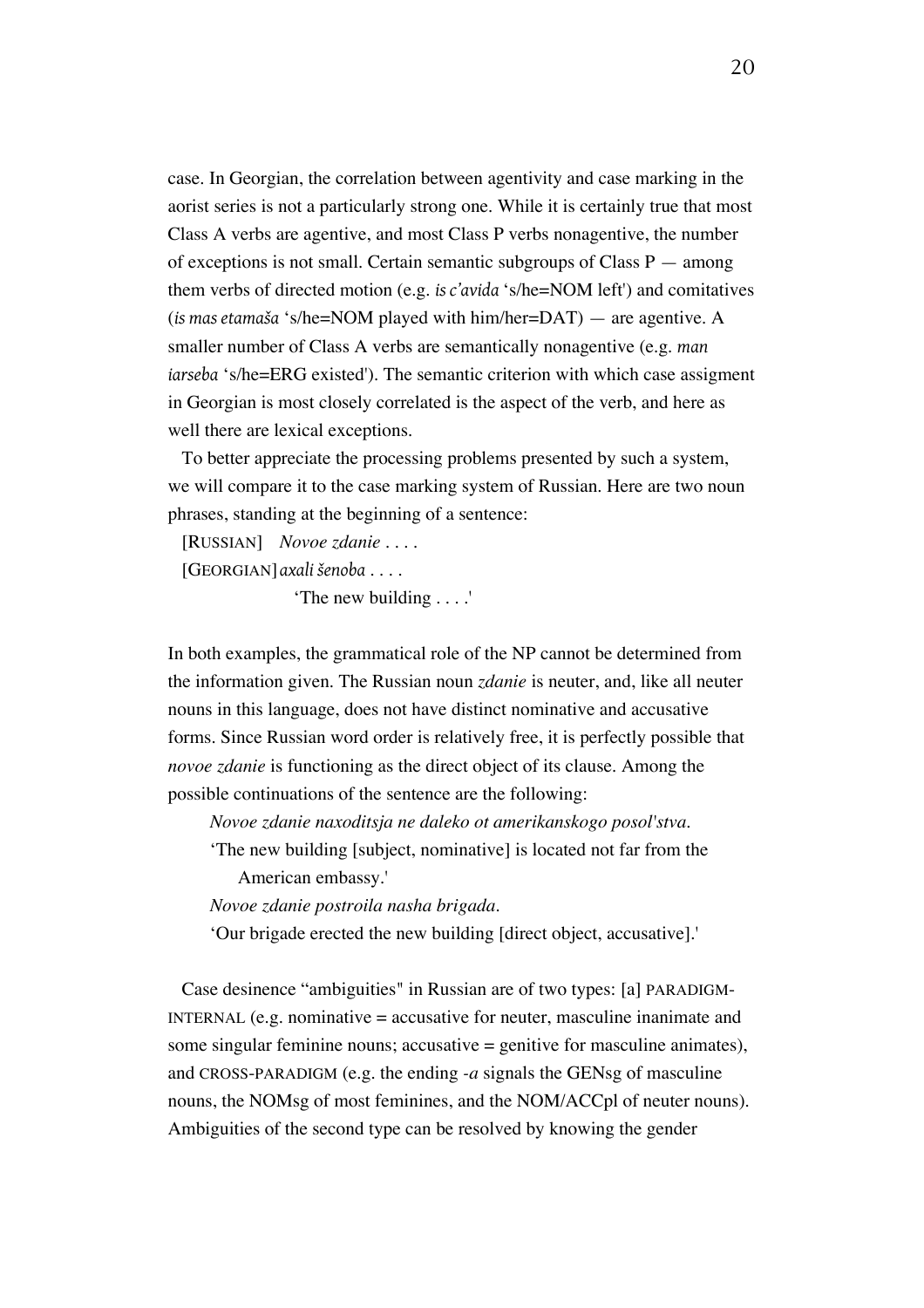case. In Georgian, the correlation between agentivity and case marking in the aorist series is not a particularly strong one. While it is certainly true that most Class A verbs are agentive, and most Class P verbs nonagentive, the number of exceptions is not small. Certain semantic subgroups of Class  $P -$  among them verbs of directed motion (e.g. *is c'avida* 's/he=NOM left') and comitatives (*is mas etamaša* 's/he=NOM played with him/her=DAT) — are agentive. A smaller number of Class A verbs are semantically nonagentive (e.g. *man iarseba* 's/he=ERG existed'). The semantic criterion with which case assigment in Georgian is most closely correlated is the aspect of the verb, and here as well there are lexical exceptions.

To better appreciate the processing problems presented by such a system, we will compare it to the case marking system of Russian. Here are two noun phrases, standing at the beginning of a sentence:

[RUSSIAN] *Novoe zdanie* . . . .

[GEORGIAN]*axali šenoba* . . . .

'The new building . . . .'

In both examples, the grammatical role of the NP cannot be determined from the information given. The Russian noun *zdanie* is neuter, and, like all neuter nouns in this language, does not have distinct nominative and accusative forms. Since Russian word order is relatively free, it is perfectly possible that *novoe zdanie* is functioning as the direct object of its clause. Among the possible continuations of the sentence are the following:

*Novoe zdanie naxoditsja ne daleko ot amerikanskogo posol'stva.*

'The new building [subject, nominative] is located not far from the American embassy.'

*Novoe zdanie postroila nasha brigada.*

'Our brigade erected the new building [direct object, accusative].'

Case desinence "ambiguities" in Russian are of two types: [a] PARADIGM-INTERNAL (e.g. nominative  $=$  accusative for neuter, masculine inanimate and some singular feminine nouns; accusative  $=$  genitive for masculine animates), and CROSS-PARADIGM (e.g. the ending *-a* signals the GENsg of masculine nouns, the NOMsg of most feminines, and the NOM/ACCpl of neuter nouns). Ambiguities of the second type can be resolved by knowing the gender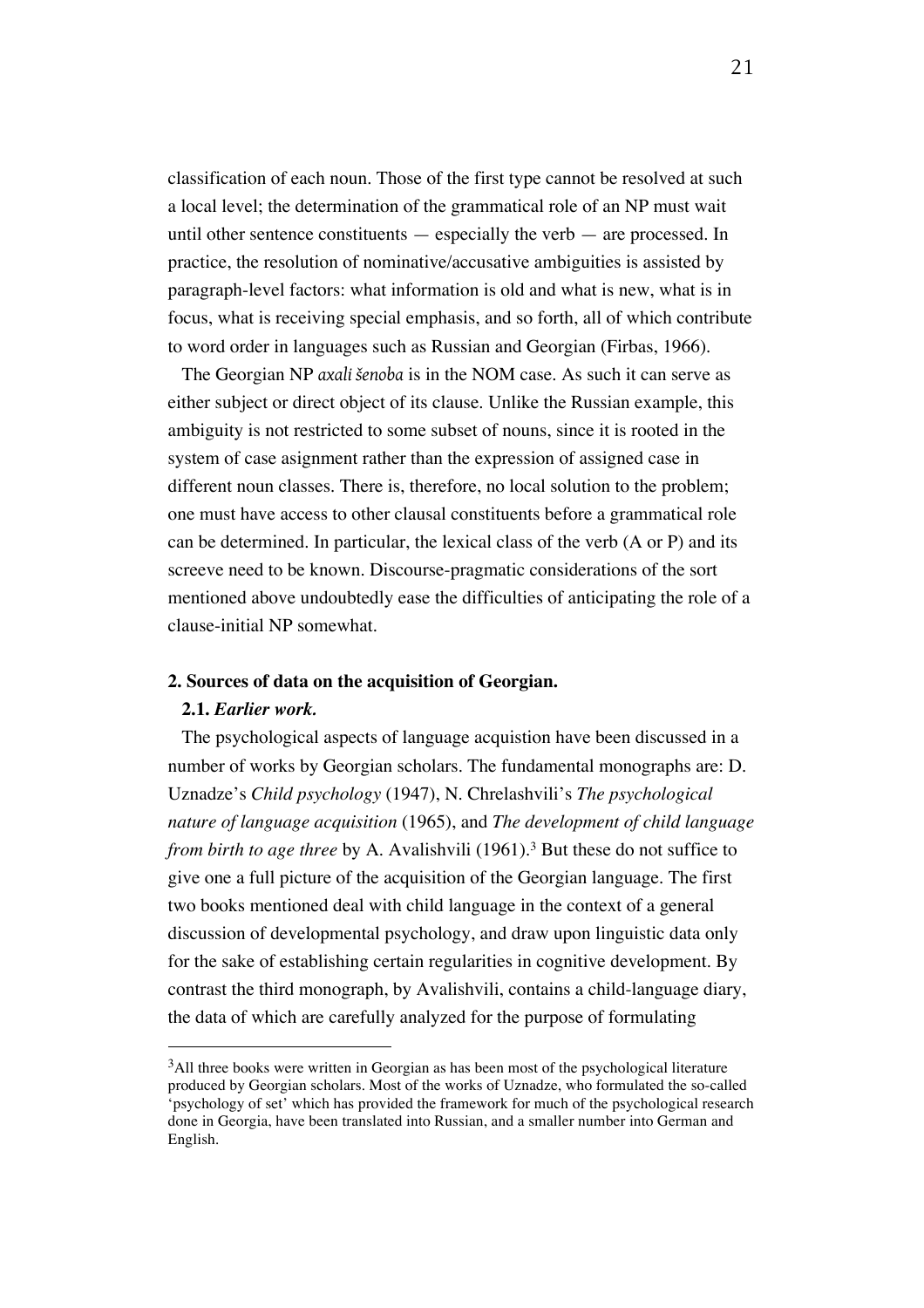classification of each noun. Those of the first type cannot be resolved at such a local level; the determination of the grammatical role of an NP must wait until other sentence constituents — especially the verb — are processed. In practice, the resolution of nominative/accusative ambiguities is assisted by paragraph-level factors: what information is old and what is new, what is in focus, what is receiving special emphasis, and so forth, all of which contribute to word order in languages such as Russian and Georgian (Firbas, 1966).

The Georgian NP *axali šenoba* is in the NOM case. As such it can serve as either subject or direct object of its clause. Unlike the Russian example, this ambiguity is not restricted to some subset of nouns, since it is rooted in the system of case asignment rather than the expression of assigned case in different noun classes. There is, therefore, no local solution to the problem; one must have access to other clausal constituents before a grammatical role can be determined. In particular, the lexical class of the verb (A or P) and its screeve need to be known. Discourse-pragmatic considerations of the sort mentioned above undoubtedly ease the difficulties of anticipating the role of a clause-initial NP somewhat.

#### **2. Sources of data on the acquisition of Georgian.**

#### **2.1.** *Earlier work.*

 $\overline{a}$ 

The psychological aspects of language acquistion have been discussed in a number of works by Georgian scholars. The fundamental monographs are: D. Uznadze's *Child psychology* (1947), N. Chrelashvili's *The psychological nature of language acquisition* (1965), and *The development of child language from birth to age three* by A. Avalishvili (1961).3 But these do not suffice to give one a full picture of the acquisition of the Georgian language. The first two books mentioned deal with child language in the context of a general discussion of developmental psychology, and draw upon linguistic data only for the sake of establishing certain regularities in cognitive development. By contrast the third monograph, by Avalishvili, contains a child-language diary, the data of which are carefully analyzed for the purpose of formulating

<sup>&</sup>lt;sup>3</sup>All three books were written in Georgian as has been most of the psychological literature produced by Georgian scholars. Most of the works of Uznadze, who formulated the so-called 'psychology of set' which has provided the framework for much of the psychological research done in Georgia, have been translated into Russian, and a smaller number into German and English.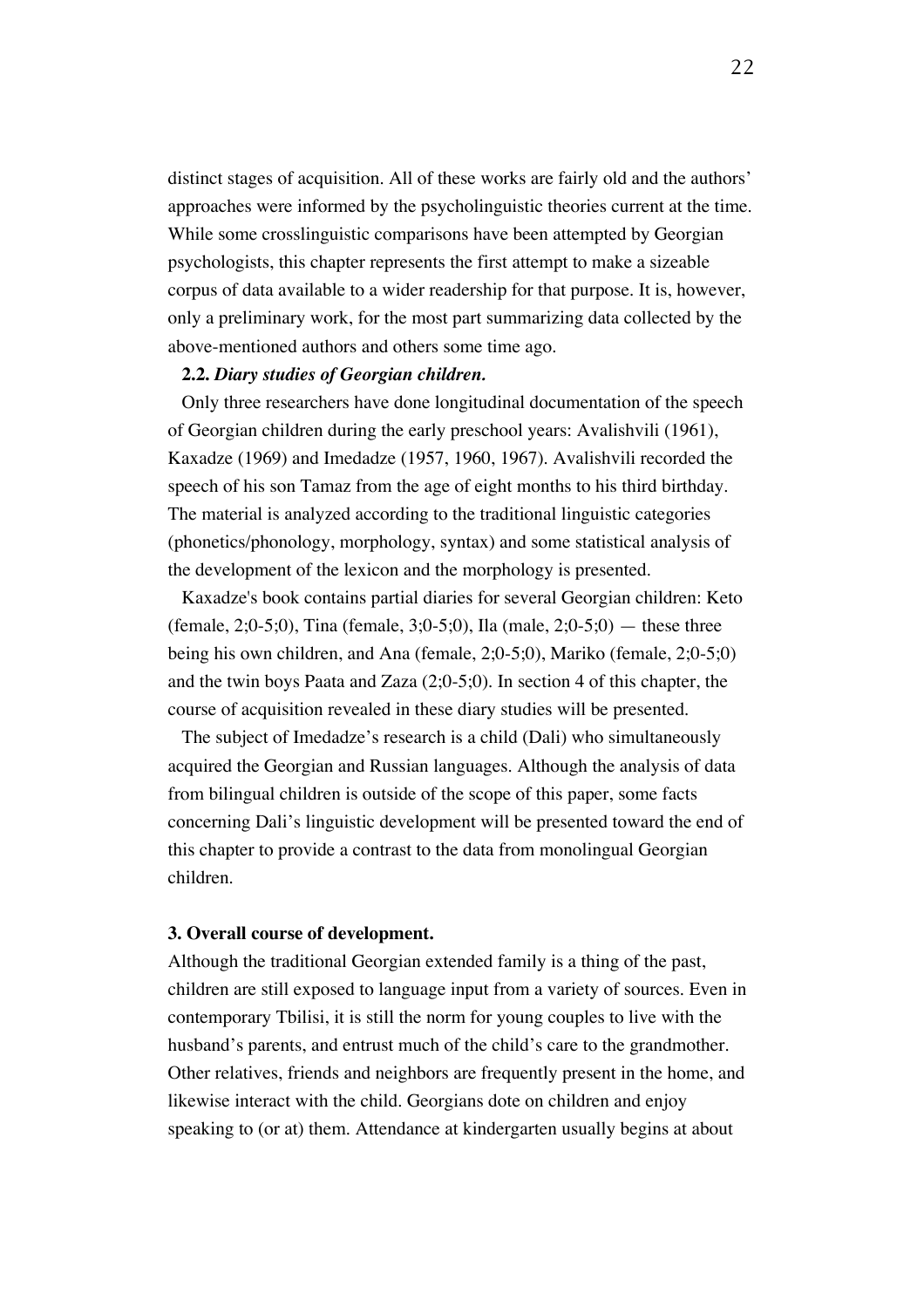distinct stages of acquisition. All of these works are fairly old and the authors' approaches were informed by the psycholinguistic theories current at the time. While some crosslinguistic comparisons have been attempted by Georgian psychologists, this chapter represents the first attempt to make a sizeable corpus of data available to a wider readership for that purpose. It is, however, only a preliminary work, for the most part summarizing data collected by the above-mentioned authors and others some time ago.

#### **2.2.** *Diary studies of Georgian children.*

Only three researchers have done longitudinal documentation of the speech of Georgian children during the early preschool years: Avalishvili (1961), Kaxadze (1969) and Imedadze (1957, 1960, 1967). Avalishvili recorded the speech of his son Tamaz from the age of eight months to his third birthday. The material is analyzed according to the traditional linguistic categories (phonetics/phonology, morphology, syntax) and some statistical analysis of the development of the lexicon and the morphology is presented.

Kaxadze's book contains partial diaries for several Georgian children: Keto (female, 2;0-5;0), Tina (female, 3;0-5;0), Ila (male, 2;0-5;0) — these three being his own children, and Ana (female, 2;0-5;0), Mariko (female, 2;0-5;0) and the twin boys Paata and Zaza (2;0-5;0). In section 4 of this chapter, the course of acquisition revealed in these diary studies will be presented.

The subject of Imedadze's research is a child (Dali) who simultaneously acquired the Georgian and Russian languages. Although the analysis of data from bilingual children is outside of the scope of this paper, some facts concerning Dali's linguistic development will be presented toward the end of this chapter to provide a contrast to the data from monolingual Georgian children.

#### **3. Overall course of development.**

Although the traditional Georgian extended family is a thing of the past, children are still exposed to language input from a variety of sources. Even in contemporary Tbilisi, it is still the norm for young couples to live with the husband's parents, and entrust much of the child's care to the grandmother. Other relatives, friends and neighbors are frequently present in the home, and likewise interact with the child. Georgians dote on children and enjoy speaking to (or at) them. Attendance at kindergarten usually begins at about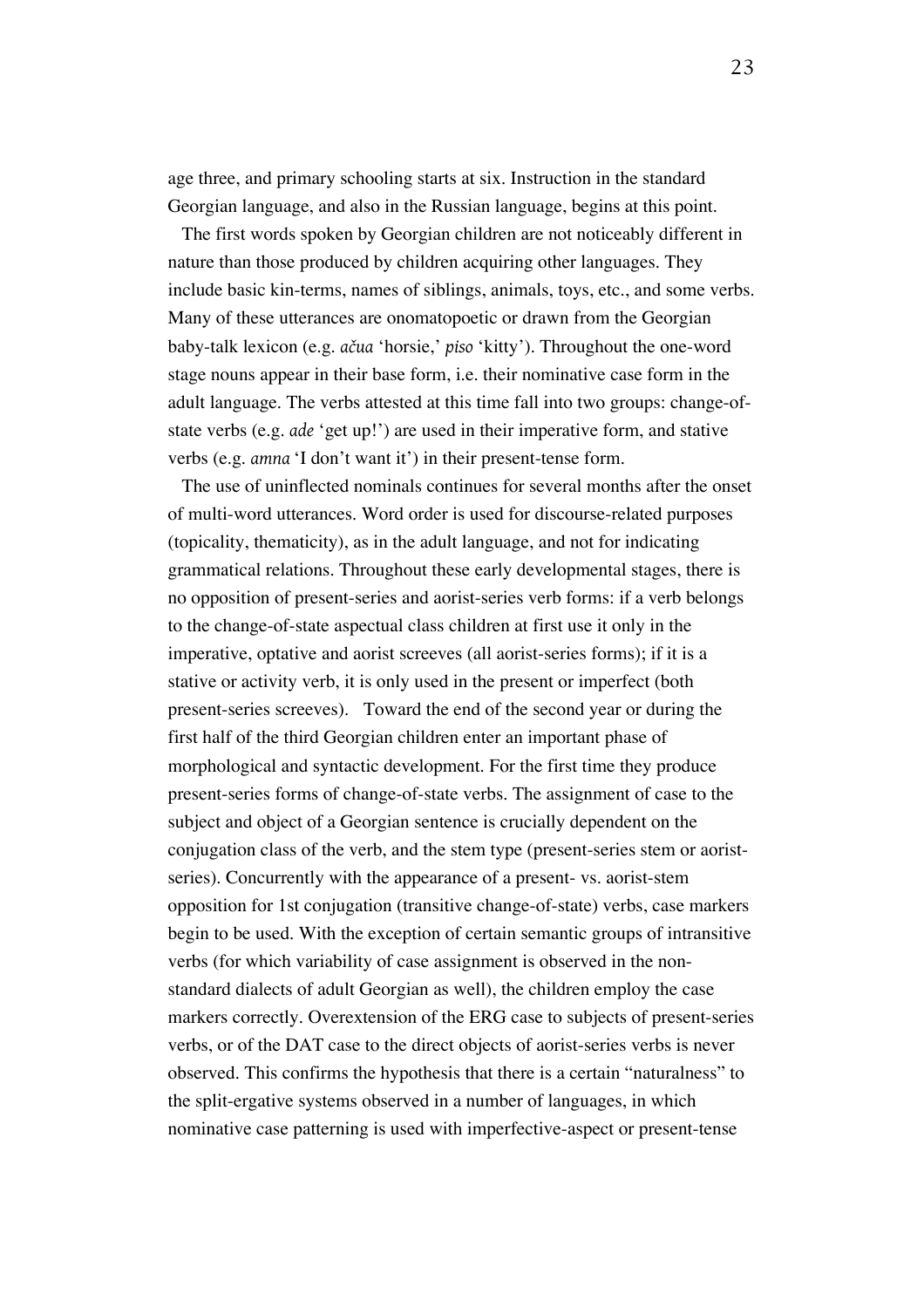age three, and primary schooling starts at six. Instruction in the standard Georgian language, and also in the Russian language, begins at this point.

The first words spoken by Georgian children are not noticeably different in nature than those produced by children acquiring other languages. They include basic kin-terms, names of siblings, animals, toys, etc., and some verbs. Many of these utterances are onomatopoetic or drawn from the Georgian baby-talk lexicon (e.g. *ačua* 'horsie,' *piso* 'kitty'). Throughout the one-word stage nouns appear in their base form, i.e. their nominative case form in the adult language. The verbs attested at this time fall into two groups: change-ofstate verbs (e.g. *ade* 'get up!') are used in their imperative form, and stative verbs (e.g. *amna* 'I don't want it') in their present-tense form.

The use of uninflected nominals continues for several months after the onset of multi-word utterances. Word order is used for discourse-related purposes (topicality, thematicity), as in the adult language, and not for indicating grammatical relations. Throughout these early developmental stages, there is no opposition of present-series and aorist-series verb forms: if a verb belongs to the change-of-state aspectual class children at first use it only in the imperative, optative and aorist screeves (all aorist-series forms); if it is a stative or activity verb, it is only used in the present or imperfect (both present-series screeves). Toward the end of the second year or during the first half of the third Georgian children enter an important phase of morphological and syntactic development. For the first time they produce present-series forms of change-of-state verbs. The assignment of case to the subject and object of a Georgian sentence is crucially dependent on the conjugation class of the verb, and the stem type (present-series stem or aoristseries). Concurrently with the appearance of a present- vs. aorist-stem opposition for 1st conjugation (transitive change-of-state) verbs, case markers begin to be used. With the exception of certain semantic groups of intransitive verbs (for which variability of case assignment is observed in the nonstandard dialects of adult Georgian as well), the children employ the case markers correctly. Overextension of the ERG case to subjects of present-series verbs, or of the DAT case to the direct objects of aorist-series verbs is never observed. This confirms the hypothesis that there is a certain "naturalness" to the split-ergative systems observed in a number of languages, in which nominative case patterning is used with imperfective-aspect or present-tense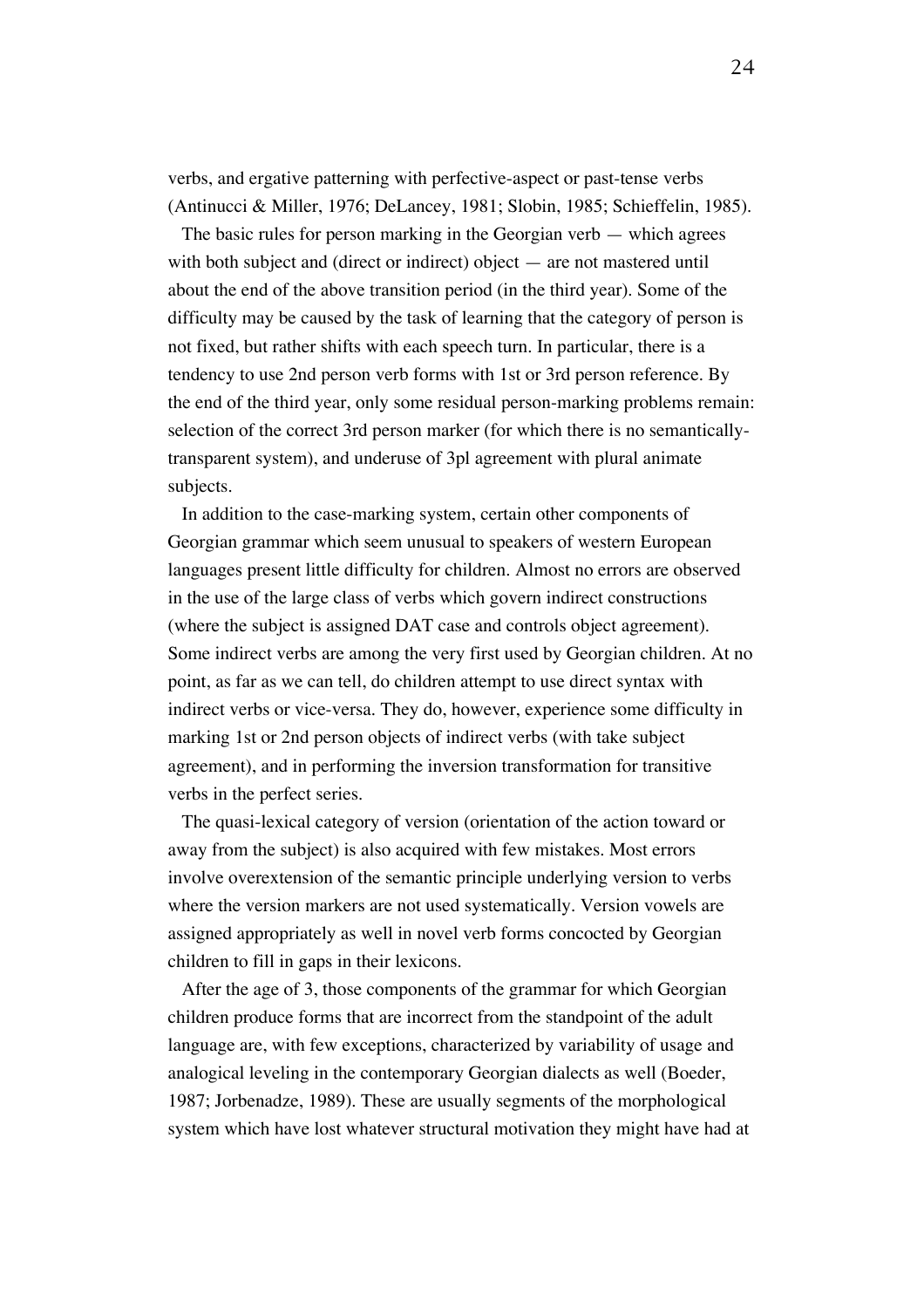verbs, and ergative patterning with perfective-aspect or past-tense verbs (Antinucci & Miller, 1976; DeLancey, 1981; Slobin, 1985; Schieffelin, 1985).

The basic rules for person marking in the Georgian verb — which agrees with both subject and (direct or indirect) object — are not mastered until about the end of the above transition period (in the third year). Some of the difficulty may be caused by the task of learning that the category of person is not fixed, but rather shifts with each speech turn. In particular, there is a tendency to use 2nd person verb forms with 1st or 3rd person reference. By the end of the third year, only some residual person-marking problems remain: selection of the correct 3rd person marker (for which there is no semanticallytransparent system), and underuse of 3pl agreement with plural animate subjects.

In addition to the case-marking system, certain other components of Georgian grammar which seem unusual to speakers of western European languages present little difficulty for children. Almost no errors are observed in the use of the large class of verbs which govern indirect constructions (where the subject is assigned DAT case and controls object agreement). Some indirect verbs are among the very first used by Georgian children. At no point, as far as we can tell, do children attempt to use direct syntax with indirect verbs or vice-versa. They do, however, experience some difficulty in marking 1st or 2nd person objects of indirect verbs (with take subject agreement), and in performing the inversion transformation for transitive verbs in the perfect series.

The quasi-lexical category of version (orientation of the action toward or away from the subject) is also acquired with few mistakes. Most errors involve overextension of the semantic principle underlying version to verbs where the version markers are not used systematically. Version vowels are assigned appropriately as well in novel verb forms concocted by Georgian children to fill in gaps in their lexicons.

After the age of 3, those components of the grammar for which Georgian children produce forms that are incorrect from the standpoint of the adult language are, with few exceptions, characterized by variability of usage and analogical leveling in the contemporary Georgian dialects as well (Boeder, 1987; Jorbenadze, 1989). These are usually segments of the morphological system which have lost whatever structural motivation they might have had at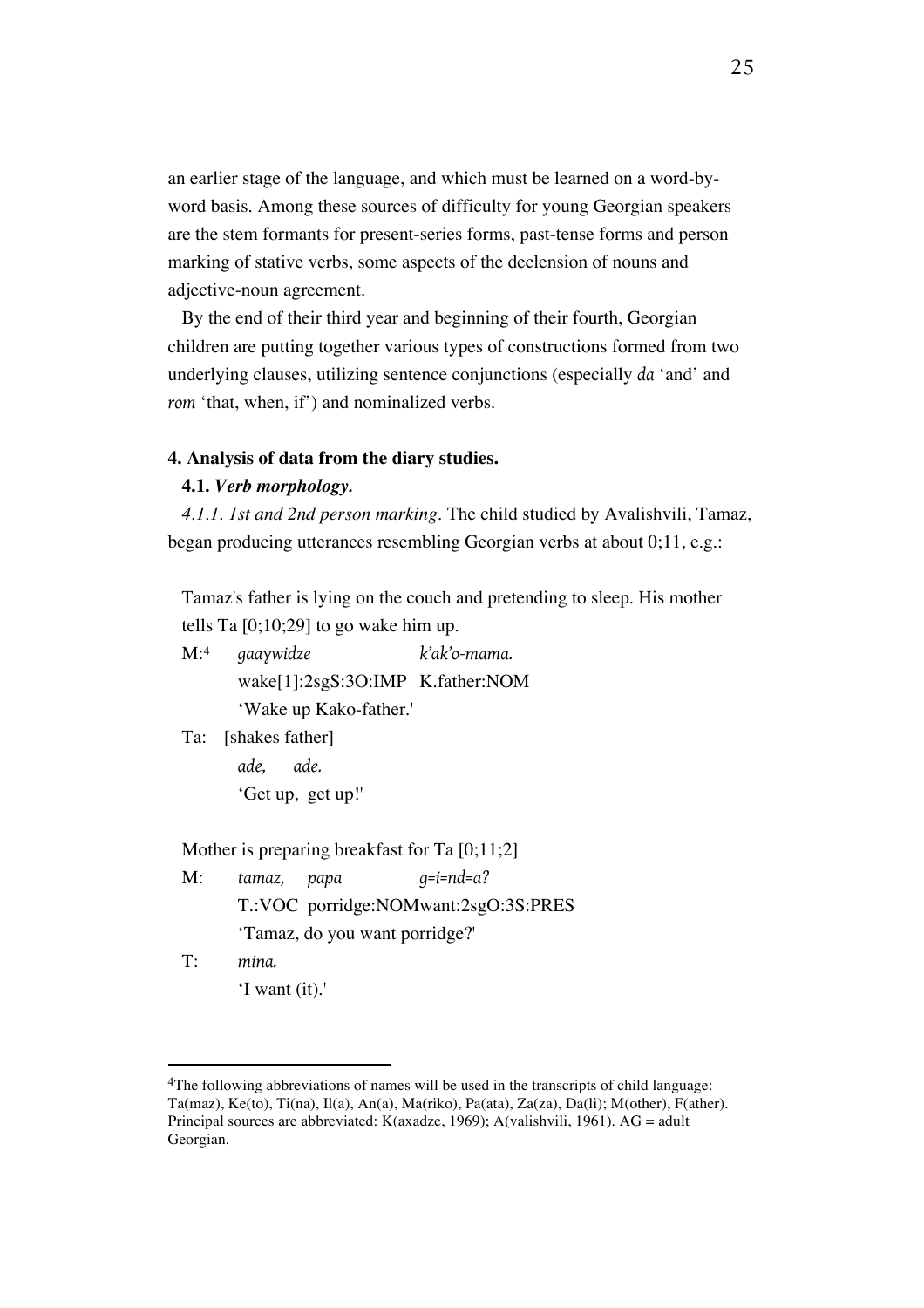an earlier stage of the language, and which must be learned on a word-byword basis. Among these sources of difficulty for young Georgian speakers are the stem formants for present-series forms, past-tense forms and person marking of stative verbs, some aspects of the declension of nouns and adjective-noun agreement.

By the end of their third year and beginning of their fourth, Georgian children are putting together various types of constructions formed from two underlying clauses, utilizing sentence conjunctions (especially *da* 'and' and *rom* 'that, when, if') and nominalized verbs.

#### **4. Analysis of data from the diary studies.**

#### **4.1.** *Verb morphology.*

*4.1.1. 1st and 2nd person marking.* The child studied by Avalishvili, Tamaz, began producing utterances resembling Georgian verbs at about 0;11, e.g.:

Tamaz's father is lying on the couch and pretending to sleep. His mother tells Ta  $[0,10,29]$  to go wake him up.

M:4 *gaaɣwidze k'ak'o-mama.* wake[1]:2sgS:3O:IMP K.father:NOM 'Wake up Kako-father.'

Ta: [shakes father] *ade, ade.* 'Get up, get up!'

Mother is preparing breakfast for Ta [0;11;2]

- M: *tamaz, papa g=i=nd=a?* T.:VOC porridge:NOMwant:2sgO:3S:PRES 'Tamaz, do you want porridge?'
- T: *mina.* 'I want (it).'

<sup>&</sup>lt;sup>4</sup>The following abbreviations of names will be used in the transcripts of child language: Ta(maz), Ke(to), Ti(na), Il(a), An(a), Ma(riko), Pa(ata), Za(za), Da(li); M(other), F(ather). Principal sources are abbreviated: K(axadze, 1969); A(valishvili, 1961). AG = adult Georgian.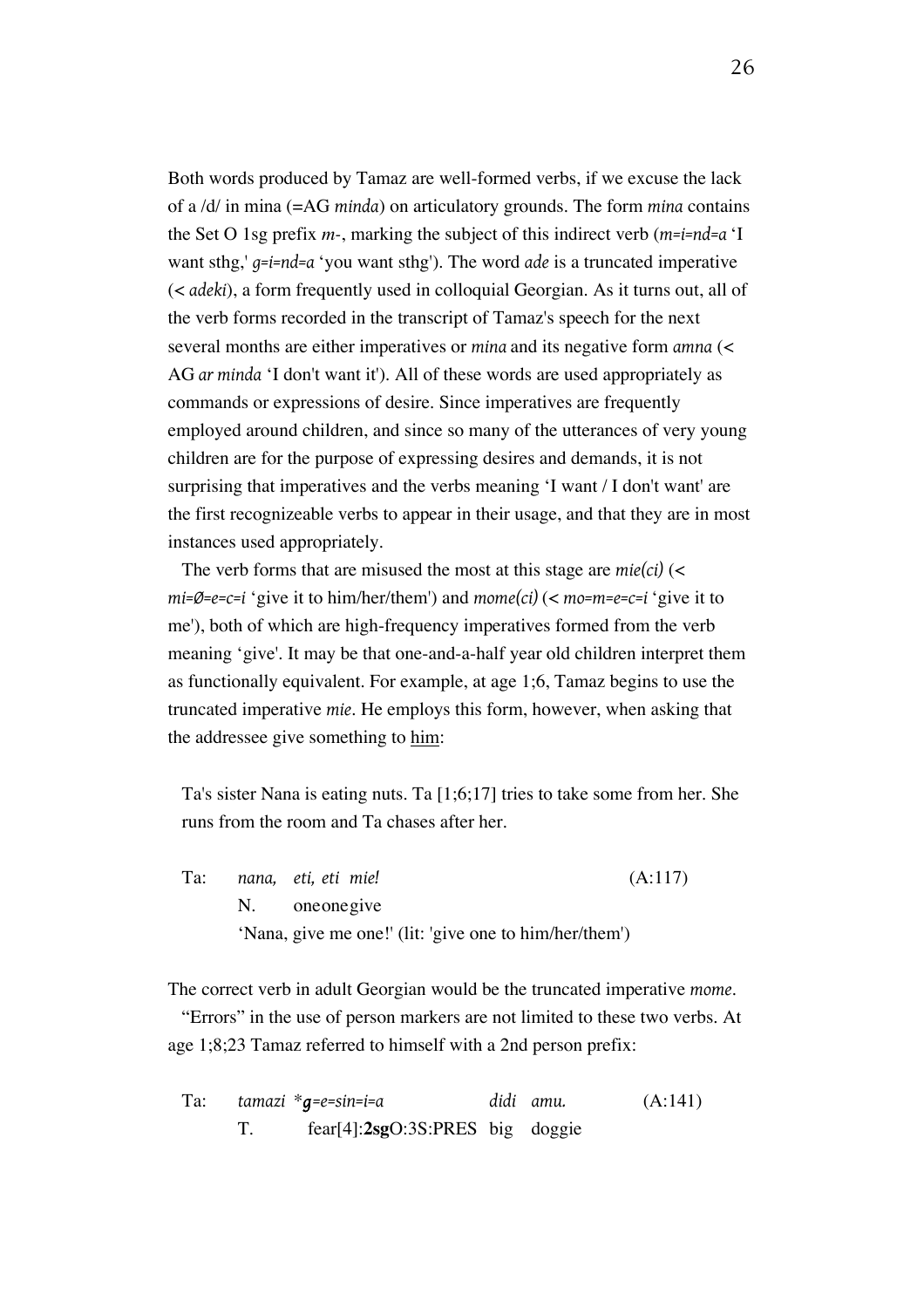Both words produced by Tamaz are well-formed verbs, if we excuse the lack of a /d/ in mina (=AG *minda*) on articulatory grounds. The form *mina* contains the Set O 1sg prefix *m-*, marking the subject of this indirect verb (*m=i=nd=a* 'I want sthg,' *g=i=nd=a* 'you want sthg'). The word *ade* is a truncated imperative (< *adeki*), a form frequently used in colloquial Georgian. As it turns out, all of the verb forms recorded in the transcript of Tamaz's speech for the next several months are either imperatives or *mina* and its negative form *amna* (< AG *ar minda* 'I don't want it'). All of these words are used appropriately as commands or expressions of desire. Since imperatives are frequently employed around children, and since so many of the utterances of very young children are for the purpose of expressing desires and demands, it is not surprising that imperatives and the verbs meaning 'I want / I don't want' are the first recognizeable verbs to appear in their usage, and that they are in most instances used appropriately.

The verb forms that are misused the most at this stage are *mie(ci)* (< *mi=Ø=e=c=i* 'give it to him/her/them') and *mome(ci)* (< *mo=m=e=c=i* 'give it to me'), both of which are high-frequency imperatives formed from the verb meaning 'give'. It may be that one-and-a-half year old children interpret them as functionally equivalent. For example, at age 1;6, Tamaz begins to use the truncated imperative *mie*. He employs this form, however, when asking that the addressee give something to him:

Ta's sister Nana is eating nuts. Ta [1;6;17] tries to take some from her. She runs from the room and Ta chases after her.

Ta: *nana, eti, eti mie!* (A:117) N. oneonegive 'Nana, give me one!' (lit: 'give one to him/her/them')

The correct verb in adult Georgian would be the truncated imperative *mome*.

"Errors" in the use of person markers are not limited to these two verbs. At age 1;8;23 Tamaz referred to himself with a 2nd person prefix:

Ta: *tamazi* \**g=e=sin=i=a didi amu.* (A:141) T. fear[4]:**2sg**O:3S:PRES big doggie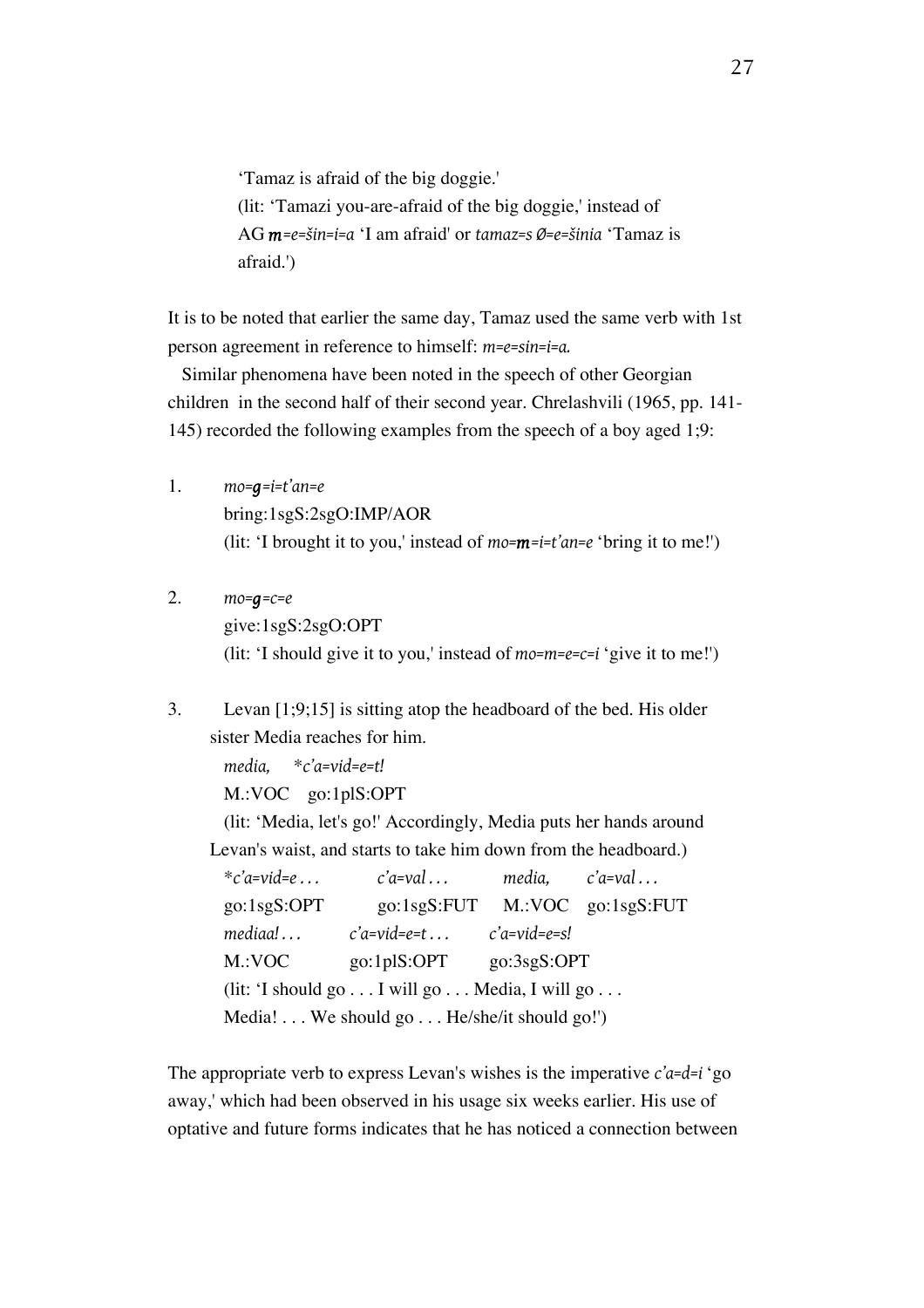'Tamaz is afraid of the big doggie.' (lit: 'Tamazi you-are-afraid of the big doggie,' instead of AG *m=e=šin=i=a* 'I am afraid' or *tamaz=s Ø=e=šinia* 'Tamaz is afraid.')

It is to be noted that earlier the same day, Tamaz used the same verb with 1st person agreement in reference to himself: *m=e=sin=i=a.*

Similar phenomena have been noted in the speech of other Georgian children in the second half of their second year. Chrelashvili (1965, pp. 141- 145) recorded the following examples from the speech of a boy aged 1;9:

- 1. *mo=g=i=t'an=e* bring:1sgS:2sgO:IMP/AOR (lit: 'I brought it to you,' instead of *mo=m=i=t'an=e* 'bring it to me!')
- 2. *mo=g=c=e* give:1sgS:2sgO:OPT (lit: 'I should give it to you,' instead of *mo=m=e=c=i* 'give it to me!')
- 3. Levan [1;9;15] is sitting atop the headboard of the bed. His older sister Media reaches for him.

*media,* \**c'a=vid=e=t!* M.:VOC go:1plS:OPT

(lit: 'Media, let's go!' Accordingly, Media puts her hands around Levan's waist, and starts to take him down from the headboard.)

\**c'a=vid=e . . . c'a=val . . . media, c'a=val . . .* go:1sgS:OPT go:1sgS:FUT M.:VOC go:1sgS:FUT *mediaa! . . . c'a=vid=e=t . . . c'a=vid=e=s!* M.:VOC go:1plS:OPT go:3sgS:OPT (lit: 'I should go . . . I will go . . . Media, I will go . . . Media! . . . We should go . . . He/she/it should go!')

The appropriate verb to express Levan's wishes is the imperative *c'a=d=i* 'go away,' which had been observed in his usage six weeks earlier. His use of optative and future forms indicates that he has noticed a connection between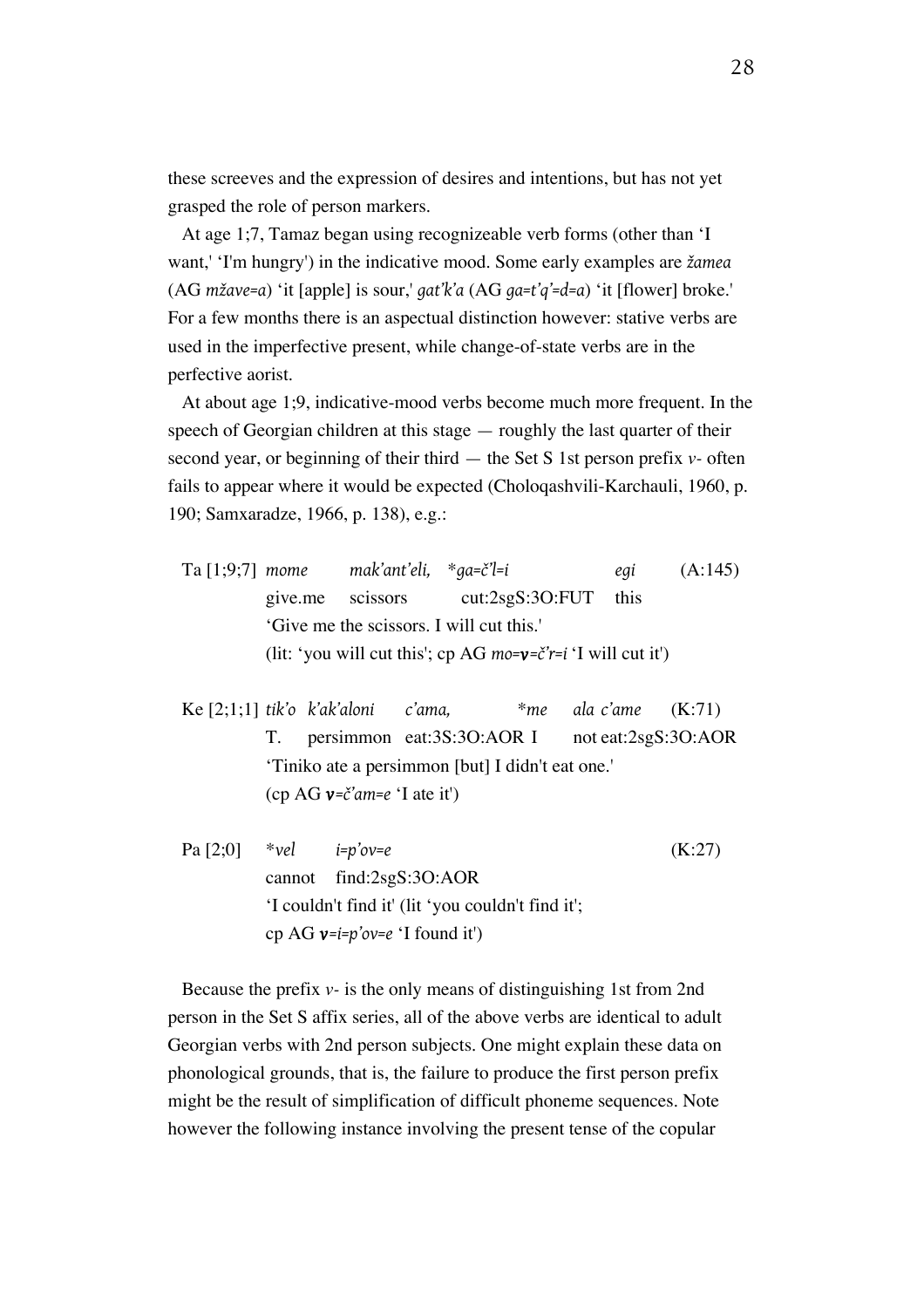these screeves and the expression of desires and intentions, but has not yet grasped the role of person markers.

At age 1;7, Tamaz began using recognizeable verb forms (other than 'I want,' 'I'm hungry') in the indicative mood. Some early examples are *žamea* (AG *mžave=a*) 'it [apple] is sour,' *gat'k'a* (AG *ga=t'q'=d=a*) 'it [flower] broke.' For a few months there is an aspectual distinction however: stative verbs are used in the imperfective present, while change-of-state verbs are in the perfective aorist.

At about age 1;9, indicative-mood verbs become much more frequent. In the speech of Georgian children at this stage — roughly the last quarter of their second year, or beginning of their third — the Set S 1st person prefix *v-* often fails to appear where it would be expected (Choloqashvili-Karchauli, 1960, p. 190; Samxaradze, 1966, p. 138), e.g.:

- Ta [1;9;7] *mome mak'ant'eli,* \**ga=č'l=i egi* (A:145) give.me scissors cut:2sgS:3O:FUT this 'Give me the scissors. I will cut this.' (lit: 'you will cut this'; cp AG *mo=v=č'r=i* 'I will cut it')
- Ke [2;1;1] *tik'o k'ak'aloni c'ama,* \**me ala c'ame* (K:71) T. persimmon eat:3S:3O:AOR I not eat:2sgS:3O:AOR 'Tiniko ate a persimmon [but] I didn't eat one.' (cp AG *v=č'am=e* 'I ate it')
- Pa [2;0] \**vel i=p'ov=e* (K:27) cannot find:2sgS:3O:AOR 'I couldn't find it' (lit 'you couldn't find it'; cp AG *v=i=p'ov=e* 'I found it')

Because the prefix *v-* is the only means of distinguishing 1st from 2nd person in the Set S affix series, all of the above verbs are identical to adult Georgian verbs with 2nd person subjects. One might explain these data on phonological grounds, that is, the failure to produce the first person prefix might be the result of simplification of difficult phoneme sequences. Note however the following instance involving the present tense of the copular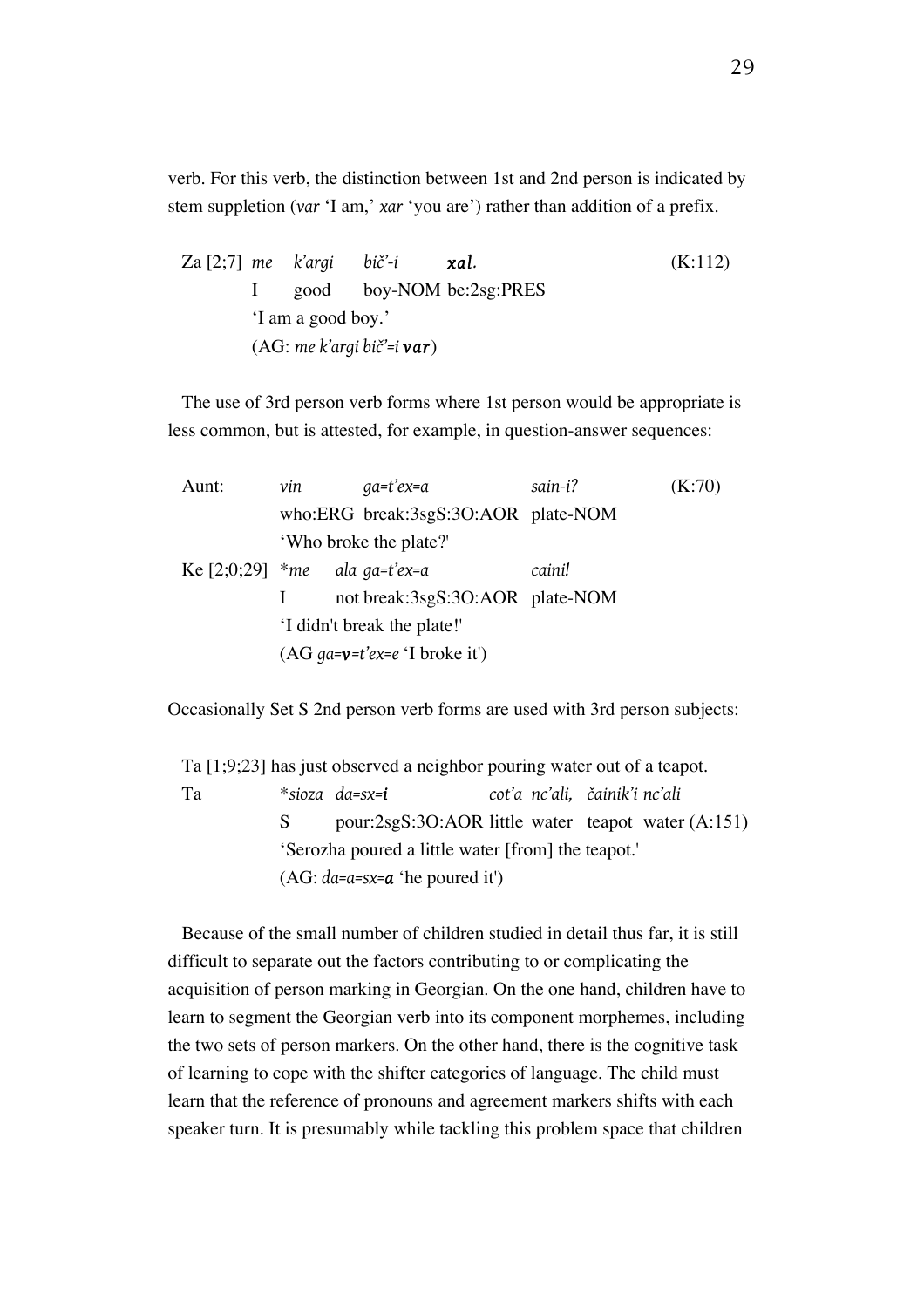verb. For this verb, the distinction between 1st and 2nd person is indicated by stem suppletion (*var* 'I am,' *xar* 'you are') rather than addition of a prefix.

Za [2;7] *me k'argi bič'-i xal.* (K:112) I good boy-NOM be:2sg:PRES 'I am a good boy.' (AG: *me k'argi bič'=i var*)

The use of 3rd person verb forms where 1st person would be appropriate is less common, but is attested, for example, in question-answer sequences:

| Aunt:                           | vin                    | qa=t'ex=a                           | sain-i? | (K:70) |
|---------------------------------|------------------------|-------------------------------------|---------|--------|
|                                 |                        | who:ERG break:3sgS:3O:AOR plate-NOM |         |        |
|                                 | 'Who broke the plate?' |                                     |         |        |
| Ke $[2;0;29]$ *me ala ga=t'ex=a |                        |                                     | caini!  |        |
|                                 |                        | not break:3sgS:3O:AOR plate-NOM     |         |        |
|                                 |                        | 'I didn't break the plate!'         |         |        |
|                                 |                        | $(AG$ qa=v=t'ex=e 'I broke it')     |         |        |

Occasionally Set S 2nd person verb forms are used with 3rd person subjects:

Ta [1;9;23] has just observed a neighbor pouring water out of a teapot. Ta \**sioza da=sx=i cot'a nc'ali, čainik'i nc'ali* S pour:2sgS:3O:AOR little water teapot water (A:151) 'Serozha poured a little water [from] the teapot.' (AG: *da=a=sx=a* 'he poured it')

Because of the small number of children studied in detail thus far, it is still difficult to separate out the factors contributing to or complicating the acquisition of person marking in Georgian. On the one hand, children have to learn to segment the Georgian verb into its component morphemes, including the two sets of person markers. On the other hand, there is the cognitive task of learning to cope with the shifter categories of language. The child must learn that the reference of pronouns and agreement markers shifts with each speaker turn. It is presumably while tackling this problem space that children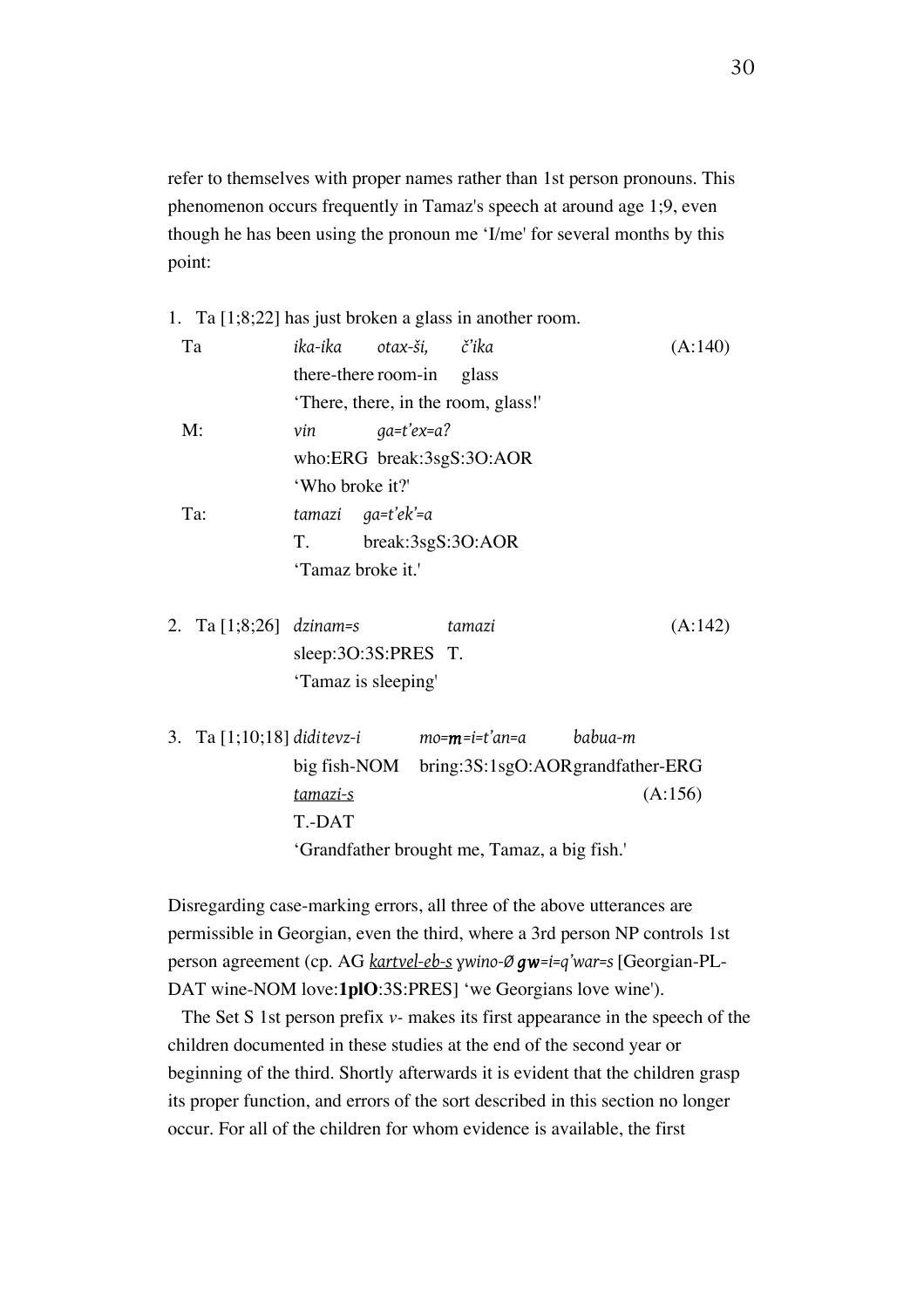refer to themselves with proper names rather than 1st person pronouns. This phenomenon occurs frequently in Tamaz's speech at around age 1;9, even though he has been using the pronoun me 'I/me' for several months by this point:

#### 1. Ta [1;8;22] has just broken a glass in another room.

| Ta                                                                               |                           | ika-ika otax-ši, č'ika |                                               |  | (A:140) |  |
|----------------------------------------------------------------------------------|---------------------------|------------------------|-----------------------------------------------|--|---------|--|
|                                                                                  | there-there room-in glass |                        |                                               |  |         |  |
|                                                                                  |                           |                        | There, there, in the room, glass!             |  |         |  |
| M:                                                                               | vin                       | $qa=t'ex=a?$           |                                               |  |         |  |
|                                                                                  | who:ERG break:3sgS:3O:AOR |                        |                                               |  |         |  |
|                                                                                  | 'Who broke it?'           |                        |                                               |  |         |  |
| Ta:                                                                              | tamazi ga=t'ek'=a         |                        |                                               |  |         |  |
|                                                                                  | T.<br>break:3sgS:3O:AOR   |                        |                                               |  |         |  |
|                                                                                  | 'Tamaz broke it.'         |                        |                                               |  |         |  |
| 2. Ta [1;8;26] dzinam=s                                                          |                           |                        | tamazi                                        |  | (A:142) |  |
|                                                                                  |                           | sleep: $3O:3S:PRES$ T. |                                               |  |         |  |
|                                                                                  | 'Tamaz is sleeping'       |                        |                                               |  |         |  |
| 3.   Ta [1;10;18] diditevz-i             mo= <b>m</b> =i=t'an=a          babua-m |                           |                        |                                               |  |         |  |
|                                                                                  |                           |                        | big fish-NOM bring:3S:1sgO:AORgrandfather-ERG |  |         |  |
|                                                                                  | tamazi-s                  |                        |                                               |  | (A:156) |  |
|                                                                                  | T.-DAT                    |                        |                                               |  |         |  |

'Grandfather brought me, Tamaz, a big fish.'

Disregarding case-marking errors, all three of the above utterances are permissible in Georgian, even the third, where a 3rd person NP controls 1st person agreement (cp. AG *kartvel-eb-s ɣwino-Ø gw=i=q'war=s* [Georgian-PL-DAT wine-NOM love:**1plO**:3S:PRES] 'we Georgians love wine').

The Set S 1st person prefix *v-* makes its first appearance in the speech of the children documented in these studies at the end of the second year or beginning of the third. Shortly afterwards it is evident that the children grasp its proper function, and errors of the sort described in this section no longer occur. For all of the children for whom evidence is available, the first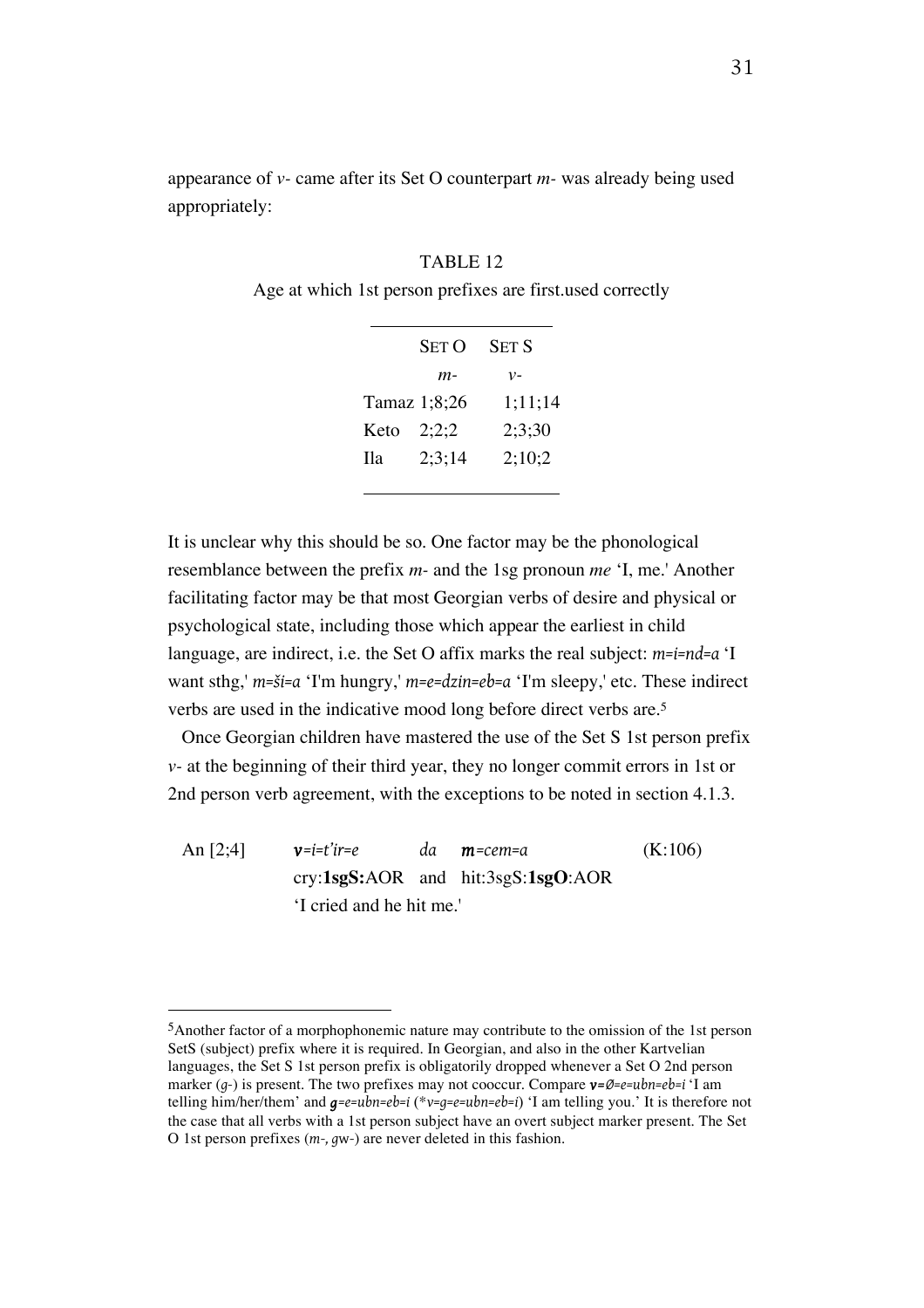appearance of *v-* came after its Set O counterpart *m-* was already being used appropriately:

#### TABLE 12

Age at which 1st person prefixes are first.used correctly

| <b>SET O</b> | SET S   |
|--------------|---------|
| $m-$         | $v-$    |
| Tamaz 1;8;26 | 1;11;14 |
| 2:2:2        | 2;3;30  |
| 2:3:14       | 2:10:2  |
|              |         |

It is unclear why this should be so. One factor may be the phonological resemblance between the prefix *m-* and the 1sg pronoun *me* 'I, me.' Another facilitating factor may be that most Georgian verbs of desire and physical or psychological state, including those which appear the earliest in child language, are indirect, i.e. the Set O affix marks the real subject: *m=i=nd=a* 'I want sthg,' *m=ši=a* 'I'm hungry,' *m=e=dzin=eb=a* 'I'm sleepy,' etc. These indirect verbs are used in the indicative mood long before direct verbs are.5

Once Georgian children have mastered the use of the Set S 1st person prefix *v-* at the beginning of their third year, they no longer commit errors in 1st or 2nd person verb agreement, with the exceptions to be noted in section 4.1.3.

An [2;4] *v=i=t'ir=e da m=cem=a* (K:106) cry:**1sgS:**AOR and hit:3sgS:**1sgO**:AOR 'I cried and he hit me.'

<sup>5</sup>Another factor of a morphophonemic nature may contribute to the omission of the 1st person SetS (subject) prefix where it is required. In Georgian, and also in the other Kartvelian languages, the Set S 1st person prefix is obligatorily dropped whenever a Set O 2nd person marker (*g-*) is present. The two prefixes may not cooccur. Compare *v=Ø=e=ubn=eb=i* 'I am telling him/her/them' and *g=e=ubn=eb=i* (\**v=g=e=ubn=eb=i*) 'I am telling you.' It is therefore not the case that all verbs with a 1st person subject have an overt subject marker present. The Set O 1st person prefixes (*m-, g*w*-*) are never deleted in this fashion.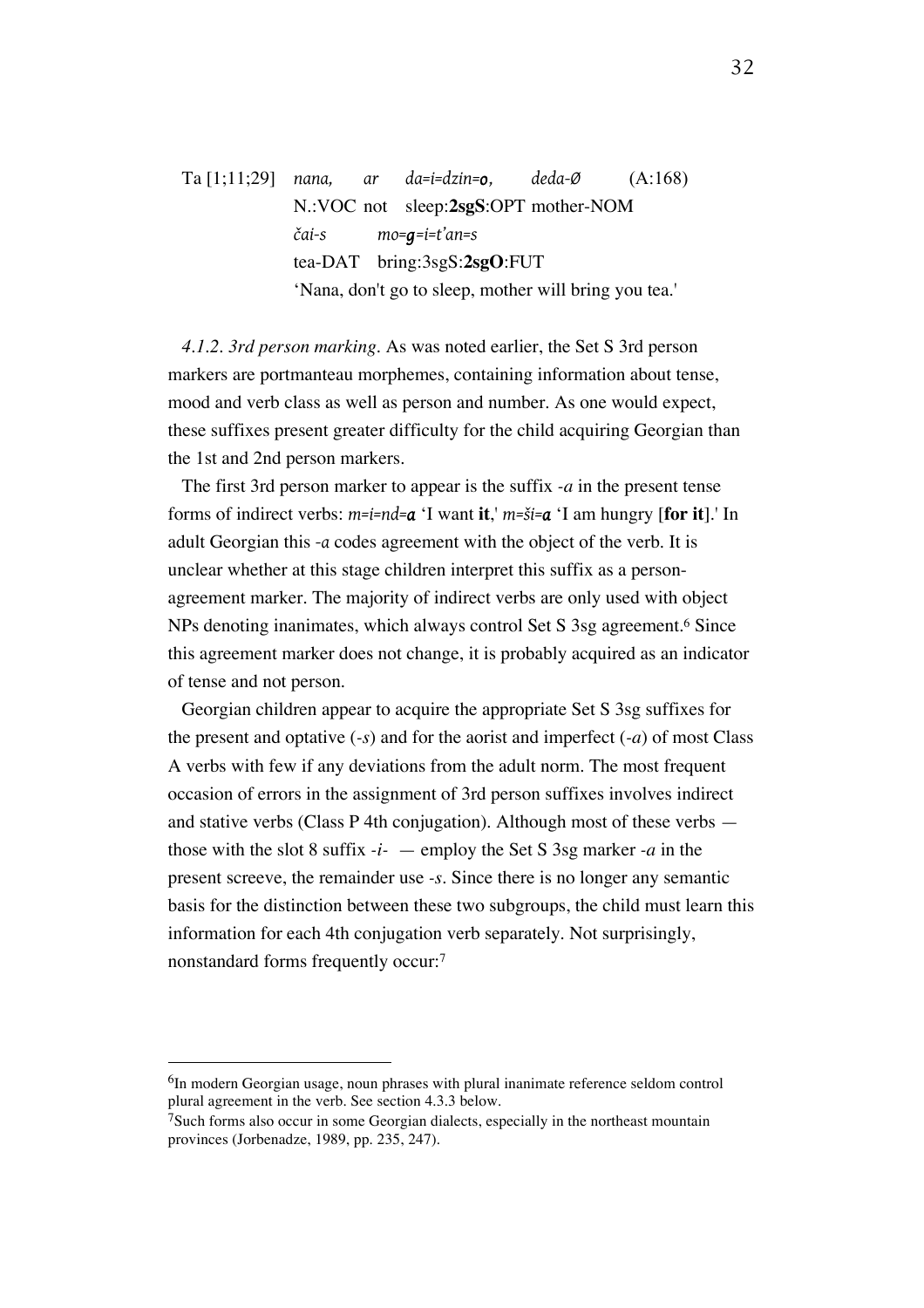Ta [1;11;29] *nana, ar da=i=dzin=o, deda-Ø* (A:168) N.:VOC not sleep:**2sgS**:OPT mother-NOM *čai-s mo=g=i=t'an=s* tea-DAT bring:3sgS:**2sgO**:FUT 'Nana, don't go to sleep, mother will bring you tea.'

*4.1.2. 3rd person marking.* As was noted earlier, the Set S 3rd person markers are portmanteau morphemes, containing information about tense, mood and verb class as well as person and number. As one would expect, these suffixes present greater difficulty for the child acquiring Georgian than the 1st and 2nd person markers.

The first 3rd person marker to appear is the suffix *-a* in the present tense forms of indirect verbs: *m=i=nd=a* 'I want **it**,' *m=ši=a* 'I am hungry [**for it**].' In adult Georgian this *-a* codes agreement with the object of the verb. It is unclear whether at this stage children interpret this suffix as a personagreement marker. The majority of indirect verbs are only used with object NPs denoting inanimates, which always control Set S 3sg agreement.6 Since this agreement marker does not change, it is probably acquired as an indicator of tense and not person.

Georgian children appear to acquire the appropriate Set S 3sg suffixes for the present and optative (*-s*) and for the aorist and imperfect (*-a*) of most Class A verbs with few if any deviations from the adult norm. The most frequent occasion of errors in the assignment of 3rd person suffixes involves indirect and stative verbs (Class P 4th conjugation). Although most of these verbs those with the slot 8 suffix *-i-* — employ the Set S 3sg marker *-a* in the present screeve, the remainder use *-s*. Since there is no longer any semantic basis for the distinction between these two subgroups, the child must learn this information for each 4th conjugation verb separately. Not surprisingly, nonstandard forms frequently occur:7

<sup>6</sup>In modern Georgian usage, noun phrases with plural inanimate reference seldom control plural agreement in the verb. See section 4.3.3 below.

 $7S$ uch forms also occur in some Georgian dialects, especially in the northeast mountain provinces (Jorbenadze, 1989, pp. 235, 247).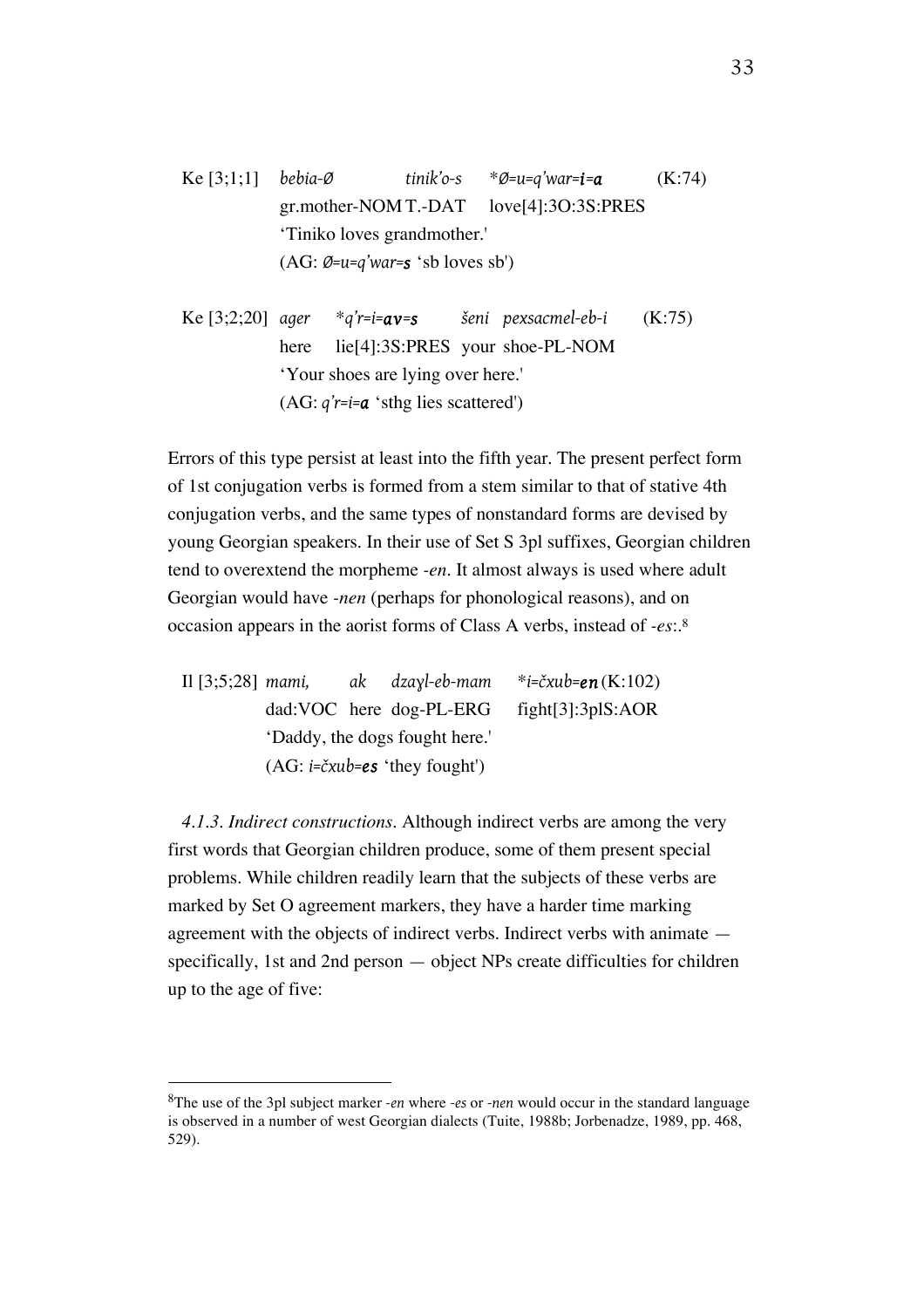Ke [3;1;1] *bebia-Ø tinik'o-s* \**Ø=u=q'war=i=a* (K:74) gr.mother-NOM T.-DAT love[4]:3O:3S:PRES 'Tiniko loves grandmother.' (AG: *Ø=u=q'war=s* 'sb loves sb')

Ke [3;2;20] *ager* \**q'r=i=av=s šeni pexsacmel-eb-i* (K:75) here lie<sup>[4]</sup>:3S:PRES your shoe-PL-NOM 'Your shoes are lying over here.' (AG: *q'r=i=a* 'sthg lies scattered')

Errors of this type persist at least into the fifth year. The present perfect form of 1st conjugation verbs is formed from a stem similar to that of stative 4th conjugation verbs, and the same types of nonstandard forms are devised by young Georgian speakers. In their use of Set S 3pl suffixes, Georgian children tend to overextend the morpheme *-en*. It almost always is used where adult Georgian would have *-nen* (perhaps for phonological reasons), and on occasion appears in the aorist forms of Class A verbs, instead of *-es*:.8

|                                |  |                                                  | Il [3:5:28] mami, ak dzayl-eb-mam *i=čxub=en $(K:102)$ |
|--------------------------------|--|--------------------------------------------------|--------------------------------------------------------|
|                                |  |                                                  | dad:VOC here dog-PL-ERG fight[3]:3plS:AOR              |
| 'Daddy, the dogs fought here.' |  |                                                  |                                                        |
|                                |  | $(AG: i=\check{c}xub=\mathsf{es} 'they fought')$ |                                                        |

*4.1.3. Indirect constructions.* Although indirect verbs are among the very first words that Georgian children produce, some of them present special problems. While children readily learn that the subjects of these verbs are marked by Set O agreement markers, they have a harder time marking agreement with the objects of indirect verbs. Indirect verbs with animate specifically, 1st and 2nd person — object NPs create difficulties for children up to the age of five:

<sup>8</sup>The use of the 3pl subject marker *-en* where *-es* or *-nen* would occur in the standard language is observed in a number of west Georgian dialects (Tuite, 1988b; Jorbenadze, 1989, pp. 468, 529).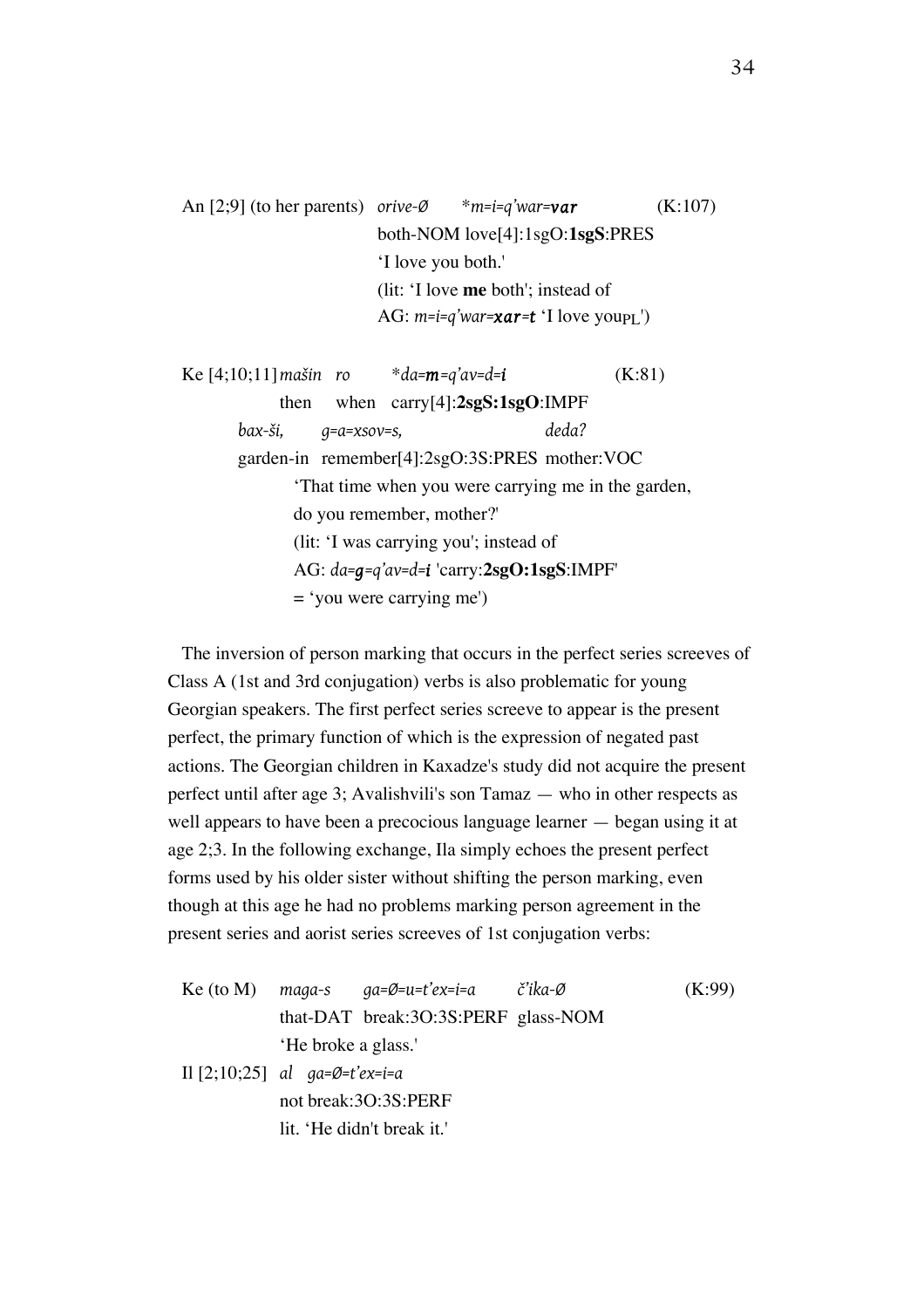An [2;9] (to her parents) *orive-Ø* \**m=i=q'war=var* (K:107) both-NOM love[4]:1sgO:**1sgS**:PRES 'I love you both.' (lit: 'I love **me** both'; instead of AG:  $m=i=q'war=x**ar=t**$  'I love youp<sub>I</sub>')

Ke [4;10;11]*mašin ro* \**da=m=q'av=d=i* (K:81) then when carry[4]:**2sgS:1sgO**:IMPF *bax-ši, g=a=xsov=s, deda?* garden-in remember[4]:2sgO:3S:PRES mother:VOC 'That time when you were carrying me in the garden, do you remember, mother?' (lit: 'I was carrying you'; instead of AG: *da=g=q'av=d=i* 'carry:**2sgO:1sgS**:IMPF' = 'you were carrying me')

The inversion of person marking that occurs in the perfect series screeves of Class A (1st and 3rd conjugation) verbs is also problematic for young Georgian speakers. The first perfect series screeve to appear is the present perfect, the primary function of which is the expression of negated past actions. The Georgian children in Kaxadze's study did not acquire the present perfect until after age 3; Avalishvili's son Tamaz — who in other respects as well appears to have been a precocious language learner — began using it at age 2;3. In the following exchange, Ila simply echoes the present perfect forms used by his older sister without shifting the person marking, even though at this age he had no problems marking person agreement in the present series and aorist series screeves of 1st conjugation verbs:

Ke (to M) *maga-s ga=Ø=u=t'ex=i=a č'ika-Ø* (K:99) that-DAT break:3O:3S:PERF glass-NOM 'He broke a glass.'

Il [2;10;25] *al ga=Ø=t'ex=i=a* not break:3O:3S:PERF lit. 'He didn't break it.'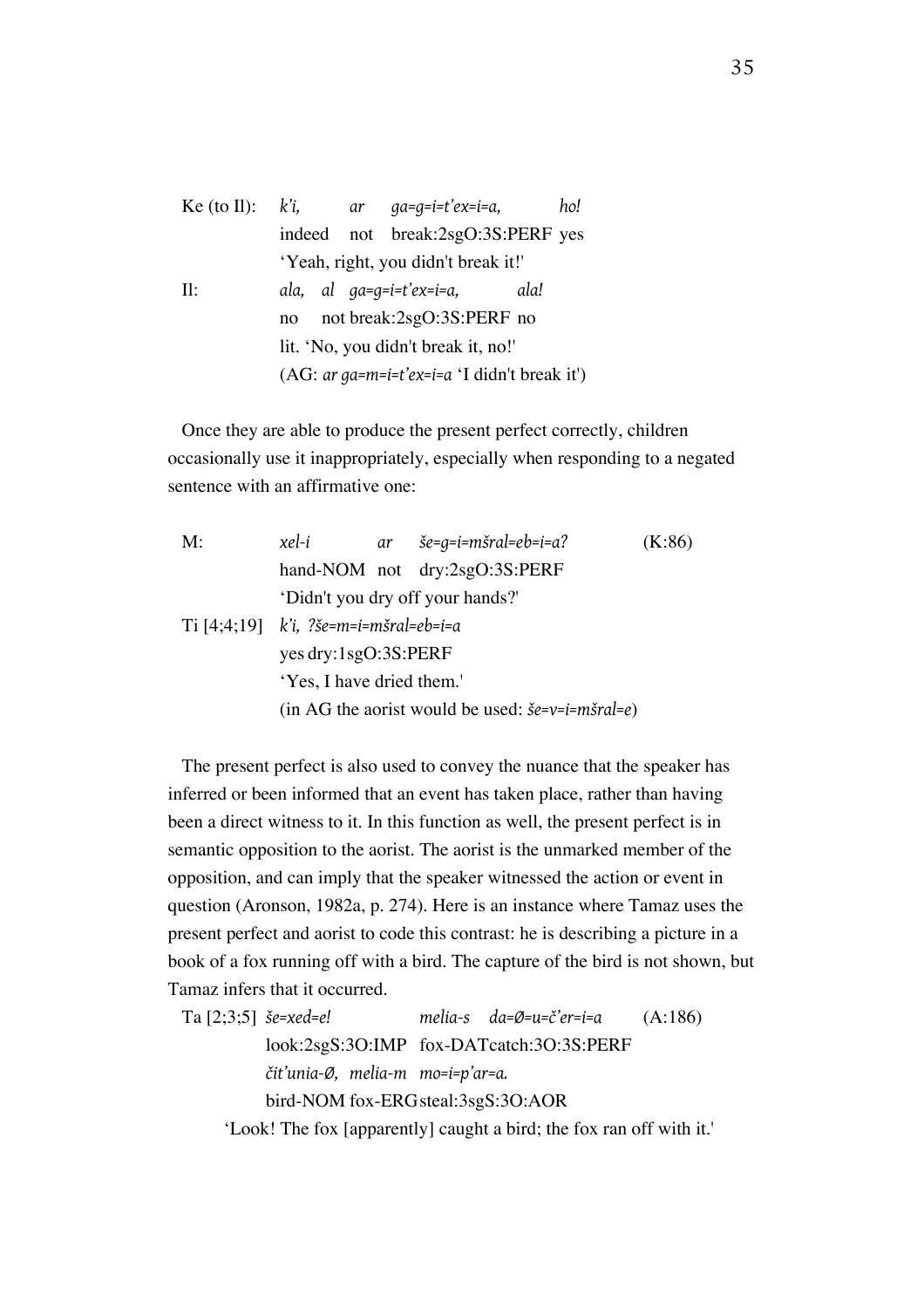| Ke (to II): $k'i$ , |                                                |  | ar qa=q=i=t'ex=i=a,        | ho!  |  |
|---------------------|------------------------------------------------|--|----------------------------|------|--|
|                     | indeed                                         |  | not break:2sgO:3S:PERF yes |      |  |
|                     | 'Yeah, right, you didn't break it!'            |  |                            |      |  |
| Il:                 |                                                |  | ala, al qa=q=i=t'ex=i=a,   | ala! |  |
|                     | not break:2sgO:3S:PERF no<br>no                |  |                            |      |  |
|                     | lit. 'No, you didn't break it, no!'            |  |                            |      |  |
|                     | $(AG: ar ga=m=i=t'ex=i=a 'I didn't break it')$ |  |                            |      |  |

Once they are able to produce the present perfect correctly, children occasionally use it inappropriately, especially when responding to a negated sentence with an affirmative one:

| M: | xel-i                                     |  | $ar \quad \text{se}=q=i=m\text{grad}=eb=i=a?$                                   | (K:86) |  |
|----|-------------------------------------------|--|---------------------------------------------------------------------------------|--------|--|
|    |                                           |  | hand-NOM not dry:2sgO:3S:PERF                                                   |        |  |
|    | 'Didn't you dry off your hands?'          |  |                                                                                 |        |  |
|    | $Ti [4;4;19]$ $ki$ , ?še=m=i=mšral=eb=i=a |  |                                                                                 |        |  |
|    | yes dry:1sgO:3S:PERF                      |  |                                                                                 |        |  |
|    | 'Yes, I have dried them.'                 |  |                                                                                 |        |  |
|    |                                           |  | (in AG the aorist would be used: $\check{\delta}e=v=i= m\check{s}r\alpha l=e$ ) |        |  |

The present perfect is also used to convey the nuance that the speaker has inferred or been informed that an event has taken place, rather than having been a direct witness to it. In this function as well, the present perfect is in semantic opposition to the aorist. The aorist is the unmarked member of the opposition, and can imply that the speaker witnessed the action or event in question (Aronson, 1982a, p. 274). Here is an instance where Tamaz uses the present perfect and aorist to code this contrast: he is describing a picture in a book of a fox running off with a bird. The capture of the bird is not shown, but Tamaz infers that it occurred.

| Ta $[2;3;5]$ <i>še=xed=e!</i> |                                                                      | melia-s da=Ø=u=č'er=i=a | (A:186) |
|-------------------------------|----------------------------------------------------------------------|-------------------------|---------|
|                               | look:2sgS:3O:IMP fox-DATcatch:3O:3S:PERF                             |                         |         |
|                               | čit'unia-Ø, melia-m mo=i=p'ar=a.                                     |                         |         |
|                               | bird-NOM fox-ERG steal:3sgS:3O:AOR                                   |                         |         |
|                               | 'Look! The fox [apparently] caught a bird; the fox ran off with it.' |                         |         |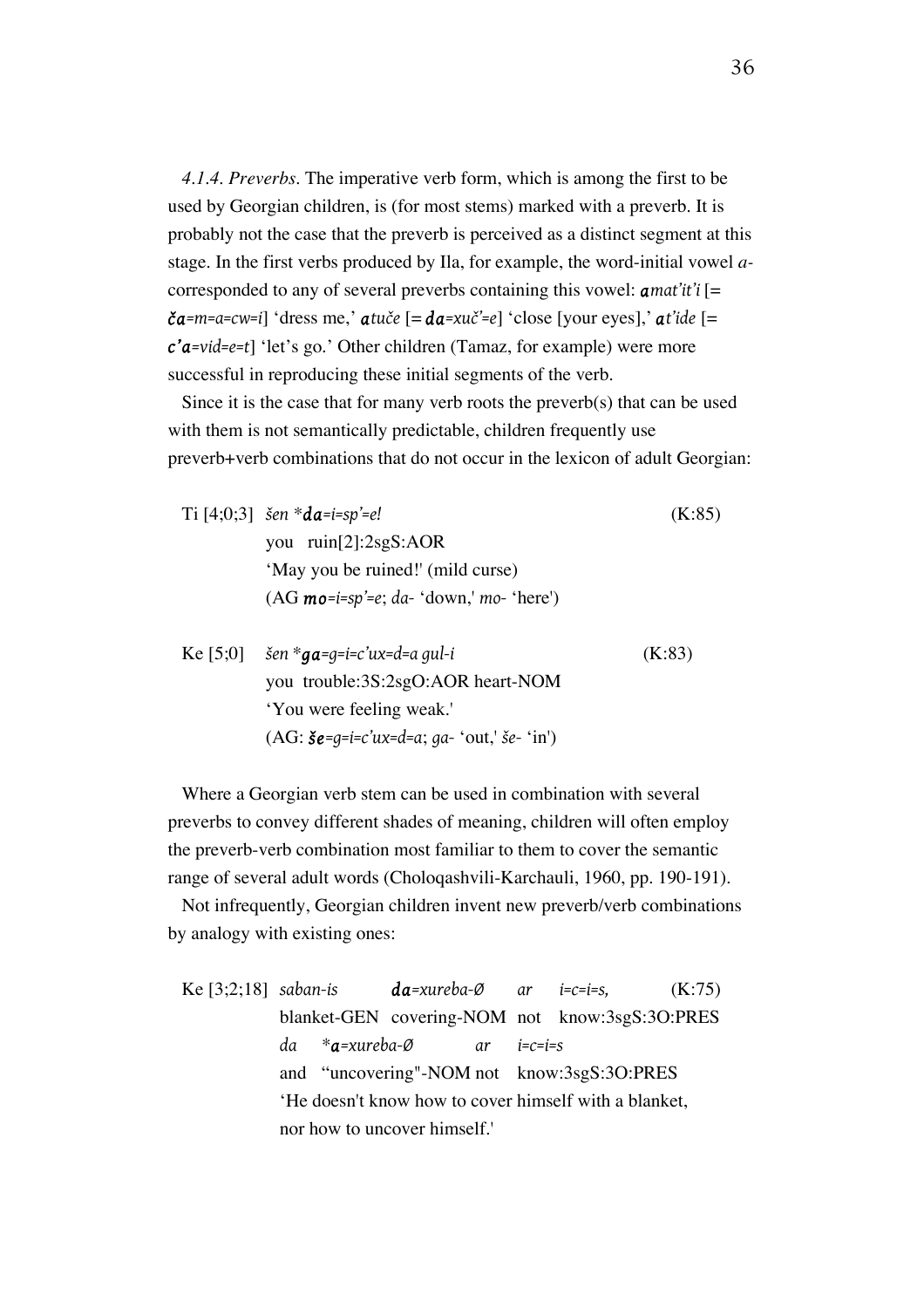*4.1.4. Preverbs.* The imperative verb form, which is among the first to be used by Georgian children, is (for most stems) marked with a preverb. It is probably not the case that the preverb is perceived as a distinct segment at this stage. In the first verbs produced by Ila, for example, the word-initial vowel *a*corresponded to any of several preverbs containing this vowel: *amat'it'i* [= *ča=m=a=cw=i*] 'dress me,' *atuče* [= *da=xuč'=e*] 'close [your eyes],' *at'ide* [= *c'a=vid=e=t*] 'let's go.' Other children (Tamaz, for example) were more successful in reproducing these initial segments of the verb.

Since it is the case that for many verb roots the preverb(s) that can be used with them is not semantically predictable, children frequently use preverb+verb combinations that do not occur in the lexicon of adult Georgian:

| Ti [4;0;3] $\check{\delta}$ en * <b>da</b> =i=sp'=e! |  |  |  |
|------------------------------------------------------|--|--|--|
| you $ruin[2]:2sgS:AOR$                               |  |  |  |
| 'May you be ruined!' (mild curse)                    |  |  |  |
| $(AG \text{ mo}=i=sp'=e; da - 'down,' mo - 'here')$  |  |  |  |
|                                                      |  |  |  |

Ke [5;0] *šen* \**ga=g=i=c'ux=d=a gul-i* (K:83) you trouble:3S:2sgO:AOR heart-NOM 'You were feeling weak.' (AG: *še=g=i=c'ux=d=a*; *ga-* 'out,' *še-* 'in')

Where a Georgian verb stem can be used in combination with several preverbs to convey different shades of meaning, children will often employ the preverb-verb combination most familiar to them to cover the semantic range of several adult words (Choloqashvili-Karchauli, 1960, pp. 190-191).

Not infrequently, Georgian children invent new preverb/verb combinations by analogy with existing ones:

Ke [3;2;18] *saban-is da=xureba-Ø ar i=c=i=s,* (K:75) blanket-GEN covering-NOM not know:3sgS:3O:PRES *da* \**a=xureba-Ø ar i=c=i=s* and "uncovering"-NOM not know:3sgS:3O:PRES 'He doesn't know how to cover himself with a blanket, nor how to uncover himself.'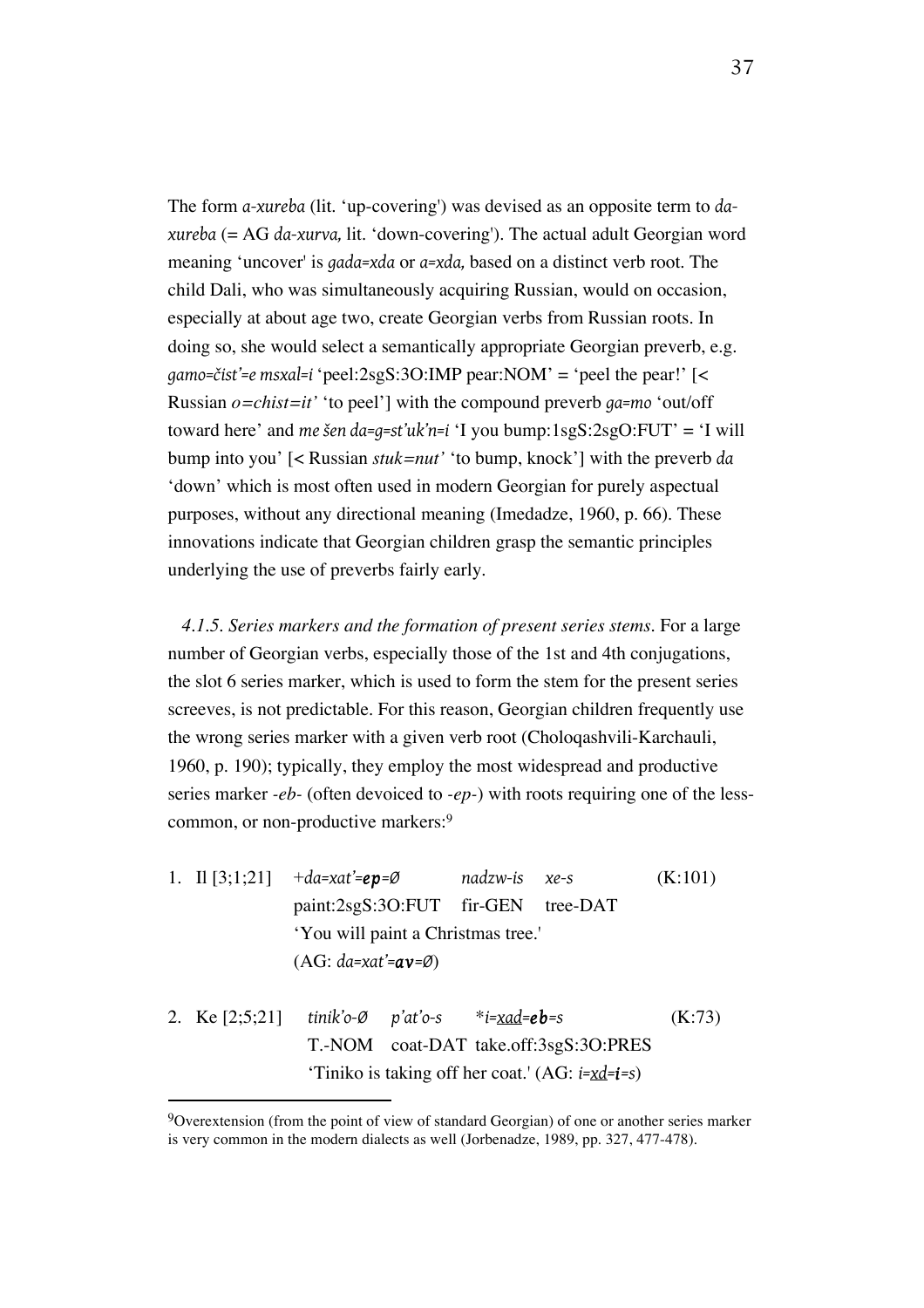The form *a-xureba* (lit. 'up-covering') was devised as an opposite term to *daxureba* (= AG *da-xurva,* lit. 'down-covering'). The actual adult Georgian word meaning 'uncover' is *gada=xda* or *a=xda,* based on a distinct verb root. The child Dali, who was simultaneously acquiring Russian, would on occasion, especially at about age two, create Georgian verbs from Russian roots. In doing so, she would select a semantically appropriate Georgian preverb, e.g. *gamo=čist'=e msxal=i* 'peel:2sgS:3O:IMP pear:NOM' = 'peel the pear!' [< Russian *o=chist=it'* 'to peel'] with the compound preverb *ga=mo* 'out/off toward here' and *me šen da=g=st'uk'n=i* 'I you bump:1sgS:2sgO:FUT' = 'I will bump into you' [< Russian *stuk=nut'* 'to bump, knock'] with the preverb *da* 'down' which is most often used in modern Georgian for purely aspectual purposes, without any directional meaning (Imedadze, 1960, p. 66). These innovations indicate that Georgian children grasp the semantic principles underlying the use of preverbs fairly early.

*4.1.5. Series markers and the formation of present series stems.* For a large number of Georgian verbs, especially those of the 1st and 4th conjugations, the slot 6 series marker, which is used to form the stem for the present series screeves, is not predictable. For this reason, Georgian children frequently use the wrong series marker with a given verb root (Choloqashvili-Karchauli, 1960, p. 190); typically, they employ the most widespread and productive series marker *-eb-* (often devoiced to *-ep-*) with roots requiring one of the lesscommon, or non-productive markers:9

- 1. Il [3;1;21] +*da=xat'=ep=Ø nadzw-is xe-s* (K:101) paint:2sgS:3O:FUT fir-GEN tree-DAT 'You will paint a Christmas tree.' (AG: *da=xat'=av=Ø*)
- 2. Ke [2;5;21] *tinik'o-Ø p'at'o-s* \**i=xad=eb=s* (K:73) T.-NOM coat-DAT take.off:3sgS:3O:PRES 'Tiniko is taking off her coat.' (AG: *i=xd=i=s*)

<sup>9</sup>Overextension (from the point of view of standard Georgian) of one or another series marker is very common in the modern dialects as well (Jorbenadze, 1989, pp. 327, 477-478).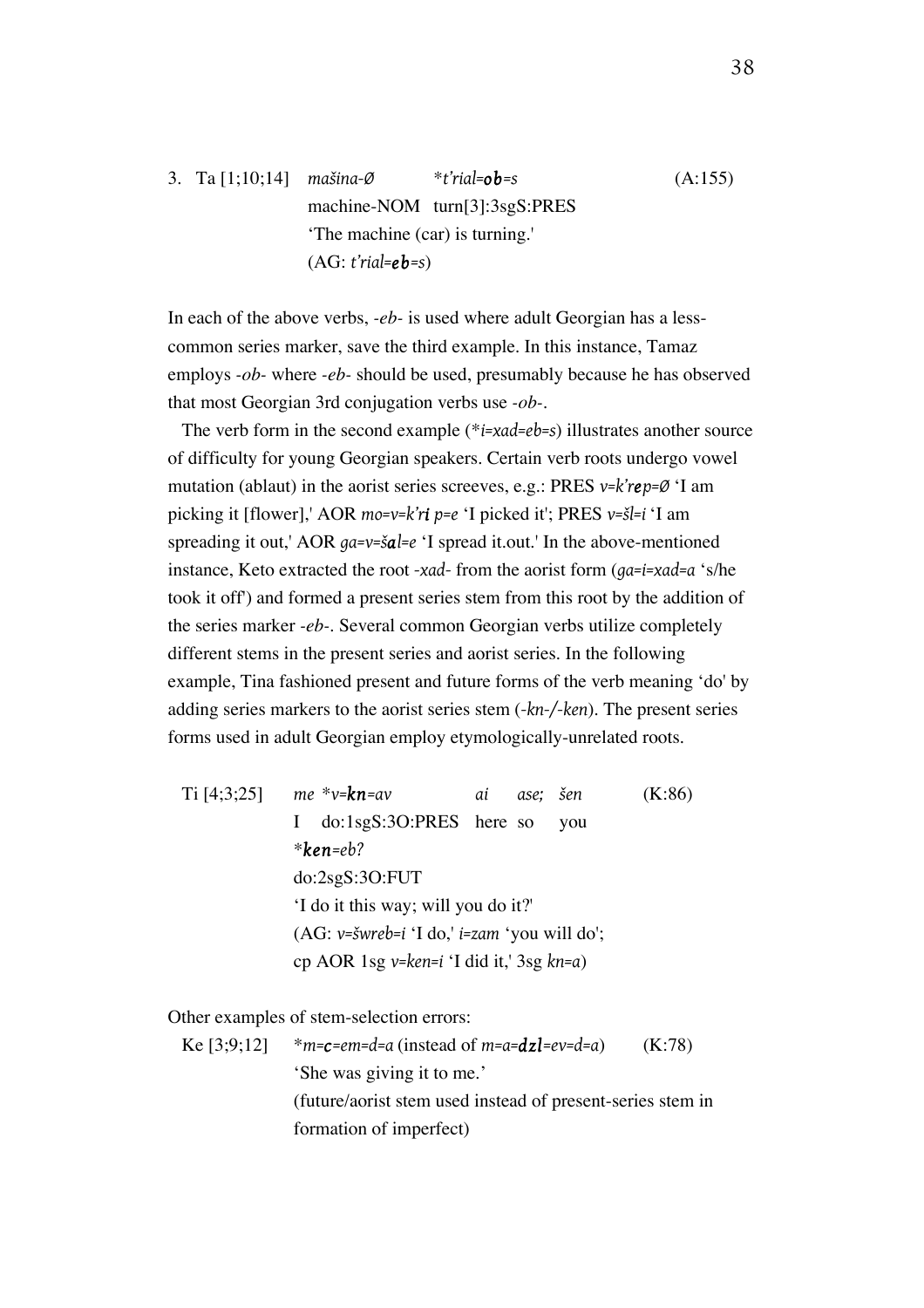# 3. Ta [1;10;14] *mašina-Ø* \**t'rial=ob=s* (A:155) machine-NOM turn[3]:3sgS:PRES 'The machine (car) is turning.' (AG: *t'rial=eb=s*)

In each of the above verbs, *-eb-* is used where adult Georgian has a lesscommon series marker, save the third example. In this instance, Tamaz employs *-ob-* where *-eb-* should be used, presumably because he has observed that most Georgian 3rd conjugation verbs use *-ob-*.

The verb form in the second example (\**i=xad=eb=s*) illustrates another source of difficulty for young Georgian speakers. Certain verb roots undergo vowel mutation (ablaut) in the aorist series screeves, e.g.: PRES *v=k'rep=Ø* 'I am picking it [flower],' AOR *mo=v=k'ri p=e* 'I picked it'; PRES *v=šl=i* 'I am spreading it out,' AOR *ga=v=šal=e* 'I spread it.out.' In the above-mentioned instance, Keto extracted the root *-xad-* from the aorist form (*ga=i=xad=a* 's/he took it off') and formed a present series stem from this root by the addition of the series marker *-eb-*. Several common Georgian verbs utilize completely different stems in the present series and aorist series. In the following example, Tina fashioned present and future forms of the verb meaning 'do' by adding series markers to the aorist series stem (*-kn-/-ken*). The present series forms used in adult Georgian employ etymologically-unrelated roots.

Ti [4;3;25] *me* \**v=kn=av ai ase; šen* (K:86) I do:1sgS:3O:PRES here so you \**ken=eb?* do:2sgS:3O:FUT 'I do it this way; will you do it?' (AG: *v=šwreb=i* 'I do,' *i=zam* 'you will do'; cp AOR 1sg *v=ken=i* 'I did it,' 3sg *kn=a*)

Other examples of stem-selection errors:

Ke [3;9;12] 
$$
*m = c = em = d = a
$$
 (instead of  $m = a = d$ z1 = e $v = d = a$ ) (K:78)  $`$  She was giving it to me.

\n(future/ aorist stem used instead of present-series stem in formation of imperfect)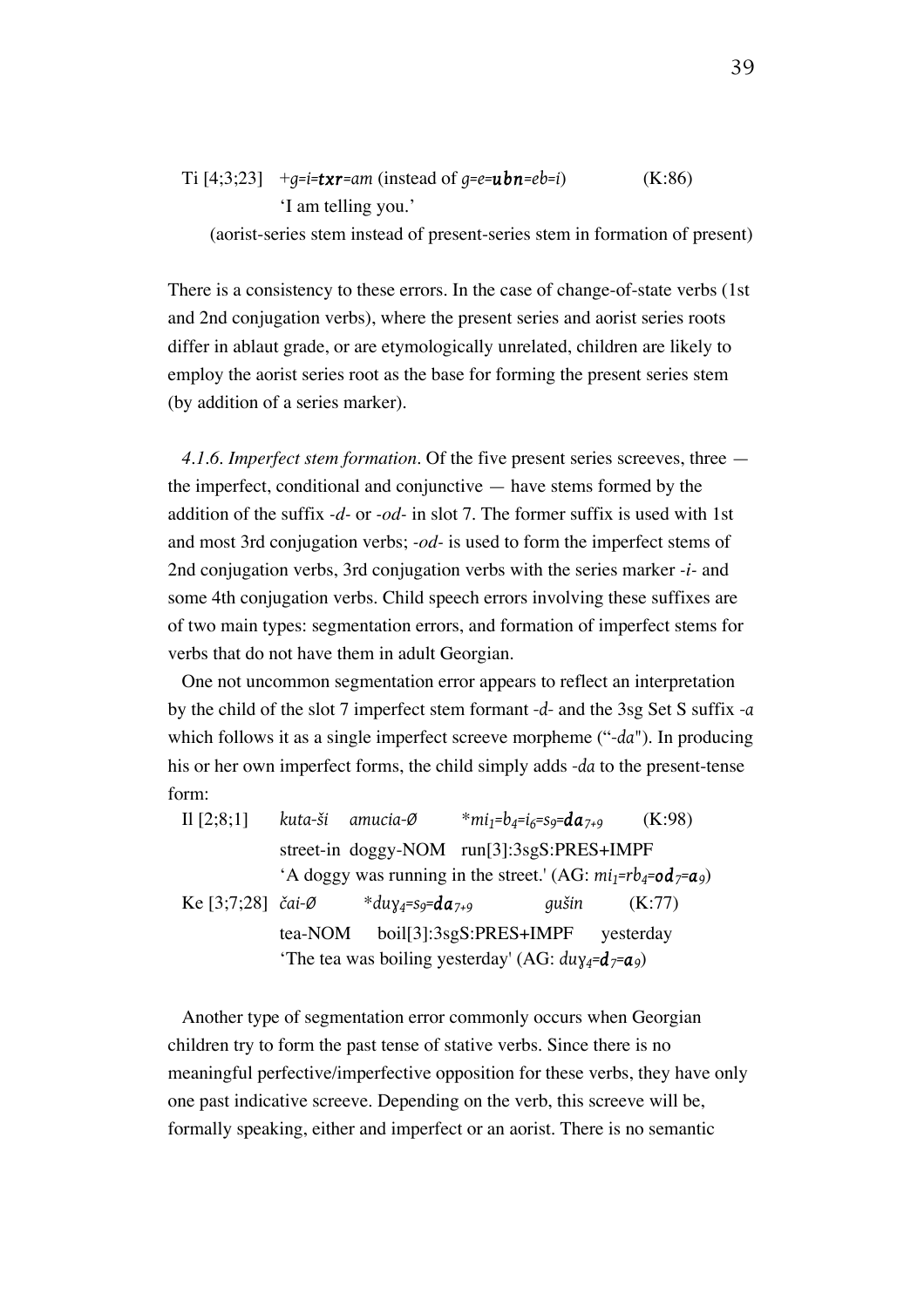Ti [4;3;23] 
$$
+g=i=\text{txr}=am
$$
 (instead of  $g=e=\text{ubn}=eb=i$ ) (K:86)  
'I am telling you.'

(aorist-series stem instead of present-series stem in formation of present)

There is a consistency to these errors. In the case of change-of-state verbs (1st and 2nd conjugation verbs), where the present series and aorist series roots differ in ablaut grade, or are etymologically unrelated, children are likely to employ the aorist series root as the base for forming the present series stem (by addition of a series marker).

*4.1.6. Imperfect stem formation.* Of the five present series screeves, three the imperfect, conditional and conjunctive — have stems formed by the addition of the suffix *-d-* or *-od-* in slot 7. The former suffix is used with 1st and most 3rd conjugation verbs; *-od-* is used to form the imperfect stems of 2nd conjugation verbs, 3rd conjugation verbs with the series marker *-i-* and some 4th conjugation verbs. Child speech errors involving these suffixes are of two main types: segmentation errors, and formation of imperfect stems for verbs that do not have them in adult Georgian.

One not uncommon segmentation error appears to reflect an interpretation by the child of the slot 7 imperfect stem formant *-d-* and the 3sg Set S suffix *-a* which follows it as a single imperfect screeve morpheme ("*-da*"). In producing his or her own imperfect forms, the child simply adds *-da* to the present-tense form:

| Il $[2;8;1]$             |         | kuta-ši amucia-Ø        | $*$ mi <sub>1</sub> =b <sub>4</sub> =i <sub>6</sub> =s <sub>9</sub> = <b>da</b> <sub>7+9</sub> | (K:98)    |
|--------------------------|---------|-------------------------|------------------------------------------------------------------------------------------------|-----------|
|                          |         |                         | street-in doggy-NOM run[3]:3sgS:PRES+IMPF                                                      |           |
|                          |         |                         | 'A doggy was running in the street.' (AG: $mi_1 = rb_4 = od_7 = a_9$ )                         |           |
| Ke [3;7;28] <i>čai-Ø</i> |         | *duy4=s9= <b>da</b> 7+9 | qušin                                                                                          | (K:77)    |
|                          | tea-NOM |                         | $boil[3]:3sgS:PRES+IMPF$                                                                       | yesterday |
|                          |         |                         | 'The tea was boiling yesterday' (AG: $du_{\chi_4} = d_7 = a_9$ )                               |           |

Another type of segmentation error commonly occurs when Georgian children try to form the past tense of stative verbs. Since there is no meaningful perfective/imperfective opposition for these verbs, they have only one past indicative screeve. Depending on the verb, this screeve will be, formally speaking, either and imperfect or an aorist. There is no semantic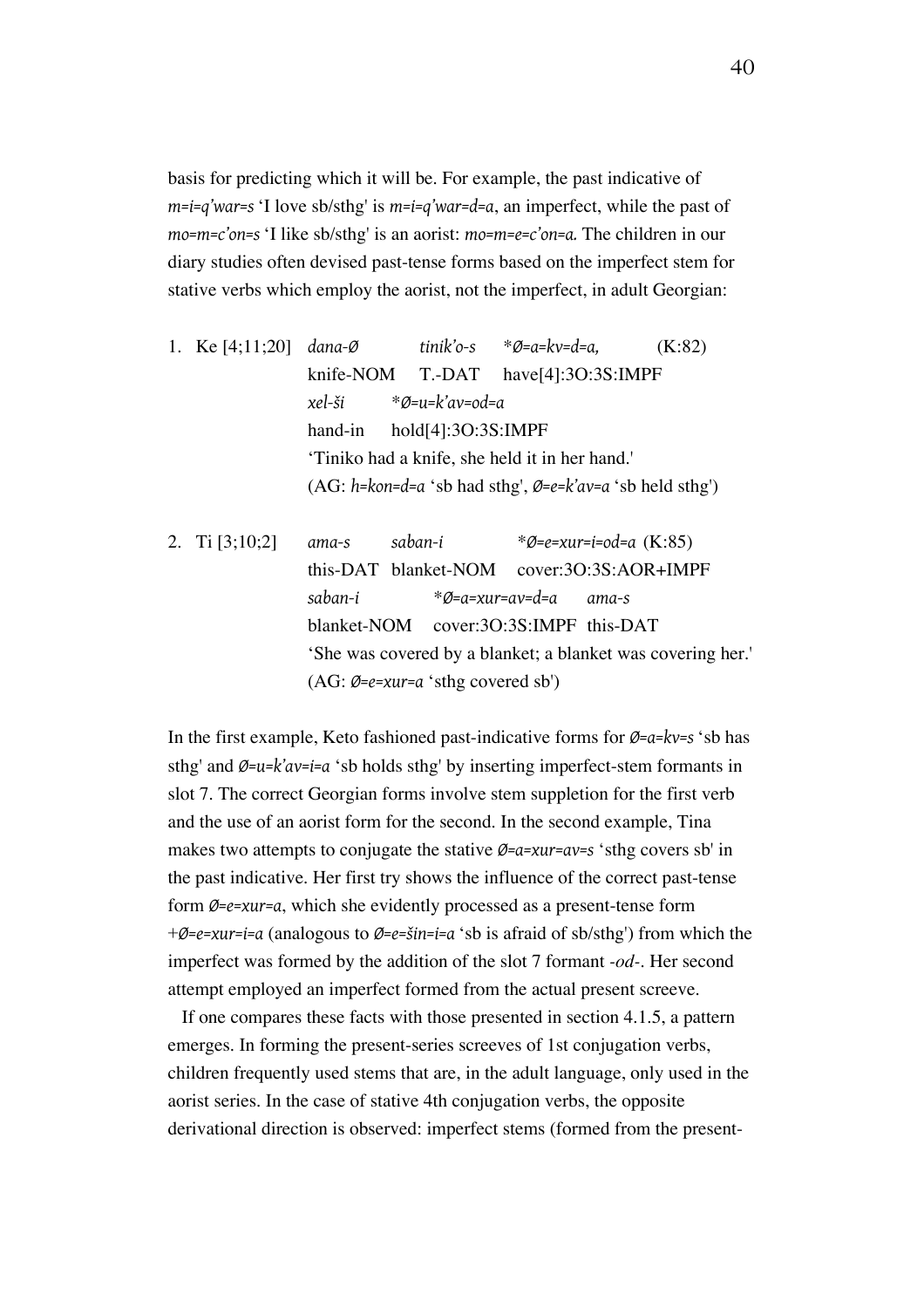basis for predicting which it will be. For example, the past indicative of *m=i=q'war=s* 'I love sb/sthg' is *m=i=q'war=d=a*, an imperfect, while the past of *mo=m=c'on=s* 'I like sb/sthg' is an aorist: *mo=m=e=c'on=a.* The children in our diary studies often devised past-tense forms based on the imperfect stem for stative verbs which employ the aorist, not the imperfect, in adult Georgian:

- 1. Ke [4;11;20] *dana-Ø tinik'o-s* \**Ø=a=kv=d=a,* (K:82) knife-NOM T.-DAT have[4]:3O:3S:IMPF *xel-ši* \**Ø=u=k'av=od=a* hand-in hold[4]:3O:3S:IMPF 'Tiniko had a knife, she held it in her hand.' (AG: *h=kon=d=a* 'sb had sthg', *Ø=e=k'av=a* 'sb held sthg')
- 2. Ti [3;10;2] *ama-s saban-i* \**Ø=e=xur=i=od=a* (K:85) this-DAT blanket-NOM cover:3O:3S:AOR+IMPF *saban-i* \**Ø=a=xur=av=d=a ama-s* blanket-NOM cover:3O:3S:IMPF this-DAT 'She was covered by a blanket; a blanket was covering her.' (AG: *Ø=e=xur=a* 'sthg covered sb')

In the first example, Keto fashioned past-indicative forms for *Ø=a=kv=s* 'sb has sthg' and *Ø=u=k'av=i=a* 'sb holds sthg' by inserting imperfect-stem formants in slot 7. The correct Georgian forms involve stem suppletion for the first verb and the use of an aorist form for the second. In the second example, Tina makes two attempts to conjugate the stative *Ø=a=xur=av=s* 'sthg covers sb' in the past indicative. Her first try shows the influence of the correct past-tense form *Ø=e=xur=a*, which she evidently processed as a present-tense form +*Ø=e=xur=i=a* (analogous to *Ø=e=šin=i=a* 'sb is afraid of sb/sthg') from which the imperfect was formed by the addition of the slot 7 formant *-od-*. Her second attempt employed an imperfect formed from the actual present screeve.

If one compares these facts with those presented in section 4.1.5, a pattern emerges. In forming the present-series screeves of 1st conjugation verbs, children frequently used stems that are, in the adult language, only used in the aorist series. In the case of stative 4th conjugation verbs, the opposite derivational direction is observed: imperfect stems (formed from the present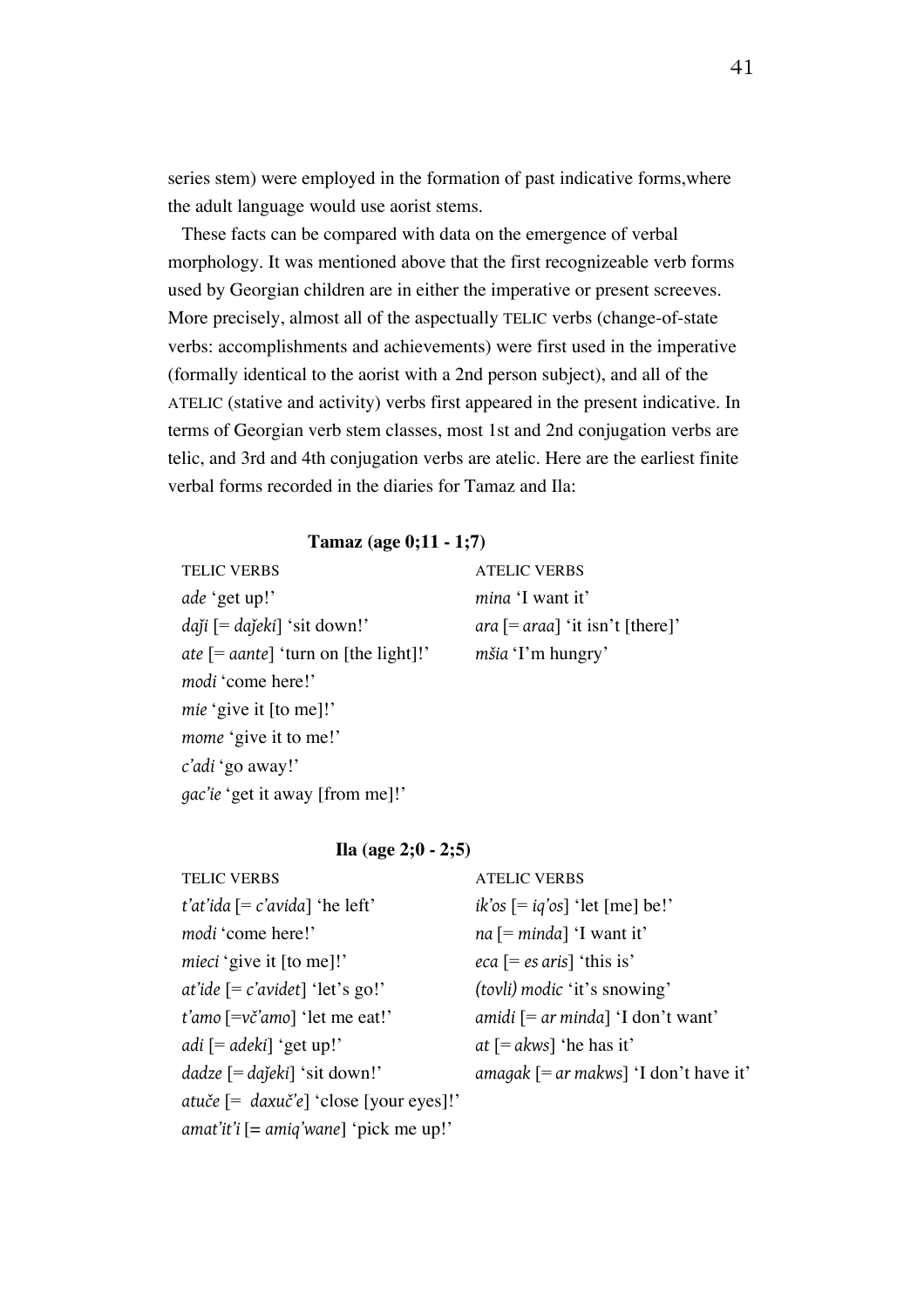series stem) were employed in the formation of past indicative forms,where the adult language would use aorist stems.

These facts can be compared with data on the emergence of verbal morphology. It was mentioned above that the first recognizeable verb forms used by Georgian children are in either the imperative or present screeves. More precisely, almost all of the aspectually TELIC verbs (change-of-state verbs: accomplishments and achievements) were first used in the imperative (formally identical to the aorist with a 2nd person subject), and all of the ATELIC (stative and activity) verbs first appeared in the present indicative. In terms of Georgian verb stem classes, most 1st and 2nd conjugation verbs are telic, and 3rd and 4th conjugation verbs are atelic. Here are the earliest finite verbal forms recorded in the diaries for Tamaz and Ila:

#### **Tamaz (age 0;11 - 1;7)**

TELIC VERBS ATELIC VERBS *ade* 'get up!' *mina* 'I want it' *daǰi* [= *daǰeki*] 'sit down!' *ara* [= *araa*] 'it isn't [there]' *ate* [= *aante*] 'turn on [the light]!' *mšia* 'I'm hungry' *modi* 'come here!' *mie* 'give it [to me]!' *mome* 'give it to me!' *c'adi* 'go away!' *gac'ie* 'get it away [from me]!'

### **Ila (age 2;0 - 2;5)**

| <b>TELIC VERBS</b>                                               | <b>ATELIC VERBS</b>                        |
|------------------------------------------------------------------|--------------------------------------------|
| <i>t'at'ida</i> $[= c'avida]$ 'he left'                          | $ik'os$ [= $iq'os$ ] 'let [me] be!'        |
| modi 'come here!'                                                | $na$ [= minda] 'I want it'                 |
| mieci 'give it [to me]!'                                         | $eca$ [= es aris] 'this is'                |
| at'ide $[= c' \text{avidet}]$ 'let's go!'                        | (tovli) modic 'it's snowing'               |
| $t'$ amo $\left[\equiv v\check{c}'$ amo $\right]$ ' let me eat!' | amidi $[= ar minda] 'I don't want'$        |
| $adi$ [= $adeki$ ] 'get up!'                                     | at $[= akws]$ 'he has it'                  |
| $dadze$ [= $dajeki$ ] 'sit down!'                                | amagak $[= ar \, makws]$ 'I don't have it' |
| atuče $[=$ daxuč'e] 'close [your eyes]!'                         |                                            |
| amat'it'i $[= amiq' wane]'$ 'pick me up!'                        |                                            |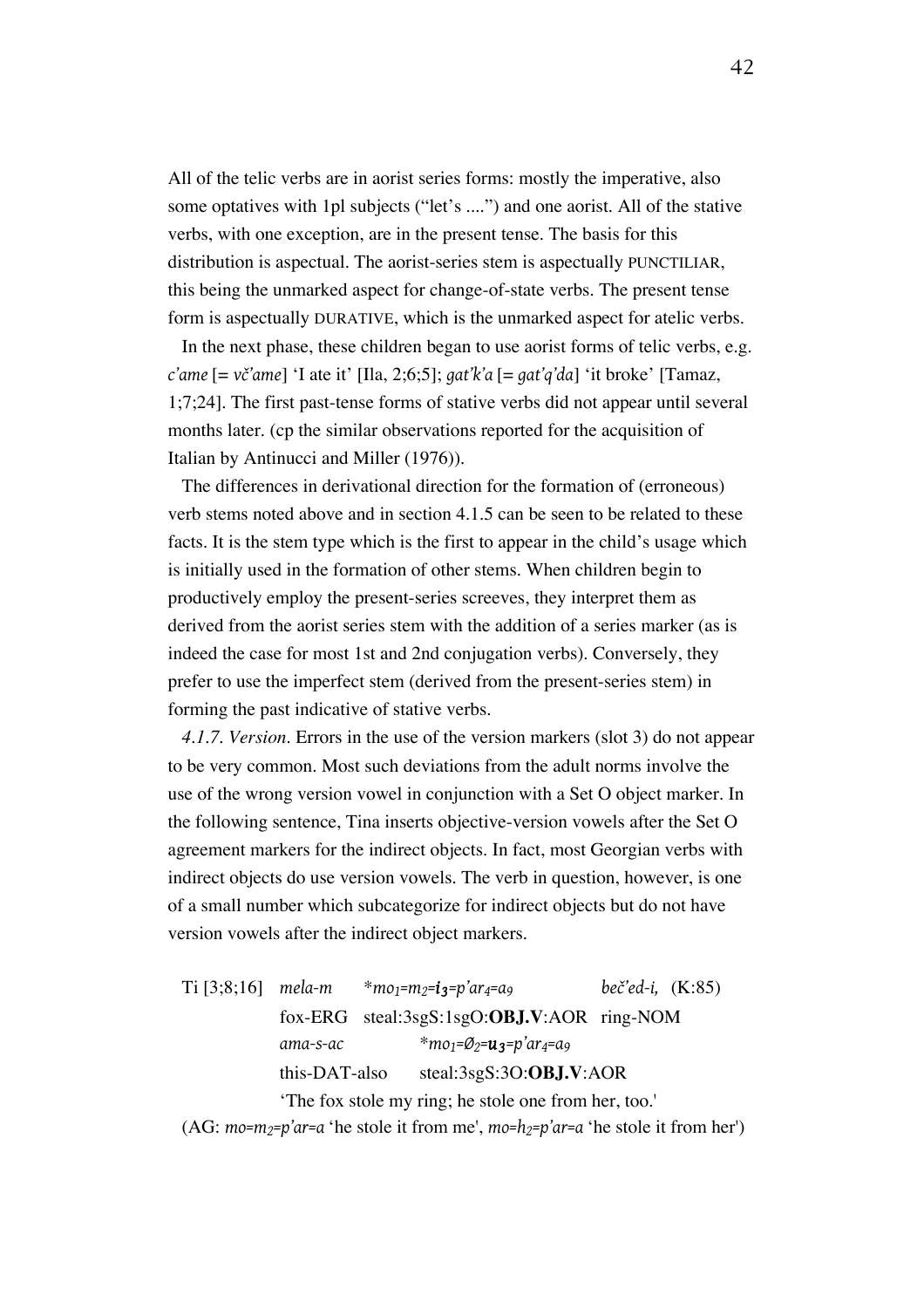All of the telic verbs are in aorist series forms: mostly the imperative, also some optatives with 1pl subjects ("let's ....") and one aorist. All of the stative verbs, with one exception, are in the present tense. The basis for this distribution is aspectual. The aorist-series stem is aspectually PUNCTILIAR, this being the unmarked aspect for change-of-state verbs. The present tense form is aspectually DURATIVE, which is the unmarked aspect for atelic verbs.

In the next phase, these children began to use aorist forms of telic verbs, e.g. *c'ame* [= *vč'ame*] 'I ate it' [Ila, 2;6;5]; *gat'k'a* [= *gat'q'da*] 'it broke' [Tamaz, 1;7;24]. The first past-tense forms of stative verbs did not appear until several months later. (cp the similar observations reported for the acquisition of Italian by Antinucci and Miller (1976)).

The differences in derivational direction for the formation of (erroneous) verb stems noted above and in section 4.1.5 can be seen to be related to these facts. It is the stem type which is the first to appear in the child's usage which is initially used in the formation of other stems. When children begin to productively employ the present-series screeves, they interpret them as derived from the aorist series stem with the addition of a series marker (as is indeed the case for most 1st and 2nd conjugation verbs). Conversely, they prefer to use the imperfect stem (derived from the present-series stem) in forming the past indicative of stative verbs.

*4.1.7. Version.* Errors in the use of the version markers (slot 3) do not appear to be very common. Most such deviations from the adult norms involve the use of the wrong version vowel in conjunction with a Set O object marker. In the following sentence, Tina inserts objective-version vowels after the Set O agreement markers for the indirect objects. In fact, most Georgian verbs with indirect objects do use version vowels. The verb in question, however, is one of a small number which subcategorize for indirect objects but do not have version vowels after the indirect object markers.

Ti [3;8;16] *mela-m* \**mo1=m2=i 3=p'ar4=a9 beč'ed-i,* (K:85) fox-ERG steal:3sgS:1sgO:**OBJ.V**:AOR ring-NOM *ama-s-ac* \**mo1=Ø2=u3=p'ar4=a9* this-DAT-also steal:3sgS:3O:**OBJ.V**:AOR 'The fox stole my ring; he stole one from her, too.'

(AG: *mo=m2=p'ar=a* 'he stole it from me', *mo=h2=p'ar=a* 'he stole it from her')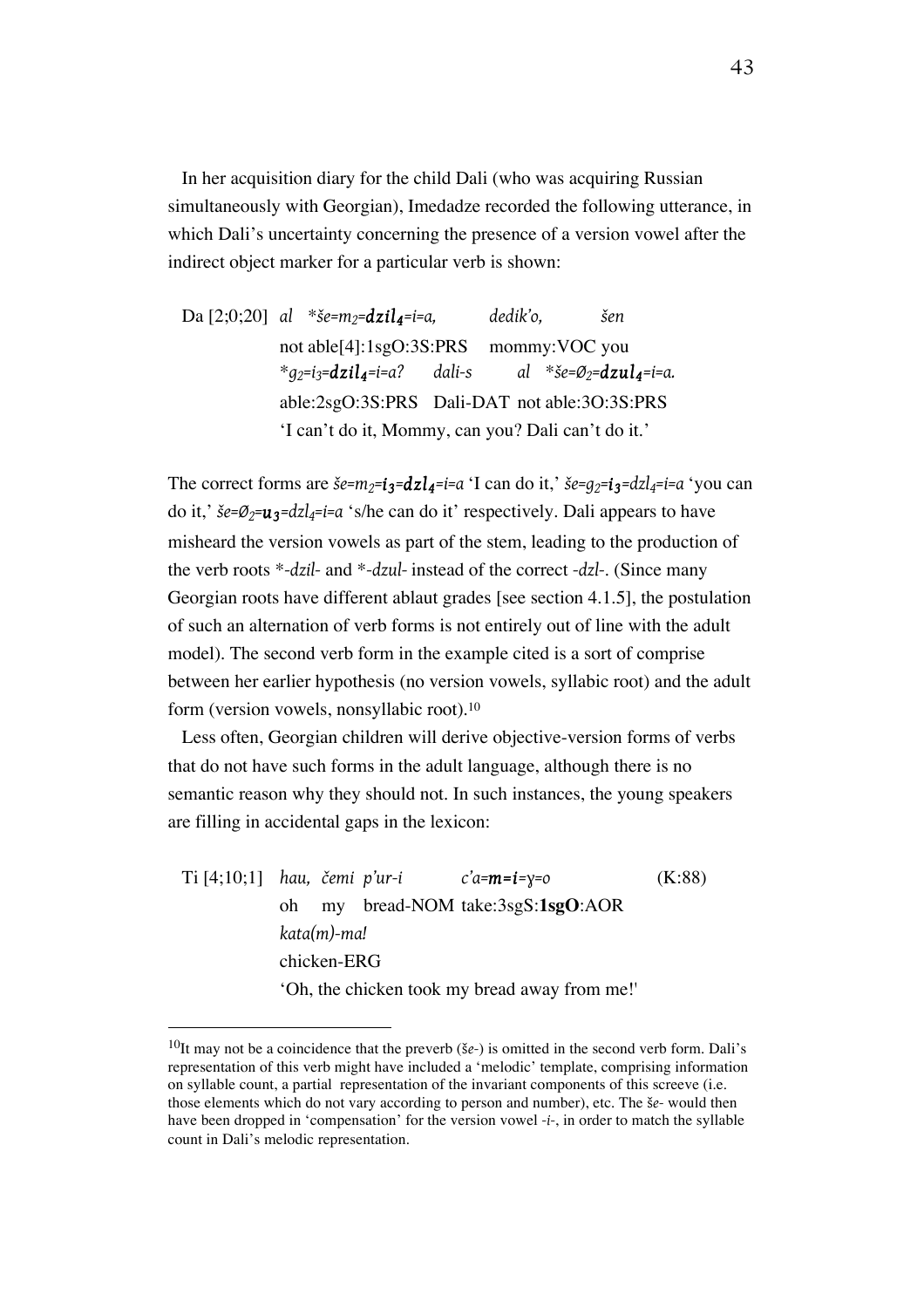In her acquisition diary for the child Dali (who was acquiring Russian simultaneously with Georgian), Imedadze recorded the following utterance, in which Dali's uncertainty concerning the presence of a version vowel after the indirect object marker for a particular verb is shown:

Da [2;0;20] *al* \**še=m2=dzil 4=i=a, dedik'o, šen* not able[4]:1sgO:3S:PRS mommy:VOC you \**g2=i3=dzil 4=i=a? dali-s al* \**še=Ø2=dzul 4=i=a.* able:2sgO:3S:PRS Dali-DAT not able:3O:3S:PRS 'I can't do it, Mommy, can you? Dali can't do it.'

The correct forms are  $\check{\sigma}e = m_2 = i_3 = dz \cdot d$  *z* $i = i$  can do it,'  $\check{\sigma}e = q_2 = i_3 = dz \cdot d$  *z* $i = i$   $\sigma$   $\check{\sigma}$   $\sigma$   $\sigma$ do it,' *še=Ø2=u3=dzl4=i=a* 's/he can do it' respectively. Dali appears to have misheard the version vowels as part of the stem, leading to the production of the verb roots \**-dzil-* and \**-dzul-* instead of the correct *-dzl-*. (Since many Georgian roots have different ablaut grades [see section 4.1.5], the postulation of such an alternation of verb forms is not entirely out of line with the adult model). The second verb form in the example cited is a sort of comprise between her earlier hypothesis (no version vowels, syllabic root) and the adult form (version vowels, nonsyllabic root).10

Less often, Georgian children will derive objective-version forms of verbs that do not have such forms in the adult language, although there is no semantic reason why they should not. In such instances, the young speakers are filling in accidental gaps in the lexicon:

Ti [4;10;1] *hau, čemi p'ur-i c'a=m=i=ɣ=o* (K:88) oh my bread-NOM take:3sgS:**1sgO**:AOR *kata(m)-ma!*  chicken-ERG 'Oh, the chicken took my bread away from me!'

<sup>10</sup>It may not be a coincidence that the preverb (š*e-*) is omitted in the second verb form. Dali's representation of this verb might have included a 'melodic' template, comprising information on syllable count, a partial representation of the invariant components of this screeve (i.e. those elements which do not vary according to person and number), etc. The š*e-* would then have been dropped in 'compensation' for the version vowel *-i-*, in order to match the syllable count in Dali's melodic representation.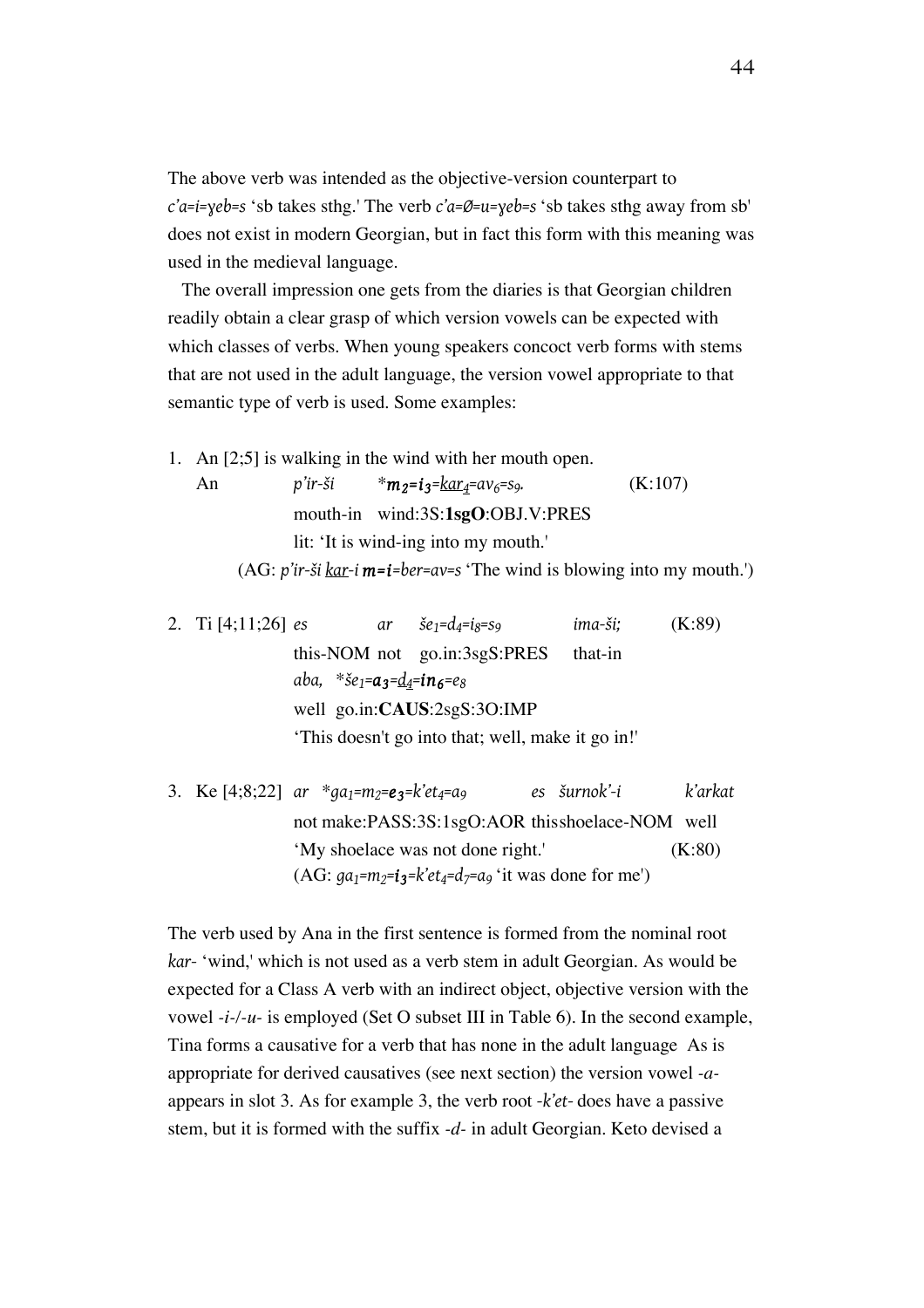The above verb was intended as the objective-version counterpart to *c'a=i=ɣeb=s* 'sb takes sthg.' The verb *c'a=Ø=u=ɣeb=s* 'sb takes sthg away from sb' does not exist in modern Georgian, but in fact this form with this meaning was used in the medieval language.

The overall impression one gets from the diaries is that Georgian children readily obtain a clear grasp of which version vowels can be expected with which classes of verbs. When young speakers concoct verb forms with stems that are not used in the adult language, the version vowel appropriate to that semantic type of verb is used. Some examples:

1. An [2;5] is walking in the wind with her mouth open. An *p'ir-ši* \* $m_2 = i_3 = k a r_4 = a v_6 = s_9.$  (K:107) mouth-in wind:3S:**1sgO**:OBJ.V:PRES

lit: 'It is wind-ing into my mouth.' (AG: *p'ir-ši kar-i m=i=ber=av=s* 'The wind is blowing into my mouth.')

2. Ti [4;11;26] *es ar*  $\check{\delta}e_1 = d_4 = i_8 = s_9$  *ima-* $\check{\delta}i$ ; (K:89) this-NOM not go.in:3sgS:PRES that-in *aba,* \**še1=a3=d4=in6=e8* well go.in:**CAUS**:2sgS:3O:IMP 'This doesn't go into that; well, make it go in!'

3. Ke [4;8;22] *ar* \**ga1=m2=e 3=k'et4=a9 es šurnok'-i k'arkat* not make:PASS:3S:1sgO:AOR thisshoelace-NOM well 'My shoelace was not done right.' (K:80) (AG:  $ga_1 = m_2 = i_3 = k'et_4 = d_7 = a_9$  'it was done for me')

The verb used by Ana in the first sentence is formed from the nominal root *kar-* 'wind,' which is not used as a verb stem in adult Georgian. As would be expected for a Class A verb with an indirect object, objective version with the vowel *-i-/-u-* is employed (Set O subset III in Table 6). In the second example, Tina forms a causative for a verb that has none in the adult language As is appropriate for derived causatives (see next section) the version vowel *-a*appears in slot 3. As for example 3, the verb root *-k'et-* does have a passive stem, but it is formed with the suffix *-d-* in adult Georgian. Keto devised a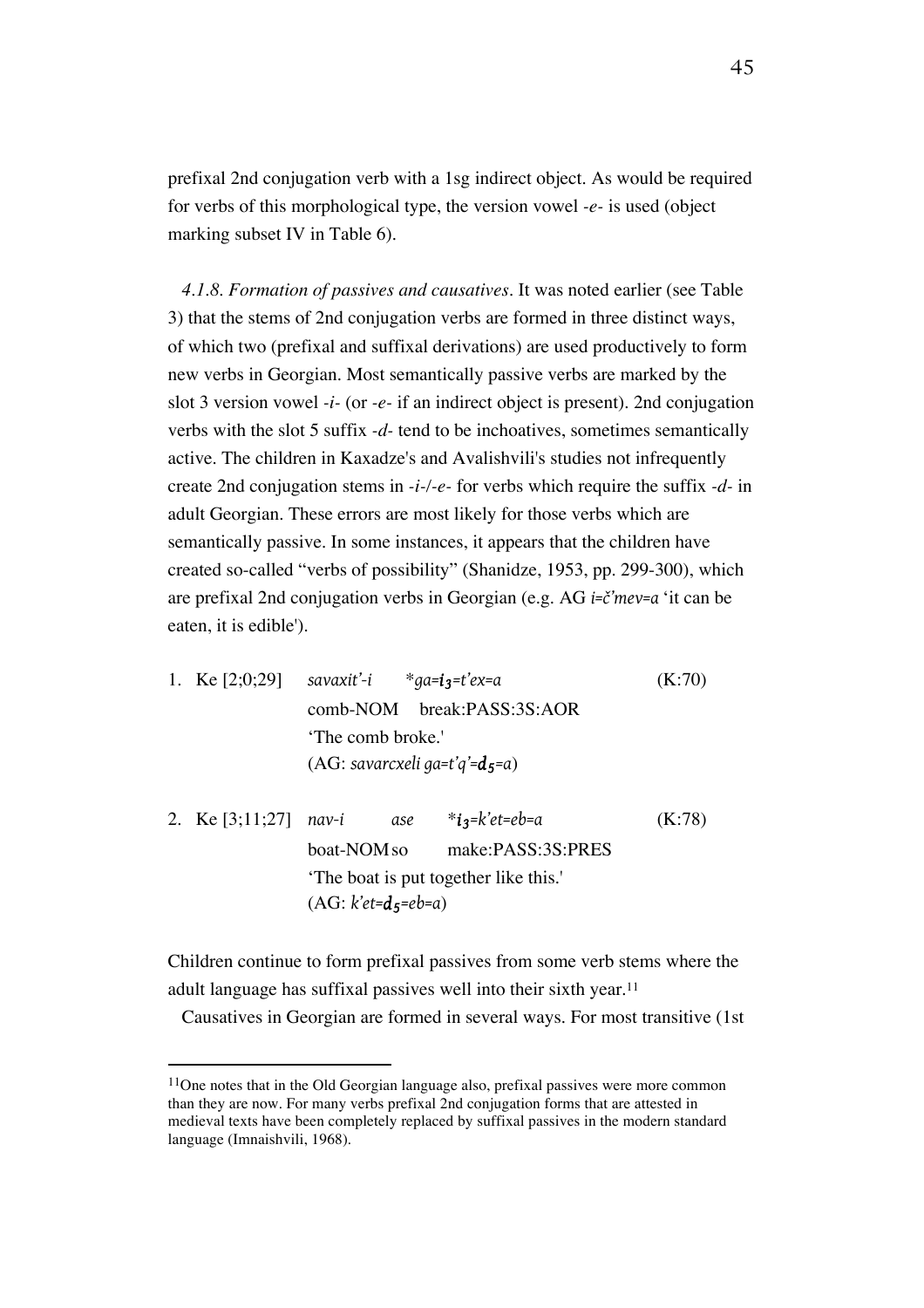prefixal 2nd conjugation verb with a 1sg indirect object. As would be required for verbs of this morphological type, the version vowel *-e-* is used (object marking subset IV in Table 6).

*4.1.8. Formation of passives and causatives.* It was noted earlier (see Table 3) that the stems of 2nd conjugation verbs are formed in three distinct ways, of which two (prefixal and suffixal derivations) are used productively to form new verbs in Georgian. Most semantically passive verbs are marked by the slot 3 version vowel *-i-* (or *-e-* if an indirect object is present). 2nd conjugation verbs with the slot 5 suffix *-d-* tend to be inchoatives, sometimes semantically active. The children in Kaxadze's and Avalishvili's studies not infrequently create 2nd conjugation stems in *-i-/-e-* for verbs which require the suffix *-d-* in adult Georgian. These errors are most likely for those verbs which are semantically passive. In some instances, it appears that the children have created so-called "verbs of possibility" (Shanidze, 1953, pp. 299-300), which are prefixal 2nd conjugation verbs in Georgian (e.g. AG *i=č'mev=a* 'it can be eaten, it is edible').

- 1. Ke [2;0;29] *savaxit'-i* \**ga=i 3=t'ex=a* (K:70) comb-NOM break:PASS:3S:AOR 'The comb broke.' (AG: *savarcxeli ga=t'q'=d5=a*)
- 2. Ke [3;11;27] *nav-i ase* \**i 3=k'et=eb=a* (K:78) boat-NOMso make:PASS:3S:PRES 'The boat is put together like this.' (AG: *k'et=d5=eb=a*)

Children continue to form prefixal passives from some verb stems where the adult language has suffixal passives well into their sixth year.<sup>11</sup>

Causatives in Georgian are formed in several ways. For most transitive (1st

 $11$ One notes that in the Old Georgian language also, prefixal passives were more common than they are now. For many verbs prefixal 2nd conjugation forms that are attested in medieval texts have been completely replaced by suffixal passives in the modern standard language (Imnaishvili, 1968).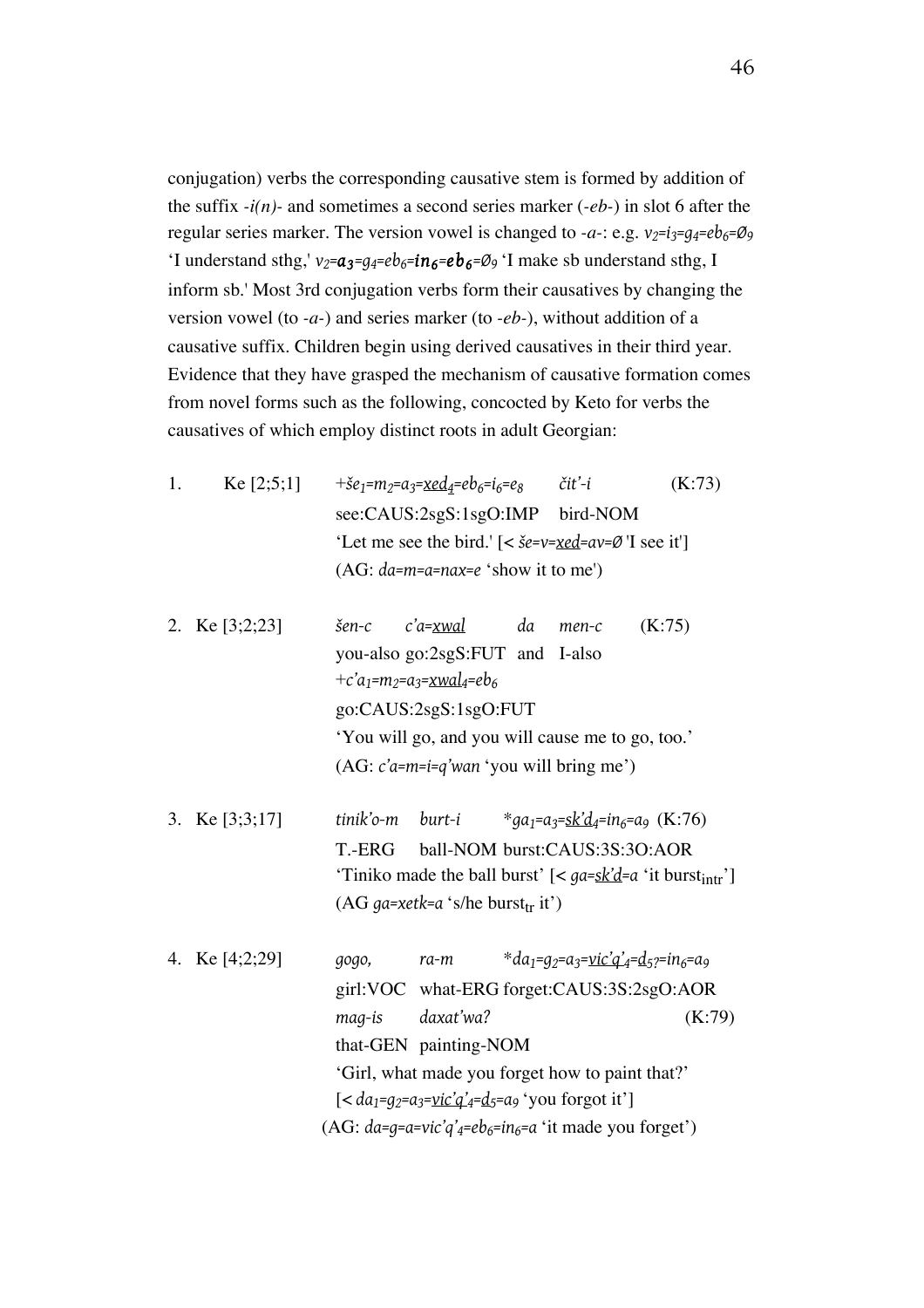conjugation) verbs the corresponding causative stem is formed by addition of the suffix *-i(n)-* and sometimes a second series marker (*-eb-*) in slot 6 after the regular series marker. The version vowel is changed to  $-a$ -: e.g.  $v_2=i_3=q_4=eb_6=Q_9$ 'I understand sthg,'  $v_2 = a_3 = g_4 = eb_6 = in_6 = eb_6 = \emptyset_9$  'I make sb understand sthg, I inform sb.' Most 3rd conjugation verbs form their causatives by changing the version vowel (to *-a-*) and series marker (to *-eb-*), without addition of a causative suffix. Children begin using derived causatives in their third year. Evidence that they have grasped the mechanism of causative formation comes from novel forms such as the following, concocted by Keto for verbs the causatives of which employ distinct roots in adult Georgian:

- 1. Ke [2;5;1]  $+{\check{\boldsymbol{\varepsilon}}}_1=m_2=a_3=\underline{\boldsymbol{\varepsilon}}_4=eb_6=i_6=e_8$  *č*it'-*i* (K:73) see:CAUS:2sgS:1sgO:IMP bird-NOM 'Let me see the bird.' [< *še=v=xed=av=Ø* 'I see it'] (AG: *da=m=a=nax=e* 'show it to me')
- 2. Ke [3;2;23] *šen-c c'a=xwal da men-c* (K:75) you-also go:2sgS:FUT and I-also  $+c'a_1 = m_2 = a_3 = xwal_4 = eb_6$ go:CAUS:2sgS:1sgO:FUT 'You will go, and you will cause me to go, too.' (AG: *c'a=m=i=q'wan* 'you will bring me')
- 3. Ke [3;3;17] *tinik'o-m burt-i* \**ga<sub>1</sub>=a<sub>3</sub>=sk'd<sub>4</sub>=in<sub>6</sub>=a<sub>9</sub> (K:76)* T.-ERG ball-NOM burst:CAUS:3S:3O:AOR 'Tiniko made the ball burst' [< *ga=sk'd=a* 'it burst<sub>intr</sub>'] (AG  $ga$ -xetk=a 's/he burst<sub>tr</sub> it')

| 4. Ke $[4;2;29]$ | gogo,  | ra-m                  | *da <sub>1</sub> =q <sub>2</sub> =a <sub>3</sub> = <u>vic'q'</u> 4=d <sub>5</sub> 2=in <sub>6</sub> =a <sub>9</sub> |        |
|------------------|--------|-----------------------|---------------------------------------------------------------------------------------------------------------------|--------|
|                  |        |                       | girl:VOC what-ERG forget:CAUS:3S:2sgO:AOR                                                                           |        |
|                  | maq-is | daxat'wa?             |                                                                                                                     | (K:79) |
|                  |        | that-GEN painting-NOM |                                                                                                                     |        |
|                  |        |                       | 'Girl, what made you forget how to paint that?'                                                                     |        |
|                  |        |                       | $\left[ < da_1 = a_2 = a_3 = \text{vic}'\right]_4 = d_5 = a_9$ 'you forgot it'                                      |        |
|                  |        |                       | (AG: $da=q=ae-vic'q'_{4}=eb_{6}=in_{6}=a'$ it made you forget')                                                     |        |
|                  |        |                       |                                                                                                                     |        |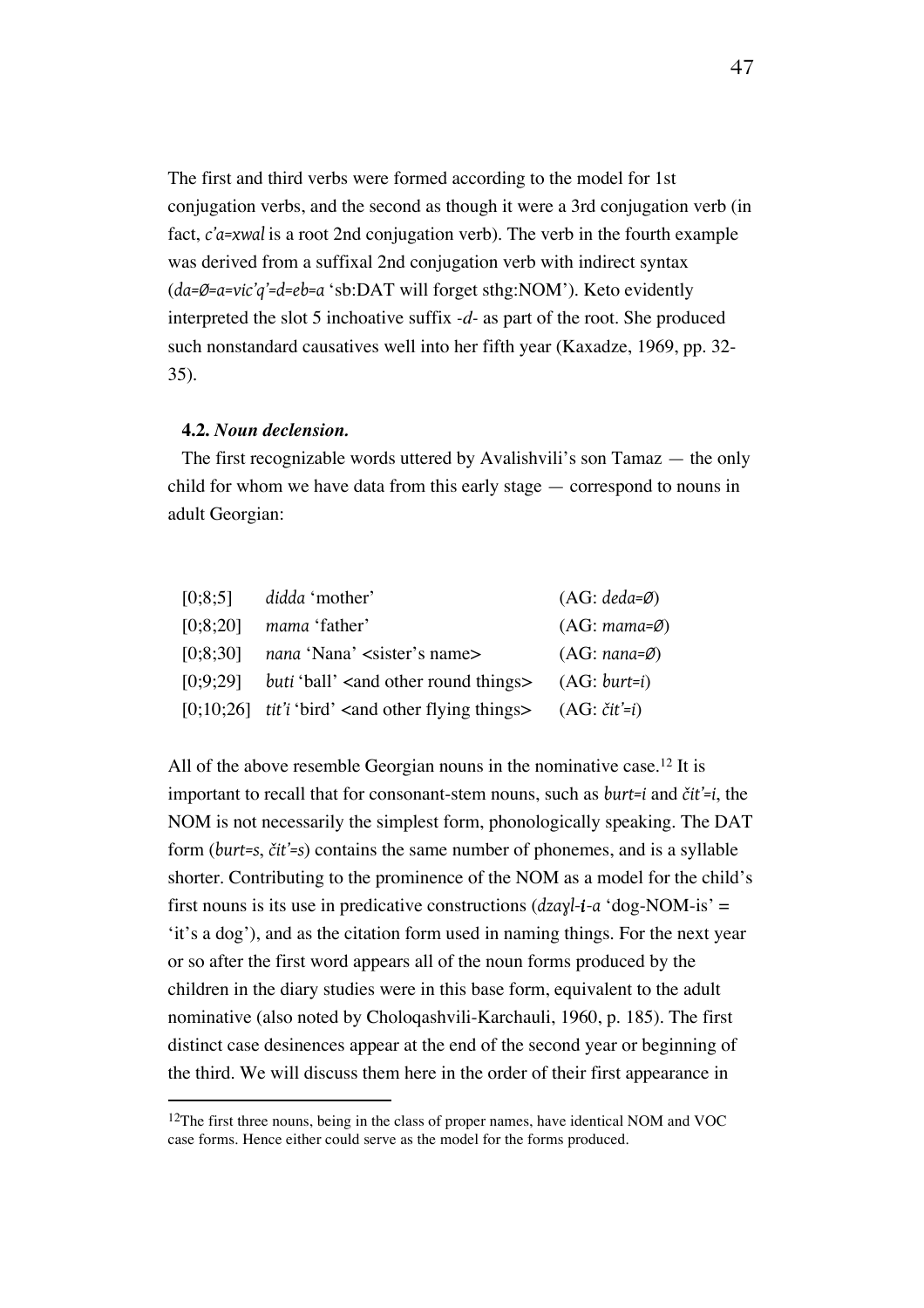The first and third verbs were formed according to the model for 1st conjugation verbs, and the second as though it were a 3rd conjugation verb (in fact, *c'a=xwal* is a root 2nd conjugation verb). The verb in the fourth example was derived from a suffixal 2nd conjugation verb with indirect syntax (*da=Ø=a=vic'q'=d=eb=a* 'sb:DAT will forget sthg:NOM'). Keto evidently interpreted the slot 5 inchoative suffix *-d-* as part of the root. She produced such nonstandard causatives well into her fifth year (Kaxadze, 1969, pp. 32- 35).

#### **4.2.** *Noun declension.*

 $\overline{a}$ 

The first recognizable words uttered by Avalishvili's son Tamaz — the only child for whom we have data from this early stage — correspond to nouns in adult Georgian:

|          | $[0.8.5]$ didda 'mother'                                                                          | $(AG: deada=\emptyset)$  |
|----------|---------------------------------------------------------------------------------------------------|--------------------------|
| [0:8:20] | mama 'father'                                                                                     | $(AG: mama=Ø)$           |
| [0.8:30] | nana 'Nana' <sister's name=""></sister's>                                                         | $(AG: nana = \emptyset)$ |
|          | $[0,9,29]$ buti 'ball' <and other="" round="" things=""> <math>(AG: \text{burt} = i)</math></and> |                          |
|          | [0;10;26] tit'i 'bird' <and flying="" other="" things=""> <math>(AG: čit'=i)</math></and>         |                          |

All of the above resemble Georgian nouns in the nominative case.<sup>12</sup> It is important to recall that for consonant-stem nouns, such as *burt=i* and *čit'=i*, the NOM is not necessarily the simplest form, phonologically speaking. The DAT form (*burt=s*, *čit'=s*) contains the same number of phonemes, and is a syllable shorter. Contributing to the prominence of the NOM as a model for the child's first nouns is its use in predicative constructions (*dzaɣl-i-a* 'dog-NOM-is' = 'it's a dog'), and as the citation form used in naming things. For the next year or so after the first word appears all of the noun forms produced by the children in the diary studies were in this base form, equivalent to the adult nominative (also noted by Choloqashvili-Karchauli, 1960, p. 185). The first distinct case desinences appear at the end of the second year or beginning of the third. We will discuss them here in the order of their first appearance in

<sup>&</sup>lt;sup>12</sup>The first three nouns, being in the class of proper names, have identical NOM and VOC case forms. Hence either could serve as the model for the forms produced.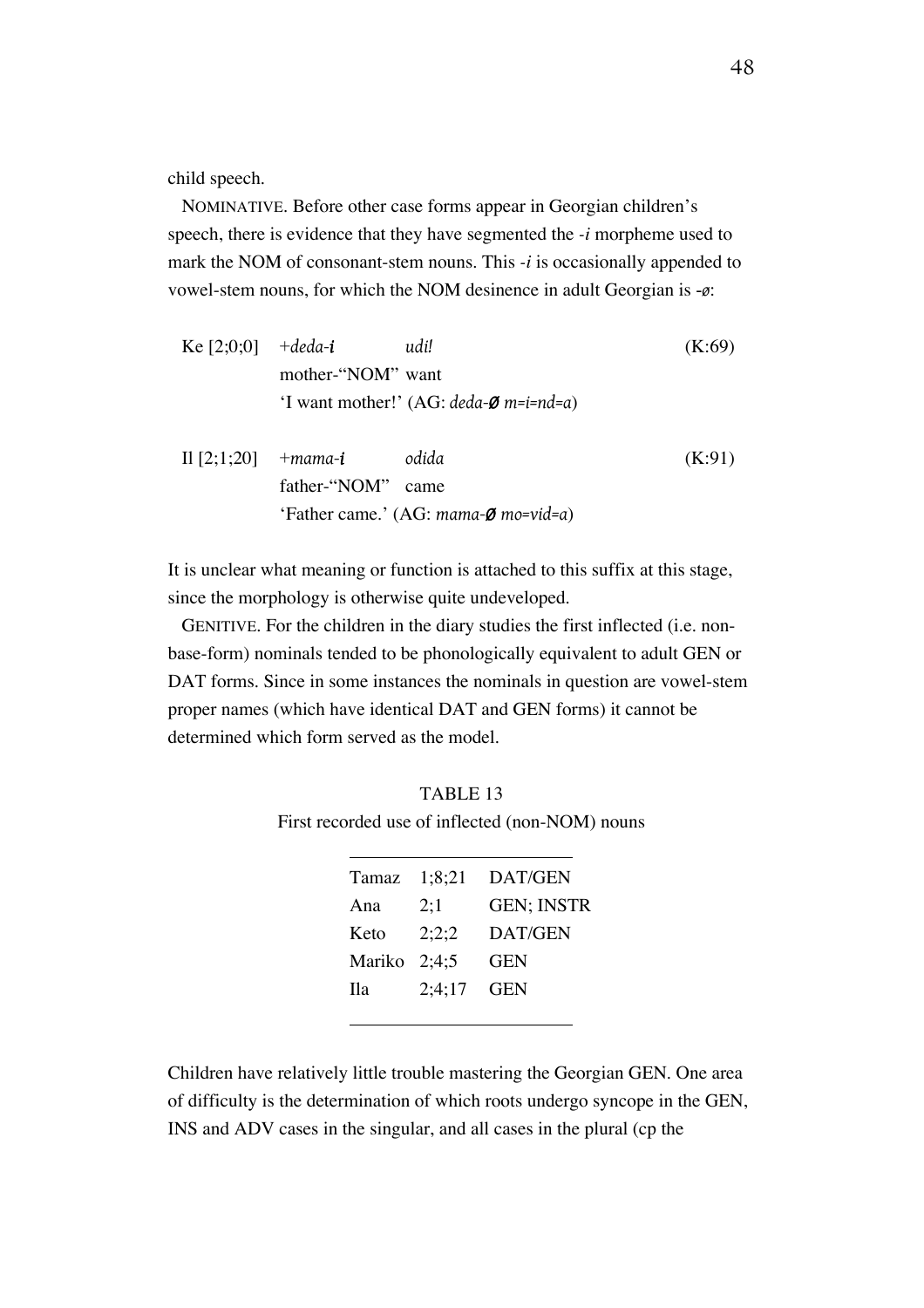child speech.

NOMINATIVE. Before other case forms appear in Georgian children's speech, there is evidence that they have segmented the *-i* morpheme used to mark the NOM of consonant-stem nouns. This *-i* is occasionally appended to vowel-stem nouns, for which the NOM desinence in adult Georgian is -*ø*:

| Ke $[2;0;0]$  | +deda- <b>i</b>   | udi!                                              | (K:69) |
|---------------|-------------------|---------------------------------------------------|--------|
|               | mother-"NOM" want |                                                   |        |
|               |                   | 'I want mother!' $(AG: deada-\emptyset m=i=nd=a)$ |        |
| Il $[2;1;20]$ | +mama- <b>i</b>   | odida                                             | (K:91) |
|               | father-"NOM"      | came                                              |        |
|               |                   | 'Father came.' (AG: mama- $\emptyset$ mo=vid=a)   |        |

It is unclear what meaning or function is attached to this suffix at this stage, since the morphology is otherwise quite undeveloped.

GENITIVE. For the children in the diary studies the first inflected (i.e. nonbase-form) nominals tended to be phonologically equivalent to adult GEN or DAT forms. Since in some instances the nominals in question are vowel-stem proper names (which have identical DAT and GEN forms) it cannot be determined which form served as the model.

TABLE 13 First recorded use of inflected (non-NOM) nouns

| Tamaz          | 1:8:21 | DAT/GEN           |
|----------------|--------|-------------------|
| Ana            | 2:1    | <b>GEN: INSTR</b> |
| Keto           | 2:2:2  | DAT/GEN           |
| Mariko $2:4:5$ |        | GEN               |
| <b>Ila</b>     | 2:4:17 | GEN               |
|                |        |                   |

Children have relatively little trouble mastering the Georgian GEN. One area of difficulty is the determination of which roots undergo syncope in the GEN, INS and ADV cases in the singular, and all cases in the plural (cp the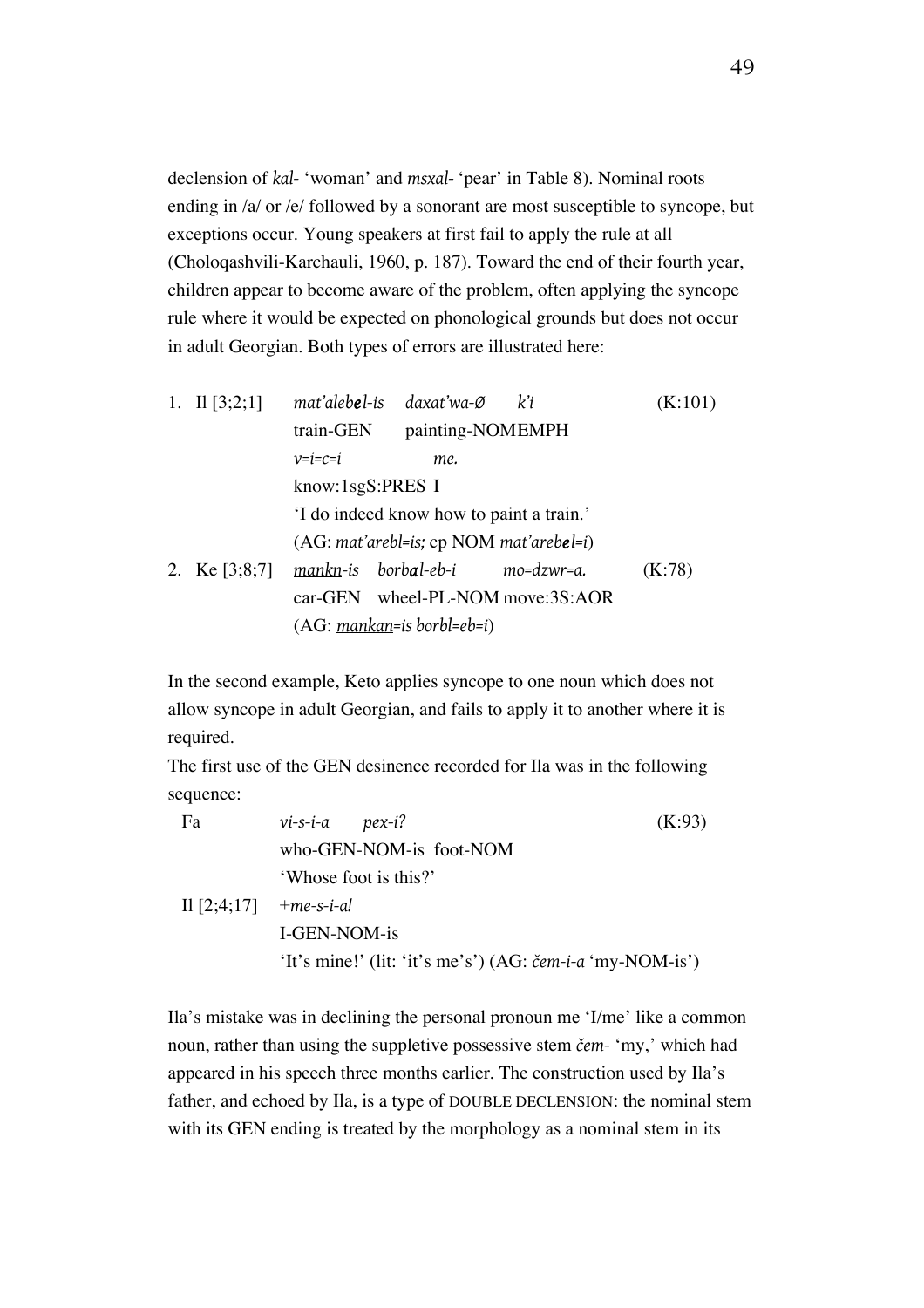declension of *kal-* 'woman' and *msxal-* 'pear' in Table 8). Nominal roots ending in /a/ or /e/ followed by a sonorant are most susceptible to syncope, but exceptions occur. Young speakers at first fail to apply the rule at all (Choloqashvili-Karchauli, 1960, p. 187). Toward the end of their fourth year, children appear to become aware of the problem, often applying the syncope rule where it would be expected on phonological grounds but does not occur in adult Georgian. Both types of errors are illustrated here:

| 1. II $[3;2;1]$ |                  | mat'aleb <b>e</b> l-is daxat'wa-Ø             | k'i                              | (K:101) |
|-----------------|------------------|-----------------------------------------------|----------------------------------|---------|
|                 | train-GEN        | painting-NOMEMPH                              |                                  |         |
|                 | $v=i=c=i$        | me.                                           |                                  |         |
|                 | know:1sgS:PRES I |                                               |                                  |         |
|                 |                  | I do indeed know how to paint a train.'       |                                  |         |
|                 |                  | $(AG: mat'arebl = is; cp NOM mat'arebel = i)$ |                                  |         |
| 2. Ke $[3;8;7]$ |                  | mankn-is borbal-eb-i mo=dzwr=a.               |                                  | (K:78)  |
|                 |                  |                                               | car-GEN wheel-PL-NOM move:3S:AOR |         |
|                 |                  | $(AG: mankan=is borbl=eb=i)$                  |                                  |         |
|                 |                  |                                               |                                  |         |

In the second example, Keto applies syncope to one noun which does not allow syncope in adult Georgian, and fails to apply it to another where it is required.

The first use of the GEN desinence recorded for Ila was in the following sequence:

| Fa                       | vi-s-i-a pex-i?                                                     | (K:93) |
|--------------------------|---------------------------------------------------------------------|--------|
|                          | who-GEN-NOM-is foot-NOM                                             |        |
|                          | 'Whose foot is this?'                                               |        |
| Il $[2;4;17]$ +me-s-i-a! |                                                                     |        |
|                          | I-GEN-NOM-is                                                        |        |
|                          | 'It's mine!' (lit: 'it's me's') $(AG: \check{cem-i-a}$ 'my-NOM-is') |        |

Ila's mistake was in declining the personal pronoun me 'I/me' like a common noun, rather than using the suppletive possessive stem *čem-* 'my,' which had appeared in his speech three months earlier. The construction used by Ila's father, and echoed by Ila, is a type of DOUBLE DECLENSION: the nominal stem with its GEN ending is treated by the morphology as a nominal stem in its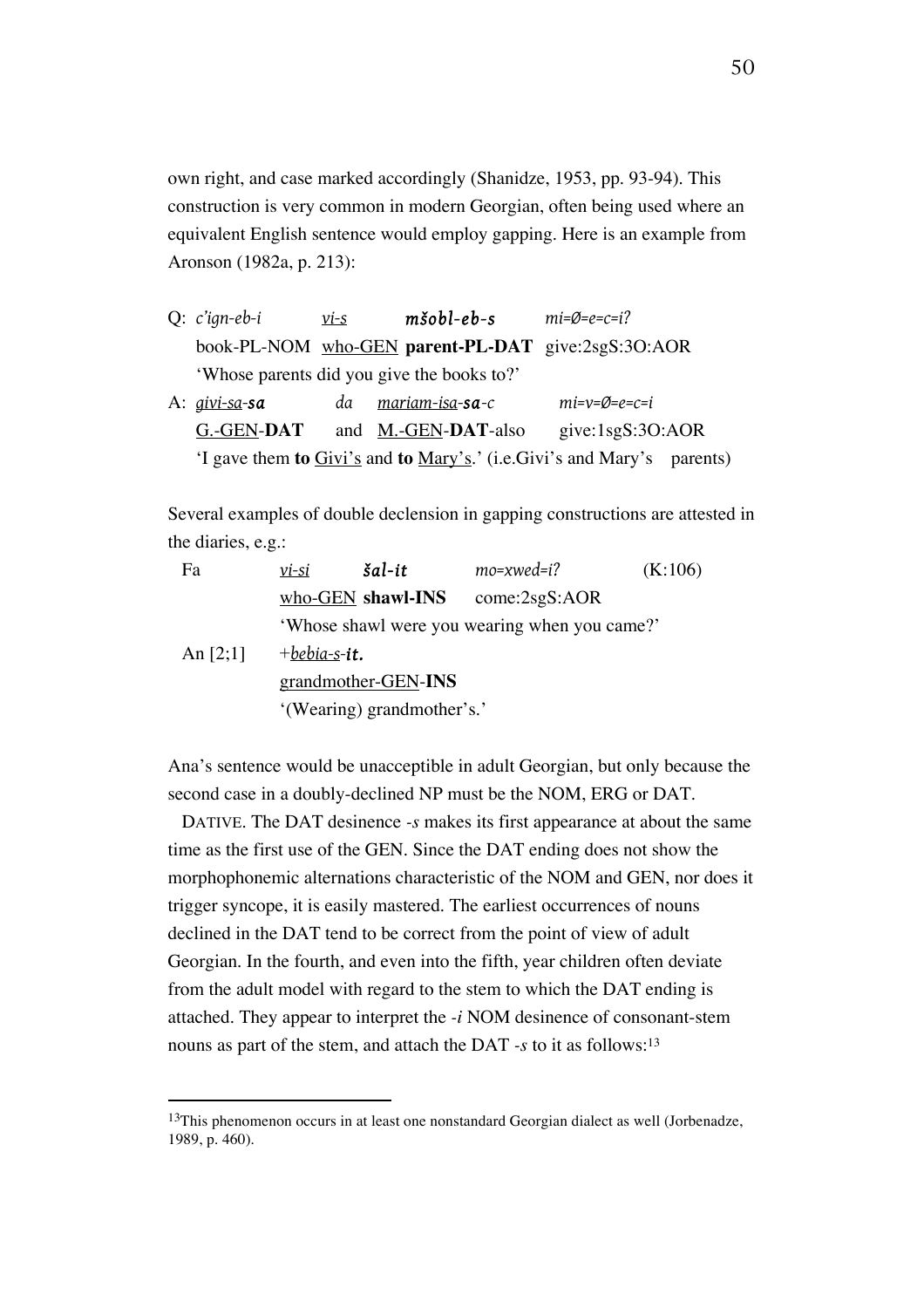own right, and case marked accordingly (Shanidze, 1953, pp. 93-94). This construction is very common in modern Georgian, often being used where an equivalent English sentence would employ gapping. Here is an example from Aronson (1982a, p. 213):

| $Q: c'ign-eb-i$  | $vi-s$ | $m\check{s}obl$ -e $b$ -s                          | $mi = \emptyset = e = c = i$ ?                                          |
|------------------|--------|----------------------------------------------------|-------------------------------------------------------------------------|
|                  |        | book-PL-NOM who-GEN parent-PL-DAT give:2sgS:3O:AOR |                                                                         |
|                  |        | 'Whose parents did you give the books to?'         |                                                                         |
| A: $qivi$ -sa-sa | da     | mariam-isa-sa-c                                    | $mi=v=\emptyset=e=c=i$                                                  |
| G.-GEN-DAT       |        | and M.-GEN-DAT-also                                | give: $1sgS:3O:AOR$                                                     |
|                  |        |                                                    | 'I gave them to Givi's and to Mary's.' (i.e. Givi's and Mary's parents) |

Several examples of double declension in gapping constructions are attested in the diaries, e.g.:

| Fa         | vi-si           | $\check{a}$ l-it                              | $mo$ =xwed=i? | (K:106) |  |  |
|------------|-----------------|-----------------------------------------------|---------------|---------|--|--|
|            |                 | who-GEN shawl-INS                             | come:2sgS:AOR |         |  |  |
|            |                 | 'Whose shawl were you wearing when you came?' |               |         |  |  |
| An $[2;1]$ | $+$ bebia-s-it. |                                               |               |         |  |  |
|            |                 | grandmother-GEN-INS                           |               |         |  |  |
|            |                 | '(Wearing) grandmother's.'                    |               |         |  |  |

Ana's sentence would be unacceptible in adult Georgian, but only because the second case in a doubly-declined NP must be the NOM, ERG or DAT.

DATIVE. The DAT desinence *-s* makes its first appearance at about the same time as the first use of the GEN. Since the DAT ending does not show the morphophonemic alternations characteristic of the NOM and GEN, nor does it trigger syncope, it is easily mastered. The earliest occurrences of nouns declined in the DAT tend to be correct from the point of view of adult Georgian. In the fourth, and even into the fifth, year children often deviate from the adult model with regard to the stem to which the DAT ending is attached. They appear to interpret the *-i* NOM desinence of consonant-stem nouns as part of the stem, and attach the DAT *-s* to it as follows:13

<sup>&</sup>lt;sup>13</sup>This phenomenon occurs in at least one nonstandard Georgian dialect as well (Jorbenadze, 1989, p. 460).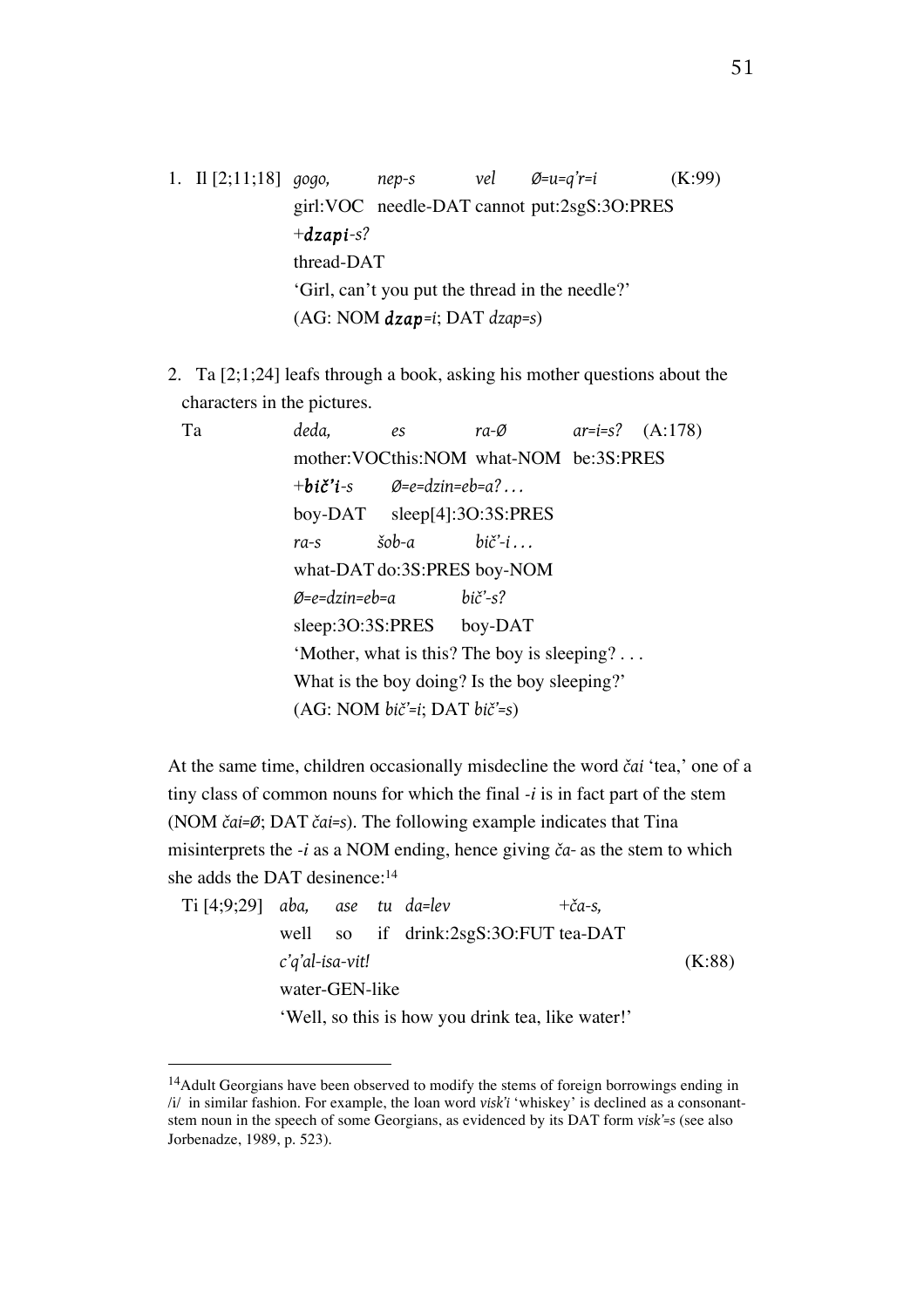1. Il [2;11;18] *gogo, nep-s vel Ø=u=q'r=i* (K:99) girl:VOC needle-DAT cannot put:2sgS:3O:PRES +*dzapi-s?* thread-DAT 'Girl, can't you put the thread in the needle?' (AG: NOM *dzap=i*; DAT *dzap=s*)

2. Ta [2;1;24] leafs through a book, asking his mother questions about the characters in the pictures.

| Ta | deda,                                           | $\mathscr{E}$           | ra- $\varnothing$ ar=i=s? (A:178)          |  |  |  |  |  |
|----|-------------------------------------------------|-------------------------|--------------------------------------------|--|--|--|--|--|
|    |                                                 |                         | mother: VOCthis: NOM what-NOM be: 3S: PRES |  |  |  |  |  |
|    | $+bi\check{c}'i$ -s $\varnothing$ =e=dzin=eb=a? |                         |                                            |  |  |  |  |  |
|    | boy-DAT $sleep[4]:3O:3S:PRES$                   |                         |                                            |  |  |  |  |  |
|    | $ra-s$                                          | $\check{s}$ ob-a bič'-i |                                            |  |  |  |  |  |
|    | what-DAT do:3S:PRES boy-NOM                     |                         |                                            |  |  |  |  |  |
|    | $\varnothing$ =e=dzin=eb=a bič'-s?              |                         |                                            |  |  |  |  |  |
|    | sleep:30:3S:PRES boy-DAT                        |                         |                                            |  |  |  |  |  |
|    | 'Mother, what is this? The boy is sleeping?     |                         |                                            |  |  |  |  |  |
|    | What is the boy doing? Is the boy sleeping?'    |                         |                                            |  |  |  |  |  |
|    | $(AG: NOM bič=i; DAT bič=s)$                    |                         |                                            |  |  |  |  |  |
|    |                                                 |                         |                                            |  |  |  |  |  |

At the same time, children occasionally misdecline the word *čai* 'tea,' one of a tiny class of common nouns for which the final *-i* is in fact part of the stem (NOM *čai=Ø*; DAT *čai=s*). The following example indicates that Tina misinterprets the *-i* as a NOM ending, hence giving *ča-* as the stem to which she adds the DAT desinence:14

| $Ti [4;9;29]$ aba, ase tu da=lev |                                                   |  |  |                                      | $+\check{c}a$ -s, |  |
|----------------------------------|---------------------------------------------------|--|--|--------------------------------------|-------------------|--|
|                                  |                                                   |  |  | well so if drink:2sgS:30:FUT tea-DAT |                   |  |
|                                  | $c'q'$ al-isa-vit!                                |  |  |                                      |                   |  |
|                                  | water-GEN-like                                    |  |  |                                      |                   |  |
|                                  | 'Well, so this is how you drink tea, like water!' |  |  |                                      |                   |  |

<sup>&</sup>lt;sup>14</sup>Adult Georgians have been observed to modify the stems of foreign borrowings ending in /i/ in similar fashion. For example, the loan word *visk'i* 'whiskey' is declined as a consonantstem noun in the speech of some Georgians, as evidenced by its DAT form *visk'=s* (see also Jorbenadze, 1989, p. 523).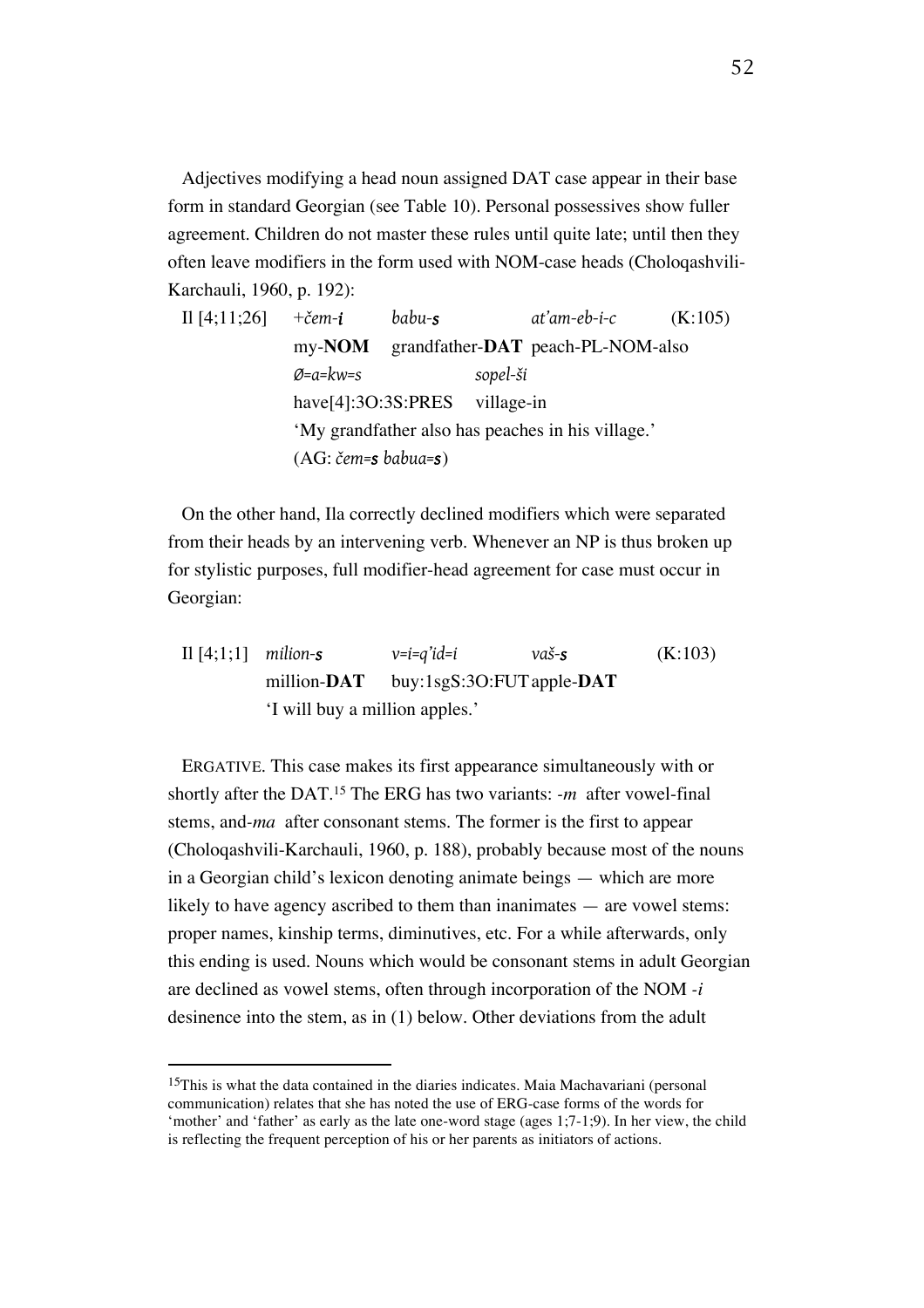Adjectives modifying a head noun assigned DAT case appear in their base form in standard Georgian (see Table 10). Personal possessives show fuller agreement. Children do not master these rules until quite late; until then they often leave modifiers in the form used with NOM-case heads (Choloqashvili-Karchauli, 1960, p. 192):

Il [4;11;26] +*čem-i babu-s at'am-eb-i-c* (K:105) my-**NOM** grandfather-**DAT** peach-PL-NOM-also *Ø=a=kw=s sopel-ši* have[4]:3O:3S:PRES village-in 'My grandfather also has peaches in his village.' (AG: *čem=s babua=s*)

On the other hand, Ila correctly declined modifiers which were separated from their heads by an intervening verb. Whenever an NP is thus broken up for stylistic purposes, full modifier-head agreement for case must occur in Georgian:

Il  $[4;1;1]$  *milion-s*  $v=i=q'id=i$  *vaš-s* (K:103) million-**DAT** buy:1sgS:3O:FUTapple-**DAT** 'I will buy a million apples.'

ERGATIVE. This case makes its first appearance simultaneously with or shortly after the DAT.15 The ERG has two variants: *-m* after vowel-final stems, and*-ma* after consonant stems. The former is the first to appear (Choloqashvili-Karchauli, 1960, p. 188), probably because most of the nouns in a Georgian child's lexicon denoting animate beings — which are more likely to have agency ascribed to them than inanimates — are vowel stems: proper names, kinship terms, diminutives, etc. For a while afterwards, only this ending is used. Nouns which would be consonant stems in adult Georgian are declined as vowel stems, often through incorporation of the NOM *-i* desinence into the stem, as in (1) below. Other deviations from the adult

<sup>&</sup>lt;sup>15</sup>This is what the data contained in the diaries indicates. Maia Machavariani (personal communication) relates that she has noted the use of ERG-case forms of the words for 'mother' and 'father' as early as the late one-word stage (ages 1;7-1;9). In her view, the child is reflecting the frequent perception of his or her parents as initiators of actions.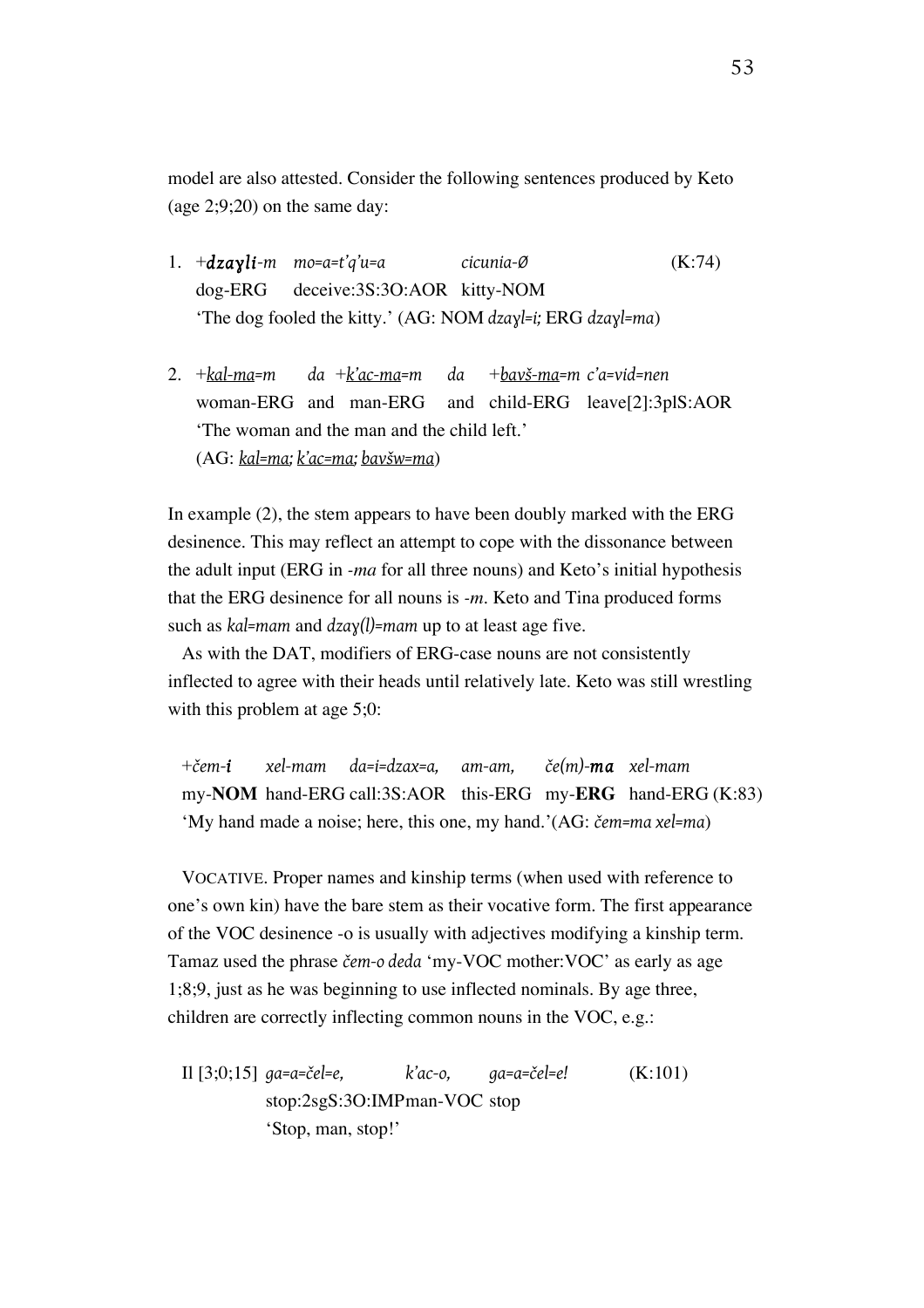model are also attested. Consider the following sentences produced by Keto (age 2;9;20) on the same day:

- 1. +*dzaɣli-m mo=a=t'q'u=a cicunia-Ø* (K:74) dog-ERG deceive:3S:3O:AOR kitty-NOM 'The dog fooled the kitty.' (AG: NOM *dzaɣl=i;* ERG *dzaɣl=ma*)
- 2. +*kal-ma=m da* +*k'ac-ma=m da* +*bavš-ma=m c'a=vid=nen* woman-ERG and man-ERG and child-ERG leave[2]:3plS:AOR 'The woman and the man and the child left.' (AG: *kal=ma; k'ac=ma; bavšw=ma*)

In example (2), the stem appears to have been doubly marked with the ERG desinence. This may reflect an attempt to cope with the dissonance between the adult input (ERG in *-ma* for all three nouns) and Keto's initial hypothesis that the ERG desinence for all nouns is *-m*. Keto and Tina produced forms such as *kal=mam* and *dzaɣ(l)=mam* up to at least age five.

As with the DAT, modifiers of ERG-case nouns are not consistently inflected to agree with their heads until relatively late. Keto was still wrestling with this problem at age 5;0:

+*čem-i xel-mam da=i=dzax=a, am-am, če(m)-ma xel-mam* my-**NOM** hand-ERG call:3S:AOR this-ERG my-**ERG** hand-ERG (K:83) 'My hand made a noise; here, this one, my hand.'(AG: *čem=ma xel=ma*)

VOCATIVE. Proper names and kinship terms (when used with reference to one's own kin) have the bare stem as their vocative form. The first appearance of the VOC desinence -o is usually with adjectives modifying a kinship term. Tamaz used the phrase *čem-o deda* 'my-VOC mother:VOC' as early as age 1;8;9, just as he was beginning to use inflected nominals. By age three, children are correctly inflecting common nouns in the VOC, e.g.:

Il [3;0;15] *ga=a=čel=e, k'ac-o, ga=a=čel=e!* (K:101) stop:2sgS:3O:IMPman-VOC stop 'Stop, man, stop!'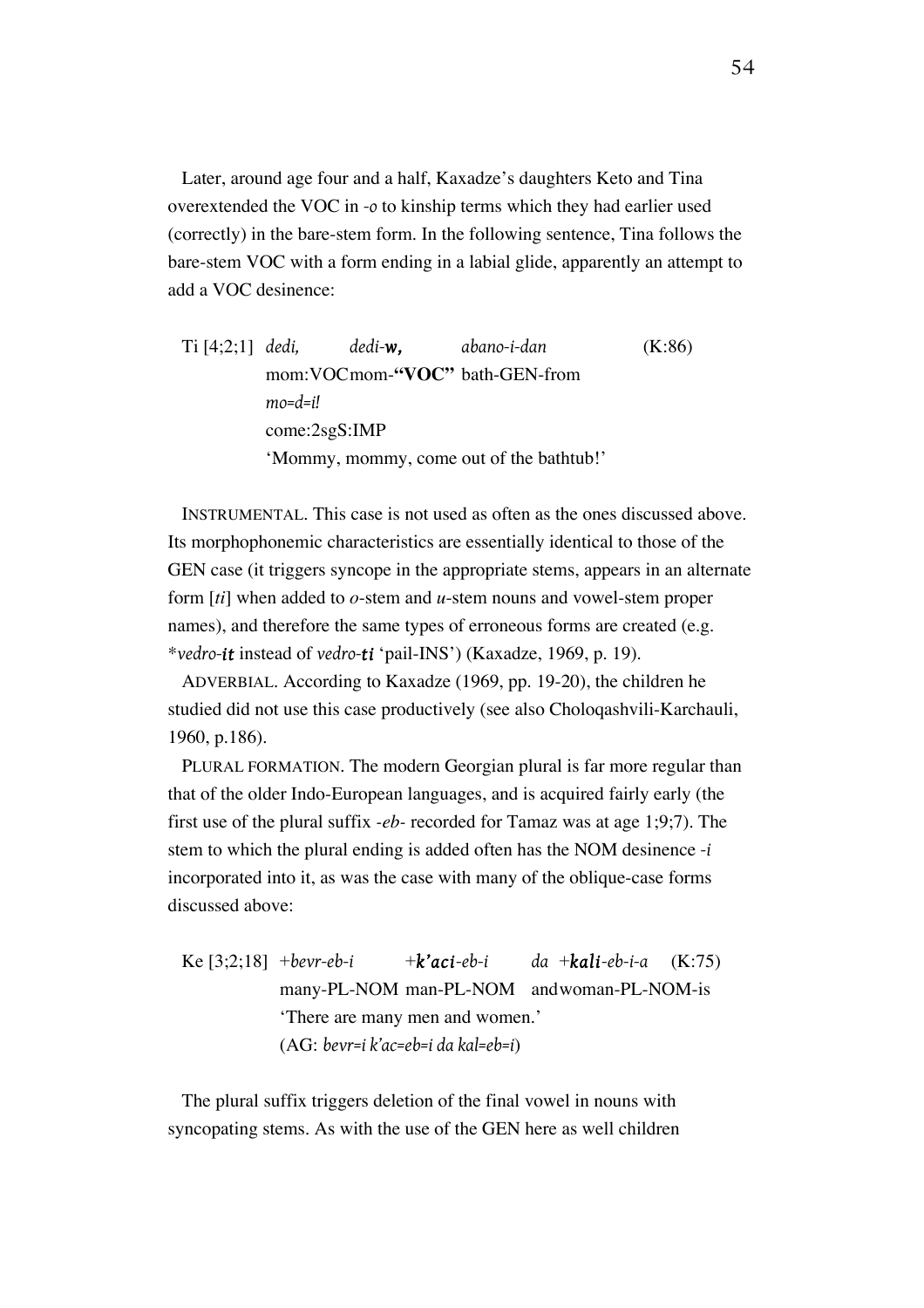Later, around age four and a half, Kaxadze's daughters Keto and Tina overextended the VOC in *-o* to kinship terms which they had earlier used (correctly) in the bare-stem form. In the following sentence, Tina follows the bare-stem VOC with a form ending in a labial glide, apparently an attempt to add a VOC desinence:

Ti [4;2;1] *dedi, dedi-w, abano-i-dan* (K:86) mom:VOCmom-**"VOC"** bath-GEN-from *mo=d=i!* come:2sgS:IMP 'Mommy, mommy, come out of the bathtub!'

INSTRUMENTAL. This case is not used as often as the ones discussed above. Its morphophonemic characteristics are essentially identical to those of the GEN case (it triggers syncope in the appropriate stems, appears in an alternate form [*ti*] when added to *o*-stem and *u*-stem nouns and vowel-stem proper names), and therefore the same types of erroneous forms are created (e.g. \**vedro-it* instead of *vedro-ti* 'pail-INS') (Kaxadze, 1969, p. 19).

ADVERBIAL. According to Kaxadze (1969, pp. 19-20), the children he studied did not use this case productively (see also Choloqashvili-Karchauli, 1960, p.186).

PLURAL FORMATION. The modern Georgian plural is far more regular than that of the older Indo-European languages, and is acquired fairly early (the first use of the plural suffix *-eb-* recorded for Tamaz was at age 1;9;7). The stem to which the plural ending is added often has the NOM desinence *-i*  incorporated into it, as was the case with many of the oblique-case forms discussed above:

Ke  $[3;2;18]$  +*bevr-eb-i* + *k'aci-eb-i da* + *kali-eb-i-a* (K:75) many-PL-NOM man-PL-NOM andwoman-PL-NOM-is 'There are many men and women.' (AG: *bevr=i k'ac=eb=i da kal=eb=i*)

The plural suffix triggers deletion of the final vowel in nouns with syncopating stems. As with the use of the GEN here as well children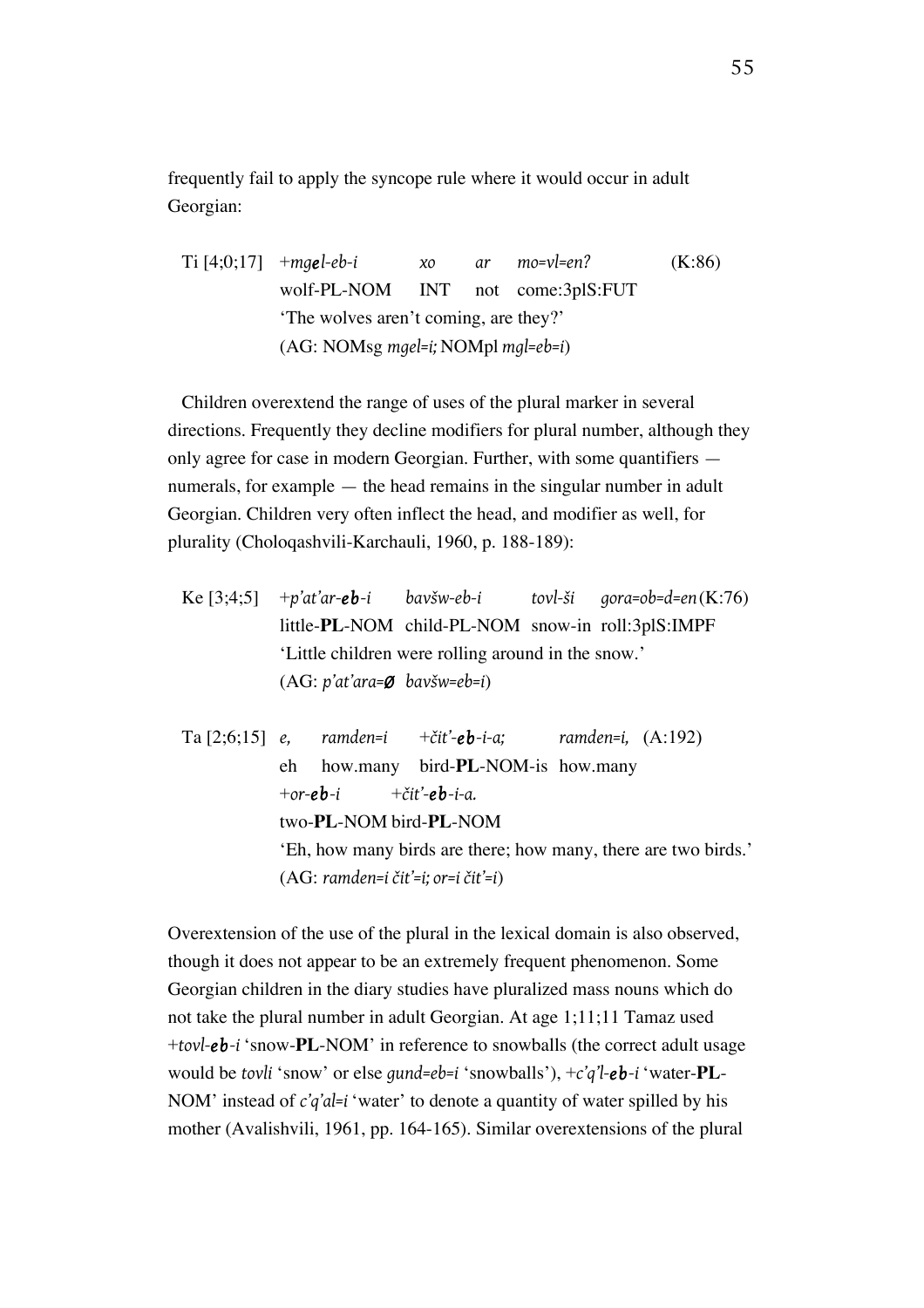frequently fail to apply the syncope rule where it would occur in adult Georgian:

Ti [4;0;17] +*mgel-eb-i xo ar mo=vl=en?* (K:86) wolf-PL-NOM INT not come:3plS:FUT 'The wolves aren't coming, are they?' (AG: NOMsg *mgel=i;* NOMpl *mgl=eb=i*)

Children overextend the range of uses of the plural marker in several directions. Frequently they decline modifiers for plural number, although they only agree for case in modern Georgian. Further, with some quantifiers numerals, for example — the head remains in the singular number in adult Georgian. Children very often inflect the head, and modifier as well, for plurality (Choloqashvili-Karchauli, 1960, p. 188-189):

Ke [3;4;5] +*p'at'ar-eb-i bavšw-eb-i tovl-ši gora=ob=d=en*(K:76) little-**PL**-NOM child-PL-NOM snow-in roll:3plS:IMPF 'Little children were rolling around in the snow.' (AG: *p'at'ara=Ø bavšw=eb=i*)

Ta [2;6;15] *e, ramden=i* +*čit'-eb-i-a; ramden=i,* (A:192) eh how.many bird-**PL**-NOM-is how.many  $+$ *or-eb-i*  $+$ *čit'-eb-i-a.* two-**PL**-NOM bird-**PL**-NOM 'Eh, how many birds are there; how many, there are two birds.' (AG: *ramden=i čit'=i; or=i čit'=i*)

Overextension of the use of the plural in the lexical domain is also observed, though it does not appear to be an extremely frequent phenomenon. Some Georgian children in the diary studies have pluralized mass nouns which do not take the plural number in adult Georgian. At age 1;11;11 Tamaz used +*tovl-eb-i* 'snow-**PL**-NOM' in reference to snowballs (the correct adult usage would be *tovli* 'snow' or else *gund=eb=i* 'snowballs'), +*c'q'l-eb-i* 'water-**PL**-NOM' instead of *c'q'al=i* 'water' to denote a quantity of water spilled by his mother (Avalishvili, 1961, pp. 164-165). Similar overextensions of the plural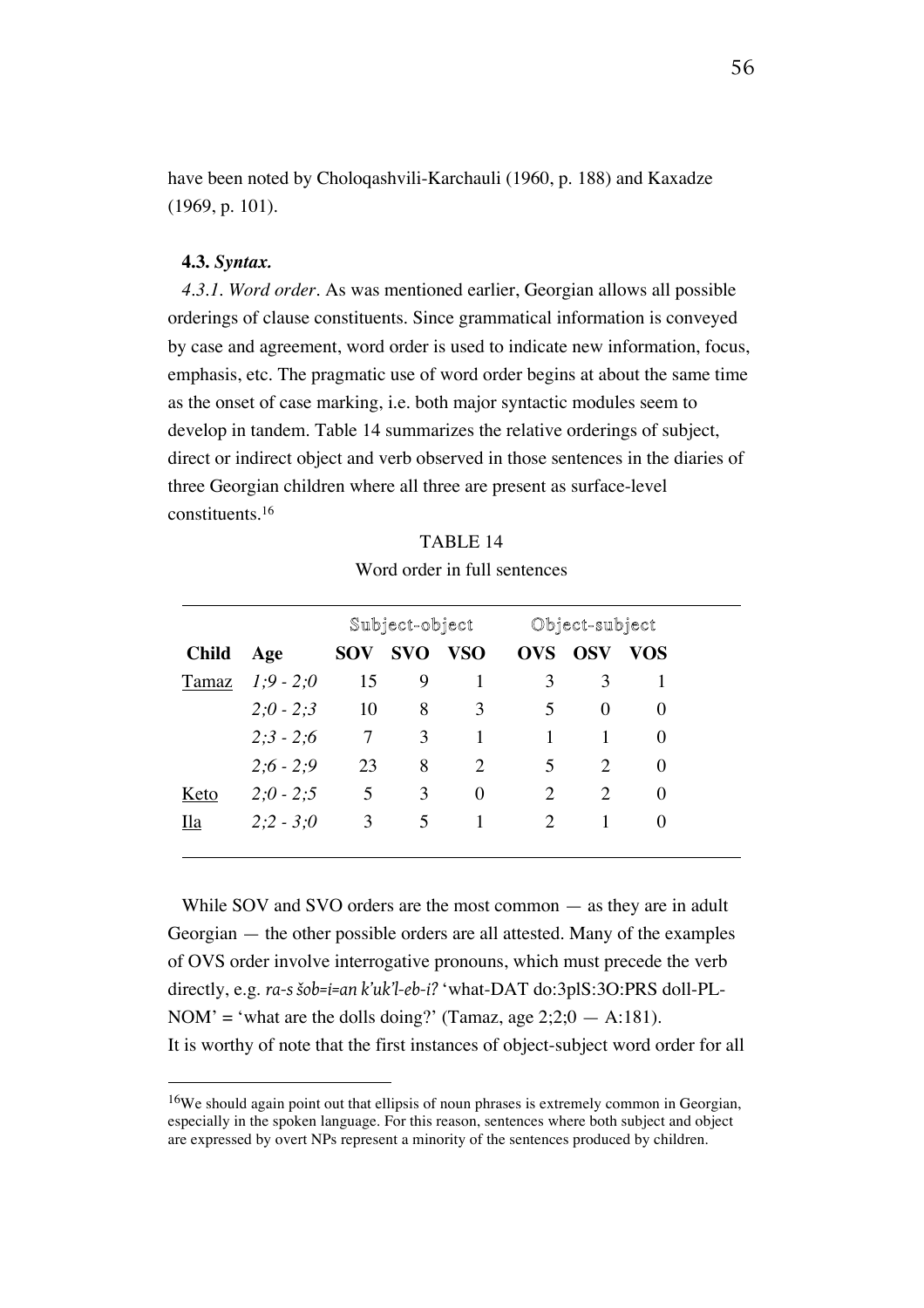have been noted by Choloqashvili-Karchauli (1960, p. 188) and Kaxadze (1969, p. 101).

#### **4.3.** *Syntax.*

 $\overline{a}$ 

*4.3.1. Word order.* As was mentioned earlier, Georgian allows all possible orderings of clause constituents. Since grammatical information is conveyed by case and agreement, word order is used to indicate new information, focus, emphasis, etc. The pragmatic use of word order begins at about the same time as the onset of case marking, i.e. both major syntactic modules seem to develop in tandem. Table 14 summarizes the relative orderings of subject, direct or indirect object and verb observed in those sentences in the diaries of three Georgian children where all three are present as surface-level constituents.16

|              |             |            | Subject-object |            |                             | Object-subject              |          |
|--------------|-------------|------------|----------------|------------|-----------------------------|-----------------------------|----------|
| <b>Child</b> | Age         | <b>SOV</b> | <b>SVO</b>     | <b>VSO</b> | <b>OVS</b>                  | <b>OSV</b>                  | VOS      |
| Tamaz        | $1:9 - 2:0$ | 15         | 9              |            | 3                           | 3                           |          |
|              | $2;0 - 2;3$ | 10         | 8              | 3          | 5                           | $\Omega$                    | $\Omega$ |
|              | $2:3 - 2:6$ | 7          | 3              | 1          |                             |                             | $\Omega$ |
|              | $2;6 - 2;9$ | 23         | 8              | 2          | $\overline{5}$              | $\mathcal{D}_{\mathcal{L}}$ | $\Omega$ |
| Keto         | $2;0 - 2;5$ | 5          | 3              | 0          | 2                           | $\mathfrak{D}$              | 0        |
| Ila          | $2:2 - 3:0$ | 3          | 5              |            | $\mathcal{D}_{\mathcal{L}}$ |                             | $\Omega$ |

TABLE 14 Word order in full sentences

While SOV and SVO orders are the most common — as they are in adult Georgian — the other possible orders are all attested. Many of the examples of OVS order involve interrogative pronouns, which must precede the verb directly, e.g. *ra-s šob=i=an k'uk'l-eb-i?* 'what-DAT do:3plS:3O:PRS doll-PL-NOM' = 'what are the dolls doing?' (Tamaz, age  $2;2;0 - A:181$ ). It is worthy of note that the first instances of object-subject word order for all

<sup>16</sup>We should again point out that ellipsis of noun phrases is extremely common in Georgian, especially in the spoken language. For this reason, sentences where both subject and object are expressed by overt NPs represent a minority of the sentences produced by children.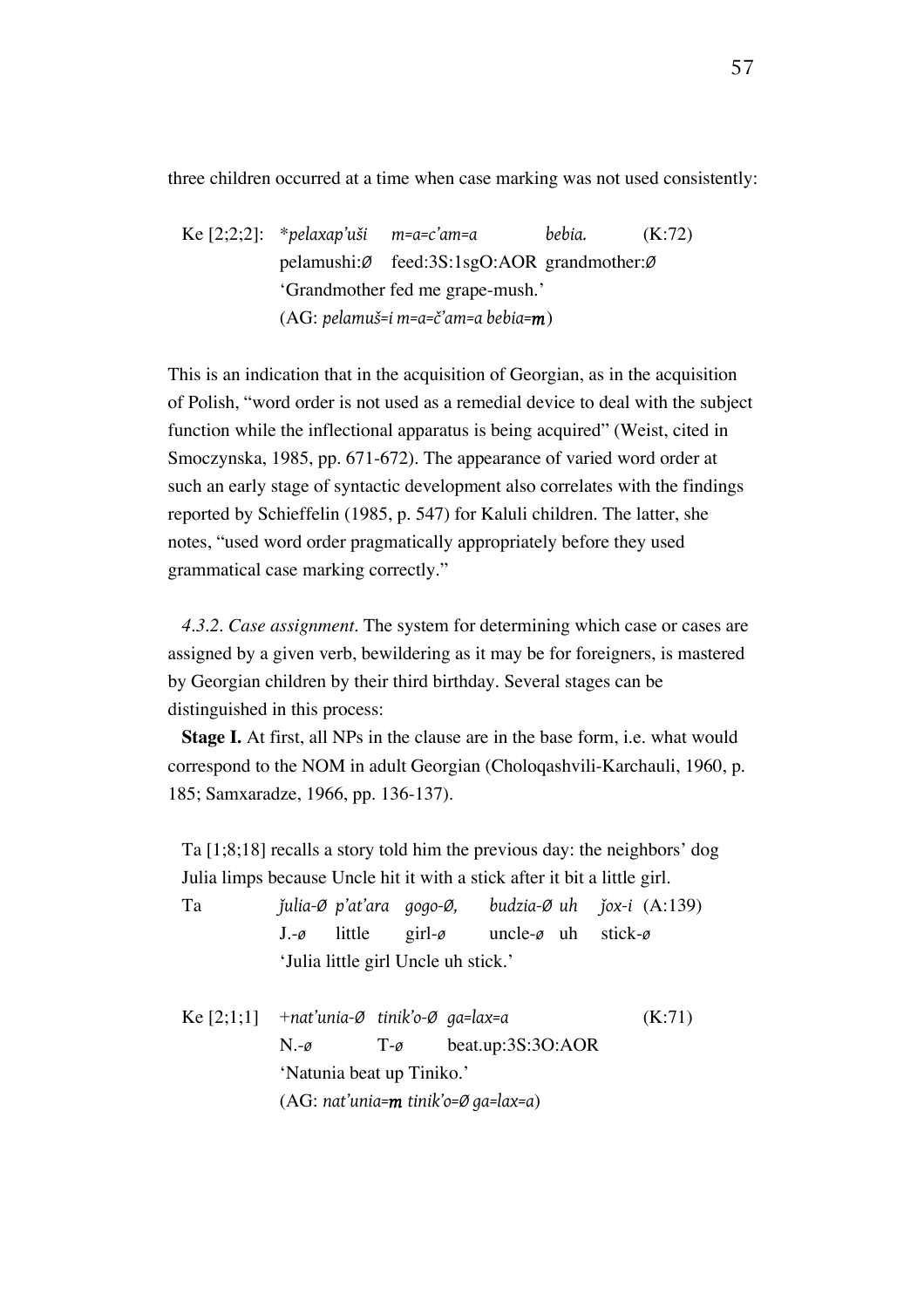three children occurred at a time when case marking was not used consistently:

Ke [2;2;2]: \**pelaxap'uši m=a=c'am=a bebia.* (K:72) pelamushi:*Ø* feed:3S:1sgO:AOR grandmother:*Ø* 'Grandmother fed me grape-mush.' (AG: *pelamuš=i m=a=č'am=a bebia=m*)

This is an indication that in the acquisition of Georgian, as in the acquisition of Polish, "word order is not used as a remedial device to deal with the subject function while the inflectional apparatus is being acquired" (Weist, cited in Smoczynska, 1985, pp. 671-672). The appearance of varied word order at such an early stage of syntactic development also correlates with the findings reported by Schieffelin (1985, p. 547) for Kaluli children. The latter, she notes, "used word order pragmatically appropriately before they used grammatical case marking correctly."

*4.3.2. Case assignment.* The system for determining which case or cases are assigned by a given verb, bewildering as it may be for foreigners, is mastered by Georgian children by their third birthday. Several stages can be distinguished in this process:

**Stage I.** At first, all NPs in the clause are in the base form, i.e. what would correspond to the NOM in adult Georgian (Choloqashvili-Karchauli, 1960, p. 185; Samxaradze, 1966, pp. 136-137).

Ta [1;8;18] recalls a story told him the previous day: the neighbors' dog Julia limps because Uncle hit it with a stick after it bit a little girl.

| Ta                                                                 |                                     |  |                                                                           |  | julia-Ø p'at'ara qoqo-Ø, budzia-Ø uh jox-i $(A:139)$ |
|--------------------------------------------------------------------|-------------------------------------|--|---------------------------------------------------------------------------|--|------------------------------------------------------|
|                                                                    |                                     |  | $J - \varrho$ little girl- $\varrho$ uncle- $\varrho$ uh stick- $\varrho$ |  |                                                      |
|                                                                    | 'Julia little girl Uncle uh stick.' |  |                                                                           |  |                                                      |
| Ke $[2;1;1]$ + nat'unia- $\emptyset$ tinik'o- $\emptyset$ ga=lax=a |                                     |  |                                                                           |  | (K:71)                                               |

N.-*ø* T-*ø* beat.up:3S:3O:AOR 'Natunia beat up Tiniko.' (AG: *nat'unia=m tinik'o=Ø ga=lax=a*)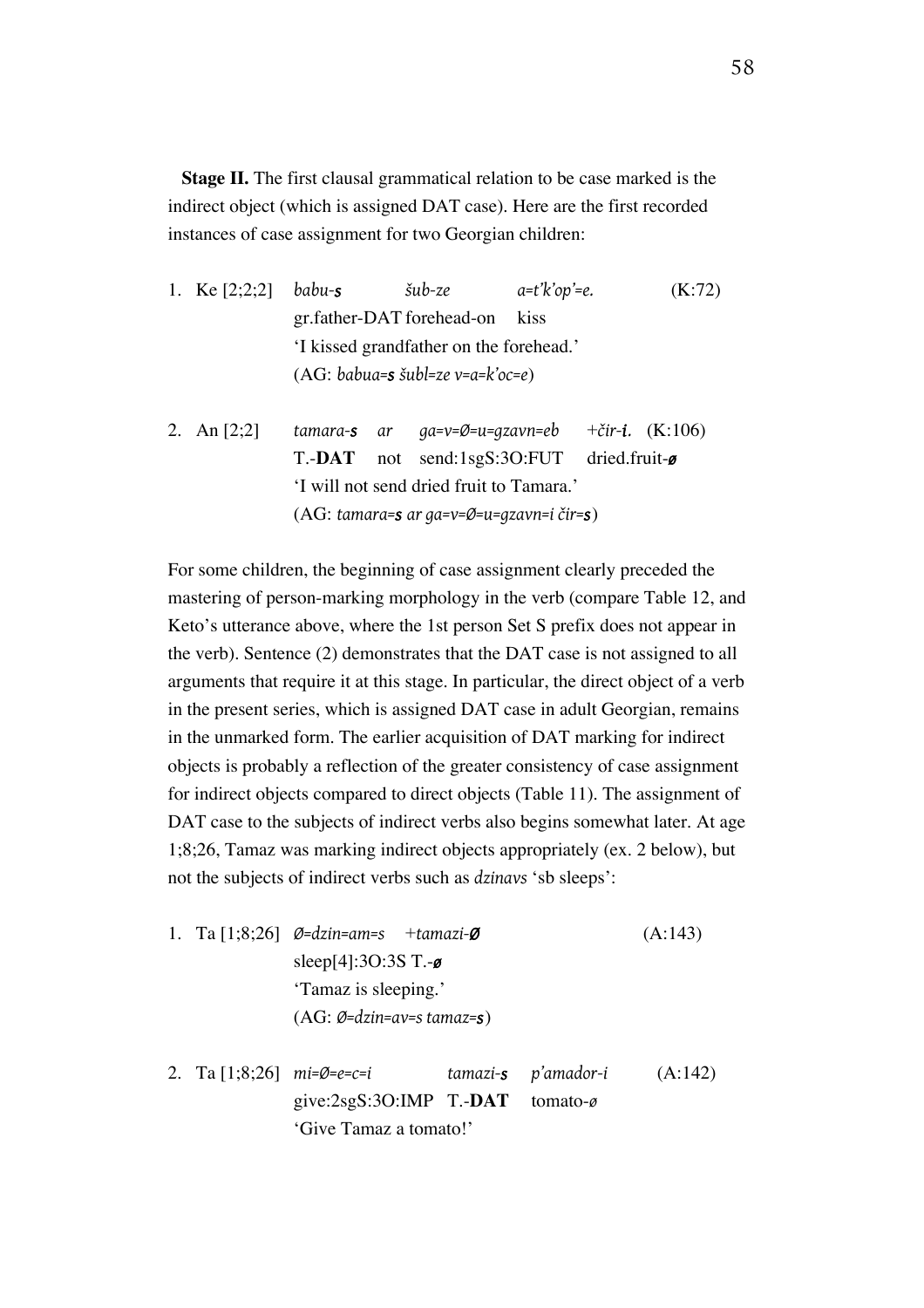**Stage II.** The first clausal grammatical relation to be case marked is the indirect object (which is assigned DAT case). Here are the first recorded instances of case assignment for two Georgian children:

| 1. Ke $[2;2;2]$ babu-s |                                              | šub-ze | $a=t'k'op'$ =e. | (K:72) |  |  |  |
|------------------------|----------------------------------------------|--------|-----------------|--------|--|--|--|
|                        | gr.father-DAT forehead-on                    |        | kiss            |        |  |  |  |
|                        | 'I kissed grandfather on the forehead.'      |        |                 |        |  |  |  |
|                        | $(AG: babua=s \check{ } subl=ze v=a=k'oc=e)$ |        |                 |        |  |  |  |
|                        |                                              |        |                 |        |  |  |  |

2. An [2;2] *tamara-s ar ga=v=Ø=u=gzavn=eb* +*čir-i.* (K:106) T.-**DAT** not send:1sgS:3O:FUT dried.fruit-*ø* 'I will not send dried fruit to Tamara.' (AG: *tamara=s ar ga=v=Ø=u=gzavn=i čir=s*)

For some children, the beginning of case assignment clearly preceded the mastering of person-marking morphology in the verb (compare Table 12, and Keto's utterance above, where the 1st person Set S prefix does not appear in the verb). Sentence (2) demonstrates that the DAT case is not assigned to all arguments that require it at this stage. In particular, the direct object of a verb in the present series, which is assigned DAT case in adult Georgian, remains in the unmarked form. The earlier acquisition of DAT marking for indirect objects is probably a reflection of the greater consistency of case assignment for indirect objects compared to direct objects (Table 11). The assignment of DAT case to the subjects of indirect verbs also begins somewhat later. At age 1;8;26, Tamaz was marking indirect objects appropriately (ex. 2 below), but not the subjects of indirect verbs such as *dzinavs* 'sb sleeps':

- 1. Ta [1;8;26] *Ø=dzin=am=s* +*tamazi-Ø* (A:143) sleep[4]:3O:3S T.-*ø* 'Tamaz is sleeping.' (AG: *Ø=dzin=av=s tamaz=s*)
- 2. Ta [1;8;26] *mi=Ø=e=c=i tamazi-s p'amador-i* (A:142) give:2sgS:3O:IMP T.-**DAT** tomato-*ø* 'Give Tamaz a tomato!'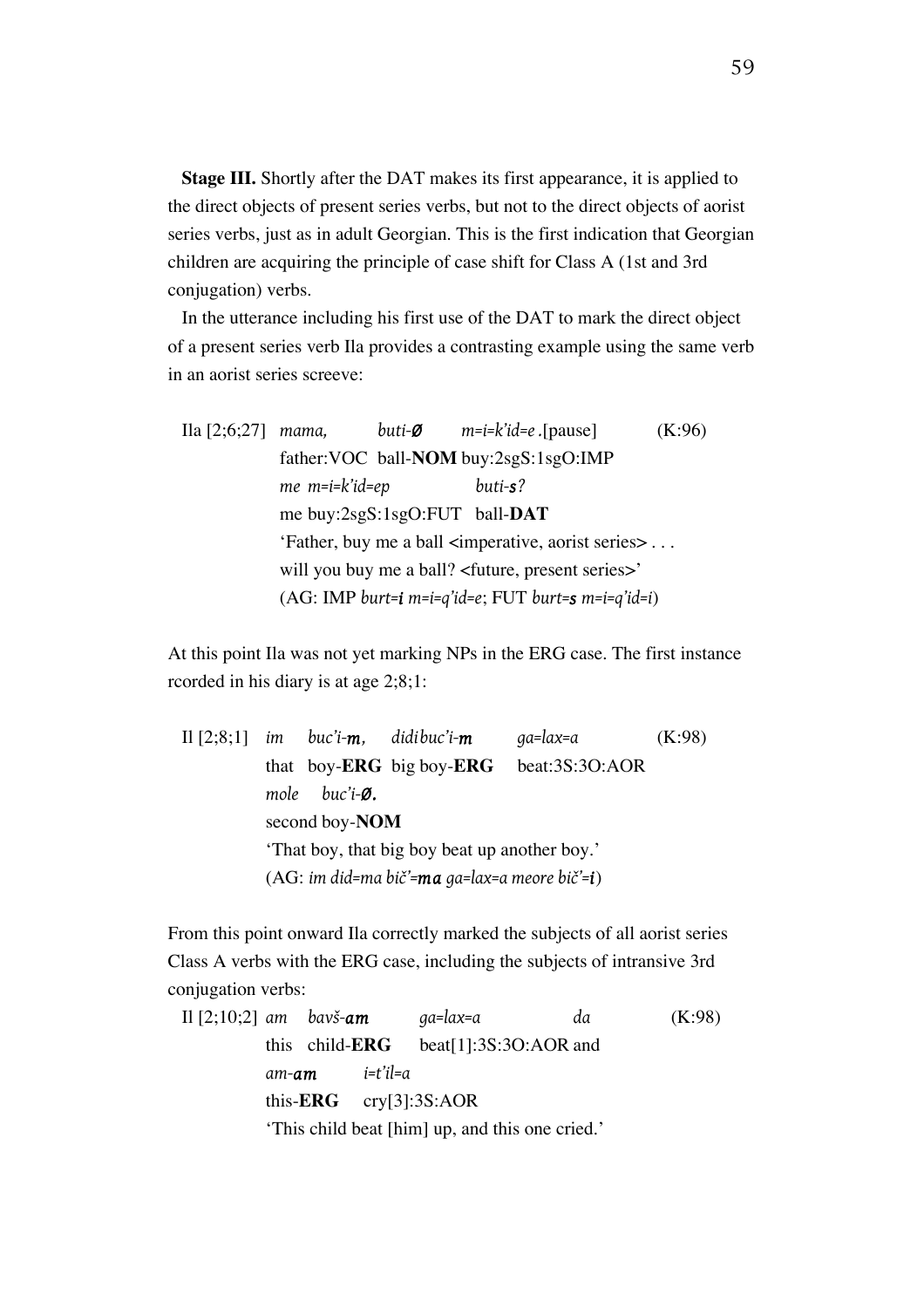**Stage III.** Shortly after the DAT makes its first appearance, it is applied to the direct objects of present series verbs, but not to the direct objects of aorist series verbs, just as in adult Georgian. This is the first indication that Georgian children are acquiring the principle of case shift for Class A (1st and 3rd conjugation) verbs.

In the utterance including his first use of the DAT to mark the direct object of a present series verb Ila provides a contrasting example using the same verb in an aorist series screeve:

Ila [2;6;27] *mama, buti-Ø m=i=k'id=e .*[pause] (K:96) father:VOC ball-**NOM** buy:2sgS:1sgO:IMP *me m=i=k'id=ep buti-s?* me buy:2sgS:1sgO:FUT ball-**DAT** 'Father, buy me a ball <imperative, aorist series> . . . will you buy me a ball? <future, present series>' (AG: IMP *burt=i m=i=q'id=e*; FUT *burt=s m=i=q'id=i*)

At this point Ila was not yet marking NPs in the ERG case. The first instance rcorded in his diary is at age 2;8;1:

|  |                                               |                                               | Il $[2;8;1]$ im buc'i-m, didibuc'i-m     | ga=lax=a       | (K:98) |  |  |  |  |
|--|-----------------------------------------------|-----------------------------------------------|------------------------------------------|----------------|--------|--|--|--|--|
|  |                                               |                                               | that boy- <b>ERG</b> big boy- <b>ERG</b> | beat:3S:3O:AOR |        |  |  |  |  |
|  |                                               | mole buc'i- $\emptyset$ .                     |                                          |                |        |  |  |  |  |
|  |                                               | second boy-NOM                                |                                          |                |        |  |  |  |  |
|  |                                               | 'That boy, that big boy beat up another boy.' |                                          |                |        |  |  |  |  |
|  | (AG: im did=ma bič'=ma ga=lax=a meore bič'=i) |                                               |                                          |                |        |  |  |  |  |

From this point onward Ila correctly marked the subjects of all aorist series Class A verbs with the ERG case, including the subjects of intransive 3rd conjugation verbs:

Il [2;10;2] *am bavš-am ga=lax=a da* (K:98) this child-**ERG** beat[1]:3S:3O:AOR and *am-am i=t'il=a* this-**ERG** cry[3]:3S:AOR 'This child beat [him] up, and this one cried.'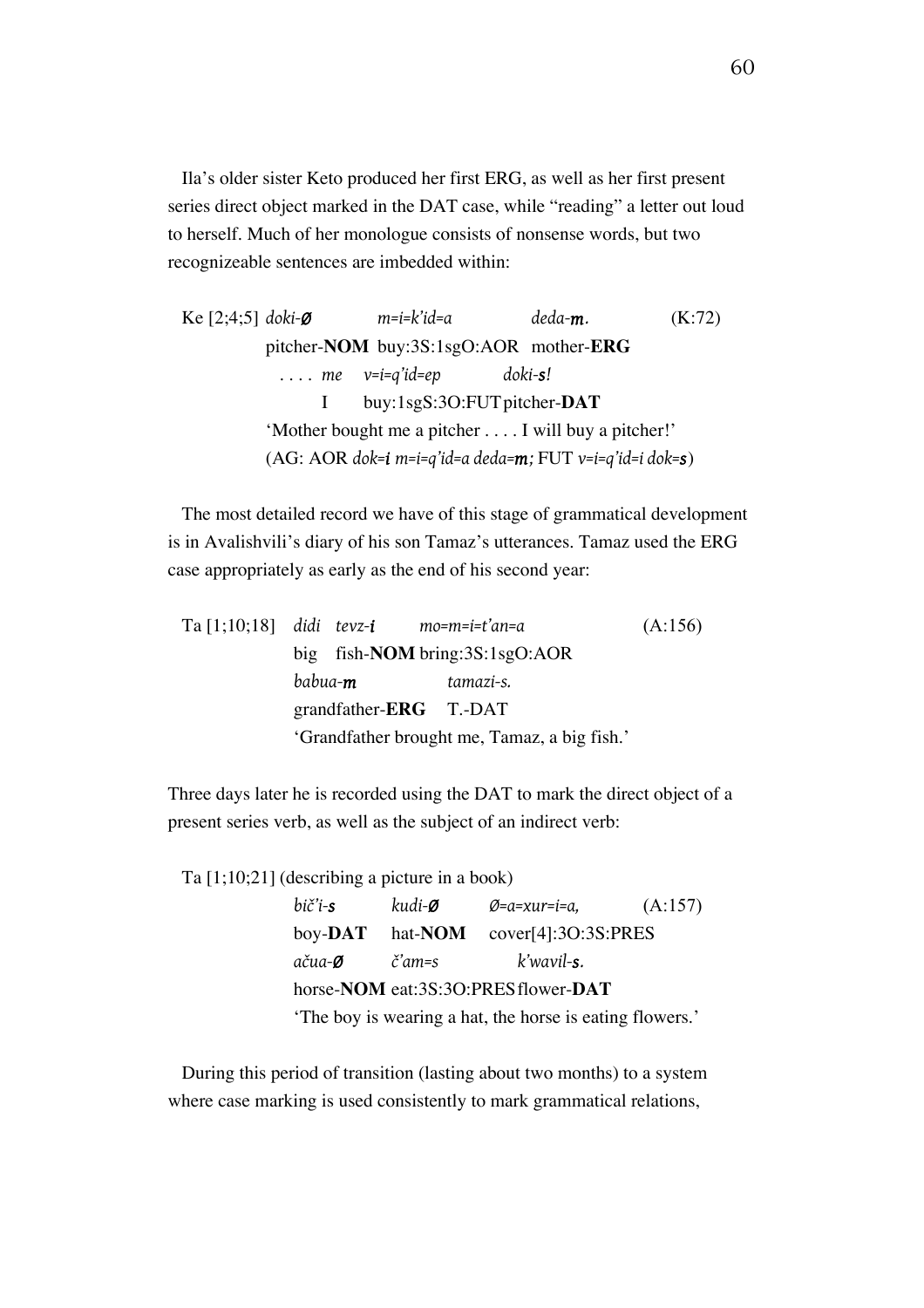Ila's older sister Keto produced her first ERG, as well as her first present series direct object marked in the DAT case, while "reading" a letter out loud to herself. Much of her monologue consists of nonsense words, but two recognizeable sentences are imbedded within:

Ke [2;4;5] *doki-Ø m=i=k'id=a deda-m.* (K:72) pitcher-**NOM** buy:3S:1sgO:AOR mother-**ERG** . . . . *me v=i=q'id=ep doki-s!* I buy:1sgS:3O:FUTpitcher-**DAT** 'Mother bought me a pitcher . . . . I will buy a pitcher!' (AG: AOR *dok=i m=i=q'id=a deda=m;* FUT *v=i=q'id=i dok=s*)

The most detailed record we have of this stage of grammatical development is in Avalishvili's diary of his son Tamaz's utterances. Tamaz used the ERG case appropriately as early as the end of his second year:

|  | $Ta[1;10;18]$ didi tevz-i mo=m=i=t'an=a |                                              | (A:156) |
|--|-----------------------------------------|----------------------------------------------|---------|
|  |                                         | big fish- <b>NOM</b> bring: $3S:1sgO:AOR$    |         |
|  | babua- <b>m</b>                         | tamazi-s.                                    |         |
|  | grandfather- $ERG$ T.-DAT               |                                              |         |
|  |                                         | 'Grandfather brought me, Tamaz, a big fish.' |         |

Three days later he is recorded using the DAT to mark the direct object of a present series verb, as well as the subject of an indirect verb:

Ta [1;10;21] (describing a picture in a book)

| bič'i-s                                                  | kudi- <b>Ø</b>    | Ø=a=xur=i=a,        | (A:157) |  |  |  |  |  |
|----------------------------------------------------------|-------------------|---------------------|---------|--|--|--|--|--|
| $\mathbf{boy}\text{-}\mathbf{DAT}$                       | hat- <b>NOM</b>   | cover[4]:3O:3S:PRES |         |  |  |  |  |  |
| ačua- <b>Ø</b>                                           | $\check{c}'$ am=s | k'wavil- <b>s</b> . |         |  |  |  |  |  |
| horse-NOM eat:3S:3O:PRESflower-DAT                       |                   |                     |         |  |  |  |  |  |
| 'The boy is wearing a hat, the horse is eating flowers.' |                   |                     |         |  |  |  |  |  |

During this period of transition (lasting about two months) to a system where case marking is used consistently to mark grammatical relations,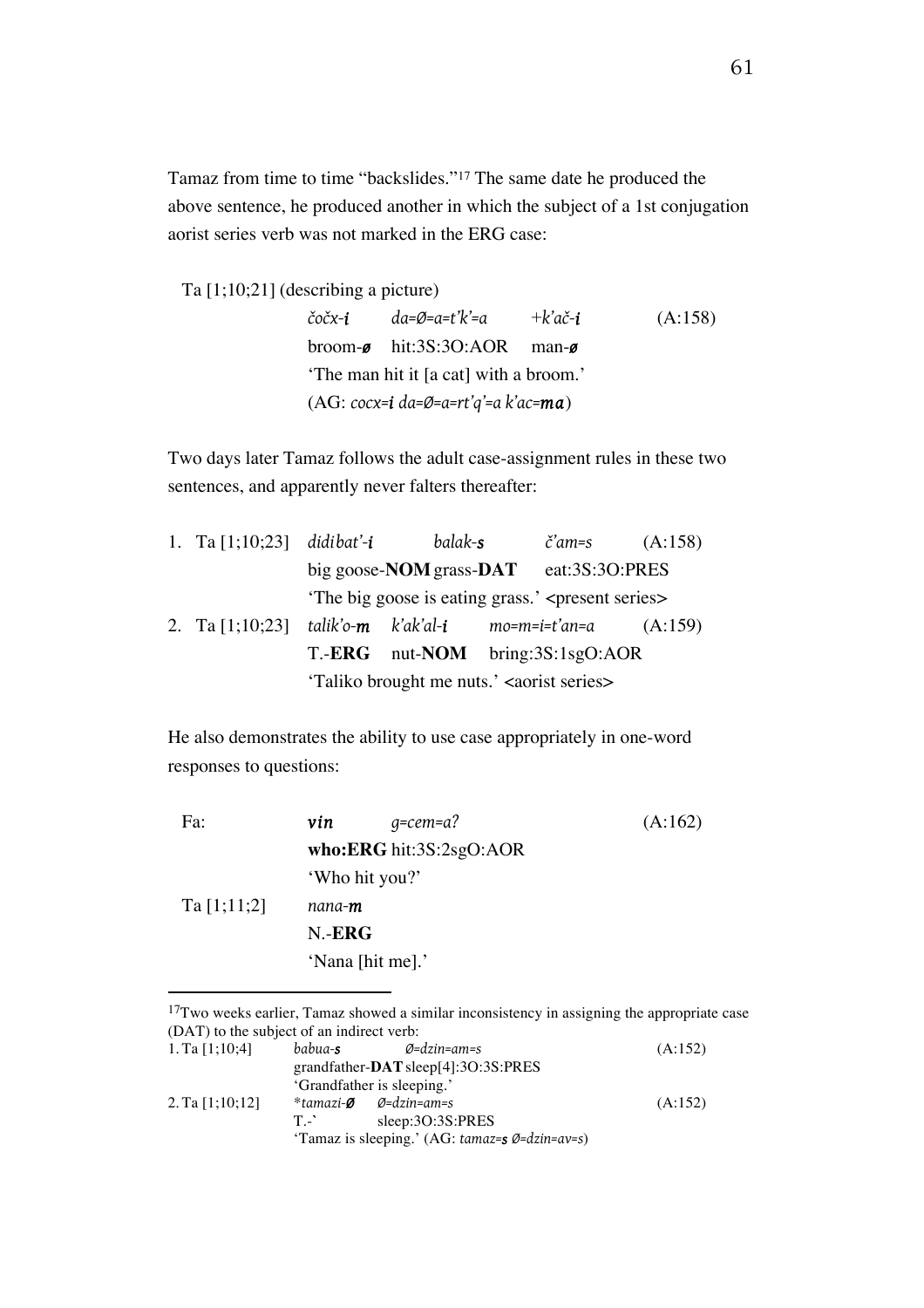Tamaz from time to time "backslides."17 The same date he produced the above sentence, he produced another in which the subject of a 1st conjugation aorist series verb was not marked in the ERG case:

Ta [1;10;21] (describing a picture)

 $\overline{a}$ 

*čočx-i da=Ø=a=t'k'=a* +*k'ač-i* (A:158) broom-*ø* hit:3S:3O:AOR man-*ø* 'The man hit it [a cat] with a broom.' (AG: *cocx=i da=Ø=a=rt'q'=a k'ac=ma*)

Two days later Tamaz follows the adult case-assignment rules in these two sentences, and apparently never falters thereafter:

| 1. Ta $[1;10;23]$ didibat'-i                                  |                                                       | balak-s                                                        |  | č'am=s | (A:158) |  |
|---------------------------------------------------------------|-------------------------------------------------------|----------------------------------------------------------------|--|--------|---------|--|
|                                                               |                                                       | big goose- <b>NOM</b> grass-DAT eat:3S:3O:PRES                 |  |        |         |  |
|                                                               |                                                       | 'The big goose is eating grass.' <present series=""></present> |  |        |         |  |
| 2. Ta $[1;10;23]$ talik'o-m k'ak'al-i mo=m=i=t'an=a $(A:159)$ |                                                       |                                                                |  |        |         |  |
|                                                               |                                                       | T.- <b>ERG</b> nut- <b>NOM</b> bring:3S:1sgO:AOR               |  |        |         |  |
|                                                               | 'Taliko brought me nuts.' <aorist series=""></aorist> |                                                                |  |        |         |  |

He also demonstrates the ability to use case appropriately in one-word responses to questions:

| Fa:         | vin            | $q = c$ em=a?           | (A:162) |
|-------------|----------------|-------------------------|---------|
|             |                | who:ERG hit:3S:2sgO:AOR |         |
|             |                | 'Who hit you?'          |         |
| Ta [1;11;2] | nana- <b>m</b> |                         |         |
|             | N.ERG          |                         |         |
|             |                | 'Nana [hit me].'        |         |
|             |                |                         |         |

 $17$ Two weeks earlier, Tamaz showed a similar inconsistency in assigning the appropriate case (DAT) to the subject of an indirect verb: 1. Ta [1;10;4] *babua-s Ø=dzin=am=s* (A:152) grandfather-**DAT**sleep[4]:3O:3S:PRES 'Grandfather is sleeping.' 2. Ta [1;10;12] \**tamazi-Ø Ø=dzin=am=s* (A:152) T.-**`** sleep:3O:3S:PRES 'Tamaz is sleeping.' (AG: *tamaz=s Ø=dzin=av=s*)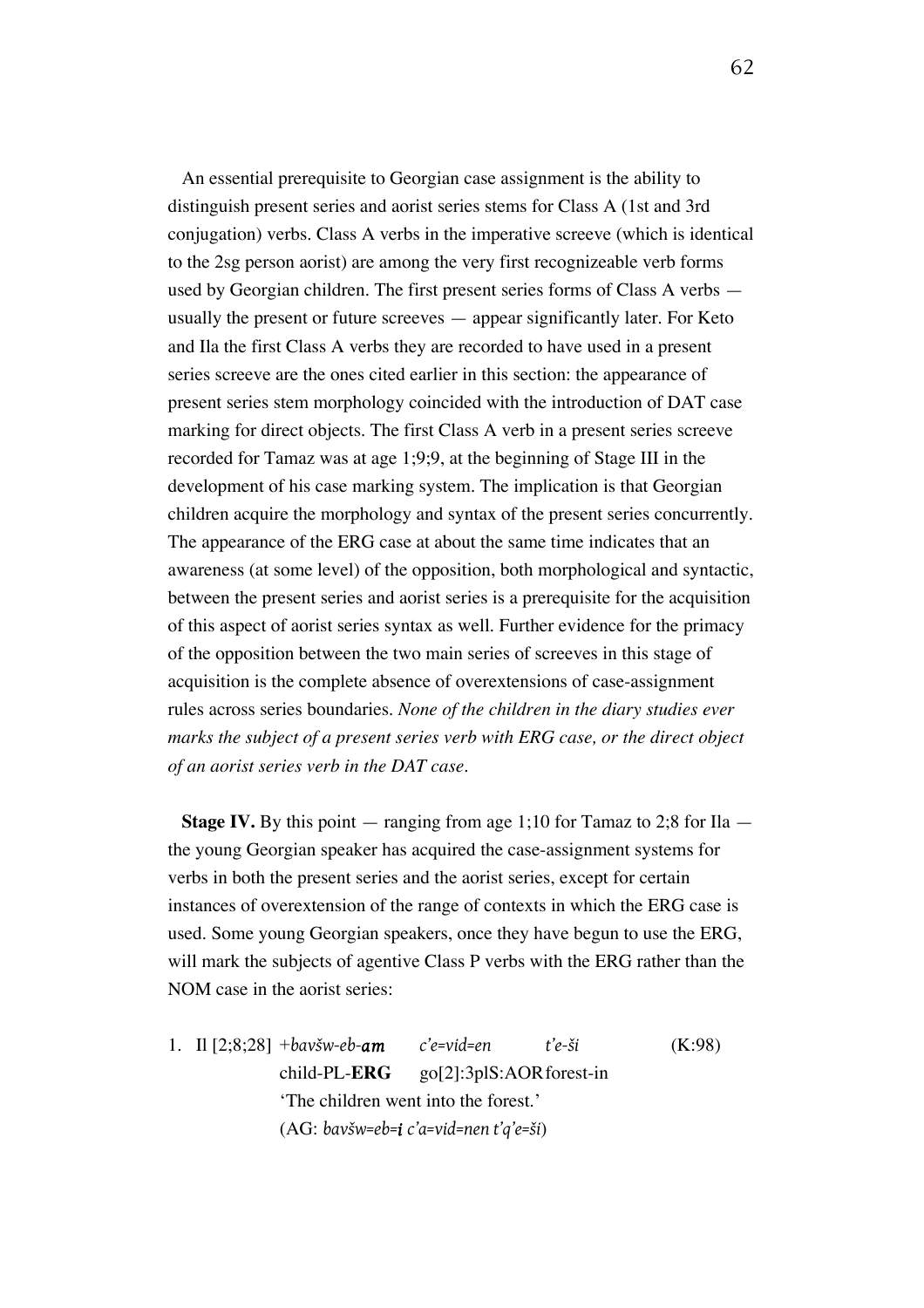An essential prerequisite to Georgian case assignment is the ability to distinguish present series and aorist series stems for Class A (1st and 3rd conjugation) verbs. Class A verbs in the imperative screeve (which is identical to the 2sg person aorist) are among the very first recognizeable verb forms used by Georgian children. The first present series forms of Class A verbs usually the present or future screeves — appear significantly later. For Keto and Ila the first Class A verbs they are recorded to have used in a present series screeve are the ones cited earlier in this section: the appearance of present series stem morphology coincided with the introduction of DAT case marking for direct objects. The first Class A verb in a present series screeve recorded for Tamaz was at age 1;9;9, at the beginning of Stage III in the development of his case marking system. The implication is that Georgian children acquire the morphology and syntax of the present series concurrently. The appearance of the ERG case at about the same time indicates that an awareness (at some level) of the opposition, both morphological and syntactic, between the present series and aorist series is a prerequisite for the acquisition of this aspect of aorist series syntax as well. Further evidence for the primacy of the opposition between the two main series of screeves in this stage of acquisition is the complete absence of overextensions of case-assignment rules across series boundaries. *None of the children in the diary studies ever marks the subject of a present series verb with ERG case, or the direct object of an aorist series verb in the DAT case.*

**Stage IV.** By this point — ranging from age 1;10 for Tamaz to 2;8 for Ila the young Georgian speaker has acquired the case-assignment systems for verbs in both the present series and the aorist series, except for certain instances of overextension of the range of contexts in which the ERG case is used. Some young Georgian speakers, once they have begun to use the ERG, will mark the subjects of agentive Class P verbs with the ERG rather than the NOM case in the aorist series:

1. Il [2;8;28] +*bavšw-eb-am c'e=vid=en t'e-ši* (K:98) child-PL-**ERG** go[2]:3plS:AORforest-in 'The children went into the forest.' (AG: *bavšw=eb=i c'a=vid=nen t'q'e=ši*)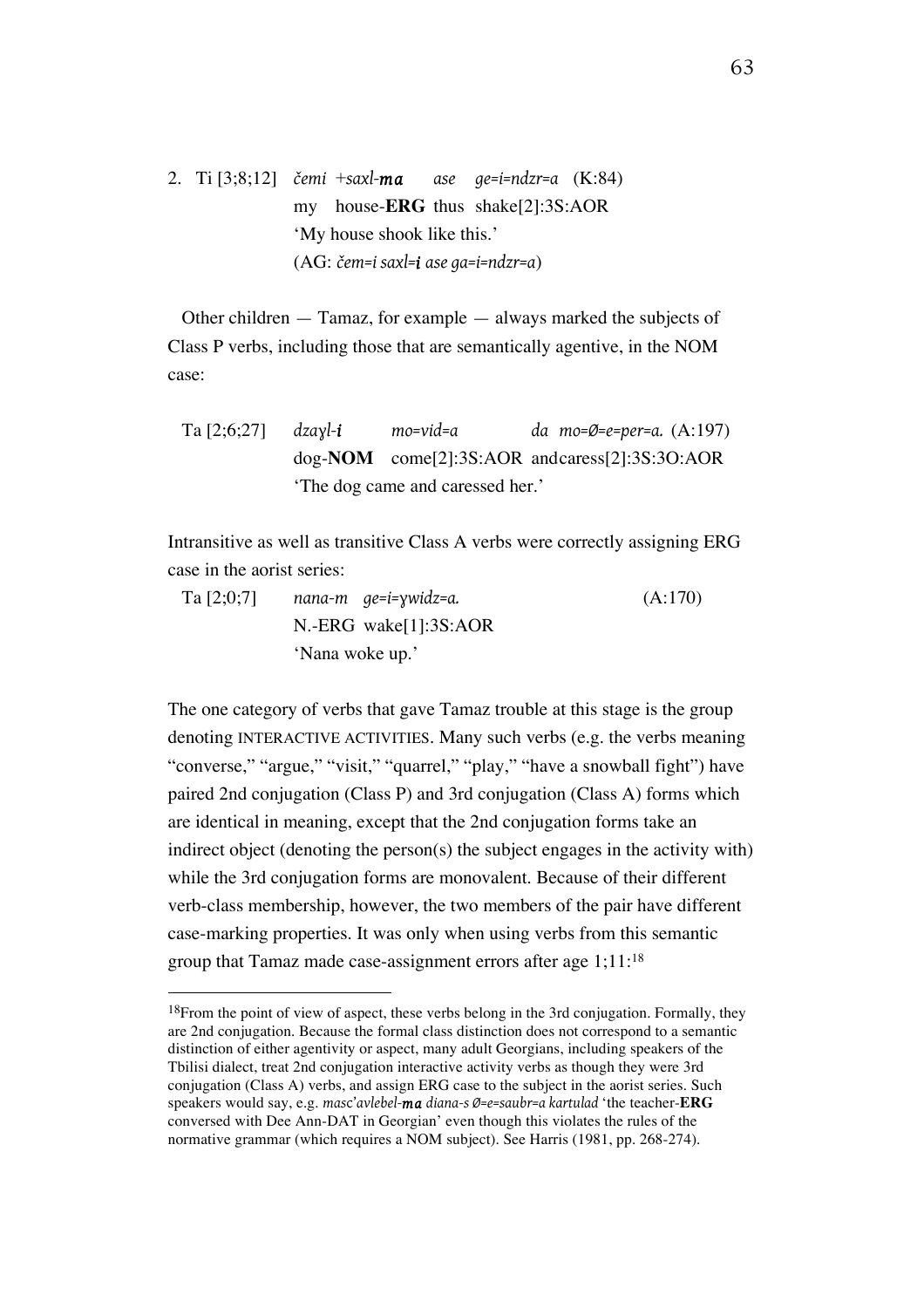2. Ti [3;8;12] *čemi* +*saxl-ma ase ge=i=ndzr=a* (K:84) my house-**ERG** thus shake[2]:3S:AOR 'My house shook like this.' (AG: *čem=i saxl=i ase ga=i=ndzr=a*)

Other children — Tamaz, for example — always marked the subjects of Class P verbs, including those that are semantically agentive, in the NOM case:

Ta [2;6;27] *dzaɣl-i mo=vid=a da mo=Ø=e=per=a.* (A:197) dog-**NOM** come[2]:3S:AOR andcaress[2]:3S:3O:AOR 'The dog came and caressed her.'

Intransitive as well as transitive Class A verbs were correctly assigning ERG case in the aorist series:

Ta [2;0;7] *nana-m ge=i=ɣwidz=a.* (A:170) N.-ERG wake[1]:3S:AOR 'Nana woke up.'

The one category of verbs that gave Tamaz trouble at this stage is the group denoting INTERACTIVE ACTIVITIES. Many such verbs (e.g. the verbs meaning "converse," "argue," "visit," "quarrel," "play," "have a snowball fight") have paired 2nd conjugation (Class P) and 3rd conjugation (Class A) forms which are identical in meaning, except that the 2nd conjugation forms take an indirect object (denoting the person(s) the subject engages in the activity with) while the 3rd conjugation forms are monovalent. Because of their different verb-class membership, however, the two members of the pair have different case-marking properties. It was only when using verbs from this semantic group that Tamaz made case-assignment errors after age 1;11:18

<sup>&</sup>lt;sup>18</sup>From the point of view of aspect, these verbs belong in the 3rd conjugation. Formally, they are 2nd conjugation. Because the formal class distinction does not correspond to a semantic distinction of either agentivity or aspect, many adult Georgians, including speakers of the Tbilisi dialect, treat 2nd conjugation interactive activity verbs as though they were 3rd conjugation (Class A) verbs, and assign ERG case to the subject in the aorist series. Such speakers would say, e.g. *mas*c'*avlebel-ma diana-s Ø=e=saubr=a kartulad* 'the teacher-**ERG** conversed with Dee Ann-DAT in Georgian' even though this violates the rules of the normative grammar (which requires a NOM subject). See Harris (1981, pp. 268-274).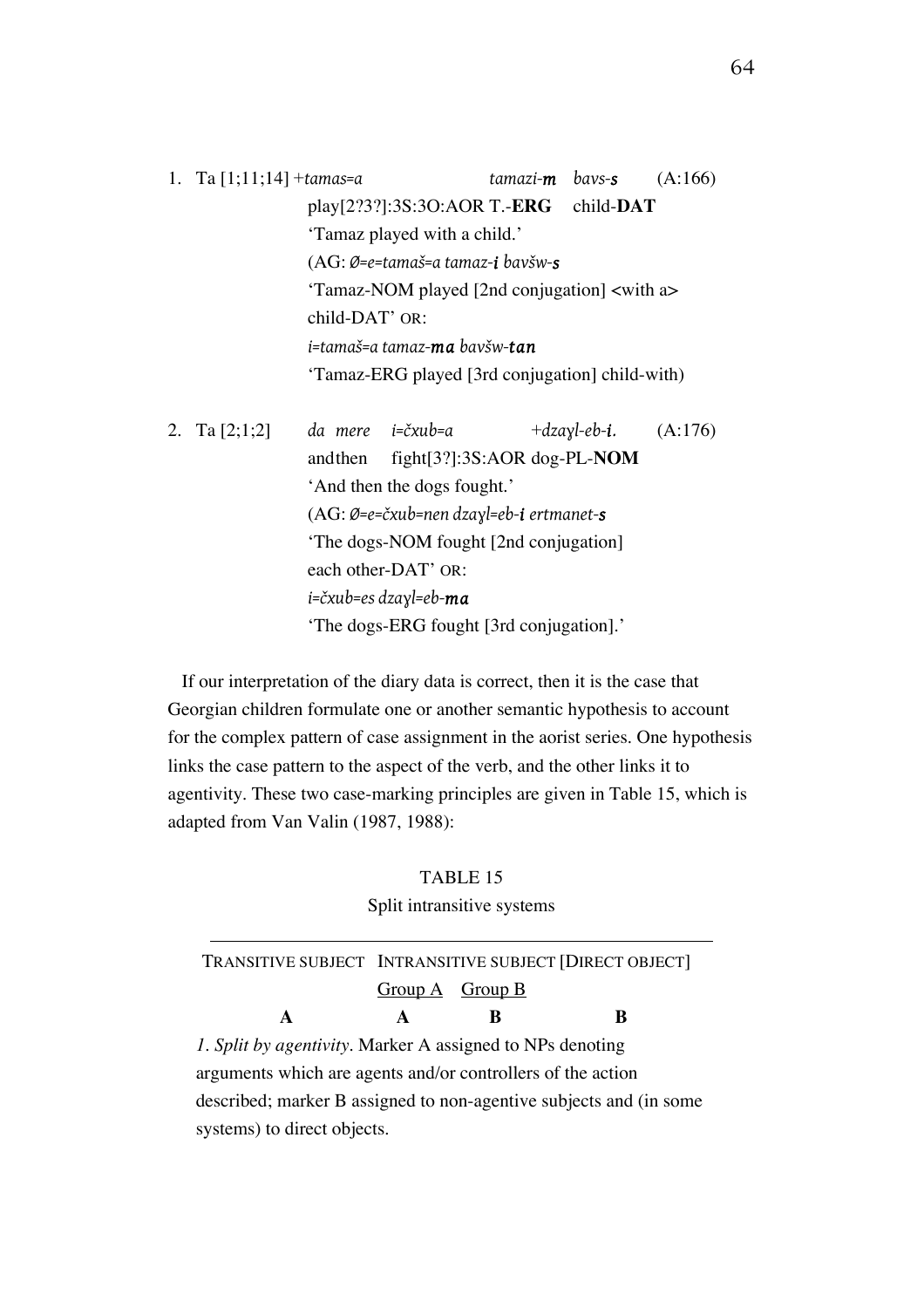1. Ta [1;11;14] +*tamas=a tamazi-m bavs-s* (A:166) play[2?3?]:3S:3O:AOR T.-**ERG** child-**DAT** 'Tamaz played with a child.' (AG: *Ø=e=tamaš=a tamaz-i bavšw-s* 'Tamaz-NOM played [2nd conjugation] <with a> child-DAT' OR: *i=tamaš=a tamaz-ma bavšw-tan* 'Tamaz-ERG played [3rd conjugation] child-with)

| 2. Ta $[2;1;2]$ |                                        | da mere  i=čxub=a                                                  | $+dzayl-eb-i.$ $(A:176)$ |  |  |  |  |
|-----------------|----------------------------------------|--------------------------------------------------------------------|--------------------------|--|--|--|--|
|                 | andthen                                | fight[3?]:3S:AOR dog-PL-NOM                                        |                          |  |  |  |  |
|                 |                                        | 'And then the dogs fought.'                                        |                          |  |  |  |  |
|                 |                                        | $(AG: \emptyset = e = \check{c}xub = nen dzay = eb - i$ ertmanet-s |                          |  |  |  |  |
|                 | 'The dogs-NOM fought [2nd conjugation] |                                                                    |                          |  |  |  |  |
|                 |                                        | each other-DAT' OR:                                                |                          |  |  |  |  |
|                 |                                        | i=čxub=es dzayl=eb- $m$ a                                          |                          |  |  |  |  |
|                 |                                        | 'The dogs-ERG fought [3rd conjugation].'                           |                          |  |  |  |  |
|                 |                                        |                                                                    |                          |  |  |  |  |

If our interpretation of the diary data is correct, then it is the case that Georgian children formulate one or another semantic hypothesis to account for the complex pattern of case assignment in the aorist series. One hypothesis links the case pattern to the aspect of the verb, and the other links it to agentivity. These two case-marking principles are given in Table 15, which is adapted from Van Valin (1987, 1988):

#### TABLE 15

#### Split intransitive systems

|                                                                     | TRANSITIVE SUBJECT INTRANSITIVE SUBJECT [DIRECT OBJECT] |   |   |  |  |  |
|---------------------------------------------------------------------|---------------------------------------------------------|---|---|--|--|--|
|                                                                     | $Group A$ Group B                                       |   |   |  |  |  |
|                                                                     | $\mathbf{A}$                                            | ĸ | R |  |  |  |
| $\mathcal{L}$ Split by agentivity Marker A assigned to NPs denoting |                                                         |   |   |  |  |  |

*1. Split by agentivity.* Marker A assigned to NPs denoting arguments which are agents and/or controllers of the action described; marker B assigned to non-agentive subjects and (in some systems) to direct objects.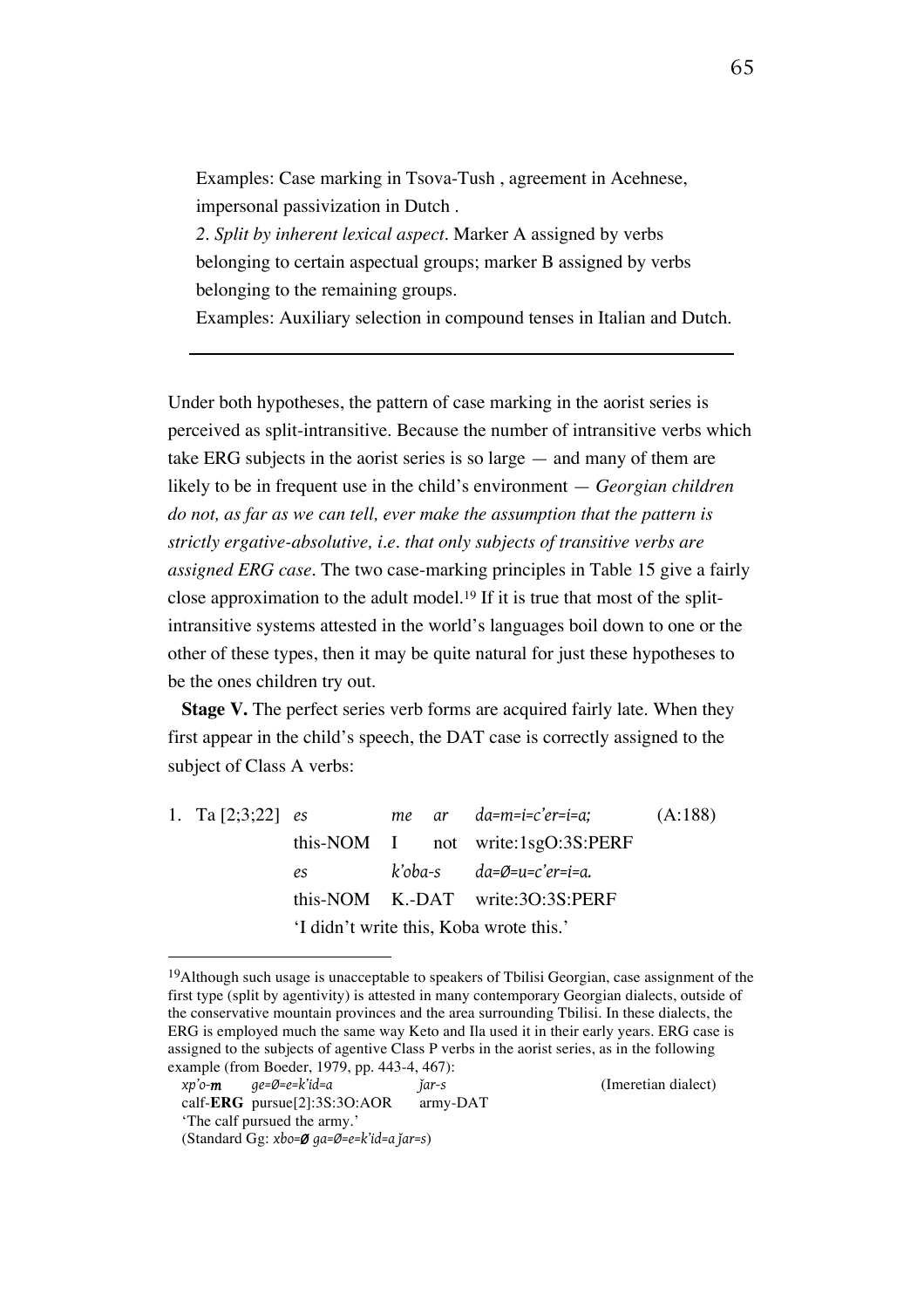Examples: Case marking in Tsova-Tush , agreement in Acehnese, impersonal passivization in Dutch .

*2. Split by inherent lexical aspect.* Marker A assigned by verbs belonging to certain aspectual groups; marker B assigned by verbs belonging to the remaining groups.

Examples: Auxiliary selection in compound tenses in Italian and Dutch.

Under both hypotheses, the pattern of case marking in the aorist series is perceived as split-intransitive. Because the number of intransitive verbs which take ERG subjects in the aorist series is so large — and many of them are likely to be in frequent use in the child's environment — *Georgian children do not, as far as we can tell, ever make the assumption that the pattern is strictly ergative-absolutive, i.e. that only subjects of transitive verbs are assigned ERG case.* The two case-marking principles in Table 15 give a fairly close approximation to the adult model.19 If it is true that most of the splitintransitive systems attested in the world's languages boil down to one or the other of these types, then it may be quite natural for just these hypotheses to be the ones children try out.

**Stage V.** The perfect series verb forms are acquired fairly late. When they first appear in the child's speech, the DAT case is correctly assigned to the subject of Class A verbs:

1. Ta [2;3;22] *es me ar da=m=i=c'er=i=a;* (A:188) this-NOM I not write:1sgO:3S:PERF *es k'oba-s da=Ø=u=c'er=i=a.* this-NOM K.-DAT write:3O:3S:PERF 'I didn't write this, Koba wrote this.'

 $\overline{a}$ 

65

<sup>&</sup>lt;sup>19</sup>Although such usage is unacceptable to speakers of Tbilisi Georgian, case assignment of the first type (split by agentivity) is attested in many contemporary Georgian dialects, outside of the conservative mountain provinces and the area surrounding Tbilisi. In these dialects, the ERG is employed much the same way Keto and Ila used it in their early years. ERG case is assigned to the subjects of agentive Class P verbs in the aorist series, as in the following example (from Boeder, 1979, pp. 443-4, 467):

*xp'o-m ge=Ø=e=k'id=a ǰar-s* (Imeretian dialect)

calf-**ERG** pursue[2]:3S:3O:AOR army-DAT 'The calf pursued the army.'

<sup>(</sup>Standard Gg: *xbo=Ø ga=Ø=e=k'id=a ǰar=s*)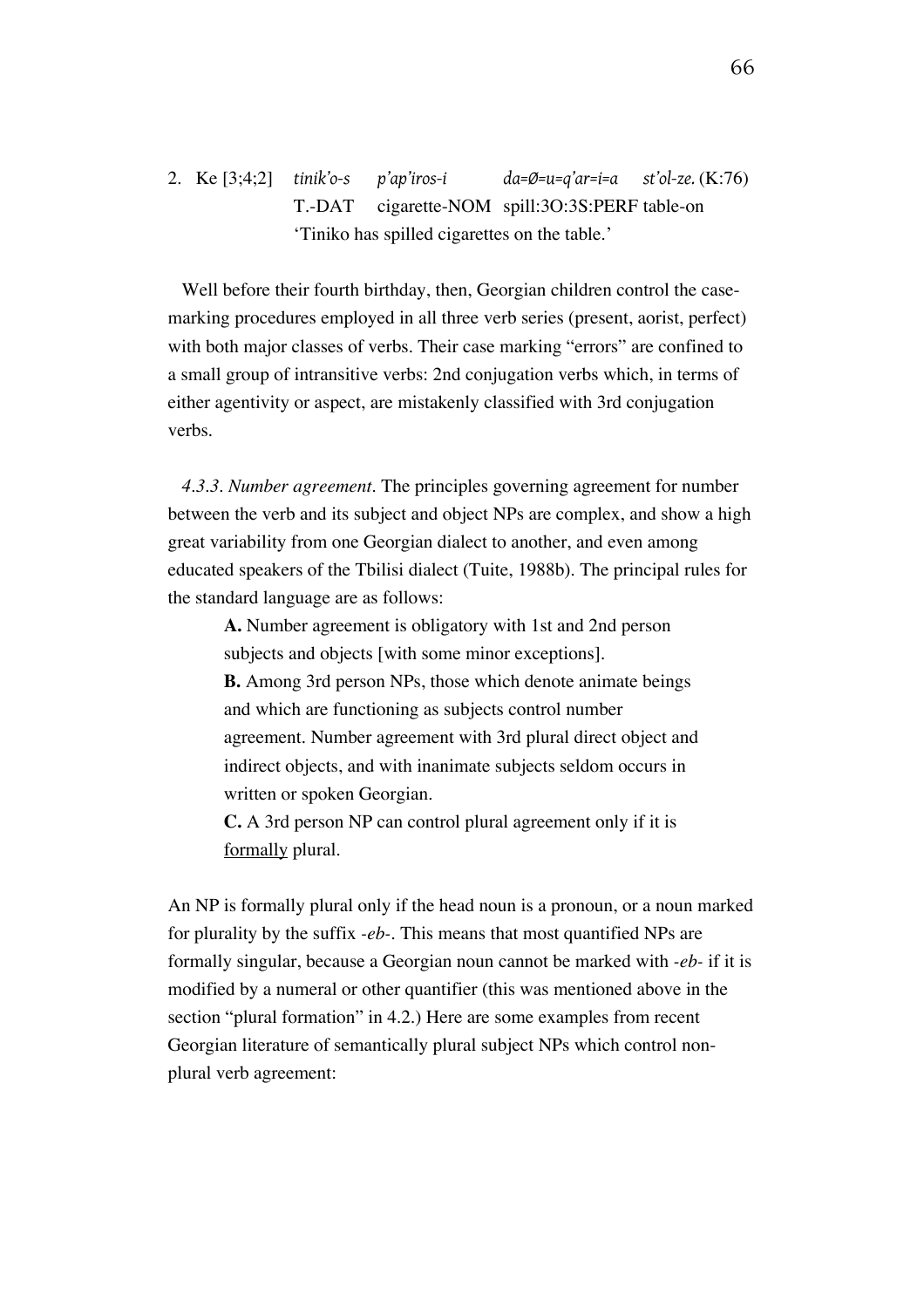2. Ke [3;4;2] *tinik'o-s p'ap'iros-i da=Ø=u=q'ar=i=a st'ol-ze.* (K:76) T.-DAT cigarette-NOM spill:3O:3S:PERF table-on 'Tiniko has spilled cigarettes on the table.'

Well before their fourth birthday, then, Georgian children control the casemarking procedures employed in all three verb series (present, aorist, perfect) with both major classes of verbs. Their case marking "errors" are confined to a small group of intransitive verbs: 2nd conjugation verbs which, in terms of either agentivity or aspect, are mistakenly classified with 3rd conjugation verbs.

*4.3.3. Number agreement.* The principles governing agreement for number between the verb and its subject and object NPs are complex, and show a high great variability from one Georgian dialect to another, and even among educated speakers of the Tbilisi dialect (Tuite, 1988b). The principal rules for the standard language are as follows:

**A.** Number agreement is obligatory with 1st and 2nd person subjects and objects [with some minor exceptions]. **B.** Among 3rd person NPs, those which denote animate beings and which are functioning as subjects control number agreement. Number agreement with 3rd plural direct object and indirect objects, and with inanimate subjects seldom occurs in written or spoken Georgian.

**C.** A 3rd person NP can control plural agreement only if it is formally plural.

An NP is formally plural only if the head noun is a pronoun, or a noun marked for plurality by the suffix *-eb-*. This means that most quantified NPs are formally singular, because a Georgian noun cannot be marked with *-eb-* if it is modified by a numeral or other quantifier (this was mentioned above in the section "plural formation" in 4.2.) Here are some examples from recent Georgian literature of semantically plural subject NPs which control nonplural verb agreement: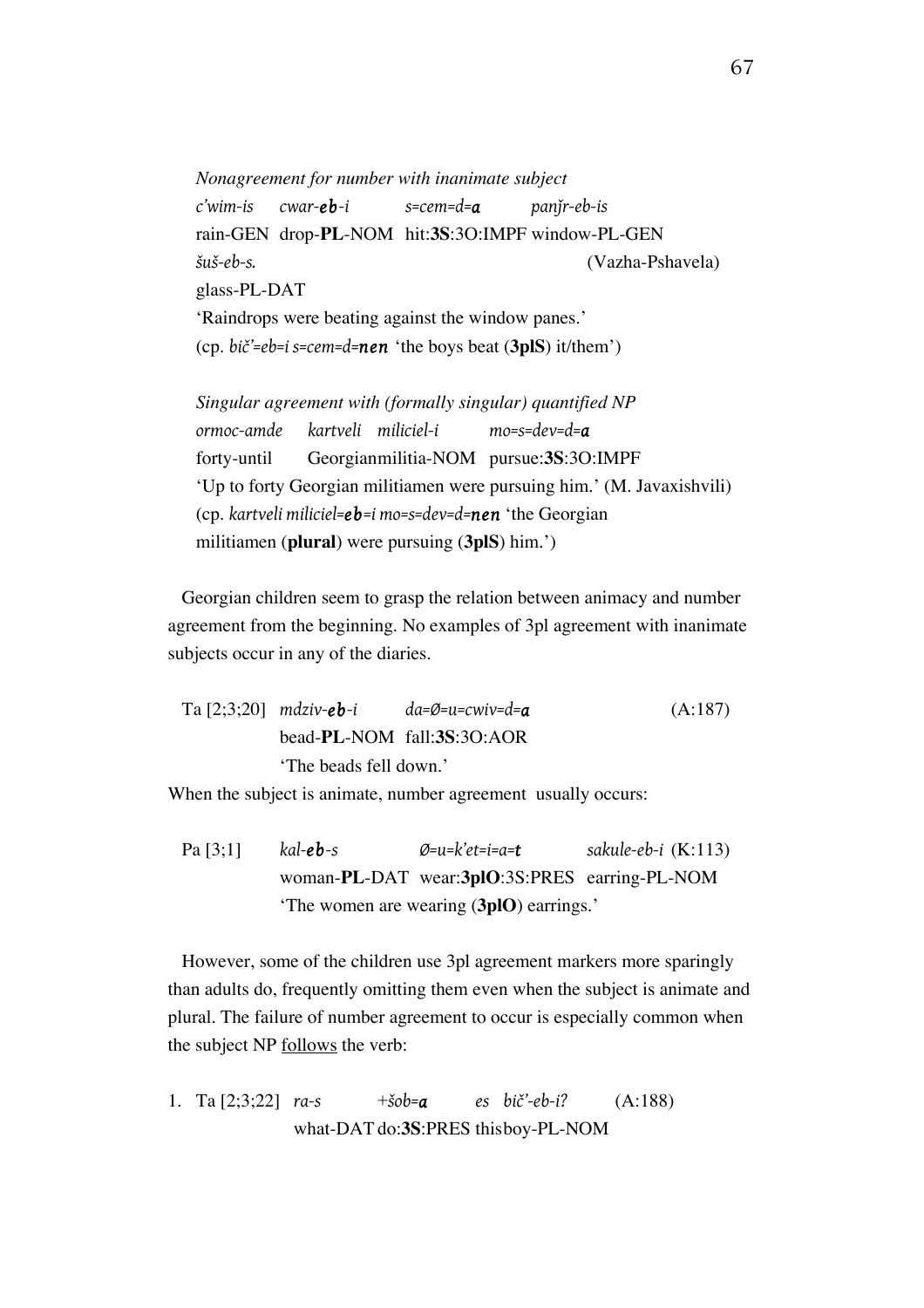*Nonagreement for number with inanimate subject c'wim-is cwar-eb-i s=cem=d=a panǰr-eb-is*  rain-GEN drop-**PL**-NOM hit:**3S**:3O:IMPF window-PL-GEN *šuš-eb-s.* (Vazha-Pshavela) glass-PL-DAT 'Raindrops were beating against the window panes.' (cp. *bič'=eb=i s=cem=d=nen* 'the boys beat (**3plS**) it/them')

*Singular agreement with (formally singular) quantified NP ormoc-amde kartveli miliciel-i mo=s=dev=d=a* forty-until Georgianmilitia-NOM pursue:**3S**:3O:IMPF 'Up to forty Georgian militiamen were pursuing him.' (M. Javaxishvili) (cp. *kartveli miliciel=eb=i mo=s=dev=d=nen* 'the Georgian militiamen (**plural**) were pursuing (**3plS**) him.')

Georgian children seem to grasp the relation between animacy and number agreement from the beginning. No examples of 3pl agreement with inanimate subjects occur in any of the diaries.

\n
$$
\text{Ta} \left[ 2; 3; 20 \right] \text{ m} \, \text{dziv} \cdot \text{eb} \cdot \text{i}
$$
\n $\text{da} = \emptyset = \text{u} = \text{c} \, \text{wiv} = \text{d} = \text{a}$ \n

\n\n (A:187)   
\n bead-PL-NOM fall: 3S:3O: AOR   
\n 'The beads fell down.'\n

When the subject is animate, number agreement usually occurs:

Pa [3;1] *kal-eb-s Ø=u=k'et=i=a=t sakule-eb-i* (K:113) woman-**PL**-DAT wear:**3plO**:3S:PRES earring-PL-NOM 'The women are wearing (**3plO**) earrings.'

However, some of the children use 3pl agreement markers more sparingly than adults do, frequently omitting them even when the subject is animate and plural. The failure of number agreement to occur is especially common when the subject NP follows the verb:

1. Ta [2;3;22] *ra-s* +*šob=a es bič'-eb-i?* (A:188) what-DAT do:**3S**:PRES thisboy-PL-NOM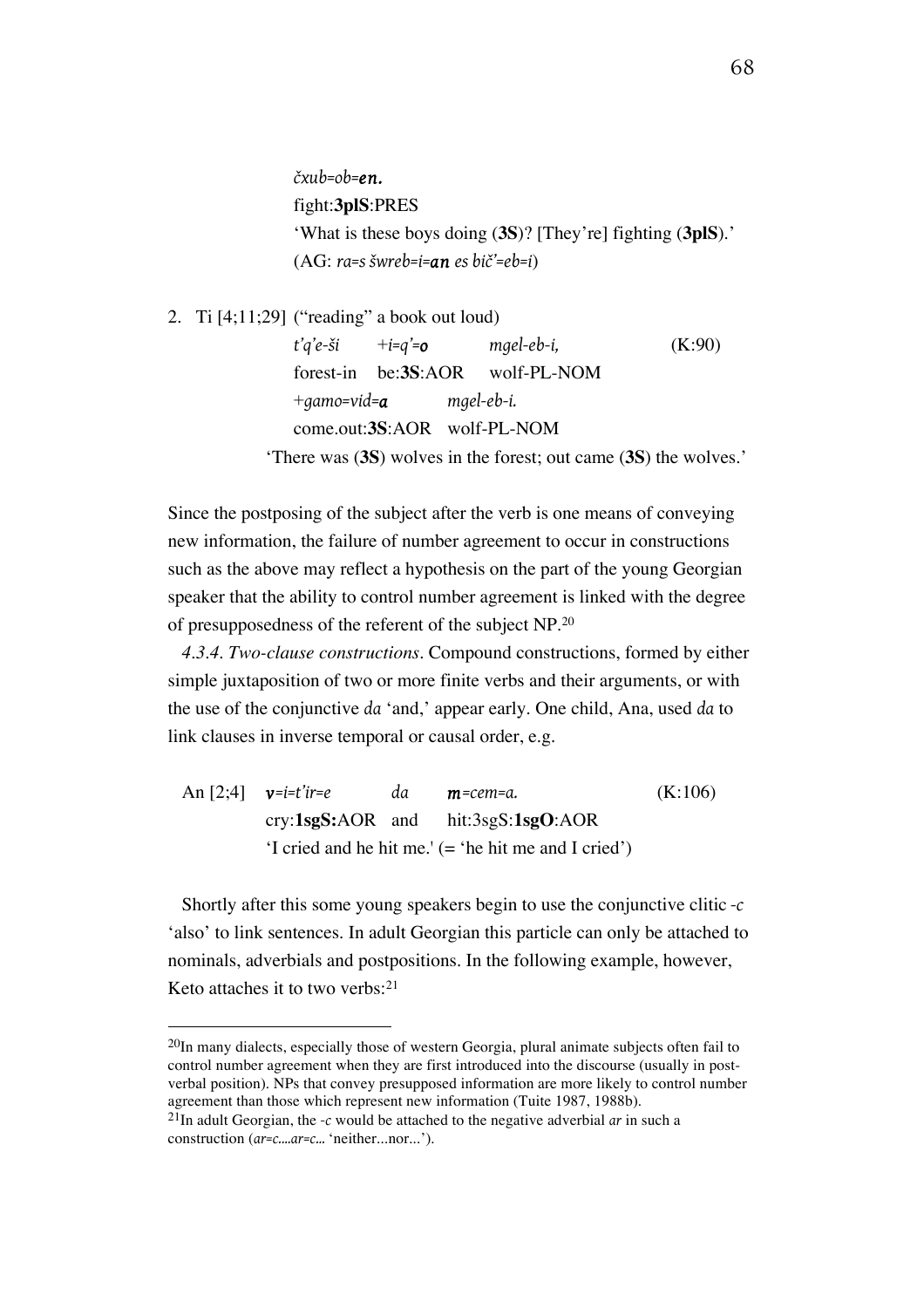*čxub=ob=en.* fight:**3plS**:PRES 'What is these boys doing (**3S**)? [They're] fighting (**3plS**).' (AG: *ra=s šwreb=i=an es bič'=eb=i*)

2. Ti  $[4;11;29]$  ("reading" a book out loud)

*t'q'e-ši* +*i=q'=o mgel-eb-i,* (K:90) forest-in be:**3S**:AOR wolf-PL-NOM +*gamo=vid=a mgel-eb-i.* come.out:**3S**:AOR wolf-PL-NOM

'There was (**3S**) wolves in the forest; out came (**3S**) the wolves.'

Since the postposing of the subject after the verb is one means of conveying new information, the failure of number agreement to occur in constructions such as the above may reflect a hypothesis on the part of the young Georgian speaker that the ability to control number agreement is linked with the degree of presupposedness of the referent of the subject NP.20

*4.3.4. Two-clause constructions.* Compound constructions, formed by either simple juxtaposition of two or more finite verbs and their arguments, or with the use of the conjunctive *da* 'and,' appear early. One child, Ana, used *da* to link clauses in inverse temporal or causal order, e.g.

An [2;4] *v=i=t'ir=e da m=cem=a.* (K:106) cry:**1sgS:**AOR and hit:3sgS:**1sgO**:AOR 'I cried and he hit me.' (= 'he hit me and I cried')

Shortly after this some young speakers begin to use the conjunctive clitic *-c*  'also' to link sentences. In adult Georgian this particle can only be attached to nominals, adverbials and postpositions. In the following example, however, Keto attaches it to two verbs:21

 $^{20}$ In many dialects, especially those of western Georgia, plural animate subjects often fail to control number agreement when they are first introduced into the discourse (usually in postverbal position). NPs that convey presupposed information are more likely to control number agreement than those which represent new information (Tuite 1987, 1988b).

<sup>21</sup>In adult Georgian, the *-c* would be attached to the negative adverbial *ar* in such a construction (*ar=c....ar=c...* 'neither...nor...').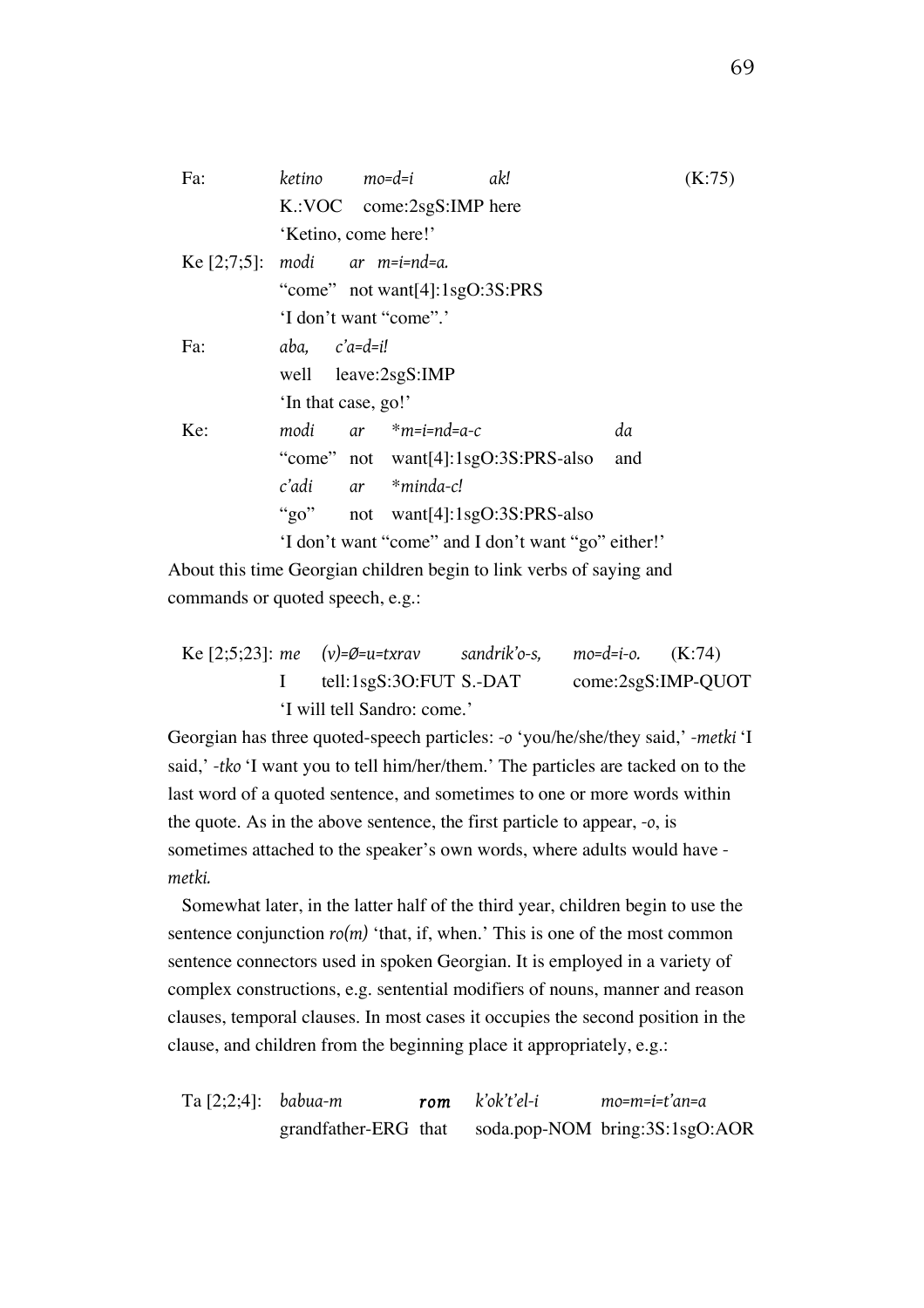| Fa:                              | ketino mo=d=i                                       |  |                           | ak!                                   |     | (K:75) |  |
|----------------------------------|-----------------------------------------------------|--|---------------------------|---------------------------------------|-----|--------|--|
|                                  |                                                     |  | K.:VOC come:2sgS:IMP here |                                       |     |        |  |
|                                  | 'Ketino, come here!'                                |  |                           |                                       |     |        |  |
| Ke $[2;7;5]$ : modi ar m=i=nd=a. |                                                     |  |                           |                                       |     |        |  |
|                                  | "come" not want[4]: $1sgO:3S:PRS$                   |  |                           |                                       |     |        |  |
|                                  | 'I don't want "come".'                              |  |                           |                                       |     |        |  |
| Fa:                              | $aba,$ $c'a=d=i!$                                   |  |                           |                                       |     |        |  |
|                                  | well leave:2sgS:IMP                                 |  |                           |                                       |     |        |  |
|                                  | 'In that case, go!'                                 |  |                           |                                       |     |        |  |
| Ke:                              |                                                     |  | $modi$ ar $*m=i=nd=a-c$   |                                       | da  |        |  |
|                                  |                                                     |  |                           | "come" not $want[4]:1sgO:3S:PRS-also$ | and |        |  |
|                                  |                                                     |  | c'adi ar *minda-c!        |                                       |     |        |  |
|                                  |                                                     |  |                           | "go" not want[4]:1sgO:3S:PRS-also     |     |        |  |
|                                  | 'I don't want "come" and I don't want "go" either!' |  |                           |                                       |     |        |  |

About this time Georgian children begin to link verbs of saying and commands or quoted speech, e.g.:

Ke [2;5;23]: *me (v)=Ø=u=txrav sandrik'o-s, mo=d=i-o.* (K:74) I tell:1sgS:3O:FUT S.-DAT come:2sgS:IMP-QUOT 'I will tell Sandro: come.'

Georgian has three quoted-speech particles: *-o* 'you/he/she/they said,' *-metki* 'I said,' *-tko* 'I want you to tell him/her/them.' The particles are tacked on to the last word of a quoted sentence, and sometimes to one or more words within the quote. As in the above sentence, the first particle to appear, *-o*, is sometimes attached to the speaker's own words, where adults would have  *metki.*

Somewhat later, in the latter half of the third year, children begin to use the sentence conjunction  $r_0(m)$  'that, if, when.' This is one of the most common sentence connectors used in spoken Georgian. It is employed in a variety of complex constructions, e.g. sentential modifiers of nouns, manner and reason clauses, temporal clauses. In most cases it occupies the second position in the clause, and children from the beginning place it appropriately, e.g.:

Ta [2;2;4]: *babua-m rom k'ok't'el-i mo=m=i=t'an=a* grandfather-ERG that soda.pop-NOM bring:3S:1sgO:AOR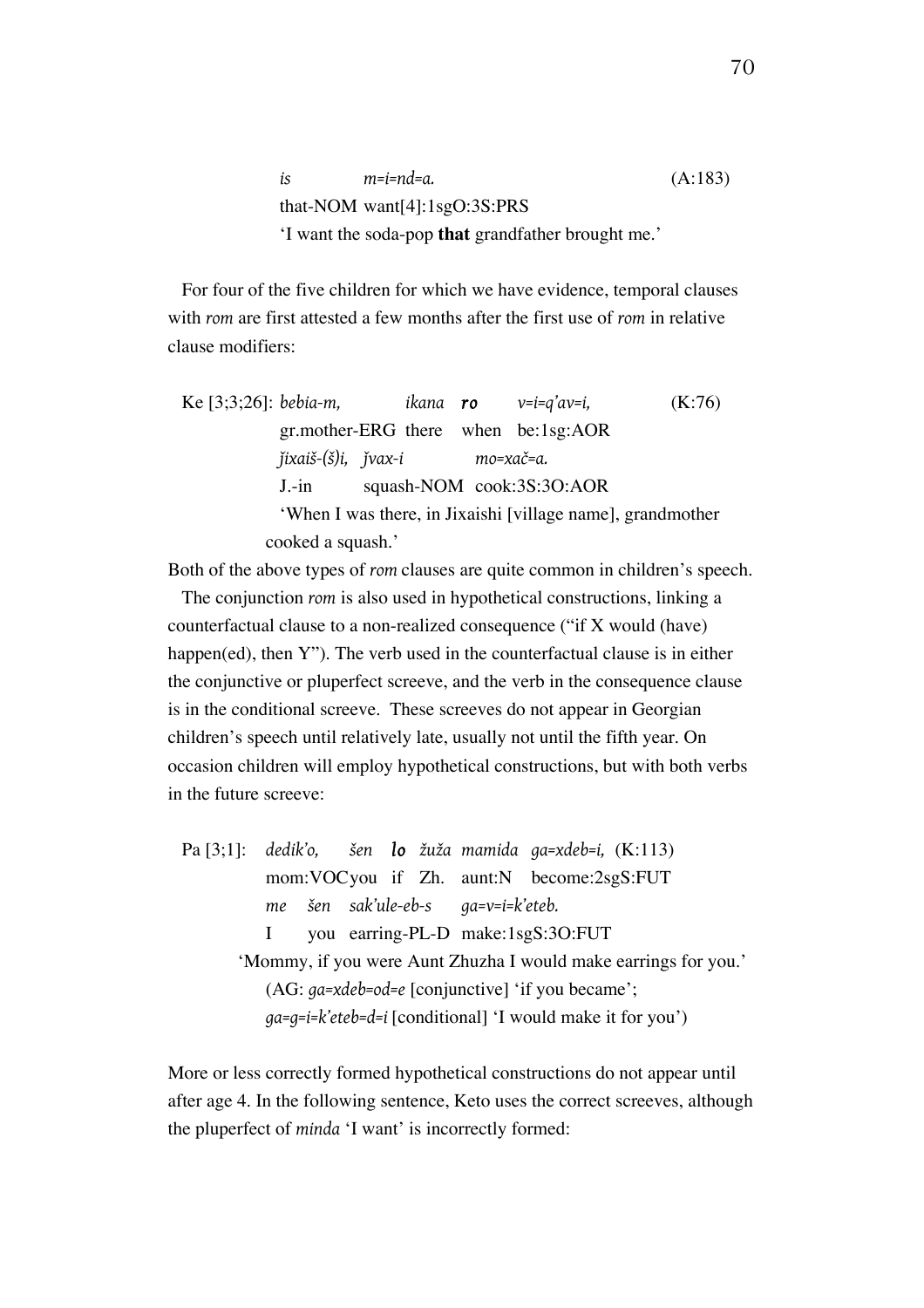*is m=i=nd=a.* (A:183) that-NOM want[4]:1sgO:3S:PRS 'I want the soda-pop **that** grandfather brought me.'

For four of the five children for which we have evidence, temporal clauses with *rom* are first attested a few months after the first use of *rom* in relative clause modifiers:

Ke [3;3;26]: *bebia-m*, *ikana ro* 
$$
v=i=q'av=i
$$
, (K:76) *gr.mother-ERG there when*  $be:1sg:AOR$  *jixaiš-*(*§*)*i*, *j vax-i mo=xač=a*.

\nJ.-in squash-NOM *cook:3S:3O:AOR "When I was there, in Jixaishi [village name], grandmother cooked a squash."*

Both of the above types of *rom* clauses are quite common in children's speech.

The conjunction *rom* is also used in hypothetical constructions, linking a counterfactual clause to a non-realized consequence ("if X would (have) happen(ed), then Y"). The verb used in the counterfactual clause is in either the conjunctive or pluperfect screeve, and the verb in the consequence clause is in the conditional screeve. These screeves do not appear in Georgian children's speech until relatively late, usually not until the fifth year. On occasion children will employ hypothetical constructions, but with both verbs in the future screeve:

Pa [3;1]: *dedik'o, šen lo žuža mamida ga=xdeb=i,* (K:113) mom:VOCyou if Zh. aunt:N become:2sgS:FUT *me šen sak'ule-eb-s ga=v=i=k'eteb.* I you earring-PL-D make:1sgS:3O:FUT 'Mommy, if you were Aunt Zhuzha I would make earrings for you.' (AG: *ga=xdeb=od=e* [conjunctive] 'if you became'; *ga=g=i=k'eteb=d=i* [conditional] 'I would make it for you')

More or less correctly formed hypothetical constructions do not appear until after age 4. In the following sentence, Keto uses the correct screeves, although the pluperfect of *minda* 'I want' is incorrectly formed: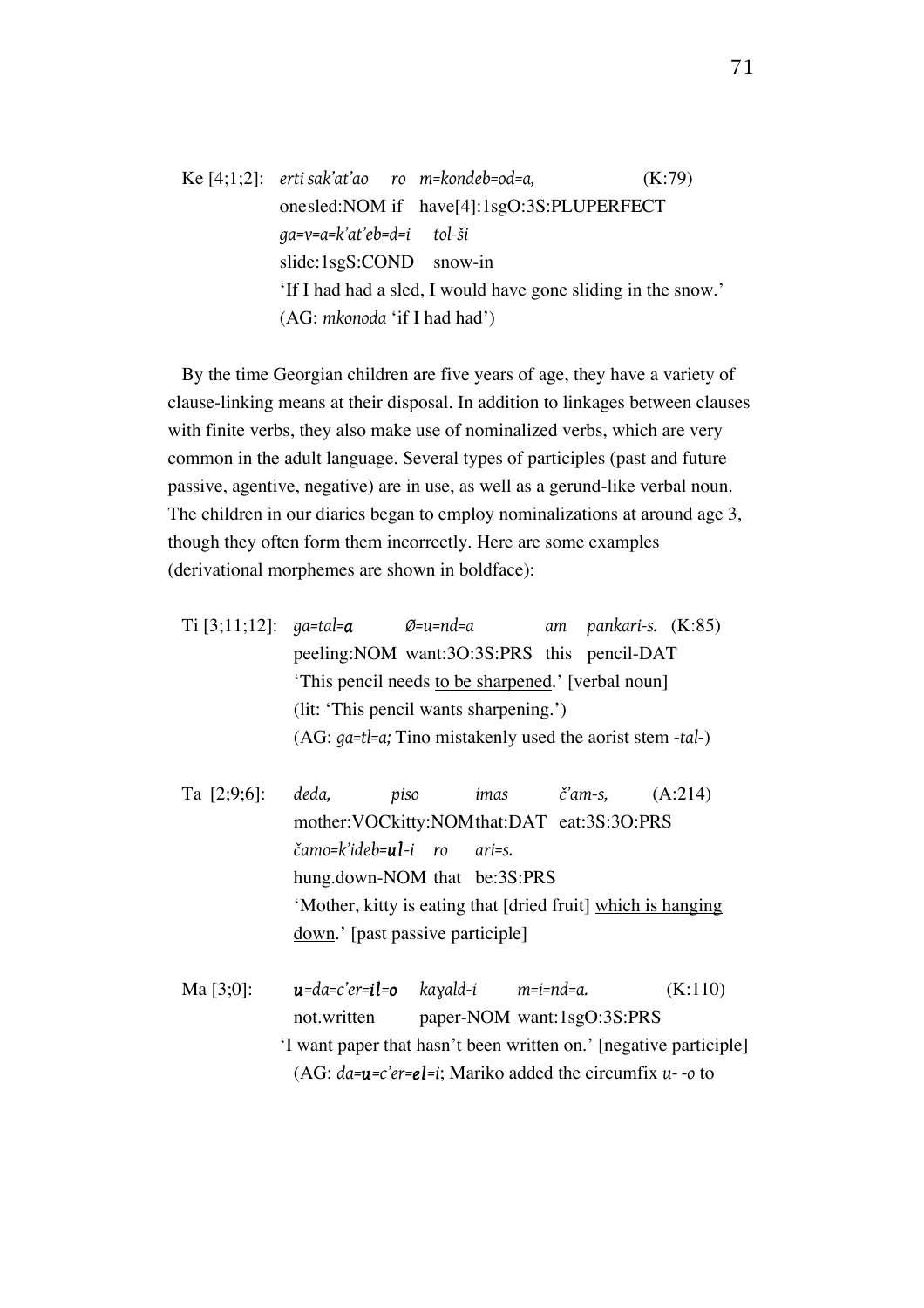Ke [4;1;2]: *erti sak'at'ao ro m=kondeb=od=a,* (K:79) onesled:NOM if have[4]:1sgO:3S:PLUPERFECT *ga=v=a=k'at'eb=d=i tol-ši* slide:1sgS:COND snow-in 'If I had had a sled, I would have gone sliding in the snow.' (AG: *mkonoda* 'if I had had')

By the time Georgian children are five years of age, they have a variety of clause-linking means at their disposal. In addition to linkages between clauses with finite verbs, they also make use of nominalized verbs, which are very common in the adult language. Several types of participles (past and future passive, agentive, negative) are in use, as well as a gerund-like verbal noun. The children in our diaries began to employ nominalizations at around age 3, though they often form them incorrectly. Here are some examples (derivational morphemes are shown in boldface):

| Ti [3;11;12]: $ga = tal = a$ |                                                              | Ø=u=nd=a                                      |  | am pankari-s. (K:85) |  |  |  |  |
|------------------------------|--------------------------------------------------------------|-----------------------------------------------|--|----------------------|--|--|--|--|
|                              |                                                              | peeling: NOM want: 30:3S: PRS this pencil-DAT |  |                      |  |  |  |  |
|                              | 'This pencil needs to be sharpened.' [verbal noun]           |                                               |  |                      |  |  |  |  |
|                              | (lit: 'This pencil wants sharpening.')                       |                                               |  |                      |  |  |  |  |
|                              | $(AG: qa=t]=a$ ; Tino mistakenly used the aorist stem -tal-) |                                               |  |                      |  |  |  |  |

| Ta [2;9;6]: deda, |                                                              | piso                                | imas |                                                  | $\check{c}'$ am-s, $(A:214)$ |
|-------------------|--------------------------------------------------------------|-------------------------------------|------|--------------------------------------------------|------------------------------|
|                   |                                                              |                                     |      | mother: VOCkitty: NOM that: DAT eat: 3S: 3O: PRS |                              |
|                   |                                                              | čamo=k'ideb= <b>ul</b> -i ro ari=s. |      |                                                  |                              |
|                   |                                                              | hung.down-NOM that be:3S:PRS        |      |                                                  |                              |
|                   | 'Mother, kitty is eating that [dried fruit] which is hanging |                                     |      |                                                  |                              |
|                   | $down.'$ [past passive participle]                           |                                     |      |                                                  |                              |

Ma [3;0]: *u=da=c'er=il=o kaɣald-i m=i=nd=a.* (K:110) not.written paper-NOM want:1sgO:3S:PRS 'I want paper that hasn't been written on.' [negative participle] (AG: *da=u=c'er=el=i*; Mariko added the circumfix *u- -o* to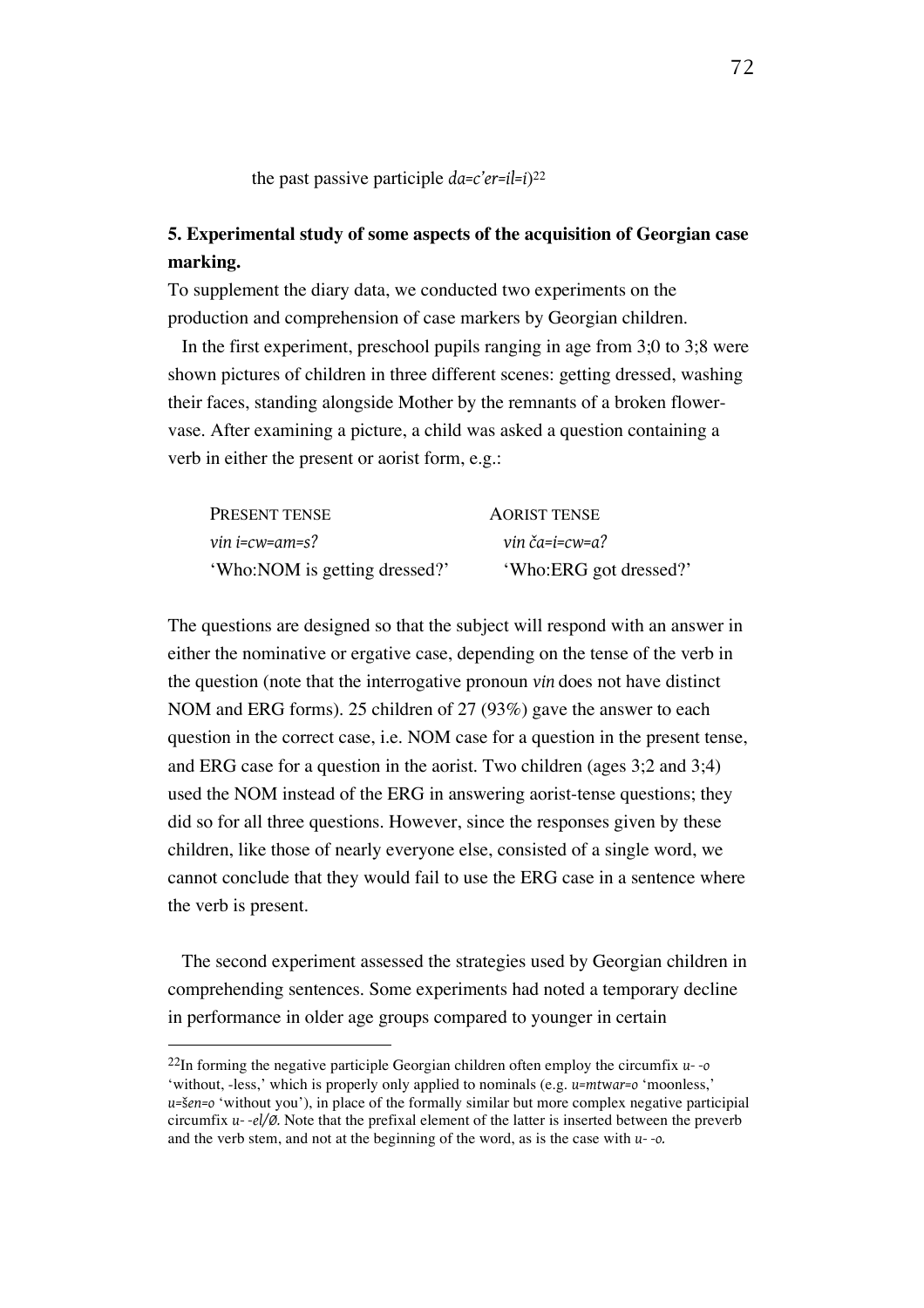the past passive participle *da=c'er=il=i*)22

## **5. Experimental study of some aspects of the acquisition of Georgian case marking.**

To supplement the diary data, we conducted two experiments on the production and comprehension of case markers by Georgian children.

In the first experiment, preschool pupils ranging in age from 3;0 to 3;8 were shown pictures of children in three different scenes: getting dressed, washing their faces, standing alongside Mother by the remnants of a broken flowervase. After examining a picture, a child was asked a question containing a verb in either the present or aorist form, e.g.:

| PRESENT TENSE                 | <b>AORIST TENSE</b>    |
|-------------------------------|------------------------|
| vin i=cw=am=s?                | vin ča=i=cw=a?         |
| 'Who:NOM is getting dressed?' | 'Who:ERG got dressed?' |

The questions are designed so that the subject will respond with an answer in either the nominative or ergative case, depending on the tense of the verb in the question (note that the interrogative pronoun *vin* does not have distinct NOM and ERG forms). 25 children of 27 (93%) gave the answer to each question in the correct case, i.e. NOM case for a question in the present tense, and ERG case for a question in the aorist. Two children (ages 3;2 and 3;4) used the NOM instead of the ERG in answering aorist-tense questions; they did so for all three questions. However, since the responses given by these children, like those of nearly everyone else, consisted of a single word, we cannot conclude that they would fail to use the ERG case in a sentence where the verb is present.

The second experiment assessed the strategies used by Georgian children in comprehending sentences. Some experiments had noted a temporary decline in performance in older age groups compared to younger in certain

<sup>22</sup>In forming the negative participle Georgian children often employ the circumfix *u- -o* 'without, -less,' which is properly only applied to nominals (e.g. *u=mt*w*ar=o* 'moonless,' *u=*š*en=o* 'without you'), in place of the formally similar but more complex negative participial circumfix *u- -el/Ø.* Note that the prefixal element of the latter is inserted between the preverb and the verb stem, and not at the beginning of the word, as is the case with *u- -o.*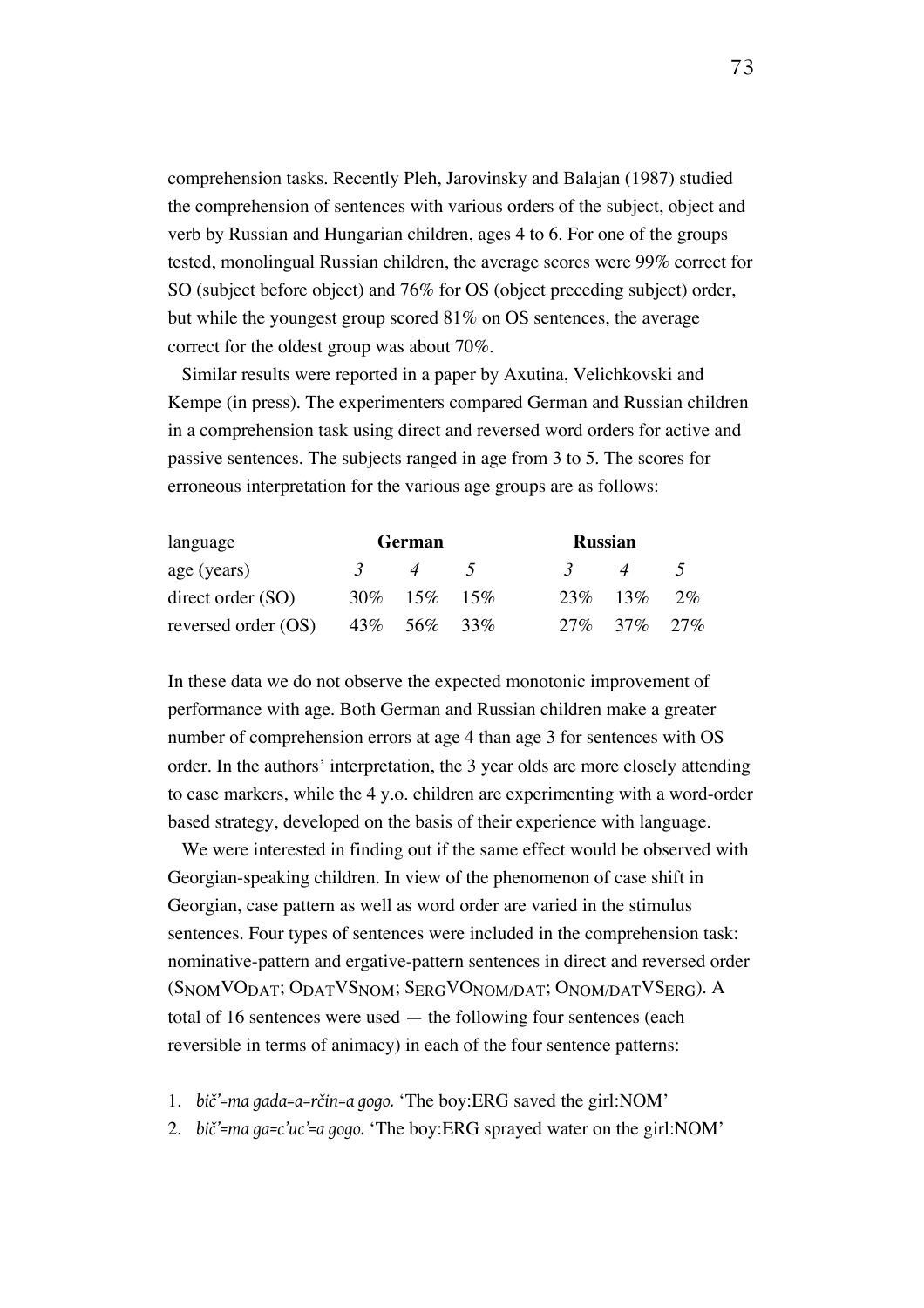comprehension tasks. Recently Pleh, Jarovinsky and Balajan (1987) studied the comprehension of sentences with various orders of the subject, object and verb by Russian and Hungarian children, ages 4 to 6. For one of the groups tested, monolingual Russian children, the average scores were 99% correct for SO (subject before object) and 76% for OS (object preceding subject) order, but while the youngest group scored 81% on OS sentences, the average correct for the oldest group was about 70%.

Similar results were reported in a paper by Axutina, Velichkovski and Kempe (in press). The experimenters compared German and Russian children in a comprehension task using direct and reversed word orders for active and passive sentences. The subjects ranged in age from 3 to 5. The scores for erroneous interpretation for the various age groups are as follows:

| language            | German   |                | <b>Russian</b> |         |                            |      |
|---------------------|----------|----------------|----------------|---------|----------------------------|------|
| age (years)         | $\gamma$ | $\overline{4}$ |                | $\prec$ | $\boldsymbol{\mathcal{A}}$ | $-5$ |
| direct order(SO)    |          | 30\% 15\% 15\% |                |         | $23\%$ 13\%                | 2%   |
| reversed order (OS) |          | 43\% 56\% 33\% |                |         | 27\% 37\% 27\%             |      |

In these data we do not observe the expected monotonic improvement of performance with age. Both German and Russian children make a greater number of comprehension errors at age 4 than age 3 for sentences with OS order. In the authors' interpretation, the 3 year olds are more closely attending to case markers, while the 4 y.o. children are experimenting with a word-order based strategy, developed on the basis of their experience with language.

We were interested in finding out if the same effect would be observed with Georgian-speaking children. In view of the phenomenon of case shift in Georgian, case pattern as well as word order are varied in the stimulus sentences. Four types of sentences were included in the comprehension task: nominative-pattern and ergative-pattern sentences in direct and reversed order (S<sub>NOM</sub>VO<sub>DAT</sub>; O<sub>DAT</sub>VS<sub>NOM</sub>; S<sub>ERG</sub>VO<sub>NOM/DAT</sub>; O<sub>NOM/DAT</sub>VS<sub>ERG</sub>). A total of 16 sentences were used — the following four sentences (each reversible in terms of animacy) in each of the four sentence patterns:

- 1. *bič'=ma gada=a=rčin=a gogo.* 'The boy:ERG saved the girl:NOM'
- 2. *bič'=ma ga=c'uc'=a gogo.* 'The boy:ERG sprayed water on the girl:NOM'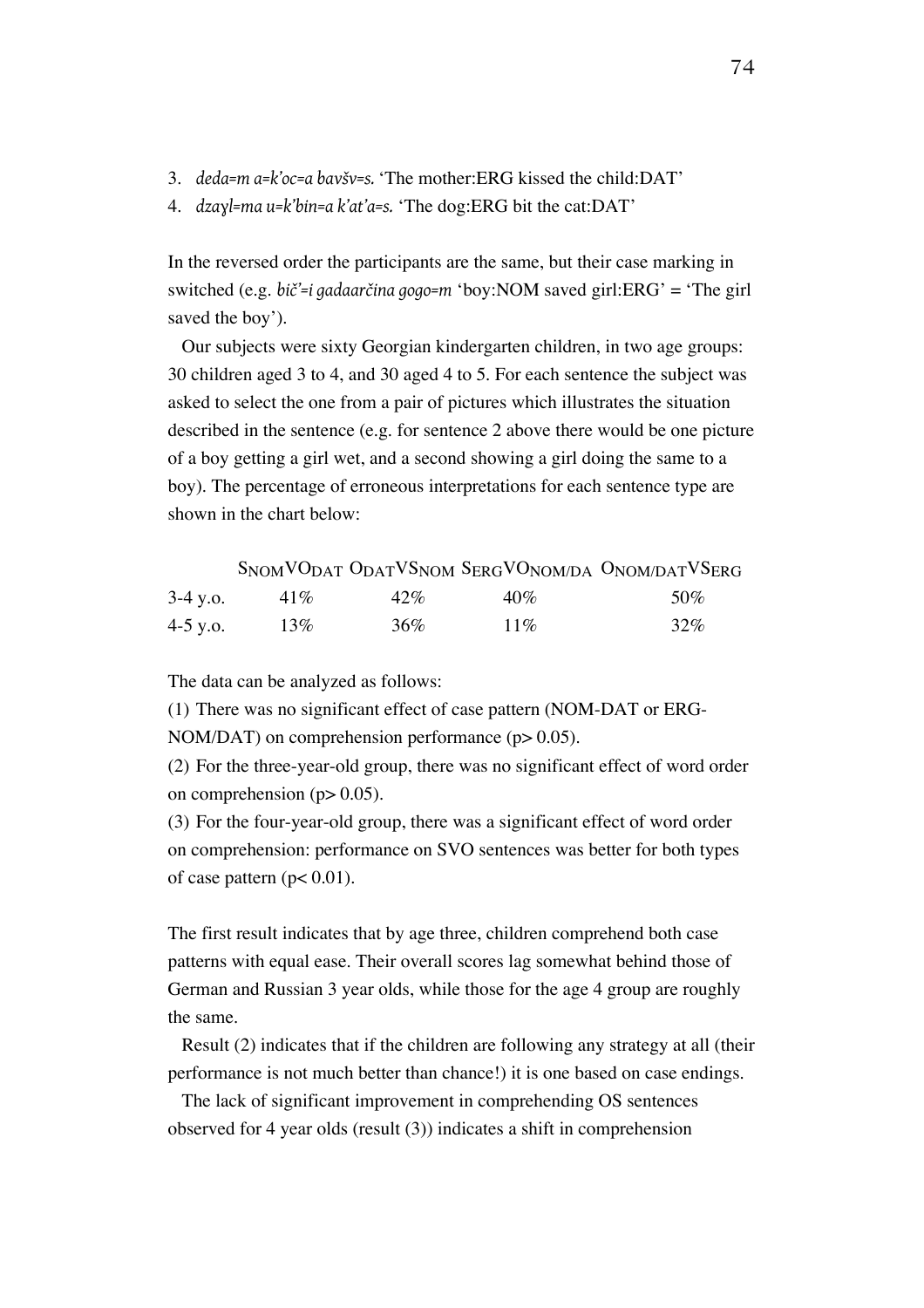- 3. *deda=m a=k'oc=a bavšv=s.* 'The mother:ERG kissed the child:DAT'
- 4. *dzaɣl=ma u=k'bin=a k'at'a=s.* 'The dog:ERG bit the cat:DAT'

In the reversed order the participants are the same, but their case marking in switched (e.g. *bič'=i gadaarčina gogo=m* 'boy:NOM saved girl:ERG' = 'The girl saved the boy').

Our subjects were sixty Georgian kindergarten children, in two age groups: 30 children aged 3 to 4, and 30 aged 4 to 5. For each sentence the subject was asked to select the one from a pair of pictures which illustrates the situation described in the sentence (e.g. for sentence 2 above there would be one picture of a boy getting a girl wet, and a second showing a girl doing the same to a boy). The percentage of erroneous interpretations for each sentence type are shown in the chart below:

|            |        |     |        | SNOMVODAT ODATVSNOM SERGVONOM/DA ONOM/DATVSERG |
|------------|--------|-----|--------|------------------------------------------------|
| $3-4$ y.o. | $41\%$ | 42% | $40\%$ | 50%                                            |
| 4-5 y.o.   | 13%    | 36% | 11%    | 32%                                            |

The data can be analyzed as follows:

(1) There was no significant effect of case pattern (NOM-DAT or ERG-

NOM/DAT) on comprehension performance (p > 0.05).

(2) For the three-year-old group, there was no significant effect of word order on comprehension ( $p > 0.05$ ).

(3) For the four-year-old group, there was a significant effect of word order on comprehension: performance on SVO sentences was better for both types of case pattern ( $p < 0.01$ ).

The first result indicates that by age three, children comprehend both case patterns with equal ease. Their overall scores lag somewhat behind those of German and Russian 3 year olds, while those for the age 4 group are roughly the same.

Result (2) indicates that if the children are following any strategy at all (their performance is not much better than chance!) it is one based on case endings.

The lack of significant improvement in comprehending OS sentences observed for 4 year olds (result (3)) indicates a shift in comprehension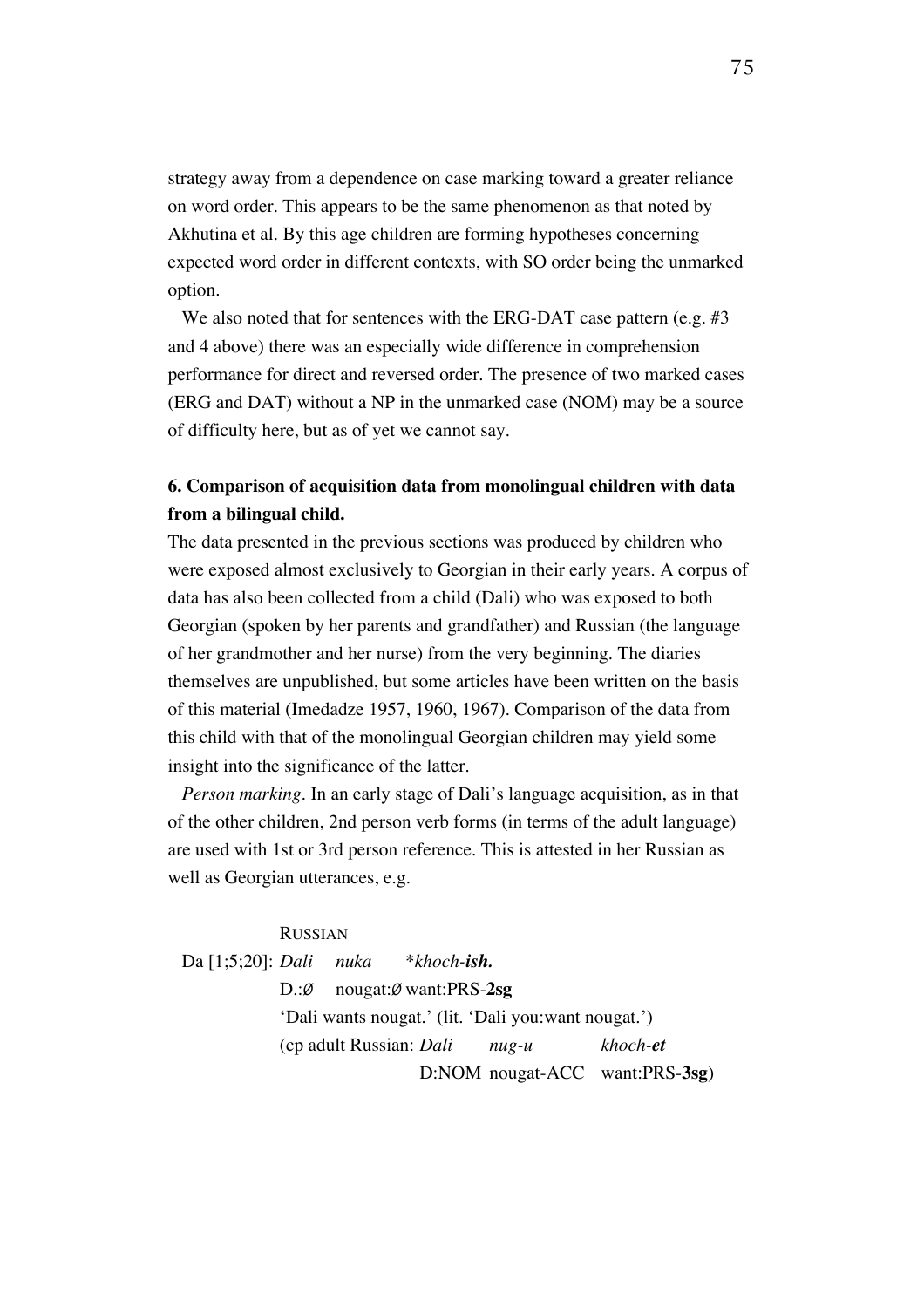strategy away from a dependence on case marking toward a greater reliance on word order. This appears to be the same phenomenon as that noted by Akhutina et al. By this age children are forming hypotheses concerning expected word order in different contexts, with SO order being the unmarked option.

We also noted that for sentences with the ERG-DAT case pattern (e.g. #3) and 4 above) there was an especially wide difference in comprehension performance for direct and reversed order. The presence of two marked cases (ERG and DAT) without a NP in the unmarked case (NOM) may be a source of difficulty here, but as of yet we cannot say.

# **6. Comparison of acquisition data from monolingual children with data from a bilingual child.**

The data presented in the previous sections was produced by children who were exposed almost exclusively to Georgian in their early years. A corpus of data has also been collected from a child (Dali) who was exposed to both Georgian (spoken by her parents and grandfather) and Russian (the language of her grandmother and her nurse) from the very beginning. The diaries themselves are unpublished, but some articles have been written on the basis of this material (Imedadze 1957, 1960, 1967). Comparison of the data from this child with that of the monolingual Georgian children may yield some insight into the significance of the latter.

*Person marking.* In an early stage of Dali's language acquisition, as in that of the other children, 2nd person verb forms (in terms of the adult language) are used with 1st or 3rd person reference. This is attested in her Russian as well as Georgian utterances, e.g.

## RUSSIAN

Da [1;5;20]: *Dali nuka* \**khoch-ish.* D.:*Ø* nougat:*Ø* want:PRS-**2sg** 'Dali wants nougat.' (lit. 'Dali you:want nougat.') (cp adult Russian: *Dali nug-u khoch-et* D:NOM nougat-ACC want:PRS-**3sg**)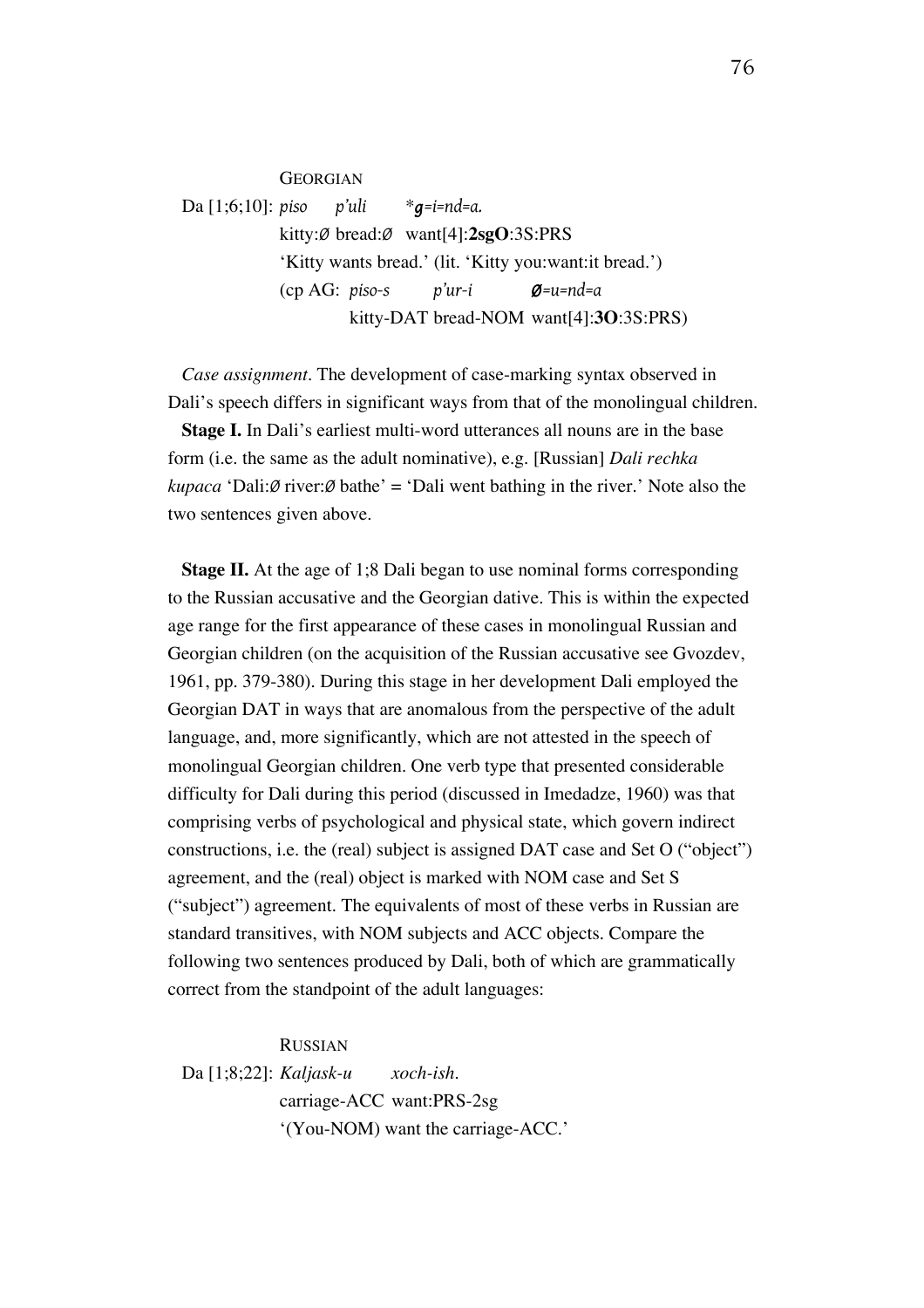**GEORGIAN** Da [1;6;10]: *piso p'uli* \**g=i=nd=a.* kitty:*Ø* bread:*Ø* want[4]:**2sgO**:3S:PRS 'Kitty wants bread.' (lit. 'Kitty you:want:it bread.') (cp AG: *piso-s p'ur-i Ø=u=nd=a* kitty-DAT bread-NOM want[4]:**3O**:3S:PRS)

*Case assignment.* The development of case-marking syntax observed in Dali's speech differs in significant ways from that of the monolingual children.

**Stage I.** In Dali's earliest multi-word utterances all nouns are in the base form (i.e. the same as the adult nominative), e.g. [Russian] *Dali rechka kupaca* 'Dali: $\emptyset$  river: $\emptyset$  bathe' = 'Dali went bathing in the river.' Note also the two sentences given above.

**Stage II.** At the age of 1;8 Dali began to use nominal forms corresponding to the Russian accusative and the Georgian dative. This is within the expected age range for the first appearance of these cases in monolingual Russian and Georgian children (on the acquisition of the Russian accusative see Gvozdev, 1961, pp. 379-380). During this stage in her development Dali employed the Georgian DAT in ways that are anomalous from the perspective of the adult language, and, more significantly, which are not attested in the speech of monolingual Georgian children. One verb type that presented considerable difficulty for Dali during this period (discussed in Imedadze, 1960) was that comprising verbs of psychological and physical state, which govern indirect constructions, i.e. the (real) subject is assigned DAT case and Set O ("object") agreement, and the (real) object is marked with NOM case and Set S ("subject") agreement. The equivalents of most of these verbs in Russian are standard transitives, with NOM subjects and ACC objects. Compare the following two sentences produced by Dali, both of which are grammatically correct from the standpoint of the adult languages:

RUSSIAN

Da [1;8;22]: *Kaljask-u xoch-ish.* carriage-ACC want:PRS-2sg '(You-NOM) want the carriage-ACC.'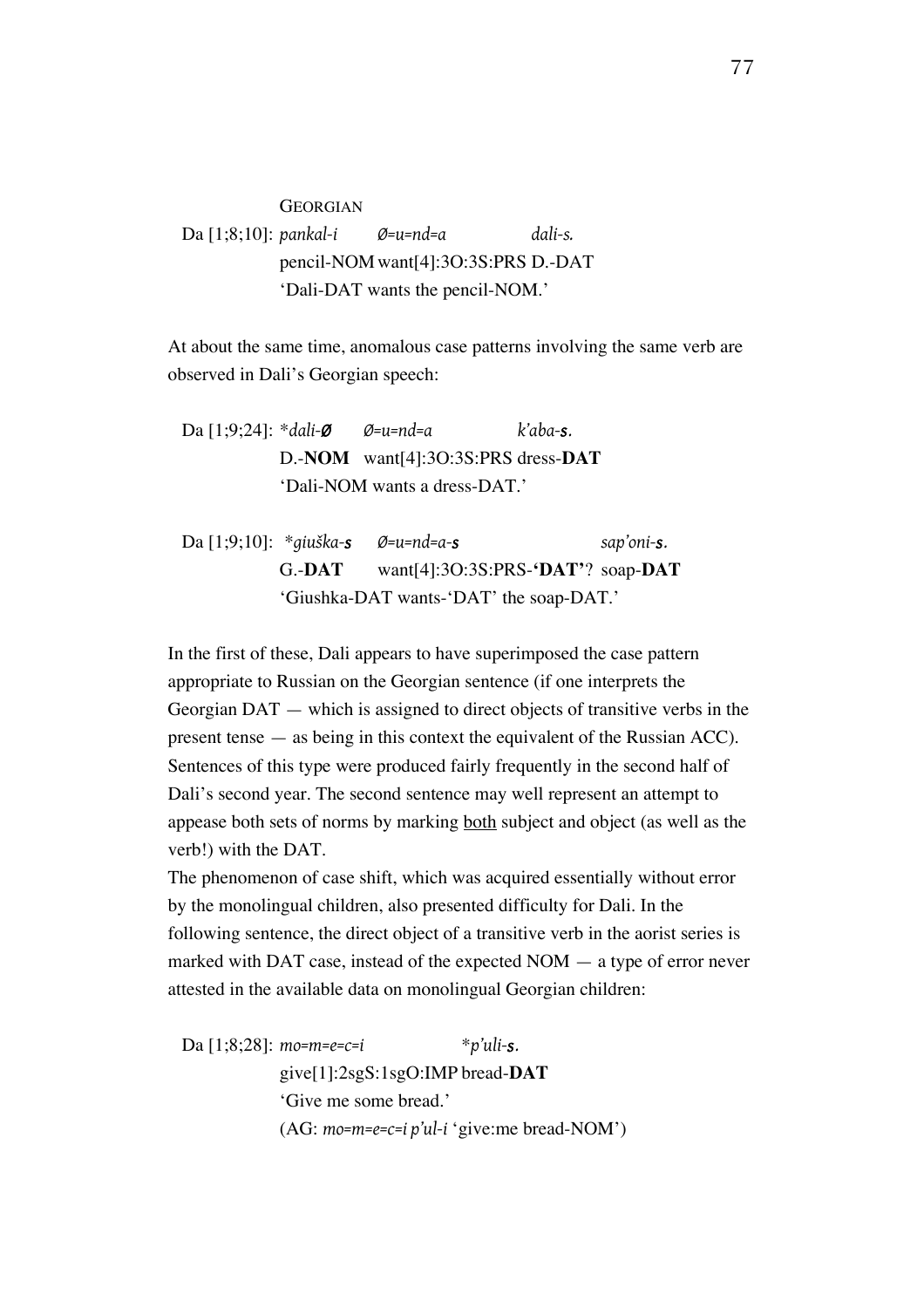**GEORGIAN** Da [1;8;10]: *pankal-i Ø=u=nd=a dali-s.* pencil-NOMwant[4]:3O:3S:PRS D.-DAT 'Dali-DAT wants the pencil-NOM.'

At about the same time, anomalous case patterns involving the same verb are observed in Dali's Georgian speech:

Da [1;9;24]: \**dali-Ø Ø=u=nd=a k'aba-s.* D.-**NOM** want[4]:3O:3S:PRS dress-**DAT** 'Dali-NOM wants a dress-DAT.'

Da [1;9;10]: \**giuška-s Ø=u=nd=a-s sap'oni-s.* G.-**DAT** want[4]:3O:3S:PRS-**'DAT'**? soap-**DAT** 'Giushka-DAT wants-'DAT' the soap-DAT.'

In the first of these, Dali appears to have superimposed the case pattern appropriate to Russian on the Georgian sentence (if one interprets the Georgian DAT — which is assigned to direct objects of transitive verbs in the present tense — as being in this context the equivalent of the Russian ACC). Sentences of this type were produced fairly frequently in the second half of Dali's second year. The second sentence may well represent an attempt to appease both sets of norms by marking both subject and object (as well as the verb!) with the DAT.

The phenomenon of case shift, which was acquired essentially without error by the monolingual children, also presented difficulty for Dali. In the following sentence, the direct object of a transitive verb in the aorist series is marked with DAT case, instead of the expected NOM — a type of error never attested in the available data on monolingual Georgian children:

Da [1;8;28]: *mo=m=e=c=i* \**p'uli-s.* give[1]:2sgS:1sgO:IMP bread-**DAT** 'Give me some bread.' (AG: *mo=m=e=c=i p'ul-i* 'give:me bread-NOM')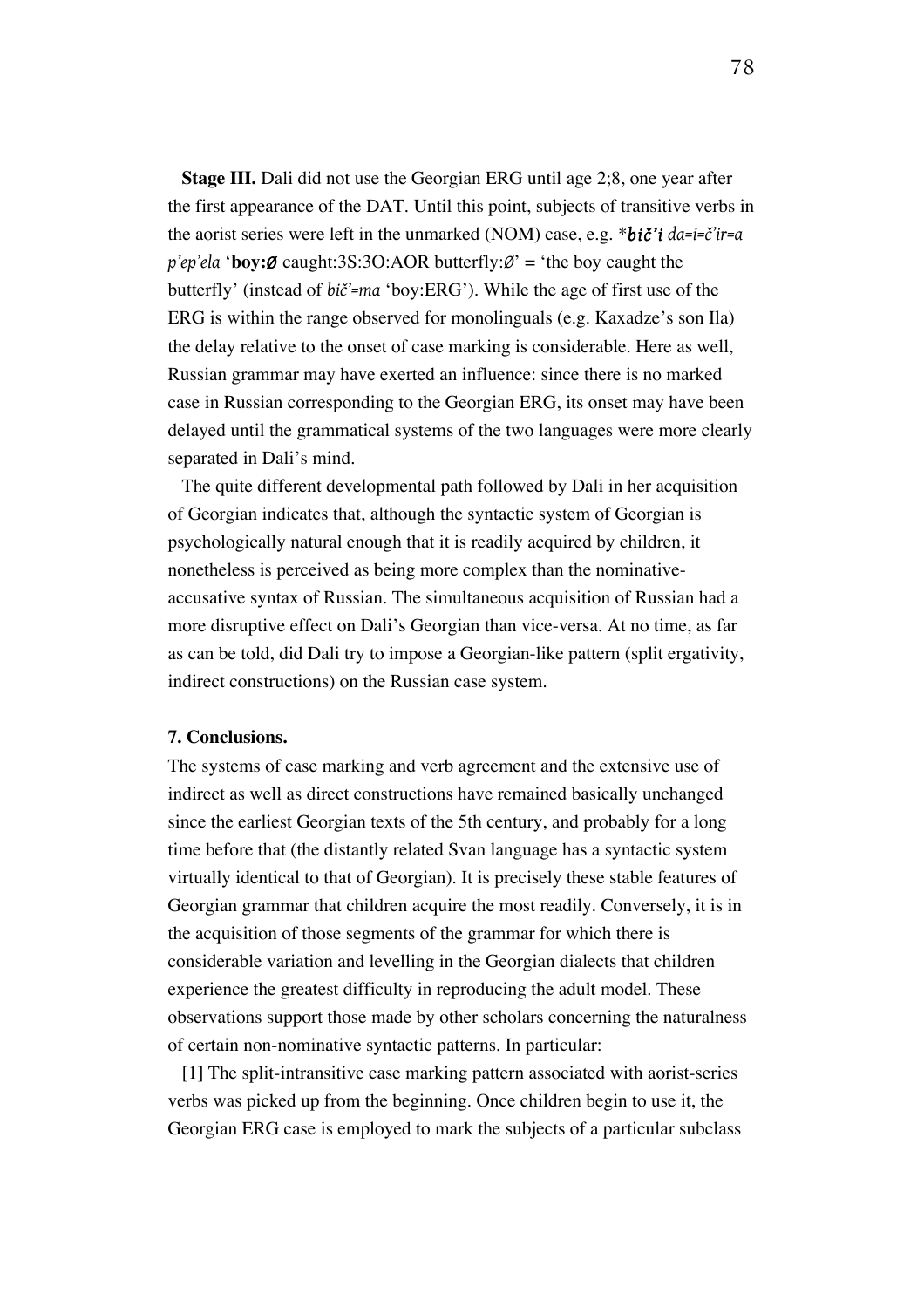**Stage III.** Dali did not use the Georgian ERG until age 2;8, one year after the first appearance of the DAT. Until this point, subjects of transitive verbs in the aorist series were left in the unmarked (NOM) case, e.g. \**bič'i da=i=č'ir=a p'ep'ela* '**boy:***Ø* caught:3S:3O:AOR butterfly:*Ø*' = 'the boy caught the butterfly' (instead of *bič'=ma* 'boy:ERG'). While the age of first use of the ERG is within the range observed for monolinguals (e.g. Kaxadze's son Ila) the delay relative to the onset of case marking is considerable. Here as well, Russian grammar may have exerted an influence: since there is no marked case in Russian corresponding to the Georgian ERG, its onset may have been delayed until the grammatical systems of the two languages were more clearly separated in Dali's mind.

The quite different developmental path followed by Dali in her acquisition of Georgian indicates that, although the syntactic system of Georgian is psychologically natural enough that it is readily acquired by children, it nonetheless is perceived as being more complex than the nominativeaccusative syntax of Russian. The simultaneous acquisition of Russian had a more disruptive effect on Dali's Georgian than vice-versa. At no time, as far as can be told, did Dali try to impose a Georgian-like pattern (split ergativity, indirect constructions) on the Russian case system.

## **7. Conclusions.**

The systems of case marking and verb agreement and the extensive use of indirect as well as direct constructions have remained basically unchanged since the earliest Georgian texts of the 5th century, and probably for a long time before that (the distantly related Svan language has a syntactic system virtually identical to that of Georgian). It is precisely these stable features of Georgian grammar that children acquire the most readily. Conversely, it is in the acquisition of those segments of the grammar for which there is considerable variation and levelling in the Georgian dialects that children experience the greatest difficulty in reproducing the adult model. These observations support those made by other scholars concerning the naturalness of certain non-nominative syntactic patterns. In particular:

[1] The split-intransitive case marking pattern associated with aorist-series verbs was picked up from the beginning. Once children begin to use it, the Georgian ERG case is employed to mark the subjects of a particular subclass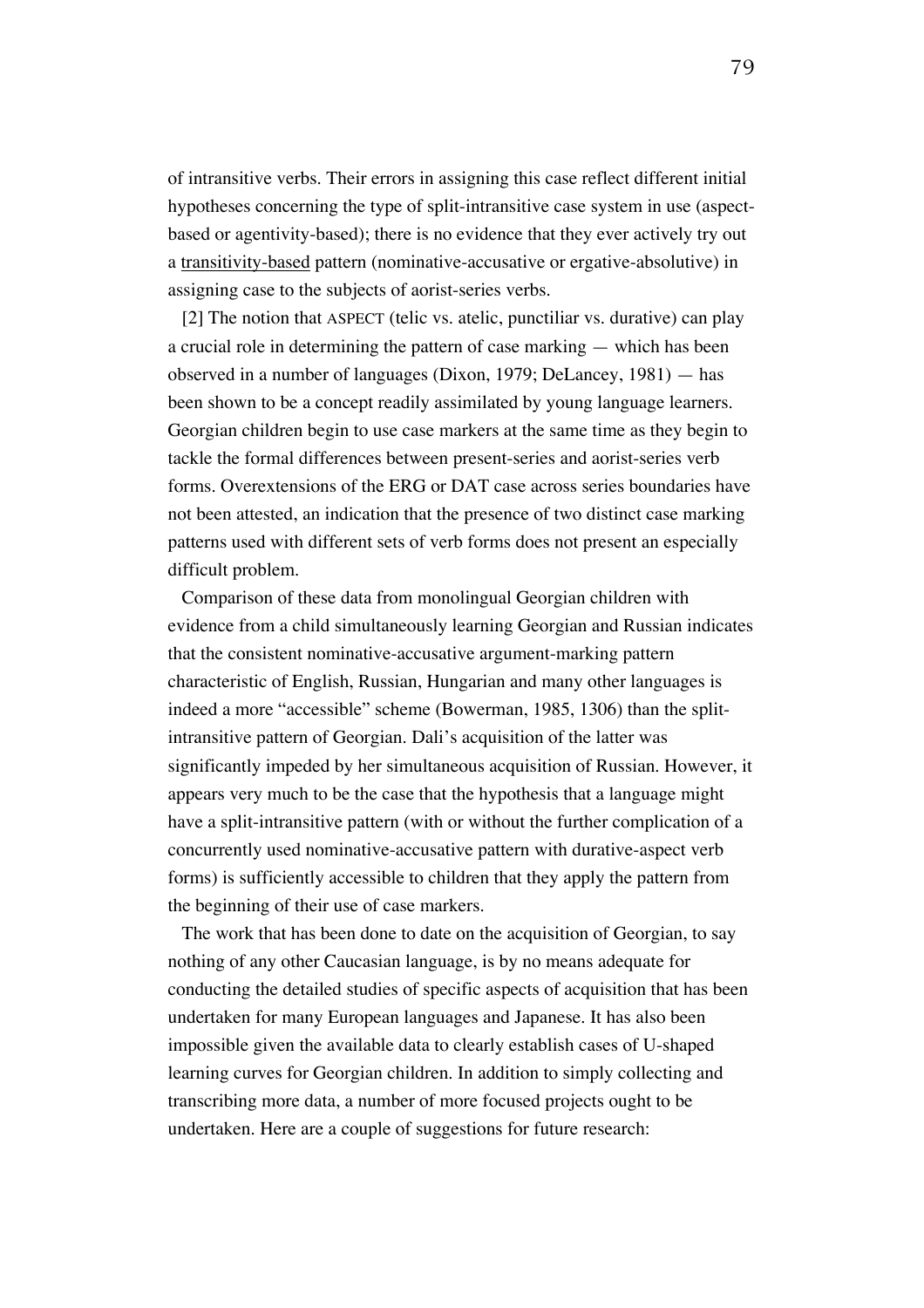of intransitive verbs. Their errors in assigning this case reflect different initial hypotheses concerning the type of split-intransitive case system in use (aspectbased or agentivity-based); there is no evidence that they ever actively try out a transitivity-based pattern (nominative-accusative or ergative-absolutive) in assigning case to the subjects of aorist-series verbs.

[2] The notion that ASPECT (telic vs. atelic, punctiliar vs. durative) can play a crucial role in determining the pattern of case marking — which has been observed in a number of languages (Dixon, 1979; DeLancey, 1981) — has been shown to be a concept readily assimilated by young language learners. Georgian children begin to use case markers at the same time as they begin to tackle the formal differences between present-series and aorist-series verb forms. Overextensions of the ERG or DAT case across series boundaries have not been attested, an indication that the presence of two distinct case marking patterns used with different sets of verb forms does not present an especially difficult problem.

Comparison of these data from monolingual Georgian children with evidence from a child simultaneously learning Georgian and Russian indicates that the consistent nominative-accusative argument-marking pattern characteristic of English, Russian, Hungarian and many other languages is indeed a more "accessible" scheme (Bowerman, 1985, 1306) than the splitintransitive pattern of Georgian. Dali's acquisition of the latter was significantly impeded by her simultaneous acquisition of Russian. However, it appears very much to be the case that the hypothesis that a language might have a split-intransitive pattern (with or without the further complication of a concurrently used nominative-accusative pattern with durative-aspect verb forms) is sufficiently accessible to children that they apply the pattern from the beginning of their use of case markers.

The work that has been done to date on the acquisition of Georgian, to say nothing of any other Caucasian language, is by no means adequate for conducting the detailed studies of specific aspects of acquisition that has been undertaken for many European languages and Japanese. It has also been impossible given the available data to clearly establish cases of U-shaped learning curves for Georgian children. In addition to simply collecting and transcribing more data, a number of more focused projects ought to be undertaken. Here are a couple of suggestions for future research: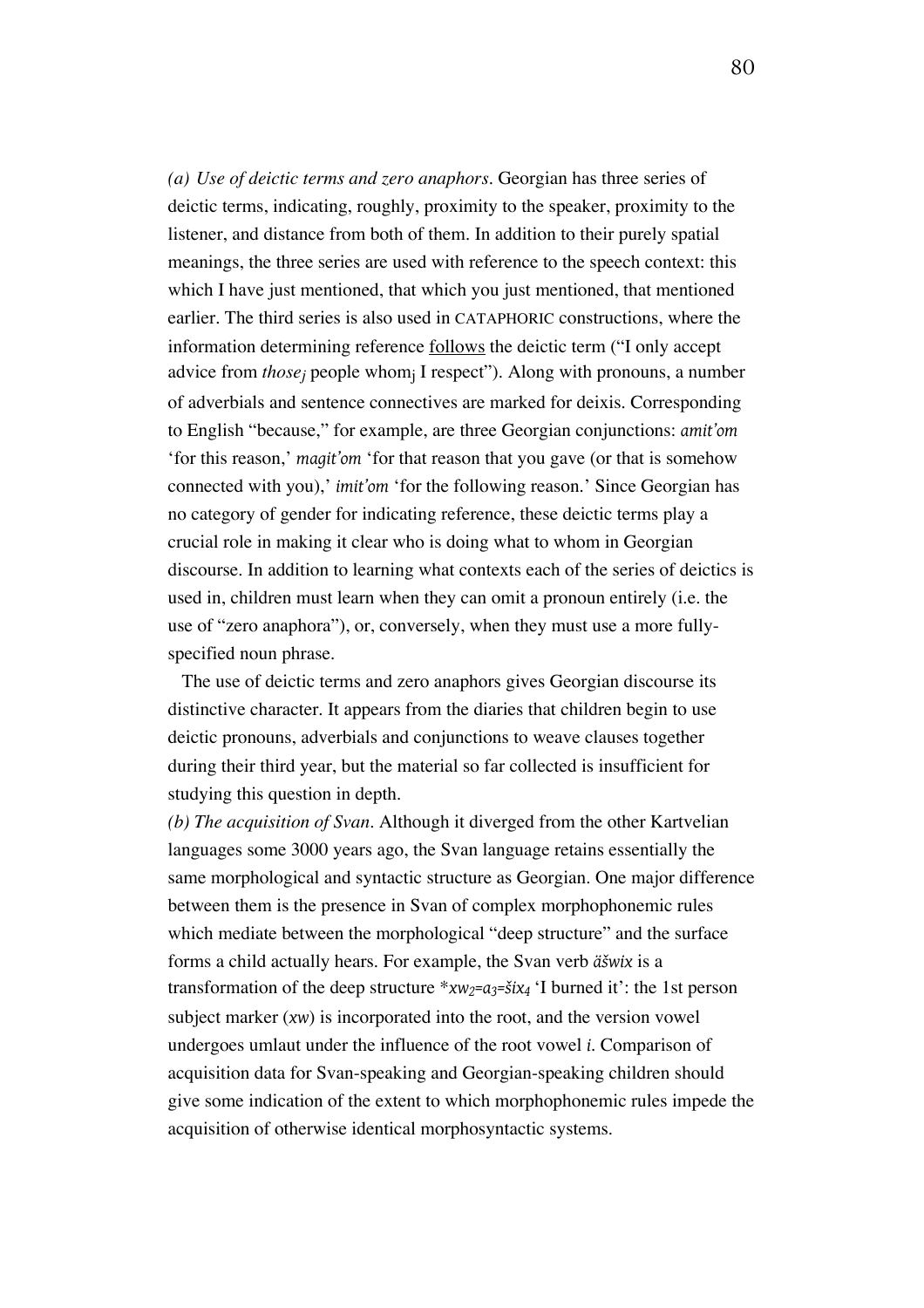*(a) Use of deictic terms and zero anaphors.* Georgian has three series of deictic terms, indicating, roughly, proximity to the speaker, proximity to the listener, and distance from both of them. In addition to their purely spatial meanings, the three series are used with reference to the speech context: this which I have just mentioned, that which you just mentioned, that mentioned earlier. The third series is also used in CATAPHORIC constructions, where the information determining reference follows the deictic term ("I only accept advice from *thosej* people whomj I respect"). Along with pronouns, a number of adverbials and sentence connectives are marked for deixis. Corresponding to English "because," for example, are three Georgian conjunctions: *amit'om* 'for this reason,' *magit'om* 'for that reason that you gave (or that is somehow connected with you),' *imit'om* 'for the following reason.' Since Georgian has no category of gender for indicating reference, these deictic terms play a crucial role in making it clear who is doing what to whom in Georgian discourse. In addition to learning what contexts each of the series of deictics is used in, children must learn when they can omit a pronoun entirely (i.e. the use of "zero anaphora"), or, conversely, when they must use a more fullyspecified noun phrase.

The use of deictic terms and zero anaphors gives Georgian discourse its distinctive character. It appears from the diaries that children begin to use deictic pronouns, adverbials and conjunctions to weave clauses together during their third year, but the material so far collected is insufficient for studying this question in depth.

*(b) The acquisition of Svan.* Although it diverged from the other Kartvelian languages some 3000 years ago, the Svan language retains essentially the same morphological and syntactic structure as Georgian. One major difference between them is the presence in Svan of complex morphophonemic rules which mediate between the morphological "deep structure" and the surface forms a child actually hears. For example, the Svan verb *äšwix* is a transformation of the deep structure  $* xw_2 = a_3 = 3i x_4$  'I burned it': the 1st person subject marker (*xw*) is incorporated into the root, and the version vowel undergoes umlaut under the influence of the root vowel *i*. Comparison of acquisition data for Svan-speaking and Georgian-speaking children should give some indication of the extent to which morphophonemic rules impede the acquisition of otherwise identical morphosyntactic systems.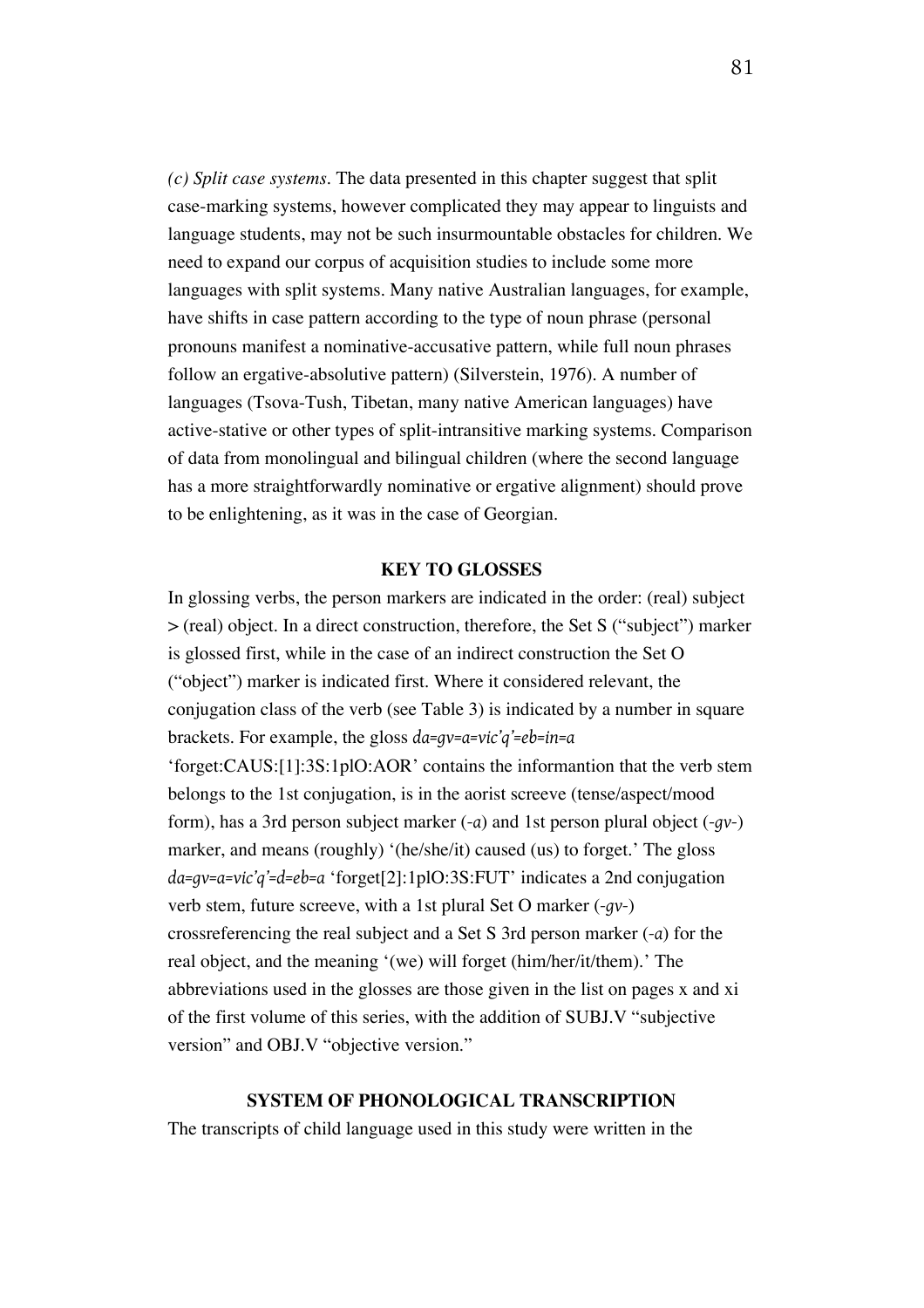*(c) Split case systems.* The data presented in this chapter suggest that split case-marking systems, however complicated they may appear to linguists and language students, may not be such insurmountable obstacles for children. We need to expand our corpus of acquisition studies to include some more languages with split systems. Many native Australian languages, for example, have shifts in case pattern according to the type of noun phrase (personal pronouns manifest a nominative-accusative pattern, while full noun phrases follow an ergative-absolutive pattern) (Silverstein, 1976). A number of languages (Tsova-Tush, Tibetan, many native American languages) have active-stative or other types of split-intransitive marking systems. Comparison of data from monolingual and bilingual children (where the second language has a more straightforwardly nominative or ergative alignment) should prove to be enlightening, as it was in the case of Georgian.

## **KEY TO GLOSSES**

In glossing verbs, the person markers are indicated in the order: (real) subject > (real) object. In a direct construction, therefore, the Set S ("subject") marker is glossed first, while in the case of an indirect construction the Set O ("object") marker is indicated first. Where it considered relevant, the conjugation class of the verb (see Table 3) is indicated by a number in square brackets. For example, the gloss *da=gv=a=vic'q'=eb=in=a* 'forget:CAUS:[1]:3S:1plO:AOR' contains the informantion that the verb stem belongs to the 1st conjugation, is in the aorist screeve (tense/aspect/mood form), has a 3rd person subject marker (*-a*) and 1st person plural object (*-gv-*) marker, and means (roughly) '(he/she/it) caused (us) to forget.' The gloss *da=gv=a=vic'q'=d=eb=a* 'forget[2]:1plO:3S:FUT' indicates a 2nd conjugation verb stem, future screeve, with a 1st plural Set O marker (*-gv-*) crossreferencing the real subject and a Set S 3rd person marker (*-a*) for the real object, and the meaning '(we) will forget (him/her/it/them).' The abbreviations used in the glosses are those given in the list on pages x and xi of the first volume of this series, with the addition of SUBJ.V "subjective version" and OBJ.V "objective version."

## **SYSTEM OF PHONOLOGICAL TRANSCRIPTION**

The transcripts of child language used in this study were written in the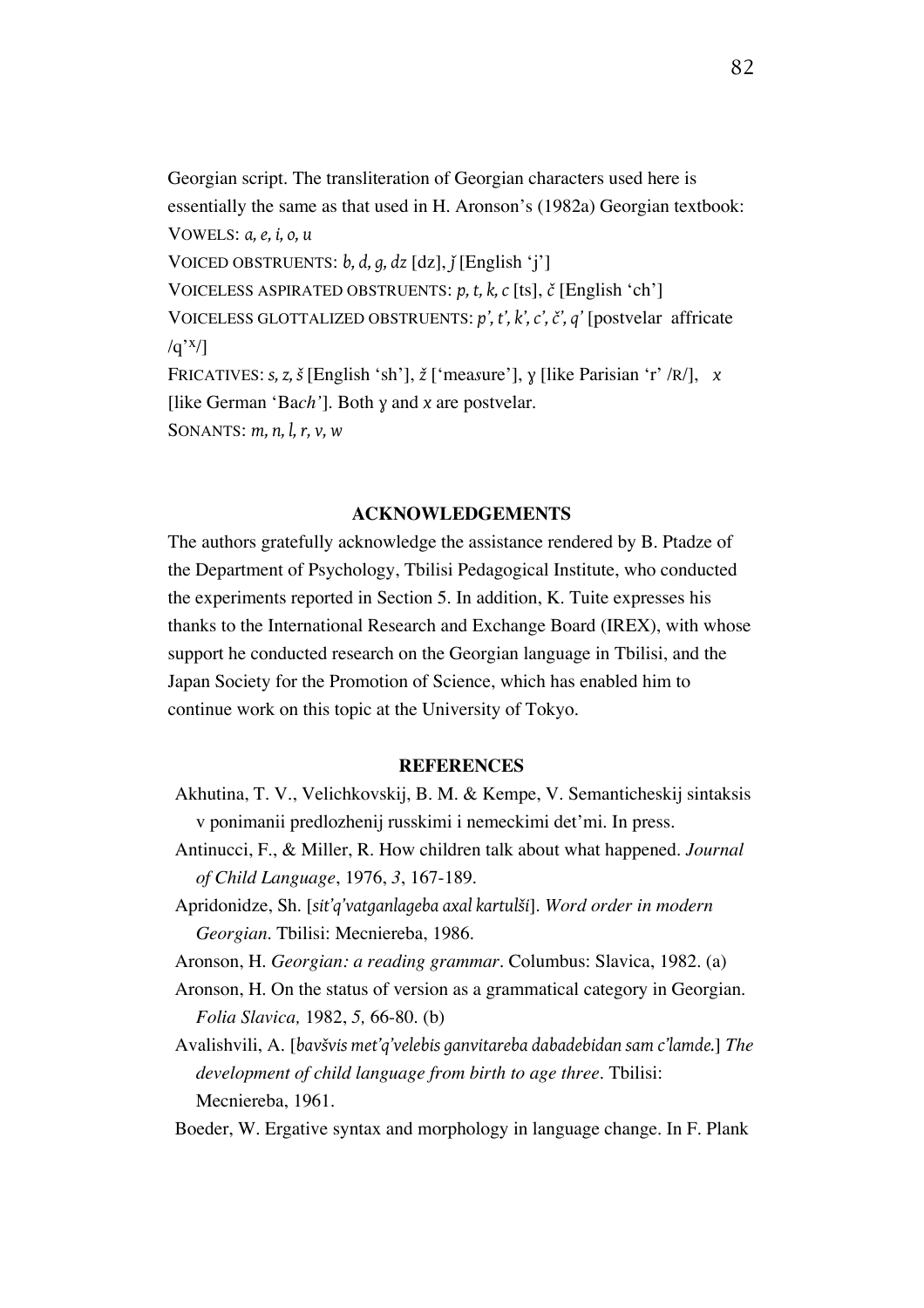Georgian script. The transliteration of Georgian characters used here is essentially the same as that used in H. Aronson's (1982a) Georgian textbook: VOWELS: *a, e, i, o, u*  VOICED OBSTRUENTS: *b, d, g, dz* [dz], *ǰ* [English 'j'] VOICELESS ASPIRATED OBSTRUENTS: *p, t, k, c* [ts], *č* [English 'ch'] VOICELESS GLOTTALIZED OBSTRUENTS: *p', t', k', c', č', q'* [postvelar affricate  $/q'$ <sup>x</sup>/] FRICATIVES: *s, z, š* [English 'sh'], *ž* ['mea*s*ure'], *ɣ* [like Parisian 'r' /R/], *x* [like German 'Ba*ch'*]. Both *ɣ* and *x* are postvelar. SONANTS: *m, n, l, r, v, w*

#### **ACKNOWLEDGEMENTS**

The authors gratefully acknowledge the assistance rendered by B. Ptadze of the Department of Psychology, Tbilisi Pedagogical Institute, who conducted the experiments reported in Section 5. In addition, K. Tuite expresses his thanks to the International Research and Exchange Board (IREX), with whose support he conducted research on the Georgian language in Tbilisi, and the Japan Society for the Promotion of Science, which has enabled him to continue work on this topic at the University of Tokyo.

### **REFERENCES**

- Akhutina, T. V., Velichkovskij, B. M. & Kempe, V. Semanticheskij sintaksis v ponimanii predlozhenij russkimi i nemeckimi det'mi. In press.
- Antinucci, F., & Miller, R. How children talk about what happened. *Journal of Child Language*, 1976, *3*, 167-189.
- Apridonidze, Sh. [*sit'q'vatganlageba axal kartulši*]. *Word order in modern Georgian.* Tbilisi: Mecniereba, 1986.

- Aronson, H. On the status of version as a grammatical category in Georgian. *Folia Slavica,* 1982, *5,* 66-80. (b)
- Avalishvili, A. [*bavšvis met'q'velebis ganvitareba dabadebidan sam c'lamde.*] *The development of child language from birth to age three.* Tbilisi: Mecniereba, 1961.
- Boeder, W. Ergative syntax and morphology in language change. In F. Plank

Aronson, H. *Georgian: a reading grammar.* Columbus: Slavica, 1982. (a)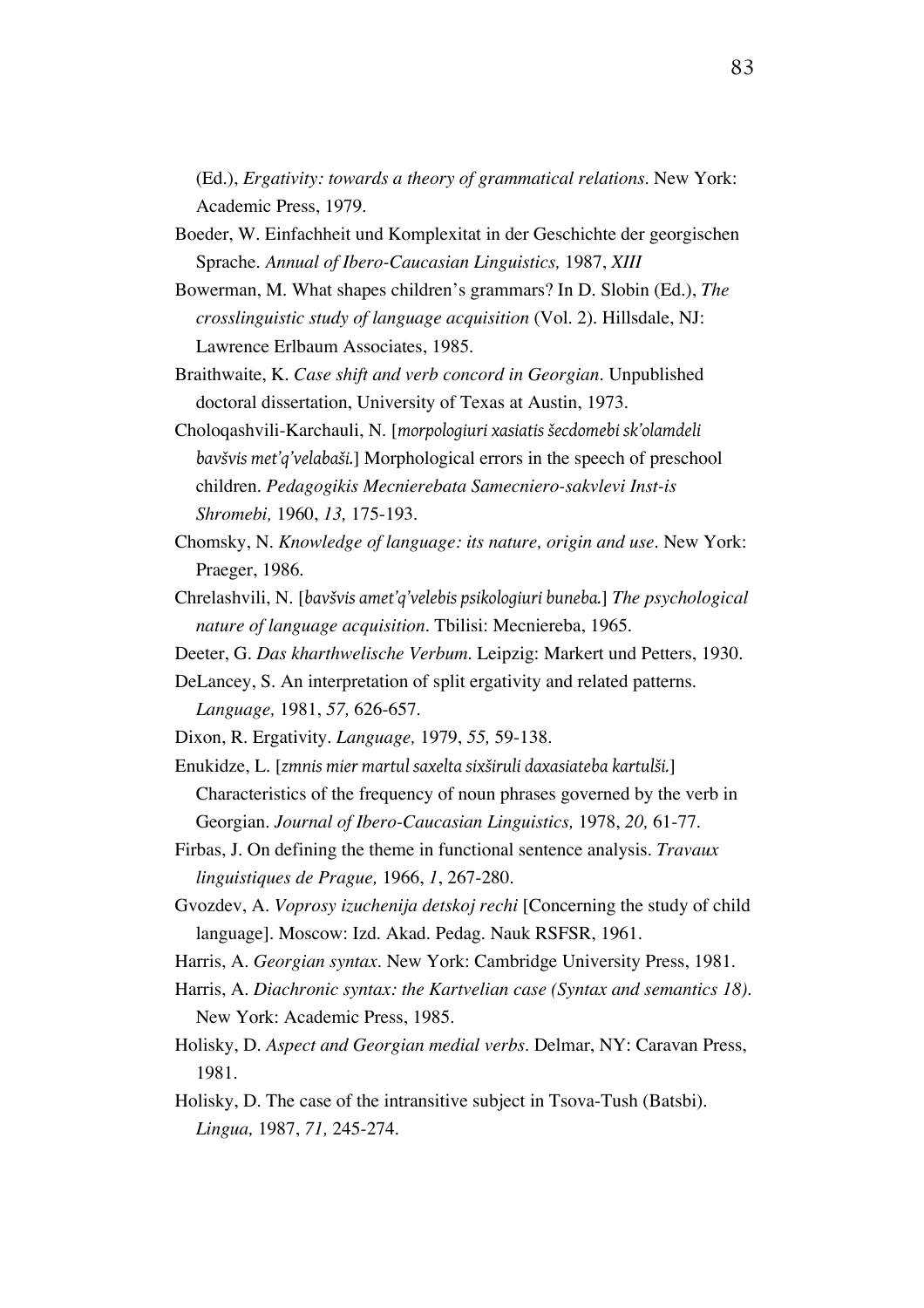(Ed.), *Ergativity: towards a theory of grammatical relations.* New York: Academic Press, 1979.

- Boeder, W. Einfachheit und Komplexitat in der Geschichte der georgischen Sprache. *Annual of Ibero-Caucasian Linguistics,* 1987, *XIII*
- Bowerman, M. What shapes children's grammars? In D. Slobin (Ed.), *The crosslinguistic study of language acquisition* (Vol. 2). Hillsdale, NJ: Lawrence Erlbaum Associates, 1985.
- Braithwaite, K. *Case shift and verb concord in Georgian.* Unpublished doctoral dissertation, University of Texas at Austin, 1973.
- Choloqashvili-Karchauli, N. [*morpologiuri xasiatis šecdomebi sk'olamdeli bavšvis met'q'velabaši.*] Morphological errors in the speech of preschool children. *Pedagogikis Mecnierebata Samecniero-sakvlevi Inst-is Shromebi,* 1960, *13,* 175-193.
- Chomsky, N. *Knowledge of language: its nature, origin and use.* New York: Praeger, 1986.
- Chrelashvili, N. [*bavšvis amet'q'velebis psikologiuri buneba.*] *The psychological nature of language acquisition.* Tbilisi: Mecniereba, 1965.
- Deeter, G. *Das kharthwelische Verbum.* Leipzig: Markert und Petters, 1930.
- DeLancey, S. An interpretation of split ergativity and related patterns. *Language,* 1981, *57,* 626-657.
- Dixon, R. Ergativity. *Language,* 1979, *55,* 59-138.
- Enukidze, L. [*zmnis mier martul saxelta sixširuli daxasiateba kartulši.*] Characteristics of the frequency of noun phrases governed by the verb in Georgian. *Journal of Ibero-Caucasian Linguistics,* 1978, *20,* 61-77.
- Firbas, J. On defining the theme in functional sentence analysis. *Travaux linguistiques de Prague,* 1966, *1*, 267-280.
- Gvozdev, A. *Voprosy izuchenija detskoj rechi* [Concerning the study of child language]. Moscow: Izd. Akad. Pedag. Nauk RSFSR, 1961.
- Harris, A. *Georgian syntax.* New York: Cambridge University Press, 1981.
- Harris, A. *Diachronic syntax: the Kartvelian case (Syntax and semantics 18).* New York: Academic Press, 1985.
- Holisky, D. *Aspect and Georgian medial verbs.* Delmar, NY: Caravan Press, 1981.
- Holisky, D. The case of the intransitive subject in Tsova-Tush (Batsbi). *Lingua,* 1987, *71,* 245-274.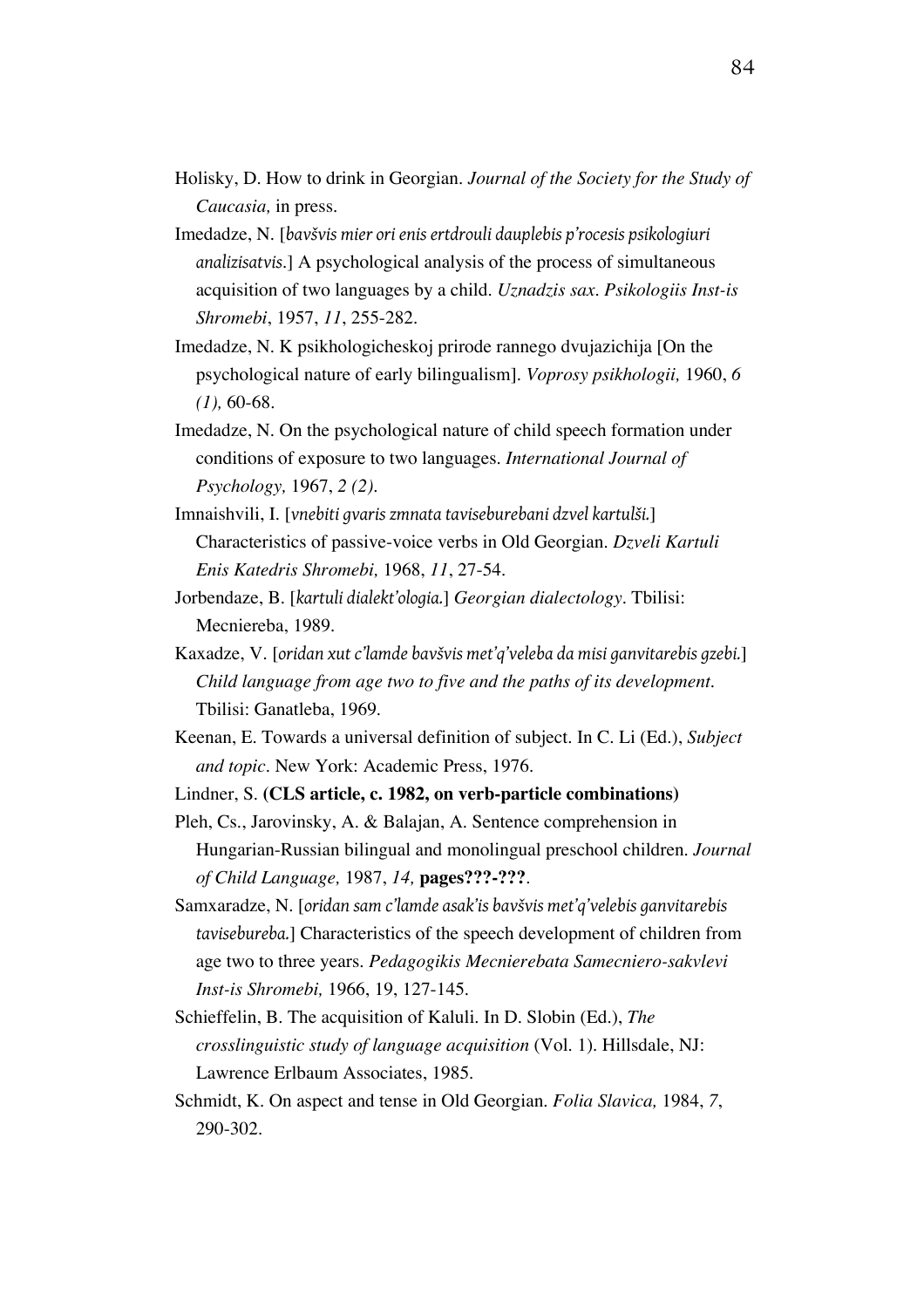- Holisky, D. How to drink in Georgian. *Journal of the Society for the Study of Caucasia,* in press.
- Imedadze, N. [*bavšvis mier ori enis ertdrouli dauplebis p'rocesis psikologiuri analizisatvis*.] A psychological analysis of the process of simultaneous acquisition of two languages by a child. *Uznadzis sax. Psikologiis Inst-is Shromebi*, 1957, *11*, 255-282.
- Imedadze, N. K psikhologicheskoj prirode rannego dvujazichija [On the psychological nature of early bilingualism]. *Voprosy psikhologii,* 1960, *6 (1),* 60-68.
- Imedadze, N. On the psychological nature of child speech formation under conditions of exposure to two languages. *International Journal of Psychology,* 1967, *2 (2)*.
- Imnaishvili, I. [*vnebiti gvaris zmnata taviseburebani dzvel kartulši.*] Characteristics of passive-voice verbs in Old Georgian. *Dzveli Kartuli Enis Katedris Shromebi,* 1968, *11*, 27-54.
- Jorbendaze, B. [*kartuli dialekt'ologia.*] *Georgian dialectology.* Tbilisi: Mecniereba, 1989.
- Kaxadze, V. [*oridan xut c'lamde bavšvis met'q'veleba da misi ganvitarebis gzebi.*] *Child language from age two to five and the paths of its development.* Tbilisi: Ganatleba, 1969.
- Keenan, E. Towards a universal definition of subject. In C. Li (Ed.), *Subject and topic.* New York: Academic Press, 1976.
- Lindner, S. **(CLS article, c. 1982, on verb-particle combinations)**
- Pleh, Cs., Jarovinsky, A. & Balajan, A. Sentence comprehension in Hungarian-Russian bilingual and monolingual preschool children. *Journal of Child Language,* 1987, *14,* **pages???-???**.
- Samxaradze, N. [*oridan sam c'lamde asak'is bavšvis met'q'velebis ganvitarebis tavisebureba.*] Characteristics of the speech development of children from age two to three years. *Pedagogikis Mecnierebata Samecniero-sakvlevi Inst-is Shromebi,* 1966, 19, 127-145.
- Schieffelin, B. The acquisition of Kaluli. In D. Slobin (Ed.), *The crosslinguistic study of language acquisition* (Vol. 1). Hillsdale, NJ: Lawrence Erlbaum Associates, 1985.
- Schmidt, K. On aspect and tense in Old Georgian. *Folia Slavica,* 1984, *7*, 290-302.